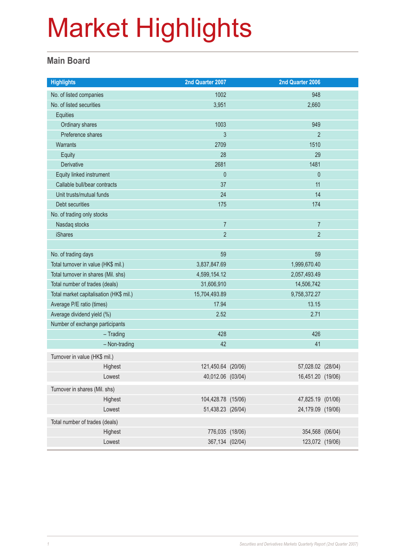### **Main Board**

| <b>Highlights</b>                       | 2nd Quarter 2007   |              | 2nd Quarter 2006  |  |
|-----------------------------------------|--------------------|--------------|-------------------|--|
| No. of listed companies                 | 1002               |              | 948               |  |
| No. of listed securities                | 3,951              |              | 2,660             |  |
| Equities                                |                    |              |                   |  |
| Ordinary shares                         | 1003               |              | 949               |  |
| Preference shares                       | 3                  |              | $\overline{2}$    |  |
| Warrants                                | 2709               |              | 1510              |  |
| <b>Equity</b>                           | 28                 |              | 29                |  |
| Derivative                              | 2681               |              | 1481              |  |
| Equity linked instrument                | $\mathbf 0$        |              | $\theta$          |  |
| Callable bull/bear contracts            | 37                 |              | 11                |  |
| Unit trusts/mutual funds                | 24                 |              | 14                |  |
| Debt securities                         | 175                |              | 174               |  |
| No. of trading only stocks              |                    |              |                   |  |
| Nasdaq stocks                           | $\overline{7}$     |              | $\overline{7}$    |  |
| <b>iShares</b>                          | $\overline{2}$     |              | $\overline{2}$    |  |
|                                         |                    |              |                   |  |
| No. of trading days                     | 59                 |              | 59                |  |
| Total turnover in value (HK\$ mil.)     | 3,837,847.69       | 1,999,670.40 |                   |  |
| Total turnover in shares (Mil. shs)     | 4,599,154.12       |              | 2,057,493.49      |  |
| Total number of trades (deals)          | 31,606,910         |              | 14,506,742        |  |
| Total market capitalisation (HK\$ mil.) | 15,704,493.89      | 9,758,372.27 |                   |  |
| Average P/E ratio (times)               | 17.94              | 13.15        |                   |  |
| Average dividend yield (%)              | 2.52               |              | 2.71              |  |
| Number of exchange participants         |                    |              |                   |  |
| $-$ Trading                             | 428                |              | 426               |  |
| - Non-trading                           | 42                 |              | 41                |  |
| Turnover in value (HK\$ mil.)           |                    |              |                   |  |
| Highest                                 | 121,450.64 (20/06) |              | 57,028.02 (28/04) |  |
| Lowest                                  | 40,012.06 (03/04)  |              | 16,451.20 (19/06) |  |
| Turnover in shares (Mil. shs)           |                    |              |                   |  |
| Highest                                 | 104,428.78 (15/06) |              | 47,825.19 (01/06) |  |
| Lowest                                  | 51,438.23 (26/04)  |              | 24,179.09 (19/06) |  |
| Total number of trades (deals)          |                    |              |                   |  |
| Highest                                 | 776,035 (18/06)    |              | 354,568 (06/04)   |  |
| Lowest                                  | 367,134 (02/04)    |              | 123,072 (19/06)   |  |
|                                         |                    |              |                   |  |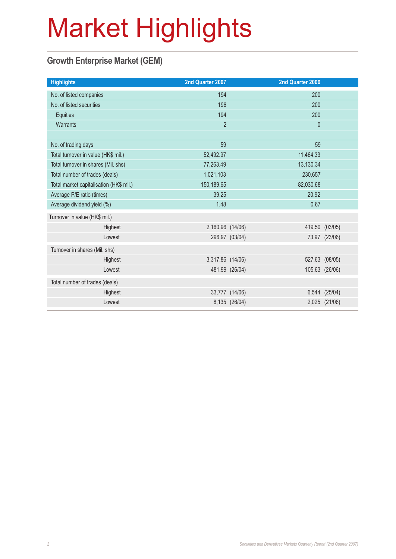### **Growth Enterprise Market (GEM)**

| <b>Highlights</b>                       | 2nd Quarter 2007 |                | 2nd Quarter 2006 |                |
|-----------------------------------------|------------------|----------------|------------------|----------------|
| No. of listed companies                 | 194              |                | 200              |                |
| No. of listed securities                | 196              |                | 200              |                |
| Equities                                | 194              |                | 200              |                |
| Warrants                                | $\overline{2}$   |                | $\mathbf 0$      |                |
|                                         |                  |                |                  |                |
| No. of trading days                     | 59               |                | 59               |                |
| Total turnover in value (HK\$ mil.)     | 52,492.97        |                | 11,464.33        |                |
| Total turnover in shares (Mil. shs)     | 77,263.49        |                | 13,130.34        |                |
| Total number of trades (deals)          | 1,021,103        |                | 230,657          |                |
| Total market capitalisation (HK\$ mil.) | 150,189.65       |                | 82,030.68        |                |
| Average P/E ratio (times)               | 39.25            |                | 20.92            |                |
| Average dividend yield (%)              | 1.48             |                | 0.67             |                |
| Turnover in value (HK\$ mil.)           |                  |                |                  |                |
| Highest                                 | 2,160.96 (14/06) |                | 419.50           | (03/05)        |
| Lowest                                  |                  | 296.97 (03/04) |                  | 73.97 (23/06)  |
| Turnover in shares (Mil. shs)           |                  |                |                  |                |
| Highest                                 | 3,317.86 (14/06) |                | 527.63           | (08/05)        |
| Lowest                                  |                  | 481.99 (26/04) |                  | 105.63 (26/06) |
| Total number of trades (deals)          |                  |                |                  |                |
| Highest                                 |                  | 33,777 (14/06) | 6,544            | (25/04)        |
| Lowest                                  |                  | 8,135 (26/04)  |                  | 2,025 (21/06)  |
|                                         |                  |                |                  |                |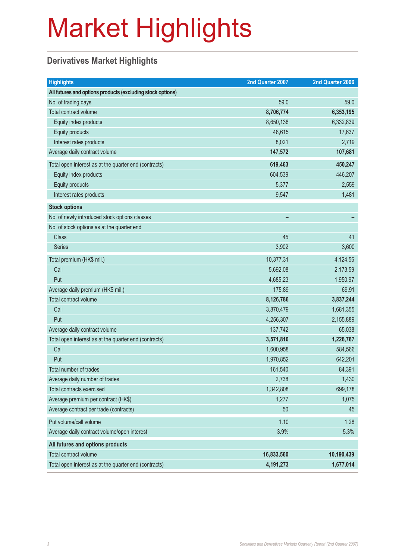### **Derivatives Market Highlights**

| <b>Highlights</b>                                          | 2nd Quarter 2007 | 2nd Quarter 2006 |
|------------------------------------------------------------|------------------|------------------|
| All futures and options products (excluding stock options) |                  |                  |
| No. of trading days                                        | 59.0             | 59.0             |
| Total contract volume                                      | 8,706,774        | 6,353,195        |
| Equity index products                                      | 8,650,138        | 6,332,839        |
| Equity products                                            | 48,615           | 17,637           |
| Interest rates products                                    | 8,021            | 2,719            |
| Average daily contract volume                              | 147,572          | 107,681          |
| Total open interest as at the quarter end (contracts)      | 619,463          | 450,247          |
| Equity index products                                      | 604,539          | 446,207          |
| Equity products                                            | 5,377            | 2,559            |
| Interest rates products                                    | 9,547            | 1,481            |
| <b>Stock options</b>                                       |                  |                  |
| No. of newly introduced stock options classes              |                  |                  |
| No. of stock options as at the quarter end                 |                  |                  |
| <b>Class</b>                                               | 45               | 41               |
| Series                                                     | 3,902            | 3,600            |
| Total premium (HK\$ mil.)                                  | 10,377.31        | 4,124.56         |
| Call                                                       | 5,692.08         | 2,173.59         |
| Put                                                        | 4,685.23         | 1,950.97         |
| Average daily premium (HK\$ mil.)                          | 175.89           | 69.91            |
| Total contract volume                                      | 8,126,786        | 3,837,244        |
| Call                                                       | 3,870,479        | 1,681,355        |
| Put                                                        | 4,256,307        | 2,155,889        |
| Average daily contract volume                              | 137,742          | 65,038           |
| Total open interest as at the quarter end (contracts)      | 3,571,810        | 1,226,767        |
| Call                                                       | 1,600,958        | 584,566          |
| Put                                                        | 1,970,852        | 642,201          |
| Total number of trades                                     | 161,540          | 84,391           |
| Average daily number of trades                             | 2,738            | 1,430            |
| Total contracts exercised                                  | 1,342,808        | 699,178          |
| Average premium per contract (HK\$)                        | 1,277            | 1,075            |
| Average contract per trade (contracts)                     | 50               | 45               |
| Put volume/call volume                                     | 1.10             | 1.28             |
| Average daily contract volume/open interest                | 3.9%             | 5.3%             |
| All futures and options products                           |                  |                  |
| Total contract volume                                      | 16,833,560       | 10,190,439       |
| Total open interest as at the quarter end (contracts)      | 4,191,273        | 1,677,014        |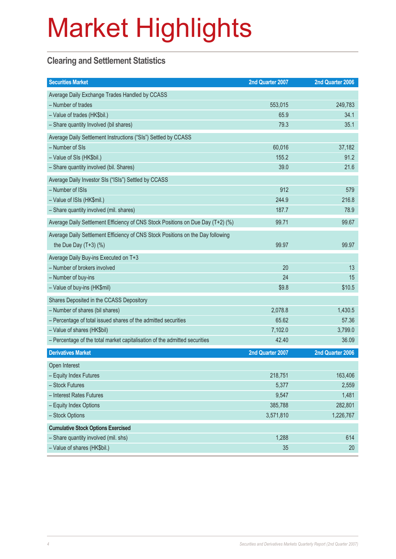### **Clearing and Settlement Statistics**

| <b>Securities Market</b>                                                        | 2nd Quarter 2007 | 2nd Quarter 2006 |
|---------------------------------------------------------------------------------|------------------|------------------|
| Average Daily Exchange Trades Handled by CCASS                                  |                  |                  |
| - Number of trades                                                              | 553,015          | 249,783          |
| - Value of trades (HK\$bil.)                                                    | 65.9             | 34.1             |
| - Share quantity Involved (bil shares)                                          | 79.3             | 35.1             |
| Average Daily Settlement Instructions ("SIs") Settled by CCASS                  |                  |                  |
| - Number of SIs                                                                 | 60,016           | 37,182           |
| - Value of SIs (HK\$bil.)                                                       | 155.2            | 91.2             |
| - Share quantity involved (bil. Shares)                                         | 39.0             | 21.6             |
| Average Daily Investor SIs ("ISIs") Settled by CCASS                            |                  |                  |
| - Number of ISIs                                                                | 912              | 579              |
| - Value of ISIs (HK\$mil.)                                                      | 244.9            | 216.8            |
| - Share quantity involved (mil. shares)                                         | 187.7            | 78.9             |
| Average Daily Settlement Efficiency of CNS Stock Positions on Due Day (T+2) (%) | 99.71            | 99.67            |
| Average Daily Settlement Efficiency of CNS Stock Positions on the Day following |                  |                  |
| the Due Day $(T+3)$ (%)                                                         | 99.97            | 99.97            |
| Average Daily Buy-ins Executed on T+3                                           |                  |                  |
| - Number of brokers involved                                                    | 20               | 13               |
| - Number of buy-ins                                                             | 24               | 15               |
| - Value of buy-ins (HK\$mil)                                                    | \$9.8            | \$10.5           |
| Shares Deposited in the CCASS Depository                                        |                  |                  |
| - Number of shares (bil shares)                                                 | 2,078.8          | 1,430.5          |
| - Percentage of total issued shares of the admitted securities                  | 65.62            | 57.36            |
| - Value of shares (HK\$bil)                                                     | 7,102.0          | 3,799.0          |
| - Percentage of the total market capitalisation of the admitted securities      | 42.40            | 36.09            |
| <b>Derivatives Market</b>                                                       | 2nd Quarter 2007 | 2nd Quarter 2006 |
| Open Interest                                                                   |                  |                  |
| - Equity Index Futures                                                          | 218,751          | 163,406          |
| - Stock Futures                                                                 | 5,377            | 2,559            |
| - Interest Rates Futures                                                        | 9,547            | 1,481            |
| - Equity Index Options                                                          | 385,788          | 282,801          |
| - Stock Options                                                                 | 3,571,810        | 1,226,767        |
| <b>Cumulative Stock Options Exercised</b>                                       |                  |                  |
| - Share quantity involved (mil. shs)                                            | 1,288            | 614              |
| - Value of shares (HK\$bil.)                                                    | 35               | 20               |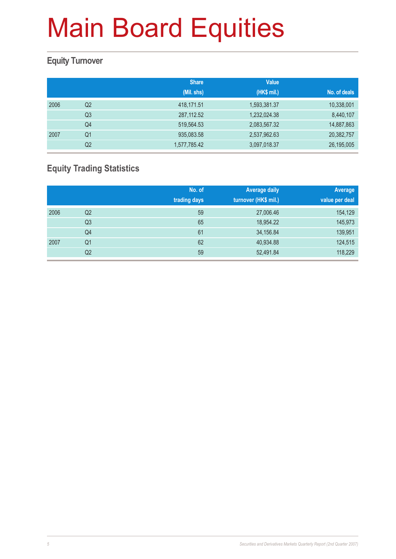### **Equity Turnover**

|      |                | <b>Share</b> | <b>Value</b> |              |
|------|----------------|--------------|--------------|--------------|
|      |                | (Mil. shs)   | (HK\$ mil.)  | No. of deals |
| 2006 | Q2             | 418,171.51   | 1,593,381.37 | 10,338,001   |
|      | Q <sub>3</sub> | 287,112.52   | 1,232,024.38 | 8,440,107    |
|      | Q4             | 519,564.53   | 2,083,567.32 | 14,887,863   |
| 2007 | Q1             | 935,083.58   | 2,537,962.63 | 20,382,757   |
|      | Q <sub>2</sub> | 1,577,785.42 | 3,097,018.37 | 26,195,005   |

### **Equity Trading Statistics**

|      |                | No. of<br>trading days | <b>Average daily</b><br>turnover (HK\$ mil.) | Average<br>value per deal |
|------|----------------|------------------------|----------------------------------------------|---------------------------|
|      |                |                        |                                              |                           |
| 2006 | Q2             | 59                     | 27,006.46                                    | 154,129                   |
|      | Q <sub>3</sub> | 65                     | 18,954.22                                    | 145,973                   |
|      | Q4             | 61                     | 34,156.84                                    | 139,951                   |
| 2007 | Q <sub>1</sub> | 62                     | 40,934.88                                    | 124,515                   |
|      | Q2             | 59                     | 52,491.84                                    | 118,229                   |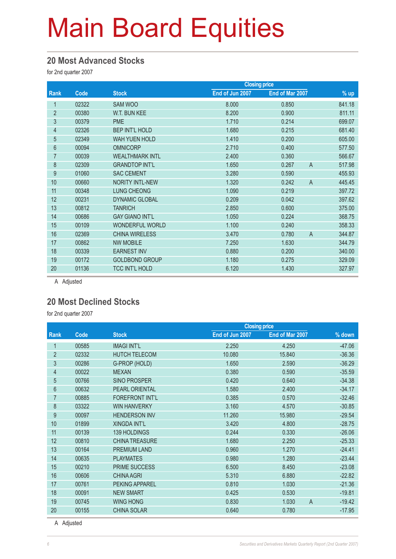#### **20 Most Advanced Stocks**

for 2nd quarter 2007

|                |       | <b>Closing price</b>   |                 |                         |        |
|----------------|-------|------------------------|-----------------|-------------------------|--------|
| Rank           | Code  | <b>Stock</b>           | End of Jun 2007 | End of Mar 2007         | $%$ up |
| 1              | 02322 | <b>SAM WOO</b>         | 8.000           | 0.850                   | 841.18 |
| $\overline{2}$ | 00380 | W.T. BUN KEE           | 8.200           | 0.900                   | 811.11 |
| 3              | 00379 | <b>PME</b>             | 1.710           | 0.214                   | 699.07 |
| $\overline{4}$ | 02326 | <b>BEP INT'L HOLD</b>  | 1.680           | 0.215                   | 681.40 |
| 5              | 02349 | <b>WAH YUEN HOLD</b>   | 1.410           | 0.200                   | 605.00 |
| 6              | 00094 | <b>OMNICORP</b>        | 2.710           | 0.400                   | 577.50 |
| 7              | 00039 | <b>WEALTHMARK INTL</b> | 2.400           | 0.360                   | 566.67 |
| 8              | 02309 | <b>GRANDTOP INT'L</b>  | 1.650           | $\overline{A}$<br>0.267 | 517.98 |
| 9              | 01060 | <b>SAC CEMENT</b>      | 3.280           | 0.590                   | 455.93 |
| 10             | 00660 | <b>NORITY INTL-NEW</b> | 1.320           | $\overline{A}$<br>0.242 | 445.45 |
| 11             | 00348 | <b>LUNG CHEONG</b>     | 1.090           | 0.219                   | 397.72 |
| 12             | 00231 | <b>DYNAMIC GLOBAL</b>  | 0.209           | 0.042                   | 397.62 |
| 13             | 00812 | <b>TANRICH</b>         | 2.850           | 0.600                   | 375.00 |
| 14             | 00686 | <b>GAY GIANO INT'L</b> | 1.050           | 0.224                   | 368.75 |
| 15             | 00109 | <b>WONDERFUL WORLD</b> | 1.100           | 0.240                   | 358.33 |
| 16             | 02369 | <b>CHINA WIRELESS</b>  | 3.470           | $\overline{A}$<br>0.780 | 344.87 |
| 17             | 00862 | <b>NW MOBILE</b>       | 7.250           | 1.630                   | 344.79 |
| 18             | 00339 | <b>EARNEST INV</b>     | 0.880           | 0.200                   | 340.00 |
| 19             | 00172 | <b>GOLDBOND GROUP</b>  | 1.180           | 0.275                   | 329.09 |
| 20             | 01136 | <b>TCC INT'L HOLD</b>  | 6.120           | 1.430                   | 327.97 |
|                |       |                        |                 |                         |        |

A Adjusted

#### **20 Most Declined Stocks**

for 2nd quarter 2007

|                |       |                        |                 | <b>Closing price</b> |                            |
|----------------|-------|------------------------|-----------------|----------------------|----------------------------|
| Rank           | Code  | <b>Stock</b>           | End of Jun 2007 | End of Mar 2007      | % down                     |
| 1              | 00585 | <b>IMAGI INT'L</b>     | 2.250           | 4.250                | $-47.06$                   |
| $\overline{2}$ | 02332 | <b>HUTCH TELECOM</b>   | 10.080          | 15.840               | $-36.36$                   |
| 3              | 00286 | G-PROP (HOLD)          | 1.650           | 2.590                | $-36.29$                   |
| 4              | 00022 | <b>MEXAN</b>           | 0.380           | 0.590                | $-35.59$                   |
| 5              | 00766 | <b>SINO PROSPER</b>    | 0.420           | 0.640                | $-34.38$                   |
| 6              | 00632 | PEARL ORIENTAL         | 1.580           | 2.400                | $-34.17$                   |
| 7              | 00885 | <b>FOREFRONT INT'L</b> | 0.385           | 0.570                | $-32.46$                   |
| 8              | 03322 | <b>WIN HANVERKY</b>    | 3.160           | 4.570                | $-30.85$                   |
| 9              | 00097 | <b>HENDERSON INV</b>   | 11.260          | 15,980               | $-29.54$                   |
| 10             | 01899 | <b>XINGDA INT'L</b>    | 3.420           | 4.800                | $-28.75$                   |
| 11             | 00139 | <b>139 HOLDINGS</b>    | 0.244           | 0.330                | $-26.06$                   |
| 12             | 00810 | <b>CHINA TREASURE</b>  | 1.680           | 2.250                | $-25.33$                   |
| 13             | 00164 | <b>PREMIUM LAND</b>    | 0.960           | 1.270                | $-24.41$                   |
| 14             | 00635 | <b>PLAYMATES</b>       | 0.980           | 1.280                | $-23.44$                   |
| 15             | 00210 | PRIME SUCCESS          | 6.500           | 8.450                | $-23.08$                   |
| 16             | 00606 | <b>CHINA AGRI</b>      | 5.310           | 6.880                | $-22.82$                   |
| 17             | 00761 | PEKING APPAREL         | 0.810           | 1.030                | $-21.36$                   |
| 18             | 00091 | <b>NEW SMART</b>       | 0.425           | 0.530                | $-19.81$                   |
| 19             | 00745 | <b>WING HONG</b>       | 0.830           | 1.030                | $\overline{A}$<br>$-19.42$ |
| 20             | 00155 | <b>CHINA SOLAR</b>     | 0.640           | 0.780                | $-17.95$                   |

A Adjusted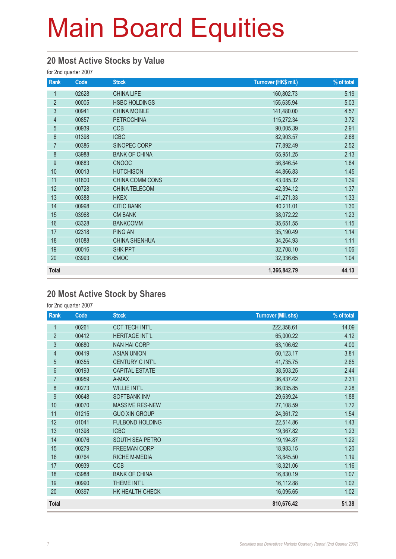### **20 Most Active Stocks by Value**

for 2nd quarter 2007

| Rank             | Code  | <b>Stock</b>         | Turnover (HK\$ mil.) | % of total |
|------------------|-------|----------------------|----------------------|------------|
| 1                | 02628 | <b>CHINA LIFE</b>    | 160,802.73           | 5.19       |
| $\overline{2}$   | 00005 | <b>HSBC HOLDINGS</b> | 155,635.94           | 5.03       |
| 3                | 00941 | <b>CHINA MOBILE</b>  | 141,480.00           | 4.57       |
| $\overline{4}$   | 00857 | <b>PETROCHINA</b>    | 115,272.34           | 3.72       |
| 5                | 00939 | <b>CCB</b>           | 90,005.39            | 2.91       |
| $6\,$            | 01398 | <b>ICBC</b>          | 82,903.57            | 2.68       |
| $\overline{7}$   | 00386 | SINOPEC CORP         | 77,892.49            | 2.52       |
| $\bf 8$          | 03988 | <b>BANK OF CHINA</b> | 65,951.25            | 2.13       |
| $\boldsymbol{9}$ | 00883 | <b>CNOOC</b>         | 56,846.54            | 1.84       |
| 10               | 00013 | <b>HUTCHISON</b>     | 44,866.83            | 1.45       |
| 11               | 01800 | CHINA COMM CONS      | 43,085.32            | 1.39       |
| 12               | 00728 | <b>CHINA TELECOM</b> | 42,394.12            | 1.37       |
| 13               | 00388 | <b>HKEX</b>          | 41,271.33            | 1.33       |
| 14               | 00998 | <b>CITIC BANK</b>    | 40,211.01            | 1.30       |
| 15               | 03968 | <b>CM BANK</b>       | 38,072.22            | 1.23       |
| 16               | 03328 | <b>BANKCOMM</b>      | 35,651.55            | 1.15       |
| 17               | 02318 | <b>PING AN</b>       | 35,190.49            | 1.14       |
| 18               | 01088 | <b>CHINA SHENHUA</b> | 34,264.93            | 1.11       |
| 19               | 00016 | SHK PPT              | 32,708.10            | 1.06       |
| 20               | 03993 | <b>CMOC</b>          | 32,336.65            | 1.04       |
| <b>Total</b>     |       |                      | 1,366,842.79         | 44.13      |

### **20 Most Active Stock by Shares**

for 2nd quarter 2007

| Rank             | Code  | <b>Stock</b>           | <b>Turnover (Mil. shs)</b> | % of total |
|------------------|-------|------------------------|----------------------------|------------|
| 1                | 00261 | <b>CCT TECH INT'L</b>  | 222,358.61                 | 14.09      |
| $\overline{2}$   | 00412 | <b>HERITAGE INT'L</b>  | 65,000.22                  | 4.12       |
| 3                | 00680 | <b>NAN HAI CORP</b>    | 63,106.62                  | 4.00       |
| $\overline{4}$   | 00419 | <b>ASIAN UNION</b>     | 60,123.17                  | 3.81       |
| 5                | 00355 | <b>CENTURY C INT'L</b> | 41,735.75                  | 2.65       |
| 6                | 00193 | <b>CAPITAL ESTATE</b>  | 38,503.25                  | 2.44       |
| 7                | 00959 | A-MAX                  | 36,437.42                  | 2.31       |
| 8                | 00273 | <b>WILLIE INT'L</b>    | 36,035.85                  | 2.28       |
| $\boldsymbol{9}$ | 00648 | <b>SOFTBANK INV</b>    | 29,639.24                  | 1.88       |
| 10               | 00070 | MASSIVE RES-NEW        | 27,108.59                  | 1.72       |
| 11               | 01215 | <b>GUO XIN GROUP</b>   | 24,361.72                  | 1.54       |
| 12               | 01041 | <b>FULBOND HOLDING</b> | 22,514.86                  | 1.43       |
| 13               | 01398 | <b>ICBC</b>            | 19,367.82                  | 1.23       |
| 14               | 00076 | SOUTH SEA PETRO        | 19,194.87                  | 1.22       |
| 15               | 00279 | <b>FREEMAN CORP</b>    | 18,983.15                  | 1.20       |
| 16               | 00764 | <b>RICHE M-MEDIA</b>   | 18,845.50                  | 1.19       |
| 17               | 00939 | <b>CCB</b>             | 18,321.06                  | 1.16       |
| 18               | 03988 | <b>BANK OF CHINA</b>   | 16,830.19                  | 1.07       |
| 19               | 00990 | THEME INT'L            | 16,112.88                  | 1.02       |
| 20               | 00397 | HK HEALTH CHECK        | 16,095.65                  | 1.02       |
| <b>Total</b>     |       |                        | 810,676.42                 | 51.38      |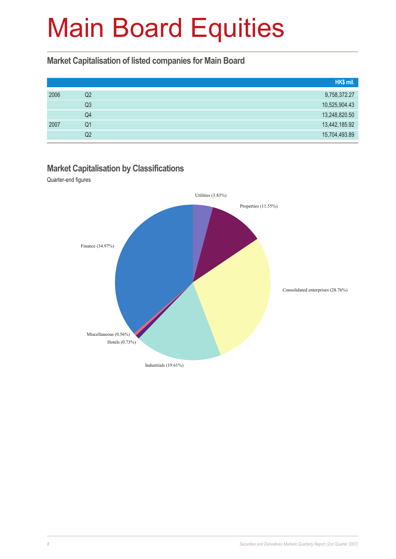#### **Market Capitalisation of listed companies for Main Board**

|      |    | HK\$ mil.     |
|------|----|---------------|
| 2006 | Q2 | 9,758,372.27  |
|      | Q3 | 10,525,904.43 |
|      | Q4 | 13,248,820.50 |
| 2007 | Q1 | 13,442,185.92 |
|      | Q2 | 15,704,493.89 |

#### **Market Capitalisation by Classifications**

Quarter-end figures

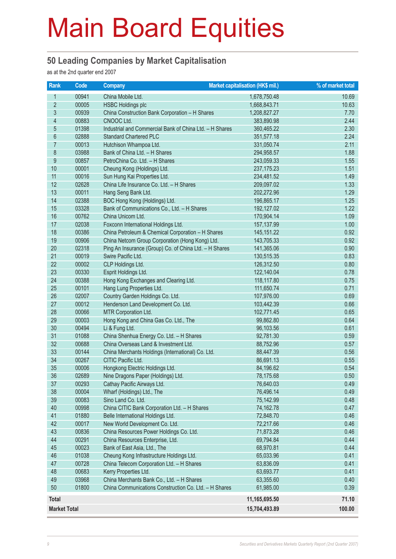### **50 Leading Companies by Market Capitalisation**

as at the 2nd quarter end 2007

| Rank                     | Code           | <b>Company</b>                                                                                     | <b>Market capitalisation (HK\$ mil.)</b> | % of market total |
|--------------------------|----------------|----------------------------------------------------------------------------------------------------|------------------------------------------|-------------------|
| 1                        | 00941          | China Mobile Ltd.                                                                                  | 1,678,750.48                             | 10.69             |
| $\overline{2}$           | 00005          | <b>HSBC Holdings plc</b>                                                                           | 1,668,843.71                             | 10.63             |
| $\overline{3}$           | 00939          | China Construction Bank Corporation - H Shares                                                     | 1,208,827.27                             | 7.70              |
| $\overline{\mathcal{A}}$ | 00883          | CNOOC Ltd.                                                                                         | 383,890.98                               | 2.44              |
| 5                        | 01398          | Industrial and Commercial Bank of China Ltd. - H Shares                                            | 360,465.22                               | 2.30              |
| $\boldsymbol{6}$         | 02888          | <b>Standard Chartered PLC</b>                                                                      | 351,577.18                               | 2.24              |
| $\overline{7}$           | 00013          | Hutchison Whampoa Ltd.                                                                             | 331,050.74                               | 2.11              |
| $\bf 8$                  | 03988          | Bank of China Ltd. - H Shares                                                                      | 294,958.57                               | 1.88              |
| $\boldsymbol{9}$         | 00857          | PetroChina Co. Ltd. - H Shares                                                                     | 243,059.33                               | 1.55              |
| 10                       | 00001          | Cheung Kong (Holdings) Ltd.                                                                        | 237, 175.23                              | 1.51              |
| 11                       | 00016          | Sun Hung Kai Properties Ltd.                                                                       | 234,481.52                               | 1.49              |
| 12                       | 02628          | China Life Insurance Co. Ltd. - H Shares                                                           | 209,097.02                               | 1.33              |
| 13                       | 00011          | Hang Seng Bank Ltd.                                                                                | 202,272.96                               | 1.29              |
| 14                       | 02388          | BOC Hong Kong (Holdings) Ltd.                                                                      | 196,865.17                               | 1.25              |
| 15                       | 03328          | Bank of Communications Co., Ltd. - H Shares                                                        | 192,127.02                               | 1.22              |
| 16                       | 00762          | China Unicom Ltd.                                                                                  | 170,904.14                               | 1.09              |
| 17                       | 02038          | Foxconn International Holdings Ltd.                                                                | 157,137.99                               | 1.00              |
| 18                       | 00386          | China Petroleum & Chemical Corporation - H Shares                                                  | 145, 151.22                              | 0.92              |
| 19                       | 00906          | China Netcom Group Corporation (Hong Kong) Ltd.                                                    | 143,705.33                               | 0.92              |
| 20                       | 02318          | Ping An Insurance (Group) Co. of China Ltd. - H Shares                                             | 141,365.06                               | 0.90              |
| 21                       | 00019          | Swire Pacific Ltd.                                                                                 | 130,515.35                               | 0.83              |
| 22                       | 00002          | CLP Holdings Ltd.                                                                                  | 126,312.50                               | 0.80              |
| 23                       | 00330          | Esprit Holdings Ltd.                                                                               | 122,140.04                               | 0.78              |
| 24                       | 00388          | Hong Kong Exchanges and Clearing Ltd.                                                              | 118,117.80                               | 0.75              |
| 25                       | 00101          | Hang Lung Properties Ltd.                                                                          | 111,650.74                               | 0.71              |
| 26                       | 02007          | Country Garden Holdings Co. Ltd.                                                                   | 107,976.00                               | 0.69              |
| 27                       | 00012          | Henderson Land Development Co. Ltd.                                                                | 103,442.39                               | 0.66              |
| 28                       | 00066          | MTR Corporation Ltd.                                                                               | 102,771.45                               | 0.65              |
| 29                       | 00003          | Hong Kong and China Gas Co. Ltd., The                                                              | 99,862.80                                | 0.64              |
| 30                       | 00494          | Li & Fung Ltd.                                                                                     | 96,103.56                                | 0.61              |
| 31                       | 01088          | China Shenhua Energy Co. Ltd. - H Shares                                                           | 92,781.30                                | 0.59              |
| 32                       | 00688          | China Overseas Land & Investment Ltd.                                                              | 88,752.96                                | 0.57              |
| 33                       | 00144          | China Merchants Holdings (International) Co. Ltd.                                                  | 88,447.39                                | 0.56              |
| 34                       | 00267          | CITIC Pacific Ltd.                                                                                 | 86,691.13                                | 0.55              |
| 35                       | 00006          | Hongkong Electric Holdings Ltd.                                                                    | 84,196.62                                | 0.54              |
| 36                       | 02689          | Nine Dragons Paper (Holdings) Ltd.                                                                 | 78,175.68                                | 0.50              |
| 37                       | 00293          | Cathay Pacific Airways Ltd.                                                                        | 76,640.03                                | 0.49              |
| 38                       | 00004          | Wharf (Holdings) Ltd., The                                                                         | 76,496.14                                | 0.49              |
| 39                       | 00083          | Sino Land Co. Ltd.                                                                                 | 75,142.99                                | 0.48              |
| 40                       | 00998          | China CITIC Bank Corporation Ltd. - H Shares                                                       | 74,162.78                                | 0.47              |
| 41                       | 01880          | Belle International Holdings Ltd.                                                                  | 72,848.70                                | 0.46              |
| 42                       | 00017          | New World Development Co. Ltd.                                                                     | 72,217.66                                | 0.46              |
| 43<br>44                 | 00836          | China Resources Power Holdings Co. Ltd.                                                            | 71,873.28                                | 0.46              |
| 45                       | 00291          | China Resources Enterprise, Ltd.                                                                   | 69,794.84<br>68,970.81                   | 0.44              |
|                          | 00023<br>01038 | Bank of East Asia, Ltd., The                                                                       |                                          | 0.44              |
| 46                       |                | Cheung Kong Infrastructure Holdings Ltd.<br>China Telecom Corporation Ltd. - H Shares              | 65,033.96                                | 0.41              |
| 47                       | 00728          |                                                                                                    | 63,836.09                                | 0.41              |
| 48<br>49                 | 00683          | Kerry Properties Ltd.                                                                              | 63,693.77                                | 0.41              |
| 50                       | 03968<br>01800 | China Merchants Bank Co., Ltd. - H Shares<br>China Communications Construction Co. Ltd. - H Shares | 63,355.60<br>61,985.00                   | 0.40<br>0.39      |
|                          |                |                                                                                                    |                                          |                   |
| <b>Total</b>             |                |                                                                                                    | 11,165,695.50                            | 71.10             |
| <b>Market Total</b>      |                |                                                                                                    | 15,704,493.89                            | 100.00            |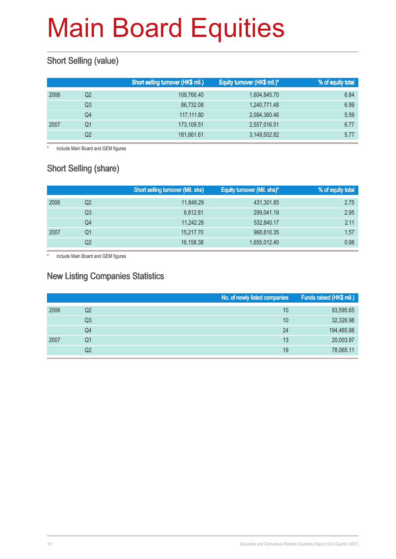### **Short Selling (value)**

|    | Short selling turnover (HK\$ mil.) | Equity turnover (HK\$ mil.)* | % of equity total |
|----|------------------------------------|------------------------------|-------------------|
| Q2 | 109,766.40                         | 1,604,845.70                 | 6.84              |
| Q3 | 86,732.08                          | 1,240,771.48                 | 6.99              |
| Q4 | 117,111.80                         | 2,094,360.46                 | 5.59              |
| Q1 | 173.109.51                         | 2,557,016.51                 | 6.77              |
| Q2 | 181,661.61                         | 3,149,502.82                 | 5.77              |
|    |                                    |                              |                   |

\* include Main Board and GEM figures

### Short Selling (share)

|      |    | <b>Short selling turnover (Mil. shs)</b> | Equity turnover (Mil. shs)* | % of equity total |
|------|----|------------------------------------------|-----------------------------|-------------------|
| 2006 | Q2 | 11,849.29                                | 431,301.85                  | 2.75              |
|      | Q3 | 8.812.81                                 | 299,041.19                  | 2.95              |
|      | Q4 | 11,242.28                                | 532,840.17                  | 2.11              |
| 2007 | Q1 | 15,217.70                                | 968,810.35                  | 1.57              |
|      | Q2 | 16,158.38                                | 1,655,012.40                | 0.98              |

\* include Main Board and GEM figures

### New Listing Companies Statistics

|      |                | No. of newly listed companies | Funds raised (HK\$ mil.) |
|------|----------------|-------------------------------|--------------------------|
| 2006 | Q2             | 10                            | 93,595.65                |
|      | Q3             | 10                            | 32,326.98                |
|      | Q4             | 24                            | 194,465.98               |
| 2007 | Q1             | 13                            | 20,003.97                |
|      | Q <sub>2</sub> | 19                            | 78,065.11                |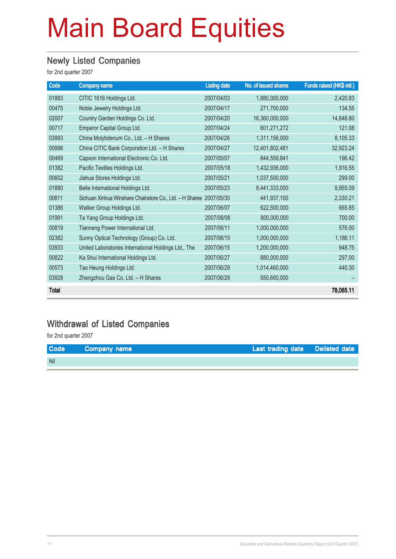### Newly Listed Companies

for 2nd quarter 2007

| Code         | <b>Company name</b>                                                | <b>Listing date</b> | No. of issued shares | Funds raised (HK\$ mil.) |
|--------------|--------------------------------------------------------------------|---------------------|----------------------|--------------------------|
| 01883        | CITIC 1616 Holdings Ltd.                                           | 2007/04/03          | 1,880,000,000        | 2,420.83                 |
| 00475        | Noble Jewelry Holdings Ltd.                                        | 2007/04/17          | 271,700,000          | 134.55                   |
| 02007        | Country Garden Holdings Co. Ltd.                                   | 2007/04/20          | 16,360,000,000       | 14,848.80                |
| 00717        | Emperor Capital Group Ltd.                                         | 2007/04/24          | 601,271,272          | 121.08                   |
| 03993        | China Molybdenum Co., Ltd. - H Shares                              | 2007/04/26          | 1,311,156,000        | 8,105.33                 |
| 00998        | China CITIC Bank Corporation Ltd. - H Shares                       | 2007/04/27          | 12,401,802,481       | 32,923.24                |
| 00469        | Capxon International Electronic Co. Ltd.                           | 2007/05/07          | 844,559,841          | 196.42                   |
| 01382        | Pacific Textiles Holdings Ltd.                                     | 2007/05/18          | 1,432,936,000        | 1,916.55                 |
| 00602        | Jiahua Stores Holdings Ltd.                                        | 2007/05/21          | 1,037,500,000        | 299.00                   |
| 01880        | Belle International Holdings Ltd.                                  | 2007/05/23          | 8,441,333,000        | 9,955.09                 |
| 00811        | Sichuan Xinhua Winshare Chainstore Co., Ltd. - H Shares 2007/05/30 |                     | 441,937,100          | 2,330.21                 |
| 01386        | Walker Group Holdings Ltd.                                         | 2007/06/07          | 622,500,000          | 665.85                   |
| 01991        | Ta Yang Group Holdings Ltd.                                        | 2007/06/08          | 800,000,000          | 700.00                   |
| 00819        | Tianneng Power International Ltd.                                  | 2007/06/11          | 1,000,000,000        | 576.00                   |
| 02382        | Sunny Optical Technology (Group) Co. Ltd.                          | 2007/06/15          | 1,000,000,000        | 1,186.11                 |
| 03933        | United Laboratories International Holdings Ltd., The               | 2007/06/15          | 1,200,000,000        | 948.75                   |
| 00822        | Ka Shui International Holdings Ltd.                                | 2007/06/27          | 880,000,000          | 297.00                   |
| 00573        | Tao Heung Holdings Ltd.                                            | 2007/06/29          | 1,014,460,000        | 440.30                   |
| 03928        | Zhengzhou Gas Co. Ltd. - H Shares                                  | 2007/06/29          | 550,660,000          |                          |
| <b>Total</b> |                                                                    |                     |                      | 78,065.11                |

### Withdrawal of Listed Companies

for 2nd quarter 2007

| <b>Code</b> | <b>Company name</b> | Last trading date Delisted date |  |
|-------------|---------------------|---------------------------------|--|
| <b>Nil</b>  |                     |                                 |  |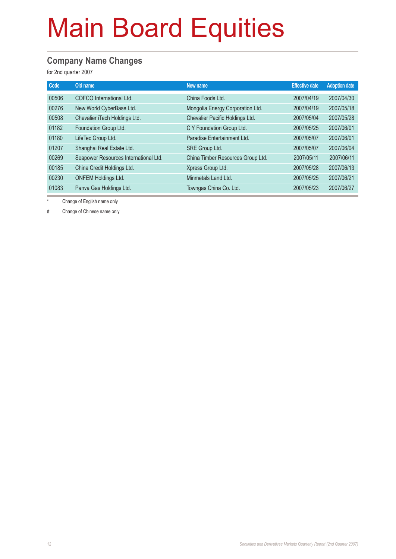### **Company Name Changes**

for 2nd quarter 2007

| Code  | Old name                              | New name                          | <b>Effective date</b> | <b>Adoption date</b> |
|-------|---------------------------------------|-----------------------------------|-----------------------|----------------------|
| 00506 | COFCO International Ltd.              | China Foods Ltd.                  | 2007/04/19            | 2007/04/30           |
| 00276 | New World CyberBase Ltd.              | Mongolia Energy Corporation Ltd.  | 2007/04/19            | 2007/05/18           |
| 00508 | Chevalier iTech Holdings Ltd.         | Chevalier Pacific Holdings Ltd.   | 2007/05/04            | 2007/05/28           |
| 01182 | Foundation Group Ltd.                 | C Y Foundation Group Ltd.         | 2007/05/25            | 2007/06/01           |
| 01180 | LifeTec Group Ltd.                    | Paradise Entertainment Ltd.       | 2007/05/07            | 2007/06/01           |
| 01207 | Shanghai Real Estate Ltd.             | SRE Group Ltd.                    | 2007/05/07            | 2007/06/04           |
| 00269 | Seapower Resources International Ltd. | China Timber Resources Group Ltd. | 2007/05/11            | 2007/06/11           |
| 00185 | China Credit Holdings Ltd.            | Xpress Group Ltd.                 | 2007/05/28            | 2007/06/13           |
| 00230 | <b>ONFEM Holdings Ltd.</b>            | Minmetals Land Ltd.               | 2007/05/25            | 2007/06/21           |
| 01083 | Panva Gas Holdings Ltd.               | Towngas China Co. Ltd.            | 2007/05/23            | 2007/06/27           |

\* Change of English name only

# Change of Chinese name only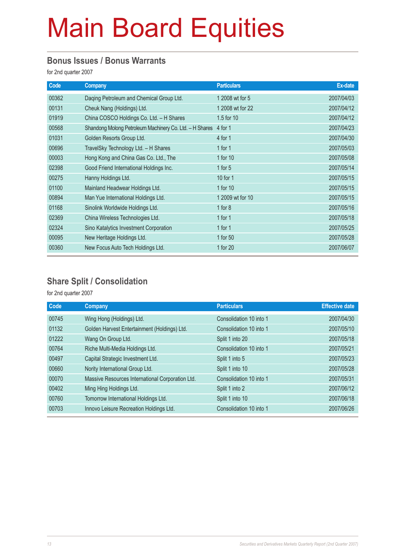#### **Bonus Issues / Bonus Warrants**

for 2nd quarter 2007

| Code  | <b>Company</b>                                          | <b>Particulars</b> | Ex-date    |
|-------|---------------------------------------------------------|--------------------|------------|
| 00362 | Daqing Petroleum and Chemical Group Ltd.                | 1 2008 wt for 5    | 2007/04/03 |
| 00131 | Cheuk Nang (Holdings) Ltd.                              | 1 2008 wt for 22   | 2007/04/12 |
| 01919 | China COSCO Holdings Co. Ltd. - H Shares                | 1.5 for 10         | 2007/04/12 |
| 00568 | Shandong Molong Petroleum Machinery Co. Ltd. - H Shares | 4 for 1            | 2007/04/23 |
| 01031 | Golden Resorts Group Ltd.                               | 4 for 1            | 2007/04/30 |
| 00696 | TravelSky Technology Ltd. - H Shares                    | 1 for $1$          | 2007/05/03 |
| 00003 | Hong Kong and China Gas Co. Ltd., The                   | 1 for 10           | 2007/05/08 |
| 02398 | Good Friend International Holdings Inc.                 | 1 for $5$          | 2007/05/14 |
| 00275 | Hanny Holdings Ltd.                                     | 10 for 1           | 2007/05/15 |
| 01100 | Mainland Headwear Holdings Ltd.                         | 1 for 10           | 2007/05/15 |
| 00894 | Man Yue International Holdings Ltd.                     | 1 2009 wt for 10   | 2007/05/15 |
| 01168 | Sinolink Worldwide Holdings Ltd.                        | 1 for $8$          | 2007/05/16 |
| 02369 | China Wireless Technologies Ltd.                        | 1 for $1$          | 2007/05/18 |
| 02324 | Sino Katalytics Investment Corporation                  | 1 for $1$          | 2007/05/25 |
| 00095 | New Heritage Holdings Ltd.                              | 1 for 50           | 2007/05/28 |
| 00360 | New Focus Auto Tech Holdings Ltd.                       | 1 for 20           | 2007/06/07 |

### **Share Split / Consolidation**

for 2nd quarter 2007

| <b>Company</b>                                   | <b>Particulars</b>      | <b>Effective date</b> |
|--------------------------------------------------|-------------------------|-----------------------|
| Wing Hong (Holdings) Ltd.                        | Consolidation 10 into 1 | 2007/04/30            |
| Golden Harvest Entertainment (Holdings) Ltd.     | Consolidation 10 into 1 | 2007/05/10            |
| Wang On Group Ltd.                               | Split 1 into 20         | 2007/05/18            |
| Riche Multi-Media Holdings Ltd.                  | Consolidation 10 into 1 | 2007/05/21            |
| Capital Strategic Investment Ltd.                | Split 1 into 5          | 2007/05/23            |
| Nority International Group Ltd.                  | Split 1 into 10         | 2007/05/28            |
| Massive Resources International Corporation Ltd. | Consolidation 10 into 1 | 2007/05/31            |
| Ming Hing Holdings Ltd.                          | Split 1 into 2          | 2007/06/12            |
| Tomorrow International Holdings Ltd.             | Split 1 into 10         | 2007/06/18            |
| Innovo Leisure Recreation Holdings Ltd.          | Consolidation 10 into 1 | 2007/06/26            |
|                                                  |                         |                       |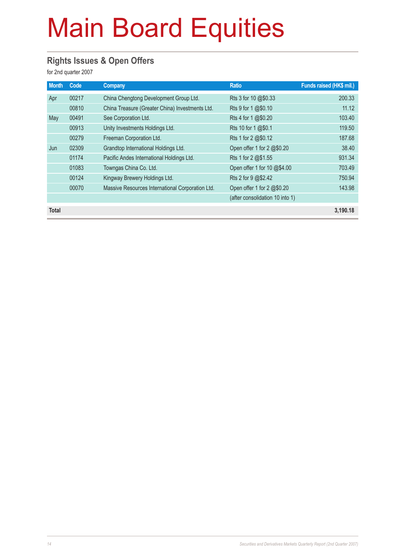### **Rights Issues & Open Offers**

for 2nd quarter 2007

| <b>Month</b> | Code  | Company                                          | <b>Ratio</b>                    | Funds raised (HK\$ mil.) |
|--------------|-------|--------------------------------------------------|---------------------------------|--------------------------|
| Apr          | 00217 | China Chengtong Development Group Ltd.           | Rts 3 for 10 @\$0.33            | 200.33                   |
|              | 00810 | China Treasure (Greater China) Investments Ltd.  | Rts 9 for 1 @\$0.10             | 11.12                    |
| May          | 00491 | See Corporation Ltd.                             | Rts 4 for 1 @\$0.20             | 103.40                   |
|              | 00913 | Unity Investments Holdings Ltd.                  | Rts 10 for 1 @\$0.1             | 119.50                   |
|              | 00279 | Freeman Corporation Ltd.                         | Rts 1 for 2 @\$0.12             | 187.68                   |
| Jun          | 02309 | Grandtop International Holdings Ltd.             | Open offer 1 for 2 @\$0.20      | 38.40                    |
|              | 01174 | Pacific Andes International Holdings Ltd.        | Rts 1 for 2 @\$1.55             | 931.34                   |
|              | 01083 | Towngas China Co. Ltd.                           | Open offer 1 for 10 @\$4.00     | 703.49                   |
|              | 00124 | Kingway Brewery Holdings Ltd.                    | Rts 2 for 9 @\$2.42             | 750.94                   |
|              | 00070 | Massive Resources International Corporation Ltd. | Open offer 1 for 2 @\$0.20      | 143.98                   |
|              |       |                                                  | (after consolidation 10 into 1) |                          |
| <b>Total</b> |       |                                                  |                                 | 3.190.18                 |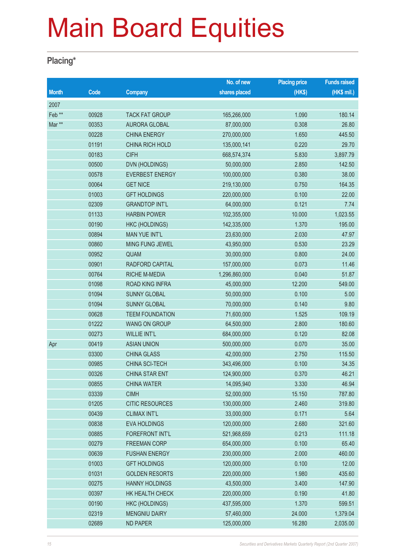### **Placing\***

|                   |       |                        | No. of new    | <b>Placing price</b> | <b>Funds raised</b> |
|-------------------|-------|------------------------|---------------|----------------------|---------------------|
| <b>Month</b>      | Code  | <b>Company</b>         | shares placed | (HK\$)               | (HK\$ mil.)         |
| 2007              |       |                        |               |                      |                     |
| Feb <sup>**</sup> | 00928 | <b>TACK FAT GROUP</b>  | 165,266,000   | 1.090                | 180.14              |
| Mar **            | 00353 | <b>AURORA GLOBAL</b>   | 87,000,000    | 0.308                | 26.80               |
|                   | 00228 | <b>CHINA ENERGY</b>    | 270,000,000   | 1.650                | 445.50              |
|                   | 01191 | <b>CHINA RICH HOLD</b> | 135,000,141   | 0.220                | 29.70               |
|                   | 00183 | <b>CIFH</b>            | 668,574,374   | 5.830                | 3,897.79            |
|                   | 00500 | DVN (HOLDINGS)         | 50,000,000    | 2.850                | 142.50              |
|                   | 00578 | <b>EVERBEST ENERGY</b> | 100,000,000   | 0.380                | 38.00               |
|                   | 00064 | <b>GET NICE</b>        | 219,130,000   | 0.750                | 164.35              |
|                   | 01003 | <b>GFT HOLDINGS</b>    | 220,000,000   | 0.100                | 22.00               |
|                   | 02309 | <b>GRANDTOP INT'L</b>  | 64,000,000    | 0.121                | 7.74                |
|                   | 01133 | <b>HARBIN POWER</b>    | 102,355,000   | 10.000               | 1,023.55            |
|                   | 00190 | <b>HKC (HOLDINGS)</b>  | 142,335,000   | 1.370                | 195.00              |
|                   | 00894 | <b>MAN YUE INT'L</b>   | 23,630,000    | 2.030                | 47.97               |
|                   | 00860 | <b>MING FUNG JEWEL</b> | 43,950,000    | 0.530                | 23.29               |
|                   | 00952 | QUAM                   | 30,000,000    | 0.800                | 24.00               |
|                   | 00901 | RADFORD CAPITAL        | 157,000,000   | 0.073                | 11.46               |
|                   | 00764 | <b>RICHE M-MEDIA</b>   | 1,296,860,000 | 0.040                | 51.87               |
|                   | 01098 | <b>ROAD KING INFRA</b> | 45,000,000    | 12.200               | 549.00              |
|                   | 01094 | <b>SUNNY GLOBAL</b>    | 50,000,000    | 0.100                | 5.00                |
|                   | 01094 | <b>SUNNY GLOBAL</b>    | 70,000,000    | 0.140                | 9.80                |
|                   | 00628 | <b>TEEM FOUNDATION</b> | 71,600,000    | 1.525                | 109.19              |
|                   | 01222 | <b>WANG ON GROUP</b>   | 64,500,000    | 2.800                | 180.60              |
|                   | 00273 | <b>WILLIE INT'L</b>    | 684,000,000   | 0.120                | 82.08               |
| Apr               | 00419 | <b>ASIAN UNION</b>     | 500,000,000   | 0.070                | 35.00               |
|                   | 03300 | <b>CHINA GLASS</b>     | 42,000,000    | 2.750                | 115.50              |
|                   | 00985 | CHINA SCI-TECH         | 343,496,000   | 0.100                | 34.35               |
|                   | 00326 | <b>CHINA STAR ENT</b>  | 124,900,000   | 0.370                | 46.21               |
|                   | 00855 | <b>CHINA WATER</b>     | 14,095,940    | 3.330                | 46.94               |
|                   | 03339 | <b>CIMH</b>            | 52,000,000    | 15.150               | 787.80              |
|                   | 01205 | <b>CITIC RESOURCES</b> | 130,000,000   | 2.460                | 319.80              |
|                   | 00439 | <b>CLIMAX INT'L</b>    | 33,000,000    | 0.171                | 5.64                |
|                   | 00838 | <b>EVA HOLDINGS</b>    | 120,000,000   | 2.680                | 321.60              |
|                   | 00885 | <b>FOREFRONT INT'L</b> | 521,968,659   | 0.213                | 111.18              |
|                   | 00279 | <b>FREEMAN CORP</b>    | 654,000,000   | 0.100                | 65.40               |
|                   | 00639 | <b>FUSHAN ENERGY</b>   | 230,000,000   | 2.000                | 460.00              |
|                   | 01003 | <b>GFT HOLDINGS</b>    | 120,000,000   | 0.100                | 12.00               |
|                   | 01031 | <b>GOLDEN RESORTS</b>  | 220,000,000   | 1.980                | 435.60              |
|                   | 00275 | <b>HANNY HOLDINGS</b>  | 43,500,000    | 3.400                | 147.90              |
|                   | 00397 | HK HEALTH CHECK        | 220,000,000   | 0.190                | 41.80               |
|                   | 00190 | <b>HKC (HOLDINGS)</b>  | 437,595,000   | 1.370                | 599.51              |
|                   | 02319 | <b>MENGNIU DAIRY</b>   | 57,460,000    | 24.000               | 1,379.04            |
|                   | 02689 | <b>ND PAPER</b>        | 125,000,000   | 16.280               | 2,035.00            |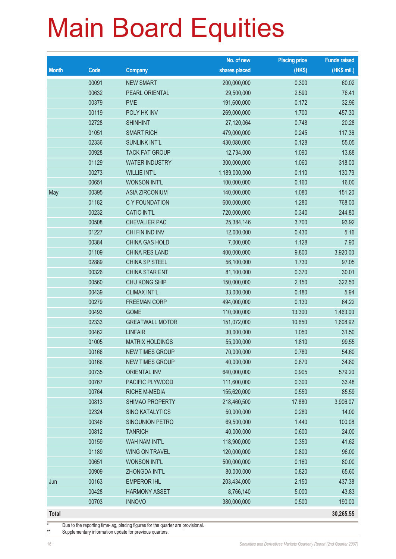|              |       |                        | No. of new    | <b>Placing price</b> | <b>Funds raised</b> |
|--------------|-------|------------------------|---------------|----------------------|---------------------|
| <b>Month</b> | Code  | <b>Company</b>         | shares placed | (HK\$)               | $(HK$$ mil.)        |
|              | 00091 | <b>NEW SMART</b>       | 200,000,000   | 0.300                | 60.02               |
|              | 00632 | PEARL ORIENTAL         | 29,500,000    | 2.590                | 76.41               |
|              | 00379 | <b>PME</b>             | 191,600,000   | 0.172                | 32.96               |
|              | 00119 | POLY HK INV            | 269,000,000   | 1.700                | 457.30              |
|              | 02728 | <b>SHINHINT</b>        | 27,120,064    | 0.748                | 20.28               |
|              | 01051 | <b>SMART RICH</b>      | 479,000,000   | 0.245                | 117.36              |
|              | 02336 | <b>SUNLINK INT'L</b>   | 430,080,000   | 0.128                | 55.05               |
|              | 00928 | <b>TACK FAT GROUP</b>  | 12,734,000    | 1.090                | 13.88               |
|              | 01129 | <b>WATER INDUSTRY</b>  | 300,000,000   | 1.060                | 318.00              |
|              | 00273 | <b>WILLIE INT'L</b>    | 1,189,000,000 | 0.110                | 130.79              |
|              | 00651 | <b>WONSON INT'L</b>    | 100,000,000   | 0.160                | 16.00               |
| May          | 00395 | <b>ASIA ZIRCONIUM</b>  | 140,000,000   | 1.080                | 151.20              |
|              | 01182 | C Y FOUNDATION         | 600,000,000   | 1.280                | 768.00              |
|              | 00232 | <b>CATIC INT'L</b>     | 720,000,000   | 0.340                | 244.80              |
|              | 00508 | <b>CHEVALIER PAC</b>   | 25,384,146    | 3.700                | 93.92               |
|              | 01227 | CHI FIN IND INV        | 12,000,000    | 0.430                | 5.16                |
|              | 00384 | CHINA GAS HOLD         | 7,000,000     | 1.128                | 7.90                |
|              | 01109 | <b>CHINA RES LAND</b>  | 400,000,000   | 9.800                | 3,920.00            |
|              | 02889 | CHINA SP STEEL         | 56,100,000    | 1.730                | 97.05               |
|              | 00326 | <b>CHINA STAR ENT</b>  | 81,100,000    | 0.370                | 30.01               |
|              | 00560 | CHU KONG SHIP          | 150,000,000   | 2.150                | 322.50              |
|              | 00439 | <b>CLIMAX INT'L</b>    | 33,000,000    | 0.180                | 5.94                |
|              | 00279 | <b>FREEMAN CORP</b>    | 494,000,000   | 0.130                | 64.22               |
|              | 00493 | <b>GOME</b>            | 110,000,000   | 13.300               | 1,463.00            |
|              | 02333 | <b>GREATWALL MOTOR</b> | 151,072,000   | 10.650               | 1,608.92            |
|              | 00462 | <b>LINFAIR</b>         | 30,000,000    | 1.050                | 31.50               |
|              | 01005 | <b>MATRIX HOLDINGS</b> | 55,000,000    | 1.810                | 99.55               |
|              | 00166 | <b>NEW TIMES GROUP</b> | 70,000,000    | 0.780                | 54.60               |
|              | 00166 | <b>NEW TIMES GROUP</b> | 40,000,000    | 0.870                | 34.80               |
|              | 00735 | <b>ORIENTAL INV</b>    | 640,000,000   | 0.905                | 579.20              |
|              | 00767 | PACIFIC PLYWOOD        | 111,600,000   | 0.300                | 33.48               |
|              | 00764 | <b>RICHE M-MEDIA</b>   | 155,620,000   | 0.550                | 85.59               |
|              | 00813 | <b>SHIMAO PROPERTY</b> | 218,460,500   | 17.880               | 3,906.07            |
|              | 02324 | <b>SINO KATALYTICS</b> | 50,000,000    | 0.280                | 14.00               |
|              | 00346 | SINOUNION PETRO        | 69,500,000    | 1.440                | 100.08              |
|              | 00812 | <b>TANRICH</b>         | 40,000,000    | 0.600                | 24.00               |
|              | 00159 | WAH NAM INT'L          | 118,900,000   | 0.350                | 41.62               |
|              | 01189 | <b>WING ON TRAVEL</b>  | 120,000,000   | 0.800                | 96.00               |
|              | 00651 | <b>WONSON INT'L</b>    | 500,000,000   | 0.160                | 80.00               |
|              | 00909 | ZHONGDA INT'L          | 80,000,000    | 0.820                | 65.60               |
| Jun          | 00163 | <b>EMPEROR IHL</b>     | 203,434,000   | 2.150                | 437.38              |
|              | 00428 | <b>HARMONY ASSET</b>   | 8,766,140     | 5.000                | 43.83               |
|              | 00703 | <b>INNOVO</b>          | 380,000,000   | 0.500                | 190.00              |
| Total        |       |                        |               |                      | 30,265.55           |

\* Due to the reporting time-lag, placing figures for the quarter are provisional.

Supplementary information update for previous quarters.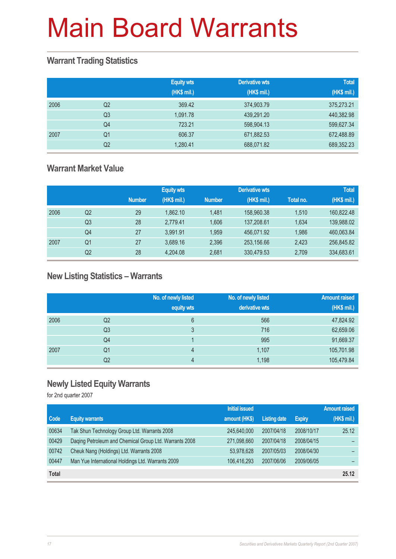#### **Warrant Trading Statistics**

|      |                | <b>Equity wts</b><br>(HK\$ mil.) | <b>Derivative wts</b><br>(HK\$ mil.) | <b>Total</b><br>(HK\$ mil.) |
|------|----------------|----------------------------------|--------------------------------------|-----------------------------|
| 2006 | Q <sub>2</sub> | 369.42                           | 374,903.79                           | 375,273.21                  |
|      | Q <sub>3</sub> | 1.091.78                         | 439,291.20                           | 440,382.98                  |
|      | Q <sub>4</sub> | 723.21                           | 598,904.13                           | 599,627.34                  |
| 2007 | Q1             | 606.37                           | 671,882.53                           | 672,488.89                  |
|      | Q2             | 1,280.41                         | 688,071.82                           | 689,352.23                  |

#### **Warrant Market Value**

|      |    |               | <b>Equity wts</b> |               | Derivative wts |           | <b>Total</b> |
|------|----|---------------|-------------------|---------------|----------------|-----------|--------------|
|      |    | <b>Number</b> | (HK\$ mil.)       | <b>Number</b> | (HK\$ mil.)    | Total no. | (HK\$ mil.)  |
| 2006 | Q2 | 29            | 1.862.10          | 1.481         | 158,960.38     | 1.510     | 160,822.48   |
|      | Q3 | 28            | 2,779.41          | 1.606         | 137,208.61     | 1.634     | 139,988.02   |
|      | Q4 | 27            | 3.991.91          | 1.959         | 456.071.92     | 1,986     | 460,063.84   |
| 2007 | Q1 | 27            | 3,689.16          | 2,396         | 253,156.66     | 2,423     | 256,845.82   |
|      | Q2 | 28            | 4,204.08          | 2.681         | 330.479.53     | 2,709     | 334,683.61   |

#### **New Listing Statistics – Warrants**

|      |    | No. of newly listed<br>equity wts | No. of newly listed<br>derivative wts | <b>Amount raised</b><br>(HK\$ mil.) |
|------|----|-----------------------------------|---------------------------------------|-------------------------------------|
| 2006 | Q2 | 6                                 | 566                                   | 47,824.92                           |
|      | Q3 | 3                                 | 716                                   | 62,659.06                           |
|      | Q4 |                                   | 995                                   | 91,669.37                           |
| 2007 | Q1 | 4                                 | 1,107                                 | 105,701.98                          |
|      | Q2 | 4                                 | 1,198                                 | 105,479.84                          |

#### **Newly Listed Equity Warrants**

for 2nd quarter 2007

|              |                                                        | <b>Initial issued</b> |              |               | <b>Amount raised</b> |
|--------------|--------------------------------------------------------|-----------------------|--------------|---------------|----------------------|
| <b>Code</b>  | <b>Equity warrants</b>                                 | amount (HK\$)         | Listing date | <b>Expiry</b> | (HK\$ mil.)          |
| 00634        | Tak Shun Technology Group Ltd. Warrants 2008           | 245,640,000           | 2007/04/18   | 2008/10/17    | 25.12                |
| 00429        | Daging Petroleum and Chemical Group Ltd. Warrants 2008 | 271,098,660           | 2007/04/18   | 2008/04/15    |                      |
| 00742        | Cheuk Nang (Holdings) Ltd. Warrants 2008               | 53,978,628            | 2007/05/03   | 2008/04/30    |                      |
| 00447        | Man Yue International Holdings Ltd. Warrants 2009      | 106,416,293           | 2007/06/06   | 2009/06/05    |                      |
| <b>Total</b> |                                                        |                       |              |               | 25.12                |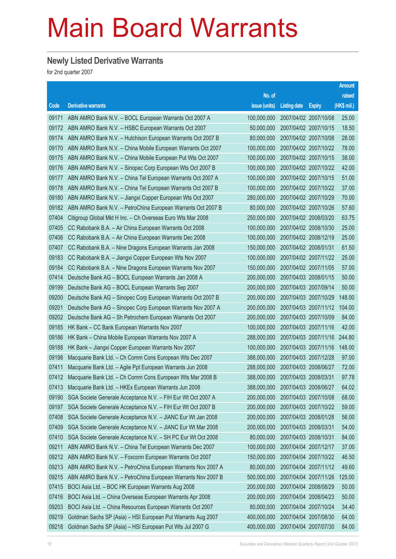#### **Newly Listed Derivative Warrants**

for 2nd quarter 2007

|       |                                                              |               |                       |                       | <b>Amount</b> |
|-------|--------------------------------------------------------------|---------------|-----------------------|-----------------------|---------------|
|       |                                                              | No. of        |                       |                       | raised        |
| Code  | <b>Derivative warrants</b>                                   | issue (units) | <b>Listing date</b>   | <b>Expiry</b>         | (HK\$ mil.)   |
| 09171 | ABN AMRO Bank N.V. - BOCL European Warrants Oct 2007 A       | 100,000,000   | 2007/04/02 2007/10/08 |                       | 25.00         |
| 09172 | ABN AMRO Bank N.V. - HSBC European Warrants Oct 2007         | 50,000,000    | 2007/04/02 2007/10/15 |                       | 18.50         |
| 09174 | ABN AMRO Bank N.V. - Hutchison European Warrants Oct 2007 B  | 80,000,000    |                       | 2007/04/02 2007/10/08 | 28.00         |
| 09170 | ABN AMRO Bank N.V. - China Mobile European Warrants Oct 2007 | 100,000,000   | 2007/04/02 2007/10/22 |                       | 78.00         |
| 09175 | ABN AMRO Bank N.V. - China Mobile European Put Wts Oct 2007  | 100,000,000   |                       | 2007/04/02 2007/10/15 | 38.00         |
| 09176 | ABN AMRO Bank N.V. - Sinopec Corp European Wts Oct 2007 B    | 100,000,000   |                       | 2007/04/02 2007/10/22 | 42.00         |
| 09177 | ABN AMRO Bank N.V. - China Tel European Warrants Oct 2007 A  | 100,000,000   |                       | 2007/04/02 2007/10/15 | 51.00         |
| 09178 | ABN AMRO Bank N.V. - China Tel European Warrants Oct 2007 B  | 100,000,000   | 2007/04/02 2007/10/22 |                       | 37.00         |
| 09180 | ABN AMRO Bank N.V. - Jiangxi Copper European Wts Oct 2007    | 280,000,000   | 2007/04/02 2007/10/29 |                       | 70.00         |
| 09182 | ABN AMRO Bank N.V. - PetroChina European Warrants Oct 2007 B | 80,000,000    | 2007/04/02 2007/10/26 |                       | 57.60         |
| 07404 | Citigroup Global Mkt H Inc. - Ch Overseas Euro Wts Mar 2008  | 250,000,000   |                       | 2007/04/02 2008/03/20 | 63.75         |
| 07405 | CC Rabobank B.A. - Air China European Warrants Oct 2008      | 100,000,000   | 2007/04/02 2008/10/30 |                       | 25.00         |
| 07406 | CC Rabobank B.A. - Air China European Warrants Dec 2008      | 100,000,000   | 2007/04/02 2008/12/19 |                       | 25.00         |
| 07407 | CC Rabobank B.A. - Nine Dragons European Warrants Jan 2008   | 150,000,000   | 2007/04/02 2008/01/31 |                       | 61.50         |
| 09183 | CC Rabobank B.A. - Jiangxi Copper European Wts Nov 2007      | 100,000,000   |                       | 2007/04/02 2007/11/22 | 25.00         |
| 09184 | CC Rabobank B.A. - Nine Dragons European Warrants Nov 2007   | 150,000,000   | 2007/04/02 2007/11/05 |                       | 57.00         |
| 07414 | Deutsche Bank AG - BOCL European Warrants Jan 2008 A         | 200,000,000   |                       | 2007/04/03 2008/01/15 | 50.00         |
| 09199 | Deutsche Bank AG - BOCL European Warrants Sep 2007           | 200,000,000   | 2007/04/03 2007/09/14 |                       | 50.00         |
| 09200 | Deutsche Bank AG - Sinopec Corp European Warrants Oct 2007 B | 200,000,000   |                       | 2007/04/03 2007/10/29 | 148.00        |
| 09201 | Deutsche Bank AG - Sinopec Corp European Warrants Nov 2007 A | 200,000,000   |                       | 2007/04/03 2007/11/12 | 104.00        |
| 09202 | Deutsche Bank AG - Sh Petrochem European Warrants Oct 2007   | 200,000,000   | 2007/04/03 2007/10/09 |                       | 84.00         |
| 09185 | HK Bank - CC Bank European Warrants Nov 2007                 | 100,000,000   | 2007/04/03 2007/11/16 |                       | 42.00         |
| 09186 | HK Bank - China Mobile European Warrants Nov 2007 A          | 288,000,000   |                       | 2007/04/03 2007/11/16 | 244.80        |
| 09188 | HK Bank - Jiangxi Copper European Warrants Nov 2007          | 100,000,000   |                       | 2007/04/03 2007/11/16 | 148.00        |
| 09198 | Macquarie Bank Ltd. - Ch Comm Cons European Wts Dec 2007     | 388,000,000   |                       | 2007/04/03 2007/12/28 | 97.00         |
| 07411 | Macquarie Bank Ltd. - Agile Ppt European Warrants Jun 2008   | 288,000,000   | 2007/04/03 2008/06/27 |                       | 72.00         |
| 07412 | Macquarie Bank Ltd. - Ch Comm Cons European Wts Mar 2008 B   | 388,000,000   | 2007/04/03 2008/03/31 |                       | 97.78         |
| 07413 | Macquarie Bank Ltd. - HKEx European Warrants Jun 2008        | 388,000,000   | 2007/04/03 2008/06/27 |                       | 64.02         |
| 09190 | SGA Societe Generale Acceptance N.V. - FIH Eur Wt Oct 2007 A | 200,000,000   |                       | 2007/04/03 2007/10/08 | 68.00         |
| 09197 | SGA Societe Generale Acceptance N.V. - FIH Eur Wt Oct 2007 B | 200,000,000   |                       | 2007/04/03 2007/10/22 | 59.00         |
| 07408 | SGA Societe Generale Acceptance N.V. - JIANC Eur Wt Jan 2008 | 200,000,000   | 2007/04/03 2008/01/28 |                       | 56.00         |
| 07409 | SGA Societe Generale Acceptance N.V. - JIANC Eur Wt Mar 2008 | 200,000,000   | 2007/04/03 2008/03/31 |                       | 54.00         |
| 07410 | SGA Societe Generale Acceptance N.V. - SH PC Eur Wt Oct 2008 | 80,000,000    | 2007/04/03 2008/10/31 |                       | 84.00         |
| 09211 | ABN AMRO Bank N.V. - China Tel European Warrants Dec 2007    | 100,000,000   | 2007/04/04 2007/12/17 |                       | 37.00         |
| 09212 | ABN AMRO Bank N.V. - Foxconn European Warrants Oct 2007      | 150,000,000   | 2007/04/04 2007/10/22 |                       | 46.50         |
| 09213 | ABN AMRO Bank N.V. - PetroChina European Warrants Nov 2007 A | 80,000,000    | 2007/04/04 2007/11/12 |                       | 49.60         |
| 09215 | ABN AMRO Bank N.V. - PetroChina European Warrants Nov 2007 B | 500,000,000   |                       | 2007/04/04 2007/11/26 | 125.00        |
| 07415 | BOCI Asia Ltd. - BOC HK European Warrants Aug 2008           | 200,000,000   |                       | 2007/04/04 2008/08/29 | 50.00         |
| 07416 | BOCI Asia Ltd. - China Overseas European Warrants Apr 2008   | 200,000,000   | 2007/04/04 2008/04/23 |                       | 50.00         |
| 09203 | BOCI Asia Ltd. - China Resources European Warrants Oct 2007  | 80,000,000    | 2007/04/04 2007/10/24 |                       | 34.40         |
| 09219 | Goldman Sachs SP (Asia) - HSI European Put Warrants Aug 2007 | 400,000,000   | 2007/04/04 2007/08/30 |                       | 64.00         |
| 09218 | Goldman Sachs SP (Asia) - HSI European Put Wts Jul 2007 G    | 400,000,000   | 2007/04/04 2007/07/30 |                       | 84.00         |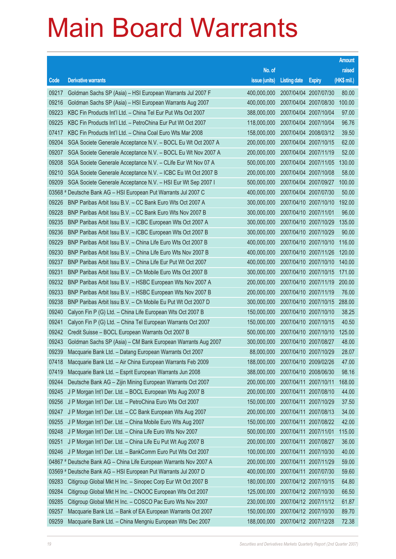|       |                                                                    |               |                                  |                       | <b>Amount</b> |
|-------|--------------------------------------------------------------------|---------------|----------------------------------|-----------------------|---------------|
|       |                                                                    | No. of        |                                  |                       | raised        |
| Code  | <b>Derivative warrants</b>                                         | issue (units) | <b>Listing date</b>              | <b>Expiry</b>         | $(HK$$ mil.)  |
| 09217 | Goldman Sachs SP (Asia) – HSI European Warrants Jul 2007 F         | 400,000,000   |                                  | 2007/04/04 2007/07/30 | 80.00         |
| 09216 | Goldman Sachs SP (Asia) – HSI European Warrants Aug 2007           | 400,000,000   |                                  | 2007/04/04 2007/08/30 | 100.00        |
| 09223 | KBC Fin Products Int'l Ltd. - China Tel Eur Put Wts Oct 2007       | 388,000,000   |                                  | 2007/04/04 2007/10/04 | 97.00         |
| 09225 | KBC Fin Products Int'l Ltd. - PetroChina Eur Put Wt Oct 2007       | 118,000,000   | 2007/04/04 2007/10/04            |                       | 96.76         |
| 07417 | KBC Fin Products Int'l Ltd. - China Coal Euro Wts Mar 2008         | 158,000,000   |                                  | 2007/04/04 2008/03/12 | 39.50         |
| 09204 | SGA Societe Generale Acceptance N.V. - BOCL Eu Wt Oct 2007 A       | 200,000,000   |                                  | 2007/04/04 2007/10/15 | 62.00         |
| 09207 | SGA Societe Generale Acceptance N.V. - BOCL Eu Wt Nov 2007 A       | 200,000,000   |                                  | 2007/04/04 2007/11/19 | 52.00         |
| 09208 | SGA Societe Generale Acceptance N.V. - CLife Eur Wt Nov 07 A       | 500,000,000   | 2007/04/04 2007/11/05            |                       | 130.00        |
| 09210 | SGA Societe Generale Acceptance N.V. - ICBC Eu Wt Oct 2007 B       | 200,000,000   |                                  | 2007/04/04 2007/10/08 | 58.00         |
| 09209 | SGA Societe Generale Acceptance N.V. - HSI Eur Wt Sep 2007 I       | 500,000,000   |                                  | 2007/04/04 2007/09/27 | 100.00        |
|       | 03568 # Deutsche Bank AG - HSI European Put Warrants Jul 2007 C    | 400,000,000   |                                  | 2007/04/04 2007/07/30 | 50.00         |
| 09226 | BNP Paribas Arbit Issu B.V. - CC Bank Euro Wts Oct 2007 A          | 300,000,000   |                                  | 2007/04/10 2007/10/10 | 192.00        |
| 09228 | BNP Paribas Arbit Issu B.V. - CC Bank Euro Wts Nov 2007 B          | 300,000,000   |                                  | 2007/04/10 2007/11/01 | 96.00         |
| 09235 | BNP Paribas Arbit Issu B.V. - ICBC European Wts Oct 2007 A         | 300,000,000   |                                  | 2007/04/10 2007/10/29 | 135.00        |
| 09236 | BNP Paribas Arbit Issu B.V. - ICBC European Wts Oct 2007 B         | 300,000,000   |                                  | 2007/04/10 2007/10/29 | 90.00         |
| 09229 | BNP Paribas Arbit Issu B.V. - China Life Euro Wts Oct 2007 B       | 400,000,000   | 2007/04/10 2007/10/10            |                       | 116.00        |
| 09230 | BNP Paribas Arbit Issu B.V. - China Life Euro Wts Nov 2007 B       | 400,000,000   |                                  | 2007/04/10 2007/11/26 | 120.00        |
| 09237 | BNP Paribas Arbit Issu B.V. - China Life Eur Put Wt Oct 2007       | 400,000,000   |                                  | 2007/04/10 2007/10/10 | 140.00        |
| 09231 | BNP Paribas Arbit Issu B.V. - Ch Mobile Euro Wts Oct 2007 B        | 300,000,000   |                                  | 2007/04/10 2007/10/15 | 171.00        |
| 09232 | BNP Paribas Arbit Issu B.V. - HSBC European Wts Nov 2007 A         | 200,000,000   |                                  | 2007/04/10 2007/11/19 | 200.00        |
| 09233 | BNP Paribas Arbit Issu B.V. - HSBC European Wts Nov 2007 B         | 200,000,000   |                                  | 2007/04/10 2007/11/19 | 76.00         |
| 09238 | BNP Paribas Arbit Issu B.V. - Ch Mobile Eu Put Wt Oct 2007 D       | 300,000,000   |                                  | 2007/04/10 2007/10/15 | 288.00        |
| 09240 | Calyon Fin P (G) Ltd. - China Life European Wts Oct 2007 B         | 150,000,000   |                                  | 2007/04/10 2007/10/10 | 38.25         |
| 09241 | Calyon Fin P (G) Ltd. - China Tel European Warrants Oct 2007       | 150,000,000   | 2007/04/10 2007/10/15            |                       | 40.50         |
| 09242 | Credit Suisse - BOCL European Warrants Oct 2007 B                  | 500,000,000   |                                  | 2007/04/10 2007/10/10 | 125.00        |
| 09243 | Goldman Sachs SP (Asia) – CM Bank European Warrants Aug 2007       | 300,000,000   |                                  | 2007/04/10 2007/08/27 | 48.00         |
| 09239 | Macquarie Bank Ltd. - Datang European Warrants Oct 2007            |               | 88,000,000 2007/04/10 2007/10/29 |                       | 28.07         |
| 07418 | Macquarie Bank Ltd. - Air China European Warrants Feb 2009         | 188,000,000   |                                  | 2007/04/10 2009/02/26 | 47.00         |
| 07419 | Macquarie Bank Ltd. - Esprit European Warrants Jun 2008            | 388,000,000   |                                  | 2007/04/10 2008/06/30 | 98.16         |
| 09244 | Deutsche Bank AG - Zijin Mining European Warrants Oct 2007         | 200,000,000   |                                  | 2007/04/11 2007/10/11 | 168.00        |
| 09245 | J P Morgan Int'l Der. Ltd. - BOCL European Wts Aug 2007 B          | 200,000,000   |                                  | 2007/04/11 2007/08/10 | 44.00         |
| 09256 | J P Morgan Int'l Der. Ltd. - PetroChina Euro Wts Oct 2007          | 150,000,000   |                                  | 2007/04/11 2007/10/29 | 37.50         |
| 09247 | J P Morgan Int'l Der. Ltd. - CC Bank European Wts Aug 2007         | 200,000,000   |                                  | 2007/04/11 2007/08/13 | 34.00         |
| 09255 | J P Morgan Int'l Der. Ltd. - China Mobile Euro Wts Aug 2007        | 150,000,000   |                                  | 2007/04/11 2007/08/22 | 42.00         |
| 09248 | J P Morgan Int'l Der. Ltd. - China Life Euro Wts Nov 2007          | 500,000,000   |                                  | 2007/04/11 2007/11/01 | 115.00        |
| 09251 | J P Morgan Int'l Der. Ltd. - China Life Eu Put Wt Aug 2007 B       | 200,000,000   |                                  | 2007/04/11 2007/08/27 | 36.00         |
| 09246 | J P Morgan Int'l Der. Ltd. - BankComm Euro Put Wts Oct 2007        | 100,000,000   |                                  | 2007/04/11 2007/10/30 | 40.00         |
|       | 04867 # Deutsche Bank AG - China Life European Warrants Nov 2007 A | 200,000,000   |                                  | 2007/04/11 2007/11/29 | 59.00         |
|       | 03569 # Deutsche Bank AG - HSI European Put Warrants Jul 2007 D    | 400,000,000   |                                  | 2007/04/11 2007/07/30 | 59.60         |
| 09283 | Citigroup Global Mkt H Inc. - Sinopec Corp Eur Wt Oct 2007 B       | 180,000,000   |                                  | 2007/04/12 2007/10/15 | 64.80         |
| 09284 | Citigroup Global Mkt H Inc. - CNOOC European Wts Oct 2007          | 125,000,000   |                                  | 2007/04/12 2007/10/30 | 66.50         |
| 09285 | Citigroup Global Mkt H Inc. - COSCO Pac Euro Wts Nov 2007          | 230,000,000   |                                  | 2007/04/12 2007/11/12 | 61.87         |
| 09257 | Macquarie Bank Ltd. - Bank of EA European Warrants Oct 2007        | 150,000,000   |                                  | 2007/04/12 2007/10/30 | 89.70         |
| 09259 | Macquarie Bank Ltd. - China Mengniu European Wts Dec 2007          | 188,000,000   |                                  | 2007/04/12 2007/12/28 | 72.38         |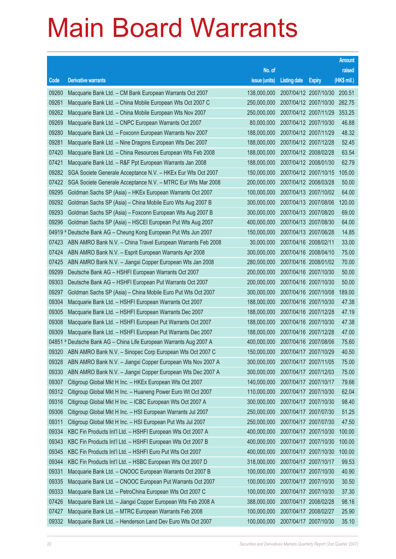|       |                                                                    |                                   |                       |                       | <b>Amount</b> |
|-------|--------------------------------------------------------------------|-----------------------------------|-----------------------|-----------------------|---------------|
|       |                                                                    | No. of                            |                       |                       | raised        |
| Code  | <b>Derivative warrants</b>                                         | issue (units)                     | <b>Listing date</b>   | <b>Expiry</b>         | $(HK$$ mil.)  |
| 09260 | Macquarie Bank Ltd. - CM Bank European Warrants Oct 2007           | 138,000,000                       |                       | 2007/04/12 2007/10/30 | 200.51        |
| 09261 | Macquarie Bank Ltd. - China Mobile European Wts Oct 2007 C         | 250,000,000                       |                       | 2007/04/12 2007/10/30 | 262.75        |
| 09262 | Macquarie Bank Ltd. - China Mobile European Wts Nov 2007           | 250,000,000                       |                       | 2007/04/12 2007/11/29 | 353.25        |
| 09269 | Macquarie Bank Ltd. - CNPC European Warrants Oct 2007              | 80,000,000                        | 2007/04/12 2007/10/30 |                       | 46.88         |
| 09280 | Macquarie Bank Ltd. - Foxconn European Warrants Nov 2007           | 188,000,000                       |                       | 2007/04/12 2007/11/29 | 48.32         |
| 09281 | Macquarie Bank Ltd. - Nine Dragons European Wts Dec 2007           | 188,000,000                       | 2007/04/12 2007/12/28 |                       | 52.45         |
| 07420 | Macquarie Bank Ltd. - China Resources European Wts Feb 2008        | 188,000,000                       |                       | 2007/04/12 2008/02/28 | 63.54         |
| 07421 | Macquarie Bank Ltd. - R&F Ppt European Warrants Jan 2008           | 188,000,000                       | 2007/04/12 2008/01/30 |                       | 62.79         |
| 09282 | SGA Societe Generale Acceptance N.V. - HKEx Eur Wts Oct 2007       | 150,000,000                       |                       | 2007/04/12 2007/10/15 | 105.00        |
| 07422 | SGA Societe Generale Acceptance N.V. - MTRC Eur Wts Mar 2008       | 200,000,000                       | 2007/04/12 2008/03/28 |                       | 50.00         |
| 09295 | Goldman Sachs SP (Asia) - HKEx European Warrants Oct 2007          | 100,000,000                       |                       | 2007/04/13 2007/10/02 | 64.00         |
| 09292 | Goldman Sachs SP (Asia) - China Mobile Euro Wts Aug 2007 B         | 300,000,000                       | 2007/04/13 2007/08/06 |                       | 120.00        |
| 09293 | Goldman Sachs SP (Asia) - Foxconn European Wts Aug 2007 B          | 300,000,000                       |                       | 2007/04/13 2007/08/20 | 69.00         |
| 09296 | Goldman Sachs SP (Asia) - HSCEI European Put Wts Aug 2007          | 400,000,000                       | 2007/04/13 2007/08/30 |                       | 64.00         |
|       | 04919 # Deutsche Bank AG - Cheung Kong European Put Wts Jun 2007   | 150,000,000                       |                       | 2007/04/13 2007/06/28 | 14.85         |
| 07423 | ABN AMRO Bank N.V. - China Travel European Warrants Feb 2008       | 30,000,000                        | 2007/04/16 2008/02/11 |                       | 33.00         |
| 07424 | ABN AMRO Bank N.V. - Esprit European Warrants Apr 2008             | 300,000,000                       |                       | 2007/04/16 2008/04/10 | 75.00         |
| 07425 | ABN AMRO Bank N.V. - Jiangxi Copper European Wts Jan 2008          | 280,000,000                       | 2007/04/16 2008/01/02 |                       | 70.00         |
| 09299 | Deutsche Bank AG - HSHFI European Warrants Oct 2007                | 200,000,000                       |                       | 2007/04/16 2007/10/30 | 50.00         |
| 09303 | Deutsche Bank AG - HSHFI European Put Warrants Oct 2007            | 200,000,000                       | 2007/04/16 2007/10/30 |                       | 50.00         |
| 09297 | Goldman Sachs SP (Asia) - China Mobile Euro Put Wts Oct 2007       | 300,000,000                       |                       | 2007/04/16 2007/10/08 | 189.00        |
| 09304 | Macquarie Bank Ltd. - HSHFI European Warrants Oct 2007             | 188,000,000                       | 2007/04/16 2007/10/30 |                       | 47.38         |
| 09305 | Macquarie Bank Ltd. - HSHFI European Warrants Dec 2007             | 188,000,000                       |                       | 2007/04/16 2007/12/28 | 47.19         |
| 09308 | Macquarie Bank Ltd. - HSHFI European Put Warrants Oct 2007         | 188,000,000                       | 2007/04/16 2007/10/30 |                       | 47.38         |
| 09309 | Macquarie Bank Ltd. - HSHFI European Put Warrants Dec 2007         | 188,000,000                       |                       | 2007/04/16 2007/12/28 | 47.00         |
|       | 04851 # Deutsche Bank AG - China Life European Warrants Aug 2007 A | 400,000,000                       | 2007/04/16 2007/08/06 |                       | 75.60         |
|       | 09320 ABN AMRO Bank N.V. - Sinopec Corp European Wts Oct 2007 C    | 150,000,000 2007/04/17 2007/10/29 |                       |                       | 40.50         |
| 09328 | ABN AMRO Bank N.V. - Jiangxi Copper European Wts Nov 2007 A        | 300,000,000                       | 2007/04/17 2007/11/05 |                       | 75.00         |
| 09330 | ABN AMRO Bank N.V. - Jiangxi Copper European Wts Dec 2007 A        | 300,000,000                       |                       | 2007/04/17 2007/12/03 | 75.00         |
| 09307 | Citigroup Global Mkt H Inc. - HKEx European Wts Oct 2007           | 140,000,000                       | 2007/04/17 2007/10/17 |                       | 79.66         |
| 09312 | Citigroup Global Mkt H Inc. - Huaneng Power Euro Wt Oct 2007       | 110,000,000                       |                       | 2007/04/17 2007/10/30 | 62.04         |
| 09316 | Citigroup Global Mkt H Inc. - ICBC European Wts Oct 2007 A         | 300,000,000                       |                       | 2007/04/17 2007/10/30 | 98.40         |
| 09306 | Citigroup Global Mkt H Inc. - HSI European Warrants Jul 2007       | 250,000,000                       |                       | 2007/04/17 2007/07/30 | 51.25         |
| 09311 | Citigroup Global Mkt H Inc. - HSI European Put Wts Jul 2007        | 250,000,000                       | 2007/04/17 2007/07/30 |                       | 47.50         |
| 09334 | KBC Fin Products Int'l Ltd. - HSHFI European Wts Oct 2007 A        | 400,000,000                       |                       | 2007/04/17 2007/10/30 | 100.00        |
| 09343 | KBC Fin Products Int'l Ltd. - HSHFI European Wts Oct 2007 B        | 400,000,000                       |                       | 2007/04/17 2007/10/30 | 100.00        |
| 09345 | KBC Fin Products Int'l Ltd. - HSHFI Euro Put Wts Oct 2007          | 400,000,000                       |                       | 2007/04/17 2007/10/30 | 100.00        |
| 09344 | KBC Fin Products Int'l Ltd. - HSBC European Wts Oct 2007 D         | 318,000,000                       | 2007/04/17 2007/10/17 |                       | 99.53         |
| 09331 | Macquarie Bank Ltd. - CNOOC European Warrants Oct 2007 B           | 100,000,000                       |                       | 2007/04/17 2007/10/30 | 40.90         |
| 09335 | Macquarie Bank Ltd. - CNOOC European Put Warrants Oct 2007         | 100,000,000                       |                       | 2007/04/17 2007/10/30 | 30.50         |
| 09333 | Macquarie Bank Ltd. - PetroChina European Wts Oct 2007 C           | 100,000,000                       |                       | 2007/04/17 2007/10/30 | 37.30         |
| 07426 | Macquarie Bank Ltd. - Jiangxi Copper European Wts Feb 2008 A       | 388,000,000                       | 2007/04/17 2008/02/28 |                       | 98.16         |
| 07427 | Macquarie Bank Ltd. - MTRC European Warrants Feb 2008              | 100,000,000                       |                       | 2007/04/17 2008/02/27 | 25.90         |
| 09332 | Macquarie Bank Ltd. - Henderson Land Dev Euro Wts Oct 2007         | 100,000,000                       | 2007/04/17 2007/10/30 |                       | 35.10         |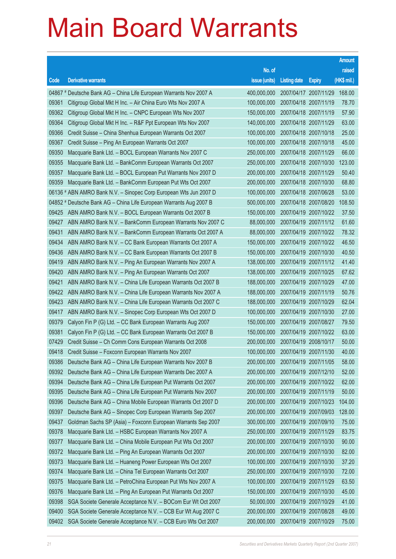|       |                                                                    |                                   |                       |                       | <b>Amount</b> |
|-------|--------------------------------------------------------------------|-----------------------------------|-----------------------|-----------------------|---------------|
|       |                                                                    | No. of                            |                       |                       | raised        |
| Code  | <b>Derivative warrants</b>                                         | issue (units)                     | <b>Listing date</b>   | <b>Expiry</b>         | $(HK$$ mil.)  |
|       | 04867 # Deutsche Bank AG - China Life European Warrants Nov 2007 A | 400,000,000                       |                       | 2007/04/17 2007/11/29 | 168.00        |
| 09361 | Citigroup Global Mkt H Inc. - Air China Euro Wts Nov 2007 A        | 100,000,000                       | 2007/04/18 2007/11/19 |                       | 78.70         |
| 09362 | Citigroup Global Mkt H Inc. - CNPC European Wts Nov 2007           | 150,000,000                       | 2007/04/18 2007/11/19 |                       | 57.90         |
| 09364 | Citigroup Global Mkt H Inc. - R&F Ppt European Wts Nov 2007        | 140,000,000                       | 2007/04/18 2007/11/29 |                       | 63.00         |
| 09366 | Credit Suisse - China Shenhua European Warrants Oct 2007           | 100,000,000                       | 2007/04/18 2007/10/18 |                       | 25.00         |
| 09367 | Credit Suisse - Ping An European Warrants Oct 2007                 | 100,000,000                       | 2007/04/18 2007/10/18 |                       | 45.00         |
| 09350 | Macquarie Bank Ltd. - BOCL European Warrants Nov 2007 C            | 250,000,000                       | 2007/04/18 2007/11/29 |                       | 66.00         |
| 09355 | Macquarie Bank Ltd. - BankComm European Warrants Oct 2007          | 250,000,000                       |                       | 2007/04/18 2007/10/30 | 123.00        |
| 09357 | Macquarie Bank Ltd. - BOCL European Put Warrants Nov 2007 D        | 200,000,000                       | 2007/04/18 2007/11/29 |                       | 50.40         |
| 09359 | Macquarie Bank Ltd. - BankComm European Put Wts Oct 2007           | 200,000,000                       | 2007/04/18 2007/10/30 |                       | 68.80         |
|       | 06136 # ABN AMRO Bank N.V. - Sinopec Corp European Wts Jun 2007 D  | 100,000,000                       | 2007/04/18 2007/06/28 |                       | 53.00         |
|       | 04852 # Deutsche Bank AG - China Life European Warrants Aug 2007 B | 500,000,000                       | 2007/04/18 2007/08/20 |                       | 108.50        |
| 09425 | ABN AMRO Bank N.V. - BOCL European Warrants Oct 2007 B             | 150,000,000                       | 2007/04/19 2007/10/22 |                       | 37.50         |
| 09427 | ABN AMRO Bank N.V. - BankComm European Warrants Nov 2007 C         | 88,000,000                        | 2007/04/19 2007/11/12 |                       | 61.60         |
| 09431 | ABN AMRO Bank N.V. - BankComm European Warrants Oct 2007 A         | 88,000,000                        | 2007/04/19 2007/10/22 |                       | 78.32         |
| 09434 | ABN AMRO Bank N.V. - CC Bank European Warrants Oct 2007 A          | 150,000,000                       | 2007/04/19 2007/10/22 |                       | 46.50         |
| 09436 | ABN AMRO Bank N.V. - CC Bank European Warrants Oct 2007 B          | 150,000,000                       | 2007/04/19 2007/10/30 |                       | 40.50         |
| 09419 | ABN AMRO Bank N.V. - Ping An European Warrants Nov 2007 A          | 138,000,000                       | 2007/04/19 2007/11/12 |                       | 41.40         |
| 09420 | ABN AMRO Bank N.V. - Ping An European Warrants Oct 2007            | 138,000,000                       | 2007/04/19 2007/10/25 |                       | 67.62         |
| 09421 | ABN AMRO Bank N.V. - China Life European Warrants Oct 2007 B       | 188,000,000                       | 2007/04/19 2007/10/29 |                       | 47.00         |
| 09422 | ABN AMRO Bank N.V. - China Life European Warrants Nov 2007 A       | 188,000,000                       | 2007/04/19 2007/11/19 |                       | 50.76         |
| 09423 | ABN AMRO Bank N.V. - China Life European Warrants Oct 2007 C       | 188,000,000                       | 2007/04/19 2007/10/29 |                       | 62.04         |
| 09417 | ABN AMRO Bank N.V. - Sinopec Corp European Wts Oct 2007 D          | 100,000,000                       | 2007/04/19 2007/10/30 |                       | 27.00         |
| 09379 | Calyon Fin P (G) Ltd. - CC Bank European Warrants Aug 2007         | 150,000,000                       | 2007/04/19 2007/08/27 |                       | 79.50         |
| 09381 | Calyon Fin P (G) Ltd. - CC Bank European Warrants Oct 2007 B       | 150,000,000                       | 2007/04/19 2007/10/22 |                       | 63.00         |
| 07429 | Credit Suisse - Ch Comm Cons European Warrants Oct 2008            | 200,000,000                       | 2007/04/19 2008/10/17 |                       | 50.00         |
| 09418 | Credit Suisse - Foxconn European Warrants Nov 2007                 | 100,000,000 2007/04/19 2007/11/30 |                       |                       | 40.00         |
| 09386 | Deutsche Bank AG - China Life European Warrants Nov 2007 B         | 200,000,000                       | 2007/04/19 2007/11/05 |                       | 58.00         |
| 09392 | Deutsche Bank AG - China Life European Warrants Dec 2007 A         | 200,000,000                       | 2007/04/19 2007/12/10 |                       | 52.00         |
| 09394 | Deutsche Bank AG - China Life European Put Warrants Oct 2007       | 200,000,000                       | 2007/04/19 2007/10/22 |                       | 62.00         |
| 09395 | Deutsche Bank AG - China Life European Put Warrants Nov 2007       | 200,000,000                       |                       | 2007/04/19 2007/11/19 | 50.00         |
| 09396 | Deutsche Bank AG - China Mobile European Warrants Oct 2007 D       | 200,000,000                       |                       | 2007/04/19 2007/10/23 | 104.00        |
| 09397 | Deutsche Bank AG - Sinopec Corp European Warrants Sep 2007         | 200,000,000                       |                       | 2007/04/19 2007/09/03 | 128.00        |
| 09437 | Goldman Sachs SP (Asia) - Foxconn European Warrants Sep 2007       | 300,000,000                       | 2007/04/19 2007/09/10 |                       | 75.00         |
| 09378 | Macquarie Bank Ltd. - HSBC European Warrants Nov 2007 A            | 250,000,000                       |                       | 2007/04/19 2007/11/29 | 83.75         |
| 09377 | Macquarie Bank Ltd. - China Mobile European Put Wts Oct 2007       | 200,000,000                       | 2007/04/19 2007/10/30 |                       | 90.00         |
| 09372 | Macquarie Bank Ltd. - Ping An European Warrants Oct 2007           | 200,000,000                       |                       | 2007/04/19 2007/10/30 | 82.00         |
| 09373 | Macquarie Bank Ltd. - Huaneng Power European Wts Oct 2007          | 100,000,000                       | 2007/04/19 2007/10/30 |                       | 37.20         |
| 09374 | Macquarie Bank Ltd. - China Tel European Warrants Oct 2007         | 250,000,000                       |                       | 2007/04/19 2007/10/30 | 72.00         |
| 09375 | Macquarie Bank Ltd. - PetroChina European Put Wts Nov 2007 A       | 100,000,000                       | 2007/04/19 2007/11/29 |                       | 63.50         |
| 09376 | Macquarie Bank Ltd. - Ping An European Put Warrants Oct 2007       | 150,000,000                       | 2007/04/19 2007/10/30 |                       | 45.00         |
| 09398 | SGA Societe Generale Acceptance N.V. - BOCom Eur Wt Oct 2007       | 50,000,000                        | 2007/04/19 2007/10/29 |                       | 41.00         |
| 09400 | SGA Societe Generale Acceptance N.V. - CCB Eur Wt Aug 2007 C       | 200,000,000                       |                       | 2007/04/19 2007/08/28 | 49.00         |
| 09402 | SGA Societe Generale Acceptance N.V. - CCB Euro Wts Oct 2007       | 200,000,000                       | 2007/04/19 2007/10/29 |                       | 75.00         |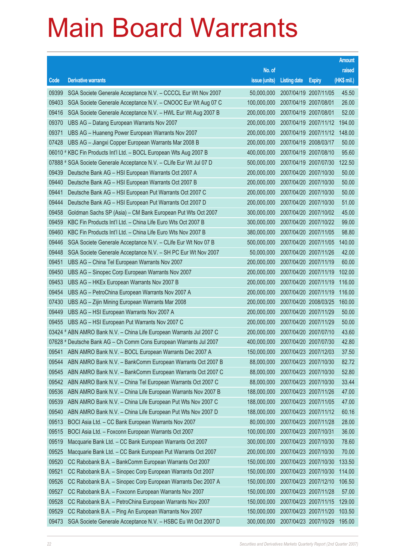|       |                                                                      |                                   |                       |                       | <b>Amount</b> |
|-------|----------------------------------------------------------------------|-----------------------------------|-----------------------|-----------------------|---------------|
|       |                                                                      | No. of                            |                       |                       | raised        |
| Code  | <b>Derivative warrants</b>                                           | issue (units)                     | <b>Listing date</b>   | <b>Expiry</b>         | (HK\$ mil.)   |
| 09399 | SGA Societe Generale Acceptance N.V. - CCCCL Eur Wt Nov 2007         | 50,000,000                        |                       | 2007/04/19 2007/11/05 | 45.50         |
| 09403 | SGA Societe Generale Acceptance N.V. - CNOOC Eur Wt Aug 07 C         | 100,000,000                       | 2007/04/19 2007/08/01 |                       | 26.00         |
| 09416 | SGA Societe Generale Acceptance N.V. - HWL Eur Wt Aug 2007 B         | 200,000,000                       | 2007/04/19 2007/08/01 |                       | 52.00         |
| 09370 | UBS AG - Datang European Warrants Nov 2007                           | 200,000,000                       | 2007/04/19 2007/11/12 |                       | 194.00        |
| 09371 | UBS AG - Huaneng Power European Warrants Nov 2007                    | 200,000,000                       |                       | 2007/04/19 2007/11/12 | 148.00        |
| 07428 | UBS AG - Jiangxi Copper European Warrants Mar 2008 B                 | 200,000,000                       | 2007/04/19 2008/03/17 |                       | 50.00         |
|       | 06010 # KBC Fin Products Int'l Ltd. - BOCL European Wts Aug 2007 B   | 400,000,000                       |                       | 2007/04/19 2007/08/10 | 95.60         |
|       | 07888 # SGA Societe Generale Acceptance N.V. - CLife Eur Wt Jul 07 D | 500,000,000                       | 2007/04/19 2007/07/30 |                       | 122.50        |
| 09439 | Deutsche Bank AG - HSI European Warrants Oct 2007 A                  | 200,000,000                       |                       | 2007/04/20 2007/10/30 | 50.00         |
| 09440 | Deutsche Bank AG - HSI European Warrants Oct 2007 B                  | 200,000,000                       |                       | 2007/04/20 2007/10/30 | 50.00         |
| 09441 | Deutsche Bank AG - HSI European Put Warrants Oct 2007 C              | 200,000,000                       |                       | 2007/04/20 2007/10/30 | 50.00         |
| 09444 | Deutsche Bank AG - HSI European Put Warrants Oct 2007 D              | 200,000,000                       | 2007/04/20 2007/10/30 |                       | 51.00         |
| 09458 | Goldman Sachs SP (Asia) - CM Bank European Put Wts Oct 2007          | 300,000,000                       |                       | 2007/04/20 2007/10/02 | 45.00         |
| 09459 | KBC Fin Products Int'l Ltd. - China Life Euro Wts Oct 2007 B         | 300,000,000                       |                       | 2007/04/20 2007/10/22 | 99.00         |
| 09460 | KBC Fin Products Int'l Ltd. - China Life Euro Wts Nov 2007 B         | 380,000,000                       |                       | 2007/04/20 2007/11/05 | 98.80         |
| 09446 | SGA Societe Generale Acceptance N.V. - CLife Eur Wt Nov 07 B         | 500,000,000                       | 2007/04/20 2007/11/05 |                       | 140.00        |
| 09448 | SGA Societe Generale Acceptance N.V. - SH PC Eur Wt Nov 2007         | 50,000,000                        |                       | 2007/04/20 2007/11/26 | 42.00         |
| 09451 | UBS AG - China Tel European Warrants Nov 2007                        | 200,000,000                       |                       | 2007/04/20 2007/11/19 | 60.00         |
| 09450 | UBS AG - Sinopec Corp European Warrants Nov 2007                     | 200,000,000                       |                       | 2007/04/20 2007/11/19 | 102.00        |
| 09453 | UBS AG - HKEx European Warrants Nov 2007 B                           | 200,000,000                       | 2007/04/20 2007/11/19 |                       | 116.00        |
| 09454 | UBS AG - PetroChina European Warrants Nov 2007 A                     | 200,000,000                       |                       | 2007/04/20 2007/11/19 | 116.00        |
| 07430 | UBS AG - Zijin Mining European Warrants Mar 2008                     | 200,000,000                       |                       | 2007/04/20 2008/03/25 | 160.00        |
| 09449 | UBS AG - HSI European Warrants Nov 2007 A                            | 200,000,000                       |                       | 2007/04/20 2007/11/29 | 50.00         |
| 09455 | UBS AG - HSI European Put Warrants Nov 2007 C                        | 200,000,000                       | 2007/04/20 2007/11/29 |                       | 50.00         |
|       | 03424 # ABN AMRO Bank N.V. - China Life European Warrants Jul 2007 C | 200,000,000                       |                       | 2007/04/20 2007/07/10 | 43.60         |
|       | 07628 # Deutsche Bank AG - Ch Comm Cons European Warrants Jul 2007   | 400.000.000                       | 2007/04/20 2007/07/30 |                       | 42.80         |
|       | 09541 ABN AMRO Bank N.V. - BOCL European Warrants Dec 2007 A         | 150,000,000 2007/04/23 2007/12/03 |                       |                       | 37.50         |
| 09544 | ABN AMRO Bank N.V. - BankComm European Warrants Oct 2007 B           | 88,000,000                        | 2007/04/23 2007/10/30 |                       | 82.72         |
| 09545 | ABN AMRO Bank N.V. - BankComm European Warrants Oct 2007 C           | 88,000,000                        |                       | 2007/04/23 2007/10/30 | 52.80         |
| 09542 | ABN AMRO Bank N.V. - China Tel European Warrants Oct 2007 C          | 88,000,000                        | 2007/04/23 2007/10/30 |                       | 33.44         |
| 09536 | ABN AMRO Bank N.V. - China Life European Warrants Nov 2007 B         | 188,000,000                       |                       | 2007/04/23 2007/11/26 | 47.00         |
| 09539 | ABN AMRO Bank N.V. - China Life European Put Wts Nov 2007 C          | 188,000,000                       |                       | 2007/04/23 2007/11/05 | 47.00         |
| 09540 | ABN AMRO Bank N.V. - China Life European Put Wts Nov 2007 D          | 188,000,000                       |                       | 2007/04/23 2007/11/12 | 60.16         |
| 09513 | BOCI Asia Ltd. - CC Bank European Warrants Nov 2007                  | 80,000,000                        |                       | 2007/04/23 2007/11/28 | 28.00         |
| 09515 | BOCI Asia Ltd. - Foxconn European Warrants Oct 2007                  | 100,000,000                       | 2007/04/23 2007/10/31 |                       | 36.00         |
| 09519 | Macquarie Bank Ltd. - CC Bank European Warrants Oct 2007             | 300,000,000                       |                       | 2007/04/23 2007/10/30 | 78.60         |
| 09525 | Macquarie Bank Ltd. - CC Bank European Put Warrants Oct 2007         | 200,000,000                       |                       | 2007/04/23 2007/10/30 | 70.00         |
| 09520 | CC Rabobank B.A. - BankComm European Warrants Oct 2007               | 150,000,000                       |                       | 2007/04/23 2007/10/30 | 133.50        |
| 09521 | CC Rabobank B.A. - Sinopec Corp European Warrants Oct 2007           | 150,000,000                       |                       | 2007/04/23 2007/10/30 | 114.00        |
| 09526 | CC Rabobank B.A. - Sinopec Corp European Warrants Dec 2007 A         | 150,000,000                       |                       | 2007/04/23 2007/12/10 | 106.50        |
| 09527 | CC Rabobank B.A. - Foxconn European Warrants Nov 2007                | 150,000,000                       |                       | 2007/04/23 2007/11/28 | 57.00         |
| 09528 | CC Rabobank B.A. - PetroChina European Warrants Nov 2007             | 150,000,000                       |                       | 2007/04/23 2007/11/15 | 129.00        |
| 09529 | CC Rabobank B.A. - Ping An European Warrants Nov 2007                | 150,000,000                       |                       | 2007/04/23 2007/11/20 | 103.50        |
| 09473 | SGA Societe Generale Acceptance N.V. - HSBC Eu Wt Oct 2007 D         | 300,000,000                       |                       | 2007/04/23 2007/10/29 | 195.00        |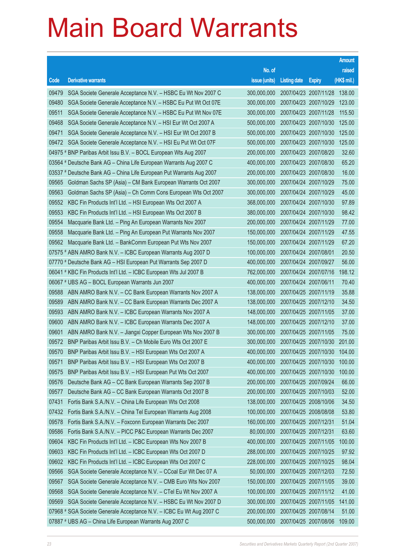|       |                                                                      |                                          |                       |                       | <b>Amount</b> |
|-------|----------------------------------------------------------------------|------------------------------------------|-----------------------|-----------------------|---------------|
|       |                                                                      | No. of                                   |                       |                       | raised        |
| Code  | <b>Derivative warrants</b>                                           | issue (units)                            | <b>Listing date</b>   | <b>Expiry</b>         | (HK\$ mil.)   |
| 09479 | SGA Societe Generale Acceptance N.V. - HSBC Eu Wt Nov 2007 C         | 300,000,000                              |                       | 2007/04/23 2007/11/28 | 138.00        |
| 09480 | SGA Societe Generale Acceptance N.V. - HSBC Eu Put Wt Oct 07E        | 300,000,000                              |                       | 2007/04/23 2007/10/29 | 123.00        |
| 09511 | SGA Societe Generale Acceptance N.V. - HSBC Eu Put Wt Nov 07E        | 300,000,000                              |                       | 2007/04/23 2007/11/28 | 115.50        |
| 09468 | SGA Societe Generale Acceptance N.V. - HSI Eur Wt Oct 2007 A         | 500,000,000                              |                       | 2007/04/23 2007/10/30 | 125.00        |
| 09471 | SGA Societe Generale Acceptance N.V. - HSI Eur Wt Oct 2007 B         | 500,000,000                              |                       | 2007/04/23 2007/10/30 | 125.00        |
| 09472 | SGA Societe Generale Acceptance N.V. - HSI Eu Put Wt Oct 07F         | 500,000,000                              |                       | 2007/04/23 2007/10/30 | 125.00        |
|       | 04975 # BNP Paribas Arbit Issu B.V. - BOCL European Wts Aug 2007     | 200,000,000                              |                       | 2007/04/23 2007/08/20 | 32.60         |
|       | 03564 # Deutsche Bank AG - China Life European Warrants Aug 2007 C   | 400,000,000                              |                       | 2007/04/23 2007/08/30 | 65.20         |
|       | 03537 # Deutsche Bank AG - China Life European Put Warrants Aug 2007 | 200,000,000                              |                       | 2007/04/23 2007/08/30 | 16.00         |
| 09565 | Goldman Sachs SP (Asia) - CM Bank European Warrants Oct 2007         | 300,000,000                              |                       | 2007/04/24 2007/10/29 | 75.00         |
| 09563 | Goldman Sachs SP (Asia) - Ch Comm Cons European Wts Oct 2007         | 300,000,000                              |                       | 2007/04/24 2007/10/29 | 45.00         |
| 09552 | KBC Fin Products Int'l Ltd. - HSI European Wts Oct 2007 A            | 368,000,000                              |                       | 2007/04/24 2007/10/30 | 97.89         |
| 09553 | KBC Fin Products Int'l Ltd. - HSI European Wts Oct 2007 B            | 380,000,000                              |                       | 2007/04/24 2007/10/30 | 98.42         |
| 09554 | Macquarie Bank Ltd. - Ping An European Warrants Nov 2007             | 200,000,000                              |                       | 2007/04/24 2007/11/29 | 77.00         |
| 09558 | Macquarie Bank Ltd. - Ping An European Put Warrants Nov 2007         | 150,000,000                              |                       | 2007/04/24 2007/11/29 | 47.55         |
| 09562 | Macquarie Bank Ltd. - BankComm European Put Wts Nov 2007             | 150,000,000                              |                       | 2007/04/24 2007/11/29 | 67.20         |
|       | 07575 # ABN AMRO Bank N.V. - ICBC European Warrants Aug 2007 D       | 100,000,000                              |                       | 2007/04/24 2007/08/01 | 20.50         |
|       | 07770 # Deutsche Bank AG - HSI European Put Warrants Sep 2007 D      | 400,000,000                              |                       | 2007/04/24 2007/09/27 | 56.00         |
|       | 06041 # KBC Fin Products Int'l Ltd. - ICBC European Wts Jul 2007 B   | 762,000,000                              |                       | 2007/04/24 2007/07/16 | 198.12        |
|       | 06067 # UBS AG - BOCL European Warrants Jun 2007                     | 400,000,000                              |                       | 2007/04/24 2007/06/11 | 70.40         |
| 09588 | ABN AMRO Bank N.V. - CC Bank European Warrants Nov 2007 A            | 138,000,000                              |                       | 2007/04/25 2007/11/19 | 35.88         |
| 09589 | ABN AMRO Bank N.V. - CC Bank European Warrants Dec 2007 A            | 138,000,000                              |                       | 2007/04/25 2007/12/10 | 34.50         |
| 09593 | ABN AMRO Bank N.V. - ICBC European Warrants Nov 2007 A               | 148,000,000                              |                       | 2007/04/25 2007/11/05 | 37.00         |
| 09600 | ABN AMRO Bank N.V. - ICBC European Warrants Dec 2007 A               | 148,000,000                              |                       | 2007/04/25 2007/12/10 | 37.00         |
| 09601 | ABN AMRO Bank N.V. - Jiangxi Copper European Wts Nov 2007 B          | 300,000,000                              |                       | 2007/04/25 2007/11/05 | 75.00         |
| 09572 | BNP Paribas Arbit Issu B.V. - Ch Mobile Euro Wts Oct 2007 E          | 300,000,000                              |                       | 2007/04/25 2007/10/30 | 201.00        |
| 09570 | BNP Paribas Arbit Issu B.V. - HSI European Wts Oct 2007 A            | 400,000,000 2007/04/25 2007/10/30 104.00 |                       |                       |               |
| 09571 | BNP Paribas Arbit Issu B.V. - HSI European Wts Oct 2007 B            | 400,000,000                              |                       | 2007/04/25 2007/10/30 | 100.00        |
| 09575 | BNP Paribas Arbit Issu B.V. - HSI European Put Wts Oct 2007          | 400,000,000                              |                       | 2007/04/25 2007/10/30 | 100.00        |
| 09576 | Deutsche Bank AG - CC Bank European Warrants Sep 2007 B              | 200,000,000                              |                       | 2007/04/25 2007/09/24 | 66.00         |
| 09577 | Deutsche Bank AG - CC Bank European Warrants Oct 2007 B              | 200,000,000                              |                       | 2007/04/25 2007/10/03 | 52.00         |
| 07431 | Fortis Bank S.A./N.V. - China Life European Wts Oct 2008             | 138,000,000                              |                       | 2007/04/25 2008/10/06 | 34.50         |
| 07432 | Fortis Bank S.A./N.V. - China Tel European Warrants Aug 2008         | 100,000,000                              |                       | 2007/04/25 2008/08/08 | 53.80         |
| 09578 | Fortis Bank S.A./N.V. - Foxconn European Warrants Dec 2007           | 160,000,000                              | 2007/04/25 2007/12/31 |                       | 51.04         |
| 09586 | Fortis Bank S.A./N.V. - PICC P&C European Warrants Dec 2007          | 80,000,000                               |                       | 2007/04/25 2007/12/31 | 63.60         |
| 09604 | KBC Fin Products Int'l Ltd. - ICBC European Wts Nov 2007 B           | 400,000,000                              |                       | 2007/04/25 2007/11/05 | 100.00        |
| 09603 | KBC Fin Products Int'l Ltd. - ICBC European Wts Oct 2007 D           | 288,000,000                              |                       | 2007/04/25 2007/10/25 | 97.92         |
| 09602 | KBC Fin Products Int'l Ltd. - ICBC European Wts Oct 2007 C           | 228,000,000                              |                       | 2007/04/25 2007/10/25 | 98.04         |
| 09566 | SGA Societe Generale Acceptance N.V. - CCoal Eur Wt Dec 07 A         | 50,000,000                               |                       | 2007/04/25 2007/12/03 | 72.50         |
| 09567 | SGA Societe Generale Acceptance N.V. - CMB Euro Wts Nov 2007         | 150,000,000                              |                       | 2007/04/25 2007/11/05 | 39.00         |
| 09568 | SGA Societe Generale Acceptance N.V. - CTel Eu Wt Nov 2007 A         | 100,000,000                              |                       | 2007/04/25 2007/11/12 | 41.00         |
| 09569 | SGA Societe Generale Acceptance N.V. - HSBC Eu Wt Nov 2007 D         | 300,000,000                              |                       | 2007/04/25 2007/11/05 | 141.00        |
|       | 07968 # SGA Societe Generale Acceptance N.V. - ICBC Eu Wt Aug 2007 C | 200,000,000                              |                       | 2007/04/25 2007/08/14 | 51.00         |
|       | 07887 # UBS AG - China Life European Warrants Aug 2007 C             | 500,000,000                              |                       | 2007/04/25 2007/08/06 | 109.00        |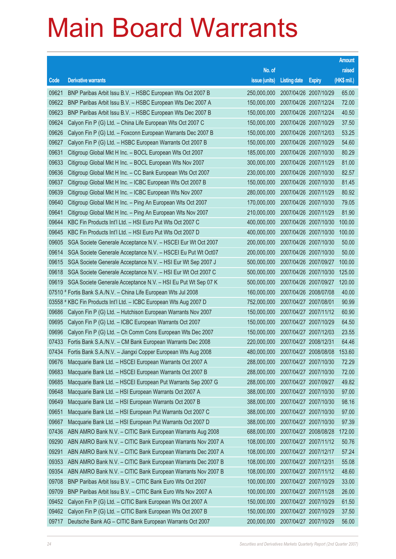| No. of<br>raised<br>(HK\$ mil.)<br><b>Derivative warrants</b><br>issue (units)<br>Code<br><b>Listing date</b><br><b>Expiry</b><br>09621<br>BNP Paribas Arbit Issu B.V. - HSBC European Wts Oct 2007 B<br>2007/04/26 2007/10/29<br>65.00<br>250,000,000<br>72.00<br>09622<br>BNP Paribas Arbit Issu B.V. - HSBC European Wts Dec 2007 A<br>150,000,000<br>2007/04/26 2007/12/24<br>09623<br>2007/04/26 2007/12/24<br>40.50<br>BNP Paribas Arbit Issu B.V. - HSBC European Wts Dec 2007 B<br>150,000,000<br>09624<br>2007/04/26 2007/10/29<br>37.50<br>Calyon Fin P (G) Ltd. - China Life European Wts Oct 2007 C<br>150,000,000<br>09626<br>2007/04/26 2007/12/03<br>53.25<br>Calyon Fin P (G) Ltd. - Foxconn European Warrants Dec 2007 B<br>150,000,000<br>54.60<br>09627<br>Calyon Fin P (G) Ltd. - HSBC European Warrants Oct 2007 B<br>150,000,000<br>2007/04/26 2007/10/29<br>09631<br>2007/04/26 2007/10/30<br>80.29<br>Citigroup Global Mkt H Inc. - BOCL European Wts Oct 2007<br>185,000,000<br>09633<br>2007/04/26 2007/11/29<br>81.00<br>Citigroup Global Mkt H Inc. - BOCL European Wts Nov 2007<br>300,000,000<br>09636<br>2007/04/26 2007/10/30<br>82.57<br>Citigroup Global Mkt H Inc. - CC Bank European Wts Oct 2007<br>230,000,000<br>09637<br>81.45<br>Citigroup Global Mkt H Inc. - ICBC European Wts Oct 2007 B<br>150,000,000<br>2007/04/26 2007/10/30<br>09639<br>2007/04/26 2007/11/29<br>80.92<br>Citigroup Global Mkt H Inc. - ICBC European Wts Nov 2007<br>280,000,000<br>09640<br>2007/04/26 2007/10/30<br>79.05<br>Citigroup Global Mkt H Inc. - Ping An European Wts Oct 2007<br>170,000,000<br>09641<br>2007/04/26 2007/11/29<br>81.90<br>Citigroup Global Mkt H Inc. - Ping An European Wts Nov 2007<br>210,000,000<br>09644<br>100.00<br>KBC Fin Products Int'l Ltd. - HSI Euro Put Wts Oct 2007 C<br>400,000,000<br>2007/04/26 2007/10/30<br>09645<br>KBC Fin Products Int'l Ltd. - HSI Euro Put Wts Oct 2007 D<br>2007/04/26 2007/10/30<br>100.00<br>400,000,000<br>2007/04/26 2007/10/30<br>50.00<br>09605<br>SGA Societe Generale Acceptance N.V. - HSCEI Eur Wt Oct 2007<br>200,000,000<br>2007/04/26 2007/10/30<br>50.00<br>09614<br>SGA Societe Generale Acceptance N.V. - HSCEI Eu Put Wt Oct07<br>200,000,000<br>100.00<br>09615<br>SGA Societe Generale Acceptance N.V. - HSI Eur Wt Sep 2007 J<br>500,000,000<br>2007/04/26 2007/09/27<br>2007/04/26 2007/10/30<br>125.00<br>09618<br>SGA Societe Generale Acceptance N.V. - HSI Eur Wt Oct 2007 C<br>500,000,000<br>2007/04/26 2007/09/27<br>120.00<br>09619<br>SGA Societe Generale Acceptance N.V. - HSI Eu Put Wt Sep 07 K<br>500,000,000<br>2007/04/26 2008/07/08<br>40.00<br>07510 # Fortis Bank S.A./N.V. – China Life European Wts Jul 2008<br>160,000,000<br>90.99<br>03558 # KBC Fin Products Int'l Ltd. - ICBC European Wts Aug 2007 D<br>752,000,000<br>2007/04/27 2007/08/01<br>09686<br>2007/04/27 2007/11/12<br>60.90<br>Calyon Fin P (G) Ltd. - Hutchison European Warrants Nov 2007<br>150,000,000<br>09695<br>64.50<br>Calyon Fin P (G) Ltd. - ICBC European Warrants Oct 2007<br>150,000,000<br>2007/04/27 2007/10/29<br>09696<br>23.55<br>Calyon Fin P (G) Ltd. - Ch Comm Cons European Wts Dec 2007<br>150,000,000<br>2007/04/27 2007/12/03<br>2007/04/27 2008/12/31<br>64.46<br>07433<br>Fortis Bank S.A./N.V. - CM Bank European Warrants Dec 2008<br>220,000,000<br>480,000,000 2007/04/27 2008/08/08<br>07434<br>153.60<br>Fortis Bank S.A./N.V. – Jiangxi Copper European Wts Aug 2008<br>Macquarie Bank Ltd. - HSCEI European Warrants Oct 2007 A<br>2007/04/27 2007/10/30<br>72.29<br>09676<br>288,000,000<br>09683<br>Macquarie Bank Ltd. - HSCEI European Warrants Oct 2007 B<br>288,000,000<br>2007/04/27 2007/10/30<br>72.00<br>09685<br>Macquarie Bank Ltd. - HSCEI European Put Warrants Sep 2007 G<br>288,000,000<br>2007/04/27 2007/09/27<br>49.82<br>09648<br>Macquarie Bank Ltd. - HSI European Warrants Oct 2007 A<br>97.00<br>388,000,000<br>2007/04/27 2007/10/30<br>98.16<br>09649<br>Macquarie Bank Ltd. - HSI European Warrants Oct 2007 B<br>388,000,000<br>2007/04/27 2007/10/30<br>09651<br>2007/04/27 2007/10/30<br>97.00<br>Macquarie Bank Ltd. - HSI European Put Warrants Oct 2007 C<br>388,000,000<br>09667<br>97.39<br>Macquarie Bank Ltd. - HSI European Put Warrants Oct 2007 D<br>388,000,000<br>2007/04/27 2007/10/30 |
|-----------------------------------------------------------------------------------------------------------------------------------------------------------------------------------------------------------------------------------------------------------------------------------------------------------------------------------------------------------------------------------------------------------------------------------------------------------------------------------------------------------------------------------------------------------------------------------------------------------------------------------------------------------------------------------------------------------------------------------------------------------------------------------------------------------------------------------------------------------------------------------------------------------------------------------------------------------------------------------------------------------------------------------------------------------------------------------------------------------------------------------------------------------------------------------------------------------------------------------------------------------------------------------------------------------------------------------------------------------------------------------------------------------------------------------------------------------------------------------------------------------------------------------------------------------------------------------------------------------------------------------------------------------------------------------------------------------------------------------------------------------------------------------------------------------------------------------------------------------------------------------------------------------------------------------------------------------------------------------------------------------------------------------------------------------------------------------------------------------------------------------------------------------------------------------------------------------------------------------------------------------------------------------------------------------------------------------------------------------------------------------------------------------------------------------------------------------------------------------------------------------------------------------------------------------------------------------------------------------------------------------------------------------------------------------------------------------------------------------------------------------------------------------------------------------------------------------------------------------------------------------------------------------------------------------------------------------------------------------------------------------------------------------------------------------------------------------------------------------------------------------------------------------------------------------------------------------------------------------------------------------------------------------------------------------------------------------------------------------------------------------------------------------------------------------------------------------------------------------------------------------------------------------------------------------------------------------------------------------------------------------------------------------------------------------------------------------------------------------------------------------------------------------------------------------------------------------------------------------------------------------------------------------------------------------------------------------------------------------------------------------------------------------------------------------------------------------------------------------------------------------------------------------------------------------------------------------------------------------------------------------------------------------------------------------------------------------------------------------------------------|
|                                                                                                                                                                                                                                                                                                                                                                                                                                                                                                                                                                                                                                                                                                                                                                                                                                                                                                                                                                                                                                                                                                                                                                                                                                                                                                                                                                                                                                                                                                                                                                                                                                                                                                                                                                                                                                                                                                                                                                                                                                                                                                                                                                                                                                                                                                                                                                                                                                                                                                                                                                                                                                                                                                                                                                                                                                                                                                                                                                                                                                                                                                                                                                                                                                                                                                                                                                                                                                                                                                                                                                                                                                                                                                                                                                                                                                                                                                                                                                                                                                                                                                                                                                                                                                                                                                                                                                             |
|                                                                                                                                                                                                                                                                                                                                                                                                                                                                                                                                                                                                                                                                                                                                                                                                                                                                                                                                                                                                                                                                                                                                                                                                                                                                                                                                                                                                                                                                                                                                                                                                                                                                                                                                                                                                                                                                                                                                                                                                                                                                                                                                                                                                                                                                                                                                                                                                                                                                                                                                                                                                                                                                                                                                                                                                                                                                                                                                                                                                                                                                                                                                                                                                                                                                                                                                                                                                                                                                                                                                                                                                                                                                                                                                                                                                                                                                                                                                                                                                                                                                                                                                                                                                                                                                                                                                                                             |
|                                                                                                                                                                                                                                                                                                                                                                                                                                                                                                                                                                                                                                                                                                                                                                                                                                                                                                                                                                                                                                                                                                                                                                                                                                                                                                                                                                                                                                                                                                                                                                                                                                                                                                                                                                                                                                                                                                                                                                                                                                                                                                                                                                                                                                                                                                                                                                                                                                                                                                                                                                                                                                                                                                                                                                                                                                                                                                                                                                                                                                                                                                                                                                                                                                                                                                                                                                                                                                                                                                                                                                                                                                                                                                                                                                                                                                                                                                                                                                                                                                                                                                                                                                                                                                                                                                                                                                             |
|                                                                                                                                                                                                                                                                                                                                                                                                                                                                                                                                                                                                                                                                                                                                                                                                                                                                                                                                                                                                                                                                                                                                                                                                                                                                                                                                                                                                                                                                                                                                                                                                                                                                                                                                                                                                                                                                                                                                                                                                                                                                                                                                                                                                                                                                                                                                                                                                                                                                                                                                                                                                                                                                                                                                                                                                                                                                                                                                                                                                                                                                                                                                                                                                                                                                                                                                                                                                                                                                                                                                                                                                                                                                                                                                                                                                                                                                                                                                                                                                                                                                                                                                                                                                                                                                                                                                                                             |
|                                                                                                                                                                                                                                                                                                                                                                                                                                                                                                                                                                                                                                                                                                                                                                                                                                                                                                                                                                                                                                                                                                                                                                                                                                                                                                                                                                                                                                                                                                                                                                                                                                                                                                                                                                                                                                                                                                                                                                                                                                                                                                                                                                                                                                                                                                                                                                                                                                                                                                                                                                                                                                                                                                                                                                                                                                                                                                                                                                                                                                                                                                                                                                                                                                                                                                                                                                                                                                                                                                                                                                                                                                                                                                                                                                                                                                                                                                                                                                                                                                                                                                                                                                                                                                                                                                                                                                             |
|                                                                                                                                                                                                                                                                                                                                                                                                                                                                                                                                                                                                                                                                                                                                                                                                                                                                                                                                                                                                                                                                                                                                                                                                                                                                                                                                                                                                                                                                                                                                                                                                                                                                                                                                                                                                                                                                                                                                                                                                                                                                                                                                                                                                                                                                                                                                                                                                                                                                                                                                                                                                                                                                                                                                                                                                                                                                                                                                                                                                                                                                                                                                                                                                                                                                                                                                                                                                                                                                                                                                                                                                                                                                                                                                                                                                                                                                                                                                                                                                                                                                                                                                                                                                                                                                                                                                                                             |
|                                                                                                                                                                                                                                                                                                                                                                                                                                                                                                                                                                                                                                                                                                                                                                                                                                                                                                                                                                                                                                                                                                                                                                                                                                                                                                                                                                                                                                                                                                                                                                                                                                                                                                                                                                                                                                                                                                                                                                                                                                                                                                                                                                                                                                                                                                                                                                                                                                                                                                                                                                                                                                                                                                                                                                                                                                                                                                                                                                                                                                                                                                                                                                                                                                                                                                                                                                                                                                                                                                                                                                                                                                                                                                                                                                                                                                                                                                                                                                                                                                                                                                                                                                                                                                                                                                                                                                             |
|                                                                                                                                                                                                                                                                                                                                                                                                                                                                                                                                                                                                                                                                                                                                                                                                                                                                                                                                                                                                                                                                                                                                                                                                                                                                                                                                                                                                                                                                                                                                                                                                                                                                                                                                                                                                                                                                                                                                                                                                                                                                                                                                                                                                                                                                                                                                                                                                                                                                                                                                                                                                                                                                                                                                                                                                                                                                                                                                                                                                                                                                                                                                                                                                                                                                                                                                                                                                                                                                                                                                                                                                                                                                                                                                                                                                                                                                                                                                                                                                                                                                                                                                                                                                                                                                                                                                                                             |
|                                                                                                                                                                                                                                                                                                                                                                                                                                                                                                                                                                                                                                                                                                                                                                                                                                                                                                                                                                                                                                                                                                                                                                                                                                                                                                                                                                                                                                                                                                                                                                                                                                                                                                                                                                                                                                                                                                                                                                                                                                                                                                                                                                                                                                                                                                                                                                                                                                                                                                                                                                                                                                                                                                                                                                                                                                                                                                                                                                                                                                                                                                                                                                                                                                                                                                                                                                                                                                                                                                                                                                                                                                                                                                                                                                                                                                                                                                                                                                                                                                                                                                                                                                                                                                                                                                                                                                             |
|                                                                                                                                                                                                                                                                                                                                                                                                                                                                                                                                                                                                                                                                                                                                                                                                                                                                                                                                                                                                                                                                                                                                                                                                                                                                                                                                                                                                                                                                                                                                                                                                                                                                                                                                                                                                                                                                                                                                                                                                                                                                                                                                                                                                                                                                                                                                                                                                                                                                                                                                                                                                                                                                                                                                                                                                                                                                                                                                                                                                                                                                                                                                                                                                                                                                                                                                                                                                                                                                                                                                                                                                                                                                                                                                                                                                                                                                                                                                                                                                                                                                                                                                                                                                                                                                                                                                                                             |
|                                                                                                                                                                                                                                                                                                                                                                                                                                                                                                                                                                                                                                                                                                                                                                                                                                                                                                                                                                                                                                                                                                                                                                                                                                                                                                                                                                                                                                                                                                                                                                                                                                                                                                                                                                                                                                                                                                                                                                                                                                                                                                                                                                                                                                                                                                                                                                                                                                                                                                                                                                                                                                                                                                                                                                                                                                                                                                                                                                                                                                                                                                                                                                                                                                                                                                                                                                                                                                                                                                                                                                                                                                                                                                                                                                                                                                                                                                                                                                                                                                                                                                                                                                                                                                                                                                                                                                             |
|                                                                                                                                                                                                                                                                                                                                                                                                                                                                                                                                                                                                                                                                                                                                                                                                                                                                                                                                                                                                                                                                                                                                                                                                                                                                                                                                                                                                                                                                                                                                                                                                                                                                                                                                                                                                                                                                                                                                                                                                                                                                                                                                                                                                                                                                                                                                                                                                                                                                                                                                                                                                                                                                                                                                                                                                                                                                                                                                                                                                                                                                                                                                                                                                                                                                                                                                                                                                                                                                                                                                                                                                                                                                                                                                                                                                                                                                                                                                                                                                                                                                                                                                                                                                                                                                                                                                                                             |
|                                                                                                                                                                                                                                                                                                                                                                                                                                                                                                                                                                                                                                                                                                                                                                                                                                                                                                                                                                                                                                                                                                                                                                                                                                                                                                                                                                                                                                                                                                                                                                                                                                                                                                                                                                                                                                                                                                                                                                                                                                                                                                                                                                                                                                                                                                                                                                                                                                                                                                                                                                                                                                                                                                                                                                                                                                                                                                                                                                                                                                                                                                                                                                                                                                                                                                                                                                                                                                                                                                                                                                                                                                                                                                                                                                                                                                                                                                                                                                                                                                                                                                                                                                                                                                                                                                                                                                             |
|                                                                                                                                                                                                                                                                                                                                                                                                                                                                                                                                                                                                                                                                                                                                                                                                                                                                                                                                                                                                                                                                                                                                                                                                                                                                                                                                                                                                                                                                                                                                                                                                                                                                                                                                                                                                                                                                                                                                                                                                                                                                                                                                                                                                                                                                                                                                                                                                                                                                                                                                                                                                                                                                                                                                                                                                                                                                                                                                                                                                                                                                                                                                                                                                                                                                                                                                                                                                                                                                                                                                                                                                                                                                                                                                                                                                                                                                                                                                                                                                                                                                                                                                                                                                                                                                                                                                                                             |
|                                                                                                                                                                                                                                                                                                                                                                                                                                                                                                                                                                                                                                                                                                                                                                                                                                                                                                                                                                                                                                                                                                                                                                                                                                                                                                                                                                                                                                                                                                                                                                                                                                                                                                                                                                                                                                                                                                                                                                                                                                                                                                                                                                                                                                                                                                                                                                                                                                                                                                                                                                                                                                                                                                                                                                                                                                                                                                                                                                                                                                                                                                                                                                                                                                                                                                                                                                                                                                                                                                                                                                                                                                                                                                                                                                                                                                                                                                                                                                                                                                                                                                                                                                                                                                                                                                                                                                             |
|                                                                                                                                                                                                                                                                                                                                                                                                                                                                                                                                                                                                                                                                                                                                                                                                                                                                                                                                                                                                                                                                                                                                                                                                                                                                                                                                                                                                                                                                                                                                                                                                                                                                                                                                                                                                                                                                                                                                                                                                                                                                                                                                                                                                                                                                                                                                                                                                                                                                                                                                                                                                                                                                                                                                                                                                                                                                                                                                                                                                                                                                                                                                                                                                                                                                                                                                                                                                                                                                                                                                                                                                                                                                                                                                                                                                                                                                                                                                                                                                                                                                                                                                                                                                                                                                                                                                                                             |
|                                                                                                                                                                                                                                                                                                                                                                                                                                                                                                                                                                                                                                                                                                                                                                                                                                                                                                                                                                                                                                                                                                                                                                                                                                                                                                                                                                                                                                                                                                                                                                                                                                                                                                                                                                                                                                                                                                                                                                                                                                                                                                                                                                                                                                                                                                                                                                                                                                                                                                                                                                                                                                                                                                                                                                                                                                                                                                                                                                                                                                                                                                                                                                                                                                                                                                                                                                                                                                                                                                                                                                                                                                                                                                                                                                                                                                                                                                                                                                                                                                                                                                                                                                                                                                                                                                                                                                             |
|                                                                                                                                                                                                                                                                                                                                                                                                                                                                                                                                                                                                                                                                                                                                                                                                                                                                                                                                                                                                                                                                                                                                                                                                                                                                                                                                                                                                                                                                                                                                                                                                                                                                                                                                                                                                                                                                                                                                                                                                                                                                                                                                                                                                                                                                                                                                                                                                                                                                                                                                                                                                                                                                                                                                                                                                                                                                                                                                                                                                                                                                                                                                                                                                                                                                                                                                                                                                                                                                                                                                                                                                                                                                                                                                                                                                                                                                                                                                                                                                                                                                                                                                                                                                                                                                                                                                                                             |
|                                                                                                                                                                                                                                                                                                                                                                                                                                                                                                                                                                                                                                                                                                                                                                                                                                                                                                                                                                                                                                                                                                                                                                                                                                                                                                                                                                                                                                                                                                                                                                                                                                                                                                                                                                                                                                                                                                                                                                                                                                                                                                                                                                                                                                                                                                                                                                                                                                                                                                                                                                                                                                                                                                                                                                                                                                                                                                                                                                                                                                                                                                                                                                                                                                                                                                                                                                                                                                                                                                                                                                                                                                                                                                                                                                                                                                                                                                                                                                                                                                                                                                                                                                                                                                                                                                                                                                             |
|                                                                                                                                                                                                                                                                                                                                                                                                                                                                                                                                                                                                                                                                                                                                                                                                                                                                                                                                                                                                                                                                                                                                                                                                                                                                                                                                                                                                                                                                                                                                                                                                                                                                                                                                                                                                                                                                                                                                                                                                                                                                                                                                                                                                                                                                                                                                                                                                                                                                                                                                                                                                                                                                                                                                                                                                                                                                                                                                                                                                                                                                                                                                                                                                                                                                                                                                                                                                                                                                                                                                                                                                                                                                                                                                                                                                                                                                                                                                                                                                                                                                                                                                                                                                                                                                                                                                                                             |
|                                                                                                                                                                                                                                                                                                                                                                                                                                                                                                                                                                                                                                                                                                                                                                                                                                                                                                                                                                                                                                                                                                                                                                                                                                                                                                                                                                                                                                                                                                                                                                                                                                                                                                                                                                                                                                                                                                                                                                                                                                                                                                                                                                                                                                                                                                                                                                                                                                                                                                                                                                                                                                                                                                                                                                                                                                                                                                                                                                                                                                                                                                                                                                                                                                                                                                                                                                                                                                                                                                                                                                                                                                                                                                                                                                                                                                                                                                                                                                                                                                                                                                                                                                                                                                                                                                                                                                             |
|                                                                                                                                                                                                                                                                                                                                                                                                                                                                                                                                                                                                                                                                                                                                                                                                                                                                                                                                                                                                                                                                                                                                                                                                                                                                                                                                                                                                                                                                                                                                                                                                                                                                                                                                                                                                                                                                                                                                                                                                                                                                                                                                                                                                                                                                                                                                                                                                                                                                                                                                                                                                                                                                                                                                                                                                                                                                                                                                                                                                                                                                                                                                                                                                                                                                                                                                                                                                                                                                                                                                                                                                                                                                                                                                                                                                                                                                                                                                                                                                                                                                                                                                                                                                                                                                                                                                                                             |
|                                                                                                                                                                                                                                                                                                                                                                                                                                                                                                                                                                                                                                                                                                                                                                                                                                                                                                                                                                                                                                                                                                                                                                                                                                                                                                                                                                                                                                                                                                                                                                                                                                                                                                                                                                                                                                                                                                                                                                                                                                                                                                                                                                                                                                                                                                                                                                                                                                                                                                                                                                                                                                                                                                                                                                                                                                                                                                                                                                                                                                                                                                                                                                                                                                                                                                                                                                                                                                                                                                                                                                                                                                                                                                                                                                                                                                                                                                                                                                                                                                                                                                                                                                                                                                                                                                                                                                             |
|                                                                                                                                                                                                                                                                                                                                                                                                                                                                                                                                                                                                                                                                                                                                                                                                                                                                                                                                                                                                                                                                                                                                                                                                                                                                                                                                                                                                                                                                                                                                                                                                                                                                                                                                                                                                                                                                                                                                                                                                                                                                                                                                                                                                                                                                                                                                                                                                                                                                                                                                                                                                                                                                                                                                                                                                                                                                                                                                                                                                                                                                                                                                                                                                                                                                                                                                                                                                                                                                                                                                                                                                                                                                                                                                                                                                                                                                                                                                                                                                                                                                                                                                                                                                                                                                                                                                                                             |
|                                                                                                                                                                                                                                                                                                                                                                                                                                                                                                                                                                                                                                                                                                                                                                                                                                                                                                                                                                                                                                                                                                                                                                                                                                                                                                                                                                                                                                                                                                                                                                                                                                                                                                                                                                                                                                                                                                                                                                                                                                                                                                                                                                                                                                                                                                                                                                                                                                                                                                                                                                                                                                                                                                                                                                                                                                                                                                                                                                                                                                                                                                                                                                                                                                                                                                                                                                                                                                                                                                                                                                                                                                                                                                                                                                                                                                                                                                                                                                                                                                                                                                                                                                                                                                                                                                                                                                             |
|                                                                                                                                                                                                                                                                                                                                                                                                                                                                                                                                                                                                                                                                                                                                                                                                                                                                                                                                                                                                                                                                                                                                                                                                                                                                                                                                                                                                                                                                                                                                                                                                                                                                                                                                                                                                                                                                                                                                                                                                                                                                                                                                                                                                                                                                                                                                                                                                                                                                                                                                                                                                                                                                                                                                                                                                                                                                                                                                                                                                                                                                                                                                                                                                                                                                                                                                                                                                                                                                                                                                                                                                                                                                                                                                                                                                                                                                                                                                                                                                                                                                                                                                                                                                                                                                                                                                                                             |
|                                                                                                                                                                                                                                                                                                                                                                                                                                                                                                                                                                                                                                                                                                                                                                                                                                                                                                                                                                                                                                                                                                                                                                                                                                                                                                                                                                                                                                                                                                                                                                                                                                                                                                                                                                                                                                                                                                                                                                                                                                                                                                                                                                                                                                                                                                                                                                                                                                                                                                                                                                                                                                                                                                                                                                                                                                                                                                                                                                                                                                                                                                                                                                                                                                                                                                                                                                                                                                                                                                                                                                                                                                                                                                                                                                                                                                                                                                                                                                                                                                                                                                                                                                                                                                                                                                                                                                             |
|                                                                                                                                                                                                                                                                                                                                                                                                                                                                                                                                                                                                                                                                                                                                                                                                                                                                                                                                                                                                                                                                                                                                                                                                                                                                                                                                                                                                                                                                                                                                                                                                                                                                                                                                                                                                                                                                                                                                                                                                                                                                                                                                                                                                                                                                                                                                                                                                                                                                                                                                                                                                                                                                                                                                                                                                                                                                                                                                                                                                                                                                                                                                                                                                                                                                                                                                                                                                                                                                                                                                                                                                                                                                                                                                                                                                                                                                                                                                                                                                                                                                                                                                                                                                                                                                                                                                                                             |
|                                                                                                                                                                                                                                                                                                                                                                                                                                                                                                                                                                                                                                                                                                                                                                                                                                                                                                                                                                                                                                                                                                                                                                                                                                                                                                                                                                                                                                                                                                                                                                                                                                                                                                                                                                                                                                                                                                                                                                                                                                                                                                                                                                                                                                                                                                                                                                                                                                                                                                                                                                                                                                                                                                                                                                                                                                                                                                                                                                                                                                                                                                                                                                                                                                                                                                                                                                                                                                                                                                                                                                                                                                                                                                                                                                                                                                                                                                                                                                                                                                                                                                                                                                                                                                                                                                                                                                             |
|                                                                                                                                                                                                                                                                                                                                                                                                                                                                                                                                                                                                                                                                                                                                                                                                                                                                                                                                                                                                                                                                                                                                                                                                                                                                                                                                                                                                                                                                                                                                                                                                                                                                                                                                                                                                                                                                                                                                                                                                                                                                                                                                                                                                                                                                                                                                                                                                                                                                                                                                                                                                                                                                                                                                                                                                                                                                                                                                                                                                                                                                                                                                                                                                                                                                                                                                                                                                                                                                                                                                                                                                                                                                                                                                                                                                                                                                                                                                                                                                                                                                                                                                                                                                                                                                                                                                                                             |
|                                                                                                                                                                                                                                                                                                                                                                                                                                                                                                                                                                                                                                                                                                                                                                                                                                                                                                                                                                                                                                                                                                                                                                                                                                                                                                                                                                                                                                                                                                                                                                                                                                                                                                                                                                                                                                                                                                                                                                                                                                                                                                                                                                                                                                                                                                                                                                                                                                                                                                                                                                                                                                                                                                                                                                                                                                                                                                                                                                                                                                                                                                                                                                                                                                                                                                                                                                                                                                                                                                                                                                                                                                                                                                                                                                                                                                                                                                                                                                                                                                                                                                                                                                                                                                                                                                                                                                             |
|                                                                                                                                                                                                                                                                                                                                                                                                                                                                                                                                                                                                                                                                                                                                                                                                                                                                                                                                                                                                                                                                                                                                                                                                                                                                                                                                                                                                                                                                                                                                                                                                                                                                                                                                                                                                                                                                                                                                                                                                                                                                                                                                                                                                                                                                                                                                                                                                                                                                                                                                                                                                                                                                                                                                                                                                                                                                                                                                                                                                                                                                                                                                                                                                                                                                                                                                                                                                                                                                                                                                                                                                                                                                                                                                                                                                                                                                                                                                                                                                                                                                                                                                                                                                                                                                                                                                                                             |
|                                                                                                                                                                                                                                                                                                                                                                                                                                                                                                                                                                                                                                                                                                                                                                                                                                                                                                                                                                                                                                                                                                                                                                                                                                                                                                                                                                                                                                                                                                                                                                                                                                                                                                                                                                                                                                                                                                                                                                                                                                                                                                                                                                                                                                                                                                                                                                                                                                                                                                                                                                                                                                                                                                                                                                                                                                                                                                                                                                                                                                                                                                                                                                                                                                                                                                                                                                                                                                                                                                                                                                                                                                                                                                                                                                                                                                                                                                                                                                                                                                                                                                                                                                                                                                                                                                                                                                             |
|                                                                                                                                                                                                                                                                                                                                                                                                                                                                                                                                                                                                                                                                                                                                                                                                                                                                                                                                                                                                                                                                                                                                                                                                                                                                                                                                                                                                                                                                                                                                                                                                                                                                                                                                                                                                                                                                                                                                                                                                                                                                                                                                                                                                                                                                                                                                                                                                                                                                                                                                                                                                                                                                                                                                                                                                                                                                                                                                                                                                                                                                                                                                                                                                                                                                                                                                                                                                                                                                                                                                                                                                                                                                                                                                                                                                                                                                                                                                                                                                                                                                                                                                                                                                                                                                                                                                                                             |
|                                                                                                                                                                                                                                                                                                                                                                                                                                                                                                                                                                                                                                                                                                                                                                                                                                                                                                                                                                                                                                                                                                                                                                                                                                                                                                                                                                                                                                                                                                                                                                                                                                                                                                                                                                                                                                                                                                                                                                                                                                                                                                                                                                                                                                                                                                                                                                                                                                                                                                                                                                                                                                                                                                                                                                                                                                                                                                                                                                                                                                                                                                                                                                                                                                                                                                                                                                                                                                                                                                                                                                                                                                                                                                                                                                                                                                                                                                                                                                                                                                                                                                                                                                                                                                                                                                                                                                             |
| 07436<br>ABN AMRO Bank N.V. - CITIC Bank European Warrants Aug 2008<br>688,000,000<br>2007/04/27 2008/08/28<br>172.00                                                                                                                                                                                                                                                                                                                                                                                                                                                                                                                                                                                                                                                                                                                                                                                                                                                                                                                                                                                                                                                                                                                                                                                                                                                                                                                                                                                                                                                                                                                                                                                                                                                                                                                                                                                                                                                                                                                                                                                                                                                                                                                                                                                                                                                                                                                                                                                                                                                                                                                                                                                                                                                                                                                                                                                                                                                                                                                                                                                                                                                                                                                                                                                                                                                                                                                                                                                                                                                                                                                                                                                                                                                                                                                                                                                                                                                                                                                                                                                                                                                                                                                                                                                                                                                       |
| 50.76<br>09290<br>ABN AMRO Bank N.V. - CITIC Bank European Warrants Nov 2007 A<br>108,000,000<br>2007/04/27 2007/11/12                                                                                                                                                                                                                                                                                                                                                                                                                                                                                                                                                                                                                                                                                                                                                                                                                                                                                                                                                                                                                                                                                                                                                                                                                                                                                                                                                                                                                                                                                                                                                                                                                                                                                                                                                                                                                                                                                                                                                                                                                                                                                                                                                                                                                                                                                                                                                                                                                                                                                                                                                                                                                                                                                                                                                                                                                                                                                                                                                                                                                                                                                                                                                                                                                                                                                                                                                                                                                                                                                                                                                                                                                                                                                                                                                                                                                                                                                                                                                                                                                                                                                                                                                                                                                                                      |
| 09291<br>2007/04/27 2007/12/17<br>57.24<br>ABN AMRO Bank N.V. - CITIC Bank European Warrants Dec 2007 A<br>108,000,000                                                                                                                                                                                                                                                                                                                                                                                                                                                                                                                                                                                                                                                                                                                                                                                                                                                                                                                                                                                                                                                                                                                                                                                                                                                                                                                                                                                                                                                                                                                                                                                                                                                                                                                                                                                                                                                                                                                                                                                                                                                                                                                                                                                                                                                                                                                                                                                                                                                                                                                                                                                                                                                                                                                                                                                                                                                                                                                                                                                                                                                                                                                                                                                                                                                                                                                                                                                                                                                                                                                                                                                                                                                                                                                                                                                                                                                                                                                                                                                                                                                                                                                                                                                                                                                      |
| 09353<br>55.08<br>ABN AMRO Bank N.V. - CITIC Bank European Warrants Dec 2007 B<br>108,000,000<br>2007/04/27 2007/12/31                                                                                                                                                                                                                                                                                                                                                                                                                                                                                                                                                                                                                                                                                                                                                                                                                                                                                                                                                                                                                                                                                                                                                                                                                                                                                                                                                                                                                                                                                                                                                                                                                                                                                                                                                                                                                                                                                                                                                                                                                                                                                                                                                                                                                                                                                                                                                                                                                                                                                                                                                                                                                                                                                                                                                                                                                                                                                                                                                                                                                                                                                                                                                                                                                                                                                                                                                                                                                                                                                                                                                                                                                                                                                                                                                                                                                                                                                                                                                                                                                                                                                                                                                                                                                                                      |
| 09354<br>ABN AMRO Bank N.V. - CITIC Bank European Warrants Nov 2007 B<br>48.60<br>108,000,000<br>2007/04/27 2007/11/12                                                                                                                                                                                                                                                                                                                                                                                                                                                                                                                                                                                                                                                                                                                                                                                                                                                                                                                                                                                                                                                                                                                                                                                                                                                                                                                                                                                                                                                                                                                                                                                                                                                                                                                                                                                                                                                                                                                                                                                                                                                                                                                                                                                                                                                                                                                                                                                                                                                                                                                                                                                                                                                                                                                                                                                                                                                                                                                                                                                                                                                                                                                                                                                                                                                                                                                                                                                                                                                                                                                                                                                                                                                                                                                                                                                                                                                                                                                                                                                                                                                                                                                                                                                                                                                      |
| 33.00<br>09708<br>BNP Paribas Arbit Issu B.V. - CITIC Bank Euro Wts Oct 2007<br>100,000,000<br>2007/04/27 2007/10/29                                                                                                                                                                                                                                                                                                                                                                                                                                                                                                                                                                                                                                                                                                                                                                                                                                                                                                                                                                                                                                                                                                                                                                                                                                                                                                                                                                                                                                                                                                                                                                                                                                                                                                                                                                                                                                                                                                                                                                                                                                                                                                                                                                                                                                                                                                                                                                                                                                                                                                                                                                                                                                                                                                                                                                                                                                                                                                                                                                                                                                                                                                                                                                                                                                                                                                                                                                                                                                                                                                                                                                                                                                                                                                                                                                                                                                                                                                                                                                                                                                                                                                                                                                                                                                                        |
| BNP Paribas Arbit Issu B.V. - CITIC Bank Euro Wts Nov 2007 A<br>2007/04/27 2007/11/28<br>26.00<br>09709<br>100,000,000                                                                                                                                                                                                                                                                                                                                                                                                                                                                                                                                                                                                                                                                                                                                                                                                                                                                                                                                                                                                                                                                                                                                                                                                                                                                                                                                                                                                                                                                                                                                                                                                                                                                                                                                                                                                                                                                                                                                                                                                                                                                                                                                                                                                                                                                                                                                                                                                                                                                                                                                                                                                                                                                                                                                                                                                                                                                                                                                                                                                                                                                                                                                                                                                                                                                                                                                                                                                                                                                                                                                                                                                                                                                                                                                                                                                                                                                                                                                                                                                                                                                                                                                                                                                                                                      |
| 09452<br>Calyon Fin P (G) Ltd. - CITIC Bank European Wts Oct 2007 A<br>150,000,000<br>2007/04/27 2007/10/29<br>61.50                                                                                                                                                                                                                                                                                                                                                                                                                                                                                                                                                                                                                                                                                                                                                                                                                                                                                                                                                                                                                                                                                                                                                                                                                                                                                                                                                                                                                                                                                                                                                                                                                                                                                                                                                                                                                                                                                                                                                                                                                                                                                                                                                                                                                                                                                                                                                                                                                                                                                                                                                                                                                                                                                                                                                                                                                                                                                                                                                                                                                                                                                                                                                                                                                                                                                                                                                                                                                                                                                                                                                                                                                                                                                                                                                                                                                                                                                                                                                                                                                                                                                                                                                                                                                                                        |
| 09462<br>Calyon Fin P (G) Ltd. - CITIC Bank European Wts Oct 2007 B<br>150,000,000<br>2007/04/27 2007/10/29<br>37.50                                                                                                                                                                                                                                                                                                                                                                                                                                                                                                                                                                                                                                                                                                                                                                                                                                                                                                                                                                                                                                                                                                                                                                                                                                                                                                                                                                                                                                                                                                                                                                                                                                                                                                                                                                                                                                                                                                                                                                                                                                                                                                                                                                                                                                                                                                                                                                                                                                                                                                                                                                                                                                                                                                                                                                                                                                                                                                                                                                                                                                                                                                                                                                                                                                                                                                                                                                                                                                                                                                                                                                                                                                                                                                                                                                                                                                                                                                                                                                                                                                                                                                                                                                                                                                                        |
| Deutsche Bank AG - CITIC Bank European Warrants Oct 2007<br>09717<br>200,000,000<br>2007/04/27 2007/10/29<br>56.00                                                                                                                                                                                                                                                                                                                                                                                                                                                                                                                                                                                                                                                                                                                                                                                                                                                                                                                                                                                                                                                                                                                                                                                                                                                                                                                                                                                                                                                                                                                                                                                                                                                                                                                                                                                                                                                                                                                                                                                                                                                                                                                                                                                                                                                                                                                                                                                                                                                                                                                                                                                                                                                                                                                                                                                                                                                                                                                                                                                                                                                                                                                                                                                                                                                                                                                                                                                                                                                                                                                                                                                                                                                                                                                                                                                                                                                                                                                                                                                                                                                                                                                                                                                                                                                          |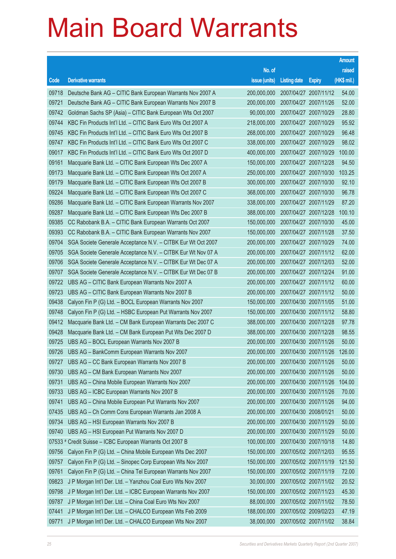|         |                                                              |                                          |                       |                       | <b>Amount</b> |
|---------|--------------------------------------------------------------|------------------------------------------|-----------------------|-----------------------|---------------|
|         |                                                              | No. of                                   |                       |                       | raised        |
| Code    | <b>Derivative warrants</b>                                   | issue (units)                            | <b>Listing date</b>   | <b>Expiry</b>         | $(HK$$ mil.)  |
| 09718   | Deutsche Bank AG - CITIC Bank European Warrants Nov 2007 A   | 200,000,000                              |                       | 2007/04/27 2007/11/12 | 54.00         |
| 09721   | Deutsche Bank AG - CITIC Bank European Warrants Nov 2007 B   | 200,000,000                              |                       | 2007/04/27 2007/11/26 | 52.00         |
| 09742   | Goldman Sachs SP (Asia) - CITIC Bank European Wts Oct 2007   | 90,000,000                               |                       | 2007/04/27 2007/10/29 | 28.80         |
| 09744   | KBC Fin Products Int'l Ltd. - CITIC Bank Euro Wts Oct 2007 A | 218,000,000                              |                       | 2007/04/27 2007/10/29 | 95.92         |
| 09745   | KBC Fin Products Int'l Ltd. - CITIC Bank Euro Wts Oct 2007 B | 268,000,000                              |                       | 2007/04/27 2007/10/29 | 96.48         |
| 09747   | KBC Fin Products Int'l Ltd. - CITIC Bank Euro Wts Oct 2007 C | 338,000,000                              |                       | 2007/04/27 2007/10/29 | 98.02         |
| 09017   | KBC Fin Products Int'l Ltd. - CITIC Bank Euro Wts Oct 2007 D | 400,000,000                              |                       | 2007/04/27 2007/10/29 | 100.00        |
| 09161   | Macquarie Bank Ltd. - CITIC Bank European Wts Dec 2007 A     | 150,000,000                              |                       | 2007/04/27 2007/12/28 | 94.50         |
| 09173   | Macquarie Bank Ltd. - CITIC Bank European Wts Oct 2007 A     | 250,000,000                              |                       | 2007/04/27 2007/10/30 | 103.25        |
| 09179   | Macquarie Bank Ltd. - CITIC Bank European Wts Oct 2007 B     | 300,000,000                              |                       | 2007/04/27 2007/10/30 | 92.10         |
| 09224   | Macquarie Bank Ltd. - CITIC Bank European Wts Oct 2007 C     | 368,000,000                              |                       | 2007/04/27 2007/10/30 | 96.78         |
| 09286   | Macquarie Bank Ltd. - CITIC Bank European Warrants Nov 2007  | 338,000,000                              |                       | 2007/04/27 2007/11/29 | 87.20         |
| 09287   | Macquarie Bank Ltd. - CITIC Bank European Wts Dec 2007 B     | 388,000,000                              |                       | 2007/04/27 2007/12/28 | 100.10        |
| 09385   | CC Rabobank B.A. - CITIC Bank European Warrants Oct 2007     | 150,000,000                              |                       | 2007/04/27 2007/10/30 | 45.00         |
| 09393   | CC Rabobank B.A. - CITIC Bank European Warrants Nov 2007     | 150,000,000                              |                       | 2007/04/27 2007/11/28 | 37.50         |
| 09704   | SGA Societe Generale Acceptance N.V. - CITBK Eur Wt Oct 2007 | 200,000,000                              |                       | 2007/04/27 2007/10/29 | 74.00         |
| 09705   | SGA Societe Generale Acceptance N.V. - CITBK Eur Wt Nov 07 A | 200,000,000                              |                       | 2007/04/27 2007/11/12 | 62.00         |
| 09706   | SGA Societe Generale Acceptance N.V. - CITBK Eur Wt Dec 07 A | 200,000,000                              |                       | 2007/04/27 2007/12/03 | 52.00         |
| 09707   | SGA Societe Generale Acceptance N.V. - CITBK Eur Wt Dec 07 B | 200,000,000                              |                       | 2007/04/27 2007/12/24 | 91.00         |
| 09722   | UBS AG - CITIC Bank European Warrants Nov 2007 A             | 200,000,000                              |                       | 2007/04/27 2007/11/12 | 60.00         |
| 09723   | UBS AG - CITIC Bank European Warrants Nov 2007 B             | 200,000,000                              |                       | 2007/04/27 2007/11/12 | 50.00         |
| 09438   | Calyon Fin P (G) Ltd. - BOCL European Warrants Nov 2007      | 150,000,000                              |                       | 2007/04/30 2007/11/05 | 51.00         |
| 09748   | Calyon Fin P (G) Ltd. - HSBC European Put Warrants Nov 2007  | 150,000,000                              |                       | 2007/04/30 2007/11/12 | 58.80         |
| 09412   | Macquarie Bank Ltd. - CM Bank European Warrants Dec 2007 C   | 388,000,000                              |                       | 2007/04/30 2007/12/28 | 97.78         |
| 09428   | Macquarie Bank Ltd. - CM Bank European Put Wts Dec 2007 D    | 388,000,000                              |                       | 2007/04/30 2007/12/28 | 98.55         |
| 09725   | UBS AG - BOCL European Warrants Nov 2007 B                   | 200,000,000                              |                       | 2007/04/30 2007/11/26 | 50.00         |
|         | 09726 UBS AG - BankComm European Warrants Nov 2007           | 200,000,000 2007/04/30 2007/11/26 126.00 |                       |                       |               |
| 09727   | UBS AG - CC Bank European Warrants Nov 2007 B                | 200,000,000                              |                       | 2007/04/30 2007/11/26 | 50.00         |
| 09730   | UBS AG - CM Bank European Warrants Nov 2007                  | 200,000,000                              |                       | 2007/04/30 2007/11/26 | 50.00         |
| 09731   | UBS AG - China Mobile European Warrants Nov 2007             | 200,000,000                              |                       | 2007/04/30 2007/11/26 | 104.00        |
| 09733   | UBS AG - ICBC European Warrants Nov 2007 B                   | 200,000,000                              |                       | 2007/04/30 2007/11/26 | 70.00         |
| 09741   | UBS AG - China Mobile European Put Warrants Nov 2007         | 200,000,000                              |                       | 2007/04/30 2007/11/26 | 94.00         |
| 07435   | UBS AG - Ch Comm Cons European Warrants Jan 2008 A           | 200,000,000                              | 2007/04/30 2008/01/21 |                       | 50.00         |
| 09734   | UBS AG - HSI European Warrants Nov 2007 B                    | 200,000,000                              |                       | 2007/04/30 2007/11/29 | 50.00         |
| 09740   | UBS AG - HSI European Put Warrants Nov 2007 D                | 200,000,000                              |                       | 2007/04/30 2007/11/29 | 50.00         |
| 07533 # | Credit Suisse - ICBC European Warrants Oct 2007 B            | 100,000,000                              |                       | 2007/04/30 2007/10/18 | 14.80         |
| 09756   | Calyon Fin P (G) Ltd. - China Mobile European Wts Dec 2007   | 150,000,000                              |                       | 2007/05/02 2007/12/03 | 95.55         |
| 09757   | Calyon Fin P (G) Ltd. - Sinopec Corp European Wts Nov 2007   | 150,000,000                              |                       | 2007/05/02 2007/11/19 | 121.50        |
| 09761   | Calyon Fin P (G) Ltd. - China Tel European Warrants Nov 2007 | 150,000,000                              |                       | 2007/05/02 2007/11/19 | 72.00         |
| 09823   | J P Morgan Int'l Der. Ltd. - Yanzhou Coal Euro Wts Nov 2007  | 30,000,000                               |                       | 2007/05/02 2007/11/02 | 20.52         |
| 09798   | J P Morgan Int'l Der. Ltd. - ICBC European Warrants Nov 2007 | 150,000,000                              |                       | 2007/05/02 2007/11/23 | 45.30         |
| 09787   | J P Morgan Int'l Der. Ltd. - China Coal Euro Wts Nov 2007    | 88,000,000                               |                       | 2007/05/02 2007/11/02 | 78.50         |
| 07441   | J P Morgan Int'l Der. Ltd. - CHALCO European Wts Feb 2009    | 188,000,000                              |                       | 2007/05/02 2009/02/23 | 47.19         |
| 09771   | J P Morgan Int'l Der. Ltd. - CHALCO European Wts Nov 2007    | 38,000,000                               |                       | 2007/05/02 2007/11/02 | 38.84         |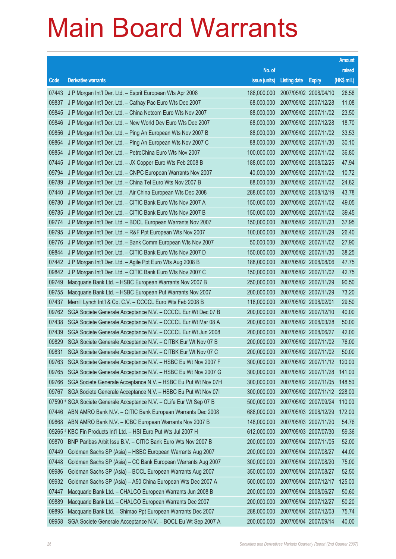|       |                                                                      |               |                       |                       | <b>Amount</b> |
|-------|----------------------------------------------------------------------|---------------|-----------------------|-----------------------|---------------|
|       |                                                                      | No. of        |                       |                       | raised        |
| Code  | <b>Derivative warrants</b>                                           | issue (units) | <b>Listing date</b>   | <b>Expiry</b>         | (HK\$ mil.)   |
| 07443 | J P Morgan Int'l Der. Ltd. - Esprit European Wts Apr 2008            | 188,000,000   | 2007/05/02 2008/04/10 |                       | 28.58         |
| 09837 | J P Morgan Int'l Der. Ltd. - Cathay Pac Euro Wts Dec 2007            | 68,000,000    | 2007/05/02 2007/12/28 |                       | 11.08         |
| 09845 | J P Morgan Int'l Der. Ltd. - China Netcom Euro Wts Nov 2007          | 88,000,000    |                       | 2007/05/02 2007/11/02 | 23.50         |
| 09846 | J P Morgan Int'l Der. Ltd. - New World Dev Euro Wts Dec 2007         | 68,000,000    | 2007/05/02 2007/12/28 |                       | 18.70         |
| 09856 | J P Morgan Int'l Der. Ltd. - Ping An European Wts Nov 2007 B         | 88,000,000    |                       | 2007/05/02 2007/11/02 | 33.53         |
| 09864 | J P Morgan Int'l Der. Ltd. - Ping An European Wts Nov 2007 C         | 88,000,000    | 2007/05/02 2007/11/30 |                       | 30.10         |
| 09854 | J P Morgan Int'l Der. Ltd. - PetroChina Euro Wts Nov 2007            | 100,000,000   |                       | 2007/05/02 2007/11/02 | 36.80         |
| 07445 | J P Morgan Int'l Der. Ltd. - JX Copper Euro Wts Feb 2008 B           | 188,000,000   | 2007/05/02 2008/02/25 |                       | 47.94         |
| 09794 | J P Morgan Int'l Der. Ltd. - CNPC European Warrants Nov 2007         | 40,000,000    |                       | 2007/05/02 2007/11/02 | 10.72         |
| 09789 | J P Morgan Int'l Der. Ltd. - China Tel Euro Wts Nov 2007 B           | 88,000,000    |                       | 2007/05/02 2007/11/02 | 24.82         |
| 07440 | J P Morgan Int'l Der. Ltd. - Air China European Wts Dec 2008         | 288,000,000   | 2007/05/02 2008/12/19 |                       | 43.78         |
| 09780 | J P Morgan Int'l Der. Ltd. - CITIC Bank Euro Wts Nov 2007 A          | 150,000,000   |                       | 2007/05/02 2007/11/02 | 49.05         |
| 09785 | J P Morgan Int'l Der. Ltd. - CITIC Bank Euro Wts Nov 2007 B          | 150,000,000   |                       | 2007/05/02 2007/11/02 | 39.45         |
| 09774 | J P Morgan Int'l Der. Ltd. - BOCL European Warrants Nov 2007         | 150,000,000   | 2007/05/02 2007/11/23 |                       | 37.95         |
| 09795 | J P Morgan Int'l Der. Ltd. - R&F Ppt European Wts Nov 2007           | 100,000,000   | 2007/05/02 2007/11/29 |                       | 26.40         |
| 09776 | J P Morgan Int'l Der. Ltd. - Bank Comm European Wts Nov 2007         | 50,000,000    | 2007/05/02 2007/11/02 |                       | 27.90         |
| 09844 | J P Morgan Int'l Der. Ltd. - CITIC Bank Euro Wts Nov 2007 D          | 150,000,000   |                       | 2007/05/02 2007/11/30 | 38.25         |
| 07442 | J P Morgan Int'l Der. Ltd. - Agile Ppt Euro Wts Aug 2008 B           | 188,000,000   | 2007/05/02 2008/08/06 |                       | 47.75         |
| 09842 | J P Morgan Int'l Der. Ltd. - CITIC Bank Euro Wts Nov 2007 C          | 150,000,000   |                       | 2007/05/02 2007/11/02 | 42.75         |
| 09749 | Macquarie Bank Ltd. - HSBC European Warrants Nov 2007 B              | 250,000,000   | 2007/05/02 2007/11/29 |                       | 90.50         |
| 09755 | Macquarie Bank Ltd. - HSBC European Put Warrants Nov 2007            | 200,000,000   |                       | 2007/05/02 2007/11/29 | 73.20         |
| 07437 | Merrill Lynch Int'l & Co. C.V. - CCCCL Euro Wts Feb 2008 B           | 118,000,000   | 2007/05/02 2008/02/01 |                       | 29.50         |
| 09762 | SGA Societe Generale Acceptance N.V. - CCCCL Eur Wt Dec 07 B         | 200,000,000   | 2007/05/02 2007/12/10 |                       | 40.00         |
| 07438 | SGA Societe Generale Acceptance N.V. - CCCCL Eur Wt Mar 08 A         | 200,000,000   | 2007/05/02 2008/03/28 |                       | 50.00         |
| 07439 | SGA Societe Generale Acceptance N.V. - CCCCL Eur Wt Jun 2008         | 200,000,000   | 2007/05/02 2008/06/27 |                       | 42.00         |
| 09829 | SGA Societe Generale Acceptance N.V. - CITBK Eur Wt Nov 07 B         | 200,000,000   | 2007/05/02 2007/11/02 |                       | 76.00         |
| 09831 | SGA Societe Generale Acceptance N.V. - CITBK Eur Wt Nov 07 C         | 200,000,000   | 2007/05/02 2007/11/02 |                       | 50.00         |
| 09763 | SGA Societe Generale Acceptance N.V. - HSBC Eu Wt Nov 2007 F         | 300,000,000   |                       | 2007/05/02 2007/11/12 | 120.00        |
| 09765 | SGA Societe Generale Acceptance N.V. - HSBC Eu Wt Nov 2007 G         | 300,000,000   |                       | 2007/05/02 2007/11/28 | 141.00        |
| 09766 | SGA Societe Generale Acceptance N.V. - HSBC Eu Put Wt Nov 07H        | 300,000,000   | 2007/05/02 2007/11/05 |                       | 148.50        |
| 09767 | SGA Societe Generale Acceptance N.V. - HSBC Eu Put Wt Nov 071        | 300,000,000   |                       | 2007/05/02 2007/11/12 | 228.00        |
|       | 07590 # SGA Societe Generale Acceptance N.V. - CLife Eur Wt Sep 07 B | 500,000,000   |                       | 2007/05/02 2007/09/24 | 110.00        |
| 07446 | ABN AMRO Bank N.V. - CITIC Bank European Warrants Dec 2008           | 688,000,000   |                       | 2007/05/03 2008/12/29 | 172.00        |
| 09868 | ABN AMRO Bank N.V. - ICBC European Warrants Nov 2007 B               | 148,000,000   | 2007/05/03 2007/11/20 |                       | 54.76         |
|       | 09265 # KBC Fin Products Int'l Ltd. - HSI Euro Put Wts Jul 2007 H    | 612,000,000   | 2007/05/03 2007/07/30 |                       | 59.36         |
| 09870 | BNP Paribas Arbit Issu B.V. - CITIC Bank Euro Wts Nov 2007 B         | 200,000,000   | 2007/05/04 2007/11/05 |                       | 52.00         |
| 07449 | Goldman Sachs SP (Asia) - HSBC European Warrants Aug 2007            | 200,000,000   | 2007/05/04 2007/08/27 |                       | 44.00         |
| 07448 | Goldman Sachs SP (Asia) - CC Bank European Warrants Aug 2007         | 300,000,000   | 2007/05/04 2007/08/20 |                       | 75.00         |
| 09986 | Goldman Sachs SP (Asia) - BOCL European Warrants Aug 2007            | 350,000,000   | 2007/05/04 2007/08/27 |                       | 52.50         |
| 09932 | Goldman Sachs SP (Asia) - A50 China European Wts Dec 2007 A          | 500,000,000   | 2007/05/04 2007/12/17 |                       | 125.00        |
| 07447 | Macquarie Bank Ltd. - CHALCO European Warrants Jun 2008 B            | 200,000,000   | 2007/05/04 2008/06/27 |                       | 50.60         |
| 09889 | Macquarie Bank Ltd. - CHALCO European Warrants Dec 2007              | 200,000,000   | 2007/05/04 2007/12/27 |                       | 50.20         |
| 09895 | Macquarie Bank Ltd. - Shimao Ppt European Warrants Dec 2007          | 288,000,000   | 2007/05/04 2007/12/03 |                       | 75.74         |
| 09958 | SGA Societe Generale Acceptance N.V. - BOCL Eu Wt Sep 2007 A         | 200,000,000   | 2007/05/04 2007/09/14 |                       | 40.00         |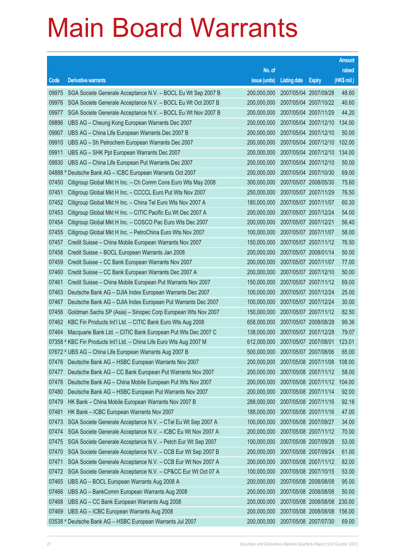|       |                                                                      |                                   |                       |                       | <b>Amount</b> |
|-------|----------------------------------------------------------------------|-----------------------------------|-----------------------|-----------------------|---------------|
|       |                                                                      | No. of                            |                       |                       | raised        |
| Code  | <b>Derivative warrants</b>                                           | issue (units)                     | <b>Listing date</b>   | <b>Expiry</b>         | (HK\$ mil.)   |
| 09975 | SGA Societe Generale Acceptance N.V. - BOCL Eu Wt Sep 2007 B         | 200,000,000                       |                       | 2007/05/04 2007/09/28 | 48.60         |
| 09976 | SGA Societe Generale Acceptance N.V. - BOCL Eu Wt Oct 2007 B         | 200,000,000                       |                       | 2007/05/04 2007/10/22 | 40.60         |
| 09977 | SGA Societe Generale Acceptance N.V. - BOCL Eu Wt Nov 2007 B         | 200,000,000                       |                       | 2007/05/04 2007/11/29 | 44.20         |
| 09896 | UBS AG - Cheung Kong European Warrants Dec 2007                      | 200,000,000                       |                       | 2007/05/04 2007/12/10 | 134.00        |
| 09907 | UBS AG - China Life European Warrants Dec 2007 B                     | 200,000,000                       |                       | 2007/05/04 2007/12/10 | 50.00         |
| 09910 | UBS AG - Sh Petrochem European Warrants Dec 2007                     | 200,000,000                       |                       | 2007/05/04 2007/12/10 | 102.00        |
| 09911 | UBS AG - SHK Ppt European Warrants Dec 2007                          | 200,000,000                       |                       | 2007/05/04 2007/12/10 | 134.00        |
| 09930 | UBS AG - China Life European Put Warrants Dec 2007                   | 200,000,000                       |                       | 2007/05/04 2007/12/10 | 50.00         |
|       | 04888 # Deutsche Bank AG - ICBC European Warrants Oct 2007           | 200,000,000                       |                       | 2007/05/04 2007/10/30 | 69.00         |
| 07450 | Citigroup Global Mkt H Inc. - Ch Comm Cons Euro Wts May 2008         | 300,000,000                       |                       | 2007/05/07 2008/05/30 | 75.60         |
| 07451 | Citigroup Global Mkt H Inc. - CCCCL Euro Put Wts Nov 2007            | 250,000,000                       |                       | 2007/05/07 2007/11/29 | 76.50         |
| 07452 | Citigroup Global Mkt H Inc. - China Tel Euro Wts Nov 2007 A          | 180,000,000                       |                       | 2007/05/07 2007/11/07 | 60.30         |
| 07453 | Citigroup Global Mkt H Inc. - CITIC Pacific Eu Wt Dec 2007 A         | 200,000,000                       |                       | 2007/05/07 2007/12/24 | 54.00         |
| 07454 | Citigroup Global Mkt H Inc. - COSCO Pac Euro Wts Dec 2007            | 200,000,000                       | 2007/05/07 2007/12/21 |                       | 56.40         |
| 07455 | Citigroup Global Mkt H Inc. - PetroChina Euro Wts Nov 2007           | 100,000,000                       |                       | 2007/05/07 2007/11/07 | 58.00         |
| 07457 | Credit Suisse - China Mobile European Warrants Nov 2007              | 150,000,000                       |                       | 2007/05/07 2007/11/12 | 76.50         |
| 07458 | Credit Suisse - BOCL European Warrants Jan 2008                      | 200,000,000                       |                       | 2007/05/07 2008/01/14 | 50.00         |
| 07459 | Credit Suisse - CC Bank European Warrants Nov 2007                   | 200,000,000                       | 2007/05/07 2007/11/07 |                       | 77.00         |
| 07460 | Credit Suisse - CC Bank European Warrants Dec 2007 A                 | 200,000,000                       |                       | 2007/05/07 2007/12/10 | 50.00         |
| 07461 | Credit Suisse - China Mobile European Put Warrants Nov 2007          | 150,000,000                       |                       | 2007/05/07 2007/11/12 | 69.00         |
| 07463 | Deutsche Bank AG - DJIA Index European Warrants Dec 2007             | 100,000,000                       |                       | 2007/05/07 2007/12/24 | 25.00         |
| 07467 | Deutsche Bank AG - DJIA Index European Put Warrants Dec 2007         | 100,000,000                       |                       | 2007/05/07 2007/12/24 | 30.00         |
| 07456 | Goldman Sachs SP (Asia) - Sinopec Corp European Wts Nov 2007         | 150,000,000                       |                       | 2007/05/07 2007/11/12 | 82.50         |
| 07462 | KBC Fin Products Int'l Ltd. - CITIC Bank Euro Wts Aug 2008           | 658,000,000                       |                       | 2007/05/07 2008/08/28 | 99.36         |
| 07464 | Macquarie Bank Ltd. - CITIC Bank European Put Wts Dec 2007 C         | 138,000,000                       |                       | 2007/05/07 2007/12/28 | 79.07         |
|       | 07358 # KBC Fin Products Int'l Ltd. - China Life Euro Wts Aug 2007 M | 612,000,000                       |                       | 2007/05/07 2007/08/01 | 123.01        |
|       | 07672 # UBS AG - China Life European Warrants Aug 2007 B             | 500,000,000 2007/05/07 2007/08/06 |                       |                       | 65.00         |
| 07476 | Deutsche Bank AG - HSBC European Warrants Nov 2007                   | 200,000,000                       |                       | 2007/05/08 2007/11/08 | 108.00        |
| 07477 | Deutsche Bank AG - CC Bank European Put Warrants Nov 2007            | 200,000,000                       |                       | 2007/05/08 2007/11/12 | 58.00         |
| 07478 | Deutsche Bank AG - China Mobile European Put Wts Nov 2007            | 200,000,000                       |                       | 2007/05/08 2007/11/12 | 104.00        |
| 07480 | Deutsche Bank AG - HSBC European Put Warrants Nov 2007               | 200,000,000                       |                       | 2007/05/08 2007/11/14 | 92.00         |
| 07479 | HK Bank - China Mobile European Warrants Nov 2007 B                  | 288,000,000                       |                       | 2007/05/08 2007/11/16 | 92.16         |
| 07481 | HK Bank - ICBC European Warrants Nov 2007                            | 188,000,000                       |                       | 2007/05/08 2007/11/16 | 47.00         |
| 07473 | SGA Societe Generale Acceptance N.V. - CTel Eu Wt Sep 2007 A         | 100,000,000                       | 2007/05/08 2007/09/27 |                       | 34.00         |
| 07474 | SGA Societe Generale Acceptance N.V. - ICBC Eu Wt Nov 2007 A         | 200,000,000                       |                       | 2007/05/08 2007/11/12 | 70.00         |
| 07475 | SGA Societe Generale Acceptance N.V. - Petch Eur Wt Sep 2007         | 100,000,000                       |                       | 2007/05/08 2007/09/28 | 53.00         |
| 07470 | SGA Societe Generale Acceptance N.V. - CCB Eur Wt Sep 2007 B         | 200,000,000                       |                       | 2007/05/08 2007/09/24 | 61.00         |
| 07471 | SGA Societe Generale Acceptance N.V. - CCB Eur Wt Nov 2007 A         | 200,000,000                       |                       | 2007/05/08 2007/11/12 | 82.00         |
| 07472 | SGA Societe Generale Acceptance N.V. - CP&CC Eur Wt Oct 07 A         | 100,000,000                       |                       | 2007/05/08 2007/10/15 | 53.00         |
| 07465 | UBS AG - BOCL European Warrants Aug 2008 A                           | 200,000,000                       |                       | 2007/05/08 2008/08/08 | 95.00         |
| 07466 | UBS AG - BankComm European Warrants Aug 2008                         | 200,000,000                       |                       | 2007/05/08 2008/08/08 | 50.00         |
| 07468 | UBS AG - CC Bank European Warrants Aug 2008                          | 200,000,000                       |                       | 2007/05/08 2008/08/08 | 230.00        |
| 07469 | UBS AG - ICBC European Warrants Aug 2008                             | 200,000,000                       |                       | 2007/05/08 2008/08/08 | 156.00        |
|       | 03538 # Deutsche Bank AG - HSBC European Warrants Jul 2007           | 200,000,000                       | 2007/05/08 2007/07/30 |                       | 69.00         |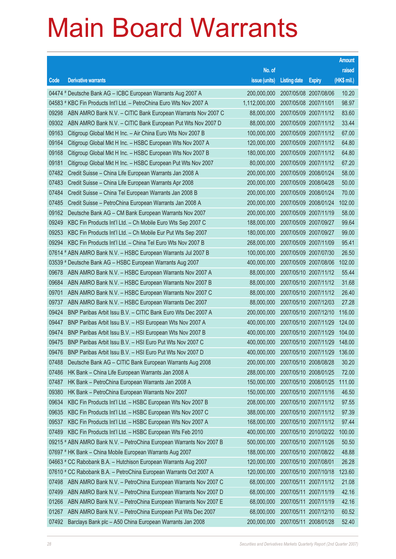|       |                                                                      |                                          |                       |                       | <b>Amount</b> |
|-------|----------------------------------------------------------------------|------------------------------------------|-----------------------|-----------------------|---------------|
|       |                                                                      | No. of                                   |                       |                       | raised        |
| Code  | <b>Derivative warrants</b>                                           | issue (units)                            | <b>Listing date</b>   | <b>Expiry</b>         | (HK\$ mil.)   |
|       | 04474 # Deutsche Bank AG - ICBC European Warrants Aug 2007 A         | 200,000,000                              |                       | 2007/05/08 2007/08/06 | 10.20         |
|       | 04583 # KBC Fin Products Int'l Ltd. - PetroChina Euro Wts Nov 2007 A | 1,112,000,000                            | 2007/05/08 2007/11/01 |                       | 98.97         |
| 09298 | ABN AMRO Bank N.V. - CITIC Bank European Warrants Nov 2007 C         | 88,000,000                               |                       | 2007/05/09 2007/11/12 | 83.60         |
| 09302 | ABN AMRO Bank N.V. - CITIC Bank European Put Wts Nov 2007 D          | 88,000,000                               |                       | 2007/05/09 2007/11/12 | 33.44         |
| 09163 | Citigroup Global Mkt H Inc. - Air China Euro Wts Nov 2007 B          | 100,000,000                              |                       | 2007/05/09 2007/11/12 | 67.00         |
| 09164 | Citigroup Global Mkt H Inc. - HSBC European Wts Nov 2007 A           | 120,000,000                              |                       | 2007/05/09 2007/11/12 | 64.80         |
| 09168 | Citigroup Global Mkt H Inc. - HSBC European Wts Nov 2007 B           | 180,000,000                              |                       | 2007/05/09 2007/11/12 | 64.80         |
| 09181 | Citigroup Global Mkt H Inc. - HSBC European Put Wts Nov 2007         | 80,000,000                               |                       | 2007/05/09 2007/11/12 | 67.20         |
| 07482 | Credit Suisse - China Life European Warrants Jan 2008 A              | 200,000,000                              |                       | 2007/05/09 2008/01/24 | 58.00         |
| 07483 | Credit Suisse – China Life European Warrants Apr 2008                | 200,000,000                              |                       | 2007/05/09 2008/04/28 | 50.00         |
| 07484 | Credit Suisse - China Tel European Warrants Jan 2008 B               | 200,000,000                              |                       | 2007/05/09 2008/01/24 | 70.00         |
| 07485 | Credit Suisse - PetroChina European Warrants Jan 2008 A              | 200,000,000                              |                       | 2007/05/09 2008/01/24 | 102.00        |
| 09162 | Deutsche Bank AG - CM Bank European Warrants Nov 2007                | 200,000,000                              |                       | 2007/05/09 2007/11/19 | 58.00         |
| 09249 | KBC Fin Products Int'l Ltd. - Ch Mobile Euro Wts Sep 2007 C          | 188,000,000                              |                       | 2007/05/09 2007/09/27 | 99.64         |
| 09253 | KBC Fin Products Int'l Ltd. - Ch Mobile Eur Put Wts Sep 2007         | 180,000,000                              |                       | 2007/05/09 2007/09/27 | 99.00         |
| 09294 | KBC Fin Products Int'l Ltd. - China Tel Euro Wts Nov 2007 B          | 268,000,000                              |                       | 2007/05/09 2007/11/09 | 95.41         |
|       | 07614 # ABN AMRO Bank N.V. - HSBC European Warrants Jul 2007 B       | 100,000,000                              |                       | 2007/05/09 2007/07/30 | 26.50         |
|       | 03539 # Deutsche Bank AG - HSBC European Warrants Aug 2007           | 400,000,000                              |                       | 2007/05/09 2007/08/06 | 102.00        |
| 09678 | ABN AMRO Bank N.V. - HSBC European Warrants Nov 2007 A               | 88,000,000                               |                       | 2007/05/10 2007/11/12 | 55.44         |
| 09684 | ABN AMRO Bank N.V. - HSBC European Warrants Nov 2007 B               | 88,000,000                               |                       | 2007/05/10 2007/11/12 | 31.68         |
| 09701 | ABN AMRO Bank N.V. - HSBC European Warrants Nov 2007 C               | 88,000,000                               |                       | 2007/05/10 2007/11/12 | 26.40         |
| 09737 | ABN AMRO Bank N.V. - HSBC European Warrants Dec 2007                 | 88,000,000                               |                       | 2007/05/10 2007/12/03 | 27.28         |
| 09424 | BNP Paribas Arbit Issu B.V. - CITIC Bank Euro Wts Dec 2007 A         | 200,000,000                              |                       | 2007/05/10 2007/12/10 | 116.00        |
| 09447 | BNP Paribas Arbit Issu B.V. - HSI European Wts Nov 2007 A            | 400,000,000                              |                       | 2007/05/10 2007/11/29 | 124.00        |
| 09474 | BNP Paribas Arbit Issu B.V. - HSI European Wts Nov 2007 B            | 400,000,000                              |                       | 2007/05/10 2007/11/29 | 104.00        |
| 09475 | BNP Paribas Arbit Issu B.V. - HSI Euro Put Wts Nov 2007 C            | 400,000,000                              |                       | 2007/05/10 2007/11/29 | 148.00        |
| 09476 | BNP Paribas Arbit Issu B.V. - HSI Euro Put Wts Nov 2007 D            | 400,000,000 2007/05/10 2007/11/29 136.00 |                       |                       |               |
| 07488 | Deutsche Bank AG - CITIC Bank European Warrants Aug 2008             | 200,000,000                              |                       | 2007/05/10 2008/08/28 | 30.20         |
| 07486 | HK Bank - China Life European Warrants Jan 2008 A                    | 288,000,000                              |                       | 2007/05/10 2008/01/25 | 72.00         |
| 07487 | HK Bank - PetroChina European Warrants Jan 2008 A                    | 150,000,000                              |                       | 2007/05/10 2008/01/25 | 111.00        |
| 09380 | HK Bank - PetroChina European Warrants Nov 2007                      | 150,000,000                              |                       | 2007/05/10 2007/11/16 | 46.50         |
| 09634 | KBC Fin Products Int'l Ltd. - HSBC European Wts Nov 2007 B           | 208,000,000                              |                       | 2007/05/10 2007/11/12 | 97.55         |
| 09635 | KBC Fin Products Int'l Ltd. - HSBC European Wts Nov 2007 C           | 388,000,000                              |                       | 2007/05/10 2007/11/12 | 97.39         |
| 09537 | KBC Fin Products Int'l Ltd. - HSBC European Wts Nov 2007 A           | 168,000,000                              |                       | 2007/05/10 2007/11/12 | 97.44         |
| 07489 | KBC Fin Products Int'l Ltd. - HSBC European Wts Feb 2010             | 400,000,000                              |                       | 2007/05/10 2010/02/22 | 100.00        |
|       | 09215 # ABN AMRO Bank N.V. - PetroChina European Warrants Nov 2007 B | 500,000,000                              |                       | 2007/05/10 2007/11/26 | 50.50         |
|       | 07697 # HK Bank - China Mobile European Warrants Aug 2007            | 188,000,000                              |                       | 2007/05/10 2007/08/22 | 48.88         |
|       | 04663 # CC Rabobank B.A. - Hutchison European Warrants Aug 2007      | 120,000,000                              | 2007/05/10 2007/08/01 |                       | 26.28         |
|       | 07610 # CC Rabobank B.A. - PetroChina European Warrants Oct 2007 A   | 120,000,000                              |                       | 2007/05/10 2007/10/18 | 123.60        |
| 07498 | ABN AMRO Bank N.V. - PetroChina European Warrants Nov 2007 C         | 68,000,000                               |                       | 2007/05/11 2007/11/12 | 21.08         |
| 07499 | ABN AMRO Bank N.V. - PetroChina European Warrants Nov 2007 D         | 68,000,000                               |                       | 2007/05/11 2007/11/19 | 42.16         |
| 01266 | ABN AMRO Bank N.V. - PetroChina European Warrants Nov 2007 E         | 68,000,000                               |                       | 2007/05/11 2007/11/19 | 42.16         |
| 01267 | ABN AMRO Bank N.V. - PetroChina European Put Wts Dec 2007            | 68,000,000                               |                       | 2007/05/11 2007/12/10 | 60.52         |
| 07492 | Barclays Bank plc - A50 China European Warrants Jan 2008             | 200,000,000                              |                       | 2007/05/11 2008/01/28 | 52.40         |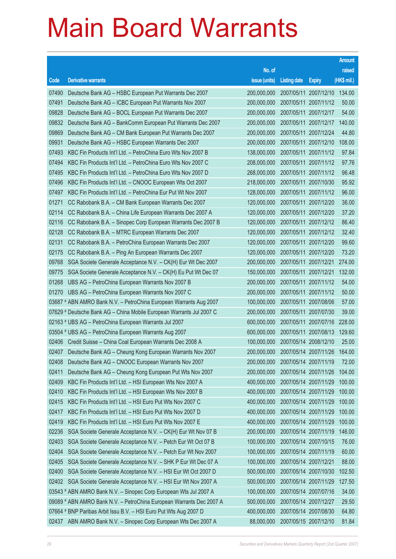|       |                                                                      |                                          |                       |                       | <b>Amount</b> |
|-------|----------------------------------------------------------------------|------------------------------------------|-----------------------|-----------------------|---------------|
|       |                                                                      | No. of                                   |                       |                       | raised        |
| Code  | <b>Derivative warrants</b>                                           | issue (units)                            | <b>Listing date</b>   | <b>Expiry</b>         | (HK\$ mil.)   |
| 07490 | Deutsche Bank AG - HSBC European Put Warrants Dec 2007               | 200,000,000                              |                       | 2007/05/11 2007/12/10 | 134.00        |
| 07491 | Deutsche Bank AG - ICBC European Put Warrants Nov 2007               | 200,000,000                              |                       | 2007/05/11 2007/11/12 | 50.00         |
| 09828 | Deutsche Bank AG - BOCL European Put Warrants Dec 2007               | 200,000,000                              |                       | 2007/05/11 2007/12/17 | 54.00         |
| 09832 | Deutsche Bank AG - BankComm European Put Warrants Dec 2007           | 200,000,000                              |                       | 2007/05/11 2007/12/17 | 140.00        |
| 09869 | Deutsche Bank AG - CM Bank European Put Warrants Dec 2007            | 200,000,000                              |                       | 2007/05/11 2007/12/24 | 44.80         |
| 09931 | Deutsche Bank AG - HSBC European Warrants Dec 2007                   | 200,000,000                              |                       | 2007/05/11 2007/12/10 | 108.00        |
| 07493 | KBC Fin Products Int'l Ltd. - PetroChina Euro Wts Nov 2007 B         | 138,000,000                              |                       | 2007/05/11 2007/11/12 | 97.84         |
| 07494 | KBC Fin Products Int'l Ltd. - PetroChina Euro Wts Nov 2007 C         | 208,000,000                              |                       | 2007/05/11 2007/11/12 | 97.76         |
| 07495 | KBC Fin Products Int'l Ltd. - PetroChina Euro Wts Nov 2007 D         | 268,000,000                              |                       | 2007/05/11 2007/11/12 | 96.48         |
| 07496 | KBC Fin Products Int'l Ltd. - CNOOC European Wts Oct 2007            | 218,000,000                              |                       | 2007/05/11 2007/10/30 | 95.92         |
| 07497 | KBC Fin Products Int'l Ltd. - PetroChina Eur Put Wt Nov 2007         | 128,000,000                              |                       | 2007/05/11 2007/11/12 | 96.00         |
| 01271 | CC Rabobank B.A. - CM Bank European Warrants Dec 2007                | 120,000,000                              |                       | 2007/05/11 2007/12/20 | 36.00         |
| 02114 | CC Rabobank B.A. - China Life European Warrants Dec 2007 A           | 120,000,000                              |                       | 2007/05/11 2007/12/20 | 37.20         |
| 02116 | CC Rabobank B.A. - Sinopec Corp European Warrants Dec 2007 B         | 120,000,000                              |                       | 2007/05/11 2007/12/12 | 86.40         |
| 02128 | CC Rabobank B.A. - MTRC European Warrants Dec 2007                   | 120,000,000                              |                       | 2007/05/11 2007/12/12 | 32.40         |
| 02131 | CC Rabobank B.A. - PetroChina European Warrants Dec 2007             | 120,000,000                              |                       | 2007/05/11 2007/12/20 | 99.60         |
| 02175 | CC Rabobank B.A. - Ping An European Warrants Dec 2007                | 120,000,000                              |                       | 2007/05/11 2007/12/20 | 73.20         |
| 09768 | SGA Societe Generale Acceptance N.V. - CK(H) Eur Wt Dec 2007         | 200,000,000                              | 2007/05/11 2007/12/21 |                       | 274.00        |
| 09775 | SGA Societe Generale Acceptance N.V. - CK(H) Eu Put Wt Dec 07        | 150,000,000                              |                       | 2007/05/11 2007/12/21 | 132.00        |
| 01268 | UBS AG - PetroChina European Warrants Nov 2007 B                     | 200,000,000                              |                       | 2007/05/11 2007/11/12 | 54.00         |
| 01270 | UBS AG - PetroChina European Warrants Nov 2007 C                     | 200,000,000                              |                       | 2007/05/11 2007/11/12 | 50.00         |
|       | 03687 # ABN AMRO Bank N.V. - PetroChina European Warrants Aug 2007   | 100,000,000                              |                       | 2007/05/11 2007/08/06 | 57.00         |
|       | 07629 # Deutsche Bank AG - China Mobile European Warrants Jul 2007 C | 200,000,000                              |                       | 2007/05/11 2007/07/30 | 39.00         |
|       | 02163 # UBS AG - PetroChina European Warrants Jul 2007               | 600,000,000                              |                       | 2007/05/11 2007/07/16 | 228.00        |
|       | 03504 # UBS AG - PetroChina European Warrants Aug 2007               | 600,000,000                              |                       | 2007/05/11 2007/08/13 | 129.60        |
| 02406 | Credit Suisse – China Coal European Warrants Dec 2008 A              | 100,000,000                              |                       | 2007/05/14 2008/12/10 | 25.00         |
|       | 02407 Deutsche Bank AG - Cheung Kong European Warrants Nov 2007      | 200,000,000 2007/05/14 2007/11/26 164.00 |                       |                       |               |
| 02408 | Deutsche Bank AG - CNOOC European Warrants Nov 2007                  | 200,000,000                              |                       | 2007/05/14 2007/11/19 | 72.00         |
| 02411 | Deutsche Bank AG - Cheung Kong European Put Wts Nov 2007             | 200,000,000                              |                       | 2007/05/14 2007/11/26 | 104.00        |
| 02409 | KBC Fin Products Int'l Ltd. - HSI European Wts Nov 2007 A            | 400,000,000                              |                       | 2007/05/14 2007/11/29 | 100.00        |
| 02410 | KBC Fin Products Int'l Ltd. - HSI European Wts Nov 2007 B            | 400,000,000                              |                       | 2007/05/14 2007/11/29 | 100.00        |
| 02415 | KBC Fin Products Int'l Ltd. - HSI Euro Put Wts Nov 2007 C            | 400,000,000                              |                       | 2007/05/14 2007/11/29 | 100.00        |
| 02417 | KBC Fin Products Int'l Ltd. - HSI Euro Put Wts Nov 2007 D            | 400,000,000                              |                       | 2007/05/14 2007/11/29 | 100.00        |
| 02419 | KBC Fin Products Int'l Ltd. - HSI Euro Put Wts Nov 2007 E            | 400,000,000                              |                       | 2007/05/14 2007/11/29 | 100.00        |
| 02236 | SGA Societe Generale Acceptance N.V. - CK(H) Eur Wt Nov 07 B         | 200,000,000                              |                       | 2007/05/14 2007/11/19 | 146.00        |
| 02403 | SGA Societe Generale Acceptance N.V. - Petch Eur Wt Oct 07 B         | 100,000,000                              |                       | 2007/05/14 2007/10/15 | 76.00         |
| 02404 | SGA Societe Generale Acceptance N.V. - Petch Eur Wt Nov 2007         | 100,000,000                              |                       | 2007/05/14 2007/11/19 | 60.00         |
| 02405 | SGA Societe Generale Acceptance N.V. - SHK P Eur Wt Dec 07 A         | 100,000,000                              | 2007/05/14 2007/12/21 |                       | 88.00         |
| 02400 | SGA Societe Generale Acceptance N.V. - HSI Eur Wt Oct 2007 D         | 500,000,000                              |                       | 2007/05/14 2007/10/30 | 102.50        |
| 02402 | SGA Societe Generale Acceptance N.V. - HSI Eur Wt Nov 2007 A         | 500,000,000                              |                       | 2007/05/14 2007/11/29 | 127.50        |
|       | 03543 # ABN AMRO Bank N.V. - Sinopec Corp European Wts Jul 2007 A    | 100,000,000                              |                       | 2007/05/14 2007/07/16 | 34.00         |
|       | 09089 # ABN AMRO Bank N.V. - PetroChina European Warrants Dec 2007 A | 500,000,000                              | 2007/05/14 2007/12/27 |                       | 29.50         |
|       | 07664 # BNP Paribas Arbit Issu B.V. - HSI Euro Put Wts Aug 2007 D    | 400,000,000                              |                       | 2007/05/14 2007/08/30 | 64.80         |
| 02437 | ABN AMRO Bank N.V. - Sinopec Corp European Wts Dec 2007 A            | 88,000,000                               |                       | 2007/05/15 2007/12/10 | 81.84         |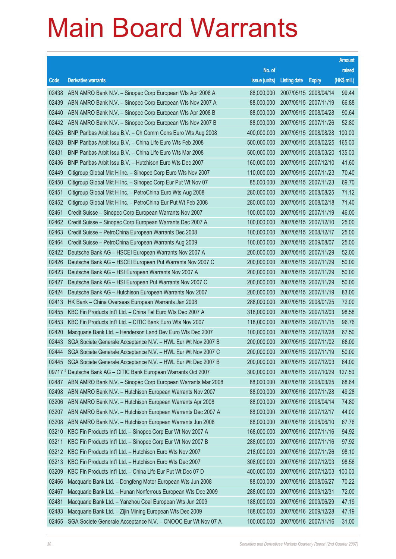|       |                                                                  |               |                       |                       | <b>Amount</b> |
|-------|------------------------------------------------------------------|---------------|-----------------------|-----------------------|---------------|
|       |                                                                  | No. of        |                       |                       | raised        |
| Code  | <b>Derivative warrants</b>                                       | issue (units) | <b>Listing date</b>   | <b>Expiry</b>         | (HK\$ mil.)   |
| 02438 | ABN AMRO Bank N.V. - Sinopec Corp European Wts Apr 2008 A        | 88,000,000    |                       | 2007/05/15 2008/04/14 | 99.44         |
| 02439 | ABN AMRO Bank N.V. - Sinopec Corp European Wts Nov 2007 A        | 88,000,000    | 2007/05/15 2007/11/19 |                       | 66.88         |
| 02440 | ABN AMRO Bank N.V. - Sinopec Corp European Wts Apr 2008 B        | 88,000,000    |                       | 2007/05/15 2008/04/28 | 90.64         |
| 02442 | ABN AMRO Bank N.V. - Sinopec Corp European Wts Nov 2007 B        | 88,000,000    |                       | 2007/05/15 2007/11/26 | 52.80         |
| 02425 | BNP Paribas Arbit Issu B.V. - Ch Comm Cons Euro Wts Aug 2008     | 400,000,000   |                       | 2007/05/15 2008/08/28 | 100.00        |
| 02428 | BNP Paribas Arbit Issu B.V. - China Life Euro Wts Feb 2008       | 500,000,000   |                       | 2007/05/15 2008/02/25 | 165.00        |
| 02431 | BNP Paribas Arbit Issu B.V. - China Life Euro Wts Mar 2008       | 500,000,000   |                       | 2007/05/15 2008/03/20 | 135.00        |
| 02436 | BNP Paribas Arbit Issu B.V. - Hutchison Euro Wts Dec 2007        | 160,000,000   |                       | 2007/05/15 2007/12/10 | 41.60         |
| 02449 | Citigroup Global Mkt H Inc. - Sinopec Corp Euro Wts Nov 2007     | 110,000,000   | 2007/05/15 2007/11/23 |                       | 70.40         |
| 02450 | Citigroup Global Mkt H Inc. - Sinopec Corp Eur Put Wt Nov 07     | 85,000,000    |                       | 2007/05/15 2007/11/23 | 69.70         |
| 02451 | Citigroup Global Mkt H Inc. - PetroChina Euro Wts Aug 2008       | 280,000,000   |                       | 2007/05/15 2008/08/25 | 71.12         |
| 02452 | Citigroup Global Mkt H Inc. - PetroChina Eur Put Wt Feb 2008     | 280,000,000   |                       | 2007/05/15 2008/02/18 | 71.40         |
| 02461 | Credit Suisse – Sinopec Corp European Warrants Nov 2007          | 100,000,000   | 2007/05/15 2007/11/19 |                       | 46.00         |
| 02462 | Credit Suisse - Sinopec Corp European Warrants Dec 2007 A        | 100,000,000   | 2007/05/15 2007/12/10 |                       | 25.00         |
| 02463 | Credit Suisse - PetroChina European Warrants Dec 2008            | 100,000,000   | 2007/05/15 2008/12/17 |                       | 25.00         |
| 02464 | Credit Suisse - PetroChina European Warrants Aug 2009            | 100,000,000   | 2007/05/15 2009/08/07 |                       | 25.00         |
| 02422 | Deutsche Bank AG - HSCEI European Warrants Nov 2007 A            | 200,000,000   | 2007/05/15 2007/11/29 |                       | 52.00         |
| 02426 | Deutsche Bank AG - HSCEI European Put Warrants Nov 2007 C        | 200,000,000   | 2007/05/15 2007/11/29 |                       | 50.00         |
| 02423 | Deutsche Bank AG - HSI European Warrants Nov 2007 A              | 200,000,000   |                       | 2007/05/15 2007/11/29 | 50.00         |
| 02427 | Deutsche Bank AG - HSI European Put Warrants Nov 2007 C          | 200,000,000   | 2007/05/15 2007/11/29 |                       | 50.00         |
| 02424 | Deutsche Bank AG - Hutchison European Warrants Nov 2007          | 200,000,000   | 2007/05/15 2007/11/19 |                       | 83.00         |
| 02413 | HK Bank – China Overseas European Warrants Jan 2008              | 288,000,000   |                       | 2007/05/15 2008/01/25 | 72.00         |
| 02455 | KBC Fin Products Int'l Ltd. - China Tel Euro Wts Dec 2007 A      | 318,000,000   | 2007/05/15 2007/12/03 |                       | 98.58         |
| 02453 | KBC Fin Products Int'l Ltd. - CITIC Bank Euro Wts Nov 2007       | 118,000,000   |                       | 2007/05/15 2007/11/15 | 96.76         |
| 02420 | Macquarie Bank Ltd. - Henderson Land Dev Euro Wts Dec 2007       | 100,000,000   | 2007/05/15 2007/12/28 |                       | 67.50         |
| 02443 | SGA Societe Generale Acceptance N.V. - HWL Eur Wt Nov 2007 B     | 200,000,000   |                       | 2007/05/15 2007/11/02 | 68.00         |
| 02444 | SGA Societe Generale Acceptance N.V. - HWL Eur Wt Nov 2007 C     | 200,000,000   | 2007/05/15 2007/11/19 |                       | 50.00         |
| 02445 | SGA Societe Generale Acceptance N.V. - HWL Eur Wt Dec 2007 B     | 200,000,000   | 2007/05/15 2007/12/03 |                       | 64.00         |
|       | 09717 # Deutsche Bank AG - CITIC Bank European Warrants Oct 2007 | 300,000,000   |                       | 2007/05/15 2007/10/29 | 127.50        |
| 02487 | ABN AMRO Bank N.V. - Sinopec Corp European Warrants Mar 2008     | 88,000,000    | 2007/05/16 2008/03/25 |                       | 68.64         |
| 02498 | ABN AMRO Bank N.V. - Hutchison European Warrants Nov 2007        | 88,000,000    |                       | 2007/05/16 2007/11/28 | 49.28         |
| 03206 | ABN AMRO Bank N.V. - Hutchison European Warrants Apr 2008        | 88,000,000    |                       | 2007/05/16 2008/04/14 | 74.80         |
| 03207 | ABN AMRO Bank N.V. - Hutchison European Warrants Dec 2007 A      | 88,000,000    |                       | 2007/05/16 2007/12/17 | 44.00         |
| 03208 | ABN AMRO Bank N.V. - Hutchison European Warrants Jun 2008        | 88,000,000    | 2007/05/16 2008/06/10 |                       | 67.76         |
| 03210 | KBC Fin Products Int'l Ltd. - Sinopec Corp Eur Wt Nov 2007 A     | 168,000,000   |                       | 2007/05/16 2007/11/16 | 94.92         |
| 03211 | KBC Fin Products Int'l Ltd. - Sinopec Corp Eur Wt Nov 2007 B     | 288,000,000   | 2007/05/16 2007/11/16 |                       | 97.92         |
| 03212 | KBC Fin Products Int'l Ltd. - Hutchison Euro Wts Nov 2007        | 218,000,000   |                       | 2007/05/16 2007/11/26 | 98.10         |
| 03213 | KBC Fin Products Int'l Ltd. - Hutchison Euro Wts Dec 2007        | 308,000,000   | 2007/05/16 2007/12/03 |                       | 98.56         |
| 03209 | KBC Fin Products Int'l Ltd. - China Life Eur Put Wt Dec 07 D     | 400,000,000   |                       | 2007/05/16 2007/12/03 | 100.00        |
| 02466 | Macquarie Bank Ltd. - Dongfeng Motor European Wts Jun 2008       | 88,000,000    | 2007/05/16 2008/06/27 |                       | 70.22         |
| 02467 | Macquarie Bank Ltd. - Hunan Nonferrous European Wts Dec 2009     | 288,000,000   | 2007/05/16 2009/12/31 |                       | 72.00         |
| 02481 | Macquarie Bank Ltd. - Yanzhou Coal European Wts Jun 2009         | 188,000,000   | 2007/05/16 2009/06/29 |                       | 47.19         |
| 02483 | Macquarie Bank Ltd. - Zijin Mining European Wts Dec 2009         | 188,000,000   | 2007/05/16 2009/12/28 |                       | 47.19         |
| 02465 | SGA Societe Generale Acceptance N.V. - CNOOC Eur Wt Nov 07 A     | 100,000,000   | 2007/05/16 2007/11/16 |                       | 31.00         |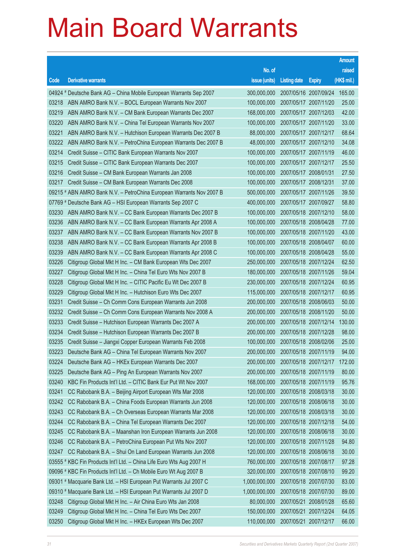|       |                                                                      |                                   |                       |                       | <b>Amount</b> |
|-------|----------------------------------------------------------------------|-----------------------------------|-----------------------|-----------------------|---------------|
|       |                                                                      | No. of                            |                       |                       | raised        |
| Code  | <b>Derivative warrants</b>                                           | issue (units)                     | <b>Listing date</b>   | <b>Expiry</b>         | (HK\$ mil.)   |
|       | 04924 # Deutsche Bank AG – China Mobile European Warrants Sep 2007   | 300,000,000                       |                       | 2007/05/16 2007/09/24 | 165.00        |
| 03218 | ABN AMRO Bank N.V. - BOCL European Warrants Nov 2007                 | 100,000,000                       | 2007/05/17 2007/11/20 |                       | 25.00         |
| 03219 | ABN AMRO Bank N.V. - CM Bank European Warrants Dec 2007              | 168,000,000                       |                       | 2007/05/17 2007/12/03 | 42.00         |
| 03220 | ABN AMRO Bank N.V. - China Tel European Warrants Nov 2007            | 100,000,000                       | 2007/05/17 2007/11/20 |                       | 33.00         |
| 03221 | ABN AMRO Bank N.V. - Hutchison European Warrants Dec 2007 B          | 88,000,000                        |                       | 2007/05/17 2007/12/17 | 68.64         |
| 03222 | ABN AMRO Bank N.V. - PetroChina European Warrants Dec 2007 B         | 48,000,000                        | 2007/05/17 2007/12/10 |                       | 34.08         |
| 03214 | Credit Suisse - CITIC Bank European Warrants Nov 2007                | 100,000,000                       |                       | 2007/05/17 2007/11/19 | 46.00         |
| 03215 | Credit Suisse – CITIC Bank European Warrants Dec 2007                | 100,000,000                       | 2007/05/17 2007/12/17 |                       | 25.50         |
| 03216 | Credit Suisse - CM Bank European Warrants Jan 2008                   | 100,000,000                       | 2007/05/17 2008/01/31 |                       | 27.50         |
| 03217 | Credit Suisse - CM Bank European Warrants Dec 2008                   | 100,000,000                       | 2007/05/17 2008/12/31 |                       | 37.00         |
|       | 09215 # ABN AMRO Bank N.V. - PetroChina European Warrants Nov 2007 B | 500,000,000                       |                       | 2007/05/17 2007/11/26 | 39.50         |
|       | 07769 # Deutsche Bank AG - HSI European Warrants Sep 2007 C          | 400,000,000                       | 2007/05/17 2007/09/27 |                       | 58.80         |
| 03230 | ABN AMRO Bank N.V. - CC Bank European Warrants Dec 2007 B            | 100,000,000                       |                       | 2007/05/18 2007/12/10 | 58.00         |
| 03236 | ABN AMRO Bank N.V. - CC Bank European Warrants Apr 2008 A            | 100,000,000                       | 2007/05/18 2008/04/28 |                       | 77.00         |
| 03237 | ABN AMRO Bank N.V. - CC Bank European Warrants Nov 2007 B            | 100,000,000                       |                       | 2007/05/18 2007/11/20 | 43.00         |
| 03238 | ABN AMRO Bank N.V. - CC Bank European Warrants Apr 2008 B            | 100,000,000                       | 2007/05/18 2008/04/07 |                       | 60.00         |
| 03239 | ABN AMRO Bank N.V. - CC Bank European Warrants Apr 2008 C            | 100,000,000                       |                       | 2007/05/18 2008/04/28 | 55.00         |
| 03226 | Citigroup Global Mkt H Inc. - CM Bank European Wts Dec 2007          | 250,000,000                       | 2007/05/18 2007/12/24 |                       | 62.50         |
| 03227 | Citigroup Global Mkt H Inc. - China Tel Euro Wts Nov 2007 B          | 180,000,000                       |                       | 2007/05/18 2007/11/26 | 59.04         |
| 03228 | Citigroup Global Mkt H Inc. - CITIC Pacific Eu Wt Dec 2007 B         | 230,000,000                       | 2007/05/18 2007/12/24 |                       | 60.95         |
| 03229 | Citigroup Global Mkt H Inc. - Hutchison Euro Wts Dec 2007            | 115,000,000                       |                       | 2007/05/18 2007/12/17 | 60.95         |
| 03231 | Credit Suisse - Ch Comm Cons European Warrants Jun 2008              | 200,000,000                       | 2007/05/18 2008/06/03 |                       | 50.00         |
| 03232 | Credit Suisse - Ch Comm Cons European Warrants Nov 2008 A            | 200,000,000                       |                       | 2007/05/18 2008/11/20 | 50.00         |
| 03233 | Credit Suisse - Hutchison European Warrants Dec 2007 A               | 200,000,000                       | 2007/05/18 2007/12/14 |                       | 130.00        |
| 03234 | Credit Suisse - Hutchison European Warrants Dec 2007 B               | 200,000,000                       |                       | 2007/05/18 2007/12/28 | 98.00         |
| 03235 | Credit Suisse - Jiangxi Copper European Warrants Feb 2008            | 100,000,000                       | 2007/05/18 2008/02/06 |                       | 25.00         |
|       | 03223 Deutsche Bank AG - China Tel European Warrants Nov 2007        | 200,000,000 2007/05/18 2007/11/19 |                       |                       | 94.00         |
| 03224 | Deutsche Bank AG - HKEx European Warrants Dec 2007                   | 200,000,000                       | 2007/05/18 2007/12/17 |                       | 172.00        |
| 03225 | Deutsche Bank AG - Ping An European Warrants Nov 2007                | 200,000,000                       |                       | 2007/05/18 2007/11/19 | 80.00         |
| 03240 | KBC Fin Products Int'l Ltd. - CITIC Bank Eur Put Wt Nov 2007         | 168,000,000                       | 2007/05/18 2007/11/19 |                       | 95.76         |
| 03241 | CC Rabobank B.A. - Beijing Airport European Wts Mar 2008             | 120,000,000                       |                       | 2007/05/18 2008/03/18 | 30.00         |
| 03242 | CC Rabobank B.A. - China Foods European Warrants Jun 2008            | 120,000,000                       |                       | 2007/05/18 2008/06/18 | 30.00         |
| 03243 | CC Rabobank B.A. - Ch Overseas European Warrants Mar 2008            | 120,000,000                       |                       | 2007/05/18 2008/03/18 | 30.00         |
| 03244 | CC Rabobank B.A. - China Tel European Warrants Dec 2007              | 120,000,000                       | 2007/05/18 2007/12/18 |                       | 54.00         |
| 03245 | CC Rabobank B.A. - Maanshan Iron European Warrants Jun 2008          | 120,000,000                       |                       | 2007/05/18 2008/06/18 | 30.00         |
| 03246 | CC Rabobank B.A. - PetroChina European Put Wts Nov 2007              | 120,000,000                       |                       | 2007/05/18 2007/11/28 | 94.80         |
| 03247 | CC Rabobank B.A. - Shui On Land European Warrants Jun 2008           | 120,000,000                       |                       | 2007/05/18 2008/06/18 | 30.00         |
|       | 03555 # KBC Fin Products Int'l Ltd. - China Life Euro Wts Aug 2007 H | 760,000,000                       |                       | 2007/05/18 2007/08/17 | 97.28         |
|       | 09096 # KBC Fin Products Int'l Ltd. - Ch Mobile Euro Wt Aug 2007 B   | 320,000,000                       |                       | 2007/05/18 2007/08/10 | 99.20         |
|       | 09301 # Macquarie Bank Ltd. - HSI European Put Warrants Jul 2007 C   | 1,000,000,000                     |                       | 2007/05/18 2007/07/30 | 83.00         |
|       | 09310 # Macquarie Bank Ltd. - HSI European Put Warrants Jul 2007 D   | 1,000,000,000                     |                       | 2007/05/18 2007/07/30 | 89.00         |
| 03248 | Citigroup Global Mkt H Inc. - Air China Euro Wts Jan 2008            | 80,000,000                        | 2007/05/21 2008/01/28 |                       | 65.60         |
| 03249 | Citigroup Global Mkt H Inc. - China Tel Euro Wts Dec 2007            | 150,000,000                       |                       | 2007/05/21 2007/12/24 | 64.05         |
| 03250 | Citigroup Global Mkt H Inc. - HKEx European Wts Dec 2007             | 110,000,000                       | 2007/05/21 2007/12/17 |                       | 66.00         |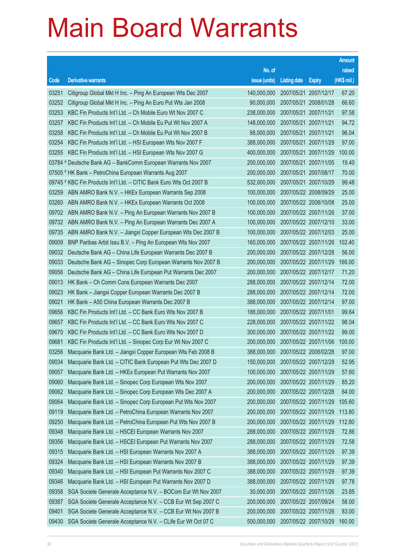|       |                                                                      |                                   |                       |                       | <b>Amount</b> |
|-------|----------------------------------------------------------------------|-----------------------------------|-----------------------|-----------------------|---------------|
|       |                                                                      | No. of                            |                       |                       | raised        |
| Code  | <b>Derivative warrants</b>                                           | issue (units)                     | <b>Listing date</b>   | <b>Expiry</b>         | (HK\$ mil.)   |
| 03251 | Citigroup Global Mkt H Inc. - Ping An European Wts Dec 2007          | 140,000,000                       |                       | 2007/05/21 2007/12/17 | 67.20         |
| 03252 | Citigroup Global Mkt H Inc. - Ping An Euro Put Wts Jan 2008          | 90,000,000                        |                       | 2007/05/21 2008/01/28 | 66.60         |
| 03253 | KBC Fin Products Int'l Ltd. - Ch Mobile Euro Wt Nov 2007 C           | 238,000,000                       | 2007/05/21 2007/11/21 |                       | 97.58         |
| 03257 | KBC Fin Products Int'l Ltd. - Ch Mobile Eu Put Wt Nov 2007 A         | 148,000,000                       | 2007/05/21 2007/11/21 |                       | 94.72         |
| 03258 | KBC Fin Products Int'l Ltd. - Ch Mobile Eu Put Wt Nov 2007 B         | 98,000,000                        |                       | 2007/05/21 2007/11/21 | 96.04         |
| 03254 | KBC Fin Products Int'l Ltd. - HSI European Wts Nov 2007 F            | 388,000,000                       |                       | 2007/05/21 2007/11/29 | 97.00         |
| 03255 | KBC Fin Products Int'l Ltd. - HSI European Wts Nov 2007 G            | 400,000,000                       |                       | 2007/05/21 2007/11/29 | 100.00        |
|       | 03784 # Deutsche Bank AG - BankComm European Warrants Nov 2007       | 200,000,000                       |                       | 2007/05/21 2007/11/05 | 19.40         |
|       | 07505 # HK Bank - PetroChina European Warrants Aug 2007              | 200,000,000                       |                       | 2007/05/21 2007/08/17 | 70.00         |
|       | 09745 # KBC Fin Products Int'l Ltd. - CITIC Bank Euro Wts Oct 2007 B | 532,000,000                       |                       | 2007/05/21 2007/10/29 | 99.48         |
| 03259 | ABN AMRO Bank N.V. - HKEx European Warrants Sep 2008                 | 100,000,000                       |                       | 2007/05/22 2008/09/29 | 25.00         |
| 03260 | ABN AMRO Bank N.V. - HKEx European Warrants Oct 2008                 | 100,000,000                       | 2007/05/22 2008/10/08 |                       | 25.00         |
| 09702 | ABN AMRO Bank N.V. - Ping An European Warrants Nov 2007 B            | 100,000,000                       |                       | 2007/05/22 2007/11/26 | 37.00         |
| 09732 | ABN AMRO Bank N.V. - Ping An European Warrants Dec 2007 A            | 100,000,000                       |                       | 2007/05/22 2007/12/10 | 33.00         |
| 09735 | ABN AMRO Bank N.V. - Jiangxi Copper European Wts Dec 2007 B          | 100,000,000                       |                       | 2007/05/22 2007/12/03 | 25.00         |
| 09009 | BNP Paribas Arbit Issu B.V. - Ping An European Wts Nov 2007          | 160,000,000                       |                       | 2007/05/22 2007/11/26 | 102.40        |
| 09032 | Deutsche Bank AG - China Life European Warrants Dec 2007 B           | 200,000,000                       |                       | 2007/05/22 2007/12/28 | 56.00         |
| 09033 | Deutsche Bank AG - Sinopec Corp European Warrants Nov 2007 B         | 200,000,000                       |                       | 2007/05/22 2007/11/29 | 166.00        |
| 09056 | Deutsche Bank AG - China Life European Put Warrants Dec 2007         | 200,000,000                       |                       | 2007/05/22 2007/12/17 | 71.20         |
| 09013 | HK Bank - Ch Comm Cons European Warrants Dec 2007                    | 288,000,000                       |                       | 2007/05/22 2007/12/14 | 72.00         |
| 09023 | HK Bank - Jiangxi Copper European Warrants Dec 2007 B                | 288,000,000                       |                       | 2007/05/22 2007/12/14 | 72.00         |
| 09021 | HK Bank - A50 China European Warrants Dec 2007 B                     | 388,000,000                       |                       | 2007/05/22 2007/12/14 | 97.00         |
| 09656 | KBC Fin Products Int'l Ltd. - CC Bank Euro Wts Nov 2007 B            | 188,000,000                       |                       | 2007/05/22 2007/11/01 | 99.64         |
| 09657 | KBC Fin Products Int'l Ltd. - CC Bank Euro Wts Nov 2007 C            | 228,000,000                       |                       | 2007/05/22 2007/11/22 | 98.04         |
| 09670 | KBC Fin Products Int'l Ltd. - CC Bank Euro Wts Nov 2007 D            | 300,000,000                       |                       | 2007/05/22 2007/11/22 | 99.00         |
| 09681 | KBC Fin Products Int'l Ltd. - Sinopec Corp Eur Wt Nov 2007 C         | 200,000,000                       |                       | 2007/05/22 2007/11/06 | 100.00        |
| 03256 | Macquarie Bank Ltd. - Jiangxi Copper European Wts Feb 2008 B         | 388,000,000 2007/05/22 2008/02/28 |                       |                       | 97.00         |
| 09034 | Macquarie Bank Ltd. - CITIC Bank European Put Wts Dec 2007 D         | 150,000,000                       | 2007/05/22 2007/12/28 |                       | 52.95         |
| 09057 | Macquarie Bank Ltd. - HKEx European Put Warrants Nov 2007            | 100,000,000                       |                       | 2007/05/22 2007/11/29 | 57.60         |
| 09060 | Macquarie Bank Ltd. - Sinopec Corp European Wts Nov 2007             | 200,000,000                       |                       | 2007/05/22 2007/11/29 | 85.20         |
| 09062 | Macquarie Bank Ltd. - Sinopec Corp European Wts Dec 2007 A           | 200,000,000                       |                       | 2007/05/22 2007/12/28 | 64.00         |
| 09064 | Macquarie Bank Ltd. - Sinopec Corp European Put Wts Nov 2007         | 200,000,000                       |                       | 2007/05/22 2007/11/29 | 105.60        |
| 09119 | Macquarie Bank Ltd. - PetroChina European Warrants Nov 2007          | 200,000,000                       |                       | 2007/05/22 2007/11/29 | 113.80        |
| 09250 | Macquarie Bank Ltd. - PetroChina European Put Wts Nov 2007 B         | 200,000,000                       |                       | 2007/05/22 2007/11/29 | 112.80        |
| 09348 | Macquarie Bank Ltd. - HSCEI European Warrants Nov 2007               | 288,000,000                       |                       | 2007/05/22 2007/11/29 | 72.86         |
| 09356 | Macquarie Bank Ltd. - HSCEI European Put Warrants Nov 2007           | 288,000,000                       |                       | 2007/05/22 2007/11/29 | 72.58         |
| 09315 | Macquarie Bank Ltd. - HSI European Warrants Nov 2007 A               | 388,000,000                       |                       | 2007/05/22 2007/11/29 | 97.39         |
| 09324 | Macquarie Bank Ltd. - HSI European Warrants Nov 2007 B               | 388,000,000                       |                       | 2007/05/22 2007/11/29 | 97.39         |
| 09340 | Macquarie Bank Ltd. - HSI European Put Warrants Nov 2007 C           | 388,000,000                       |                       | 2007/05/22 2007/11/29 | 97.39         |
| 09346 | Macquarie Bank Ltd. - HSI European Put Warrants Nov 2007 D           | 388,000,000                       |                       | 2007/05/22 2007/11/29 | 97.78         |
| 09358 | SGA Societe Generale Acceptance N.V. - BOCom Eur Wt Nov 2007         | 30,000,000                        |                       | 2007/05/22 2007/11/26 | 23.85         |
| 09387 | SGA Societe Generale Acceptance N.V. - CCB Eur Wt Sep 2007 C         | 200,000,000                       |                       | 2007/05/22 2007/09/24 | 58.00         |
| 09401 | SGA Societe Generale Acceptance N.V. - CCB Eur Wt Nov 2007 B         | 200,000,000                       |                       | 2007/05/22 2007/11/26 | 83.00         |
| 09430 | SGA Societe Generale Acceptance N.V. - CLife Eur Wt Oct 07 C         | 500,000,000                       |                       | 2007/05/22 2007/10/29 | 160.00        |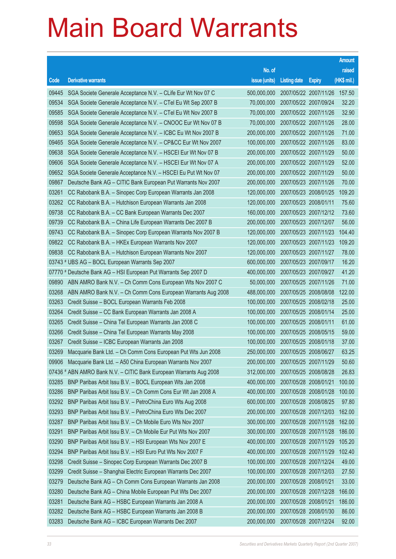|       |                                                                    |                                   |                       |                       | <b>Amount</b> |
|-------|--------------------------------------------------------------------|-----------------------------------|-----------------------|-----------------------|---------------|
|       |                                                                    | No. of                            |                       |                       | raised        |
| Code  | <b>Derivative warrants</b>                                         | issue (units)                     | <b>Listing date</b>   | <b>Expiry</b>         | (HK\$ mil.)   |
| 09445 | SGA Societe Generale Acceptance N.V. - CLife Eur Wt Nov 07 C       | 500,000,000                       |                       | 2007/05/22 2007/11/26 | 157.50        |
| 09534 | SGA Societe Generale Acceptance N.V. - CTel Eu Wt Sep 2007 B       | 70,000,000                        | 2007/05/22 2007/09/24 |                       | 32.20         |
| 09585 | SGA Societe Generale Acceptance N.V. - CTel Eu Wt Nov 2007 B       | 70,000,000                        |                       | 2007/05/22 2007/11/26 | 32.90         |
| 09598 | SGA Societe Generale Acceptance N.V. - CNOOC Eur Wt Nov 07 B       | 70,000,000                        | 2007/05/22 2007/11/26 |                       | 28.00         |
| 09653 | SGA Societe Generale Acceptance N.V. - ICBC Eu Wt Nov 2007 B       | 200,000,000                       |                       | 2007/05/22 2007/11/26 | 71.00         |
| 09465 | SGA Societe Generale Acceptance N.V. - CP&CC Eur Wt Nov 2007       | 100,000,000                       | 2007/05/22 2007/11/26 |                       | 83.00         |
| 09638 | SGA Societe Generale Acceptance N.V. - HSCEI Eur Wt Nov 07 B       | 200,000,000                       |                       | 2007/05/22 2007/11/29 | 50.00         |
| 09606 | SGA Societe Generale Acceptance N.V. - HSCEI Eur Wt Nov 07 A       | 200,000,000                       | 2007/05/22 2007/11/29 |                       | 52.00         |
| 09652 | SGA Societe Generale Acceptance N.V. - HSCEI Eu Put Wt Nov 07      | 200,000,000                       |                       | 2007/05/22 2007/11/29 | 50.00         |
| 09867 | Deutsche Bank AG - CITIC Bank European Put Warrants Nov 2007       | 200,000,000                       | 2007/05/23 2007/11/26 |                       | 70.00         |
| 03261 | CC Rabobank B.A. - Sinopec Corp European Warrants Jan 2008         | 120,000,000                       |                       | 2007/05/23 2008/01/25 | 109.20        |
| 03262 | CC Rabobank B.A. - Hutchison European Warrants Jan 2008            | 120,000,000                       | 2007/05/23 2008/01/11 |                       | 75.60         |
| 09738 | CC Rabobank B.A. - CC Bank European Warrants Dec 2007              | 160,000,000                       |                       | 2007/05/23 2007/12/12 | 73.60         |
| 09739 | CC Rabobank B.A. - China Life European Warrants Dec 2007 B         | 200,000,000                       | 2007/05/23 2007/12/07 |                       | 56.00         |
| 09743 | CC Rabobank B.A. - Sinopec Corp European Warrants Nov 2007 B       | 120,000,000                       |                       | 2007/05/23 2007/11/23 | 104.40        |
| 09822 | CC Rabobank B.A. - HKEx European Warrants Nov 2007                 | 120,000,000                       | 2007/05/23 2007/11/23 |                       | 109.20        |
| 09838 | CC Rabobank B.A. - Hutchison European Warrants Nov 2007            | 120,000,000                       |                       | 2007/05/23 2007/11/27 | 78.00         |
|       | 03743 # UBS AG - BOCL European Warrants Sep 2007                   | 600,000,000                       | 2007/05/23 2007/09/17 |                       | 16.20         |
|       | 07770 # Deutsche Bank AG - HSI European Put Warrants Sep 2007 D    | 400,000,000                       |                       | 2007/05/23 2007/09/27 | 41.20         |
| 09890 | ABN AMRO Bank N.V. - Ch Comm Cons European Wts Nov 2007 C          | 50,000,000                        | 2007/05/25 2007/11/26 |                       | 71.00         |
| 03268 | ABN AMRO Bank N.V. - Ch Comm Cons European Warrants Aug 2008       | 488,000,000                       |                       | 2007/05/25 2008/08/08 | 122.00        |
| 03263 | Credit Suisse - BOCL European Warrants Feb 2008                    | 100,000,000                       | 2007/05/25 2008/02/18 |                       | 25.00         |
| 03264 | Credit Suisse - CC Bank European Warrants Jan 2008 A               | 100,000,000                       |                       | 2007/05/25 2008/01/14 | 25.00         |
| 03265 | Credit Suisse - China Tel European Warrants Jan 2008 C             | 100,000,000                       | 2007/05/25 2008/01/11 |                       | 61.00         |
| 03266 | Credit Suisse - China Tel European Warrants May 2008               | 100,000,000                       | 2007/05/25 2008/05/15 |                       | 59.00         |
| 03267 | Credit Suisse - ICBC European Warrants Jan 2008                    | 100,000,000                       | 2007/05/25 2008/01/18 |                       | 37.00         |
| 03269 | Macquarie Bank Ltd. - Ch Comm Cons European Put Wts Jun 2008       | 250,000,000 2007/05/25 2008/06/27 |                       |                       | 63.25         |
| 09906 | Macquarie Bank Ltd. - A50 China European Warrants Nov 2007         | 200,000,000                       | 2007/05/25 2007/11/29 |                       | 50.60         |
|       | 07436 # ABN AMRO Bank N.V. - CITIC Bank European Warrants Aug 2008 | 312,000,000                       |                       | 2007/05/25 2008/08/28 | 26.83         |
| 03285 | BNP Paribas Arbit Issu B.V. - BOCL European Wts Jan 2008           | 400,000,000                       | 2007/05/28 2008/01/21 |                       | 100.00        |
| 03286 | BNP Paribas Arbit Issu B.V. - Ch Comm Cons Eur Wt Jan 2008 A       | 400,000,000                       |                       | 2007/05/28 2008/01/28 | 100.00        |
| 03292 | BNP Paribas Arbit Issu B.V. - PetroChina Euro Wts Aug 2008         | 600,000,000                       |                       | 2007/05/28 2008/08/25 | 97.80         |
| 03293 | BNP Paribas Arbit Issu B.V. - PetroChina Euro Wts Dec 2007         | 200,000,000                       |                       | 2007/05/28 2007/12/03 | 162.00        |
| 03287 | BNP Paribas Arbit Issu B.V. - Ch Mobile Euro Wts Nov 2007          | 300,000,000                       | 2007/05/28 2007/11/28 |                       | 162.00        |
| 03291 | BNP Paribas Arbit Issu B.V. - Ch Mobile Eur Put Wts Nov 2007       | 300,000,000                       |                       | 2007/05/28 2007/11/28 | 186.00        |
| 03290 | BNP Paribas Arbit Issu B.V. - HSI European Wts Nov 2007 E          | 400,000,000                       |                       | 2007/05/28 2007/11/29 | 105.20        |
| 03294 | BNP Paribas Arbit Issu B.V. - HSI Euro Put Wts Nov 2007 F          | 400,000,000                       |                       | 2007/05/28 2007/11/29 | 102.40        |
| 03298 | Credit Suisse - Sinopec Corp European Warrants Dec 2007 B          | 100,000,000                       | 2007/05/28 2007/12/24 |                       | 49.00         |
| 03299 | Credit Suisse - Shanghai Electric European Warrants Dec 2007       | 100,000,000                       |                       | 2007/05/28 2007/12/03 | 27.50         |
| 03279 | Deutsche Bank AG - Ch Comm Cons European Warrants Jan 2008         | 200,000,000                       | 2007/05/28 2008/01/21 |                       | 33.00         |
| 03280 | Deutsche Bank AG - China Mobile European Put Wts Dec 2007          | 200,000,000                       |                       | 2007/05/28 2007/12/28 | 166.00        |
| 03281 | Deutsche Bank AG - HSBC European Warrants Jan 2008 A               | 200,000,000                       | 2007/05/28 2008/01/21 |                       | 186.00        |
| 03282 | Deutsche Bank AG - HSBC European Warrants Jan 2008 B               | 200,000,000                       |                       | 2007/05/28 2008/01/30 | 86.00         |
| 03283 | Deutsche Bank AG - ICBC European Warrants Dec 2007                 | 200,000,000                       | 2007/05/28 2007/12/24 |                       | 92.00         |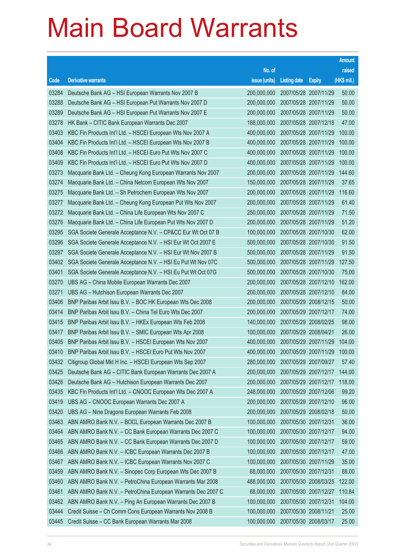|       |                                                                 |                                          |                       |                       | <b>Amount</b> |
|-------|-----------------------------------------------------------------|------------------------------------------|-----------------------|-----------------------|---------------|
|       |                                                                 | No. of                                   |                       |                       | raised        |
| Code  | <b>Derivative warrants</b>                                      | issue (units)                            | <b>Listing date</b>   | <b>Expiry</b>         | (HK\$ mil.)   |
| 03284 | Deutsche Bank AG - HSI European Warrants Nov 2007 B             | 200,000,000                              |                       | 2007/05/28 2007/11/29 | 50.00         |
| 03288 | Deutsche Bank AG - HSI European Put Warrants Nov 2007 D         | 200,000,000                              | 2007/05/28 2007/11/29 |                       | 50.00         |
| 03289 | Deutsche Bank AG - HSI European Put Warrants Nov 2007 E         | 200,000,000                              | 2007/05/28 2007/11/29 |                       | 50.00         |
| 03278 | HK Bank - CITIC Bank European Warrants Dec 2007                 | 188,000,000                              | 2007/05/28 2007/12/18 |                       | 47.00         |
| 03403 | KBC Fin Products Int'l Ltd. - HSCEI European Wts Nov 2007 A     | 400,000,000                              |                       | 2007/05/28 2007/11/29 | 100.00        |
| 03404 | KBC Fin Products Int'l Ltd. - HSCEI European Wts Nov 2007 B     | 400,000,000                              | 2007/05/28 2007/11/29 |                       | 100.00        |
| 03408 | KBC Fin Products Int'l Ltd. - HSCEI Euro Put Wts Nov 2007 C     | 400,000,000                              |                       | 2007/05/28 2007/11/29 | 100.00        |
| 03409 | KBC Fin Products Int'l Ltd. - HSCEI Euro Put Wts Nov 2007 D     | 400,000,000                              |                       | 2007/05/28 2007/11/29 | 100.00        |
| 03273 | Macquarie Bank Ltd. - Cheung Kong European Warrants Nov 2007    | 200,000,000                              |                       | 2007/05/28 2007/11/29 | 144.60        |
| 03274 | Macquarie Bank Ltd. - China Netcom European Wts Nov 2007        | 150,000,000                              | 2007/05/28 2007/11/29 |                       | 37.65         |
| 03275 | Macquarie Bank Ltd. - Sh Petrochem European Wts Nov 2007        | 200,000,000                              |                       | 2007/05/28 2007/11/29 | 116.60        |
| 03277 | Macquarie Bank Ltd. - Cheung Kong European Put Wts Nov 2007     | 200,000,000                              | 2007/05/28 2007/11/29 |                       | 61.40         |
| 03272 | Macquarie Bank Ltd. - China Life European Wts Nov 2007 C        | 250,000,000                              | 2007/05/28 2007/11/29 |                       | 71.50         |
| 03276 | Macquarie Bank Ltd. - China Life European Put Wts Nov 2007 D    | 200,000,000                              | 2007/05/28 2007/11/29 |                       | 51.20         |
| 03295 | SGA Societe Generale Acceptance N.V. - CP&CC Eur Wt Oct 07 B    | 100,000,000                              | 2007/05/28 2007/10/30 |                       | 62.00         |
| 03296 | SGA Societe Generale Acceptance N.V. - HSI Eur Wt Oct 2007 E    | 500,000,000                              | 2007/05/28 2007/10/30 |                       | 91.50         |
| 03297 | SGA Societe Generale Acceptance N.V. - HSI Eur Wt Nov 2007 B    | 500,000,000                              | 2007/05/28 2007/11/29 |                       | 91.50         |
| 03402 | SGA Societe Generale Acceptance N.V. - HSI Eu Put Wt Nov 07C    | 500,000,000                              | 2007/05/28 2007/11/29 |                       | 127.50        |
| 03401 | SGA Societe Generale Acceptance N.V. - HSI Eu Put Wt Oct 07G    | 500,000,000                              | 2007/05/28 2007/10/30 |                       | 75.00         |
| 03270 | UBS AG - China Mobile European Warrants Dec 2007                | 200,000,000                              | 2007/05/28 2007/12/10 |                       | 162.00        |
| 03271 | UBS AG - Hutchison European Warrants Dec 2007                   | 200,000,000                              | 2007/05/28 2007/12/10 |                       | 84.00         |
| 03406 | BNP Paribas Arbit Issu B.V. - BOC HK European Wts Dec 2008      | 200,000,000                              | 2007/05/29 2008/12/15 |                       | 50.00         |
| 03414 | BNP Paribas Arbit Issu B.V. - China Tel Euro Wts Dec 2007       | 200,000,000                              | 2007/05/29 2007/12/17 |                       | 74.00         |
| 03415 | BNP Paribas Arbit Issu B.V. - HKEx European Wts Feb 2008        | 140,000,000                              | 2007/05/29 2008/02/25 |                       | 98.00         |
| 03417 | BNP Paribas Arbit Issu B.V. - SMIC European Wts Apr 2008        | 100,000,000                              | 2007/05/29 2008/04/21 |                       | 26.00         |
| 03405 | BNP Paribas Arbit Issu B.V. - HSCEI European Wts Nov 2007       | 400,000,000                              | 2007/05/29 2007/11/29 |                       | 104.00        |
|       | 03410 BNP Paribas Arbit Issu B.V. - HSCEI Euro Put Wts Nov 2007 | 400,000,000 2007/05/29 2007/11/29 100.00 |                       |                       |               |
| 03432 | Citigroup Global Mkt H Inc. - HSCEI European Wts Sep 2007       | 280,000,000                              | 2007/05/29 2007/09/27 |                       | 57.40         |
| 03425 | Deutsche Bank AG - CITIC Bank European Warrants Dec 2007 A      | 200,000,000                              |                       | 2007/05/29 2007/12/17 | 144.00        |
| 03426 | Deutsche Bank AG - Hutchison European Warrants Dec 2007         | 200,000,000                              | 2007/05/29 2007/12/17 |                       | 118.00        |
| 03435 | KBC Fin Products Int'l Ltd. - CNOOC European Wts Dec 2007 A     | 248,000,000                              | 2007/05/29 2007/12/06 |                       | 99.20         |
| 03419 | UBS AG - CNOOC European Warrants Dec 2007 A                     | 200,000,000                              | 2007/05/29 2007/12/10 |                       | 96.00         |
| 03420 | UBS AG - Nine Dragons European Warrants Feb 2008                | 200,000,000                              | 2007/05/29 2008/02/18 |                       | 50.00         |
| 03463 | ABN AMRO Bank N.V. - BOCL European Warrants Dec 2007 B          | 100,000,000                              | 2007/05/30 2007/12/31 |                       | 36.00         |
| 03464 | ABN AMRO Bank N.V. - CC Bank European Warrants Dec 2007 C       | 100,000,000                              | 2007/05/30 2007/12/17 |                       | 94.00         |
| 03465 | ABN AMRO Bank N.V. - CC Bank European Warrants Dec 2007 D       | 100,000,000                              | 2007/05/30 2007/12/17 |                       | 59.00         |
| 03466 | ABN AMRO Bank N.V. - ICBC European Warrants Dec 2007 B          | 100,000,000                              | 2007/05/30 2007/12/17 |                       | 47.00         |
| 03467 | ABN AMRO Bank N.V. - ICBC European Warrants Nov 2007 C          | 100,000,000                              | 2007/05/30 2007/11/29 |                       | 35.00         |
| 03459 | ABN AMRO Bank N.V. - Sinopec Corp European Wts Dec 2007 B       | 88,000,000                               | 2007/05/30 2007/12/31 |                       | 88.00         |
| 03460 | ABN AMRO Bank N.V. - PetroChina European Warrants Mar 2008      | 488,000,000                              |                       | 2007/05/30 2008/03/25 | 122.00        |
| 03461 | ABN AMRO Bank N.V. - PetroChina European Warrants Dec 2007 C    | 68,000,000                               | 2007/05/30 2007/12/27 |                       | 110.84        |
| 03462 | ABN AMRO Bank N.V. - Ping An European Warrants Dec 2007 B       | 100,000,000                              | 2007/05/30 2007/12/31 |                       | 104.00        |
| 03444 | Credit Suisse - Ch Comm Cons European Warrants Nov 2008 B       | 100,000,000                              | 2007/05/30 2008/11/21 |                       | 25.00         |
| 03445 | Credit Suisse - CC Bank European Warrants Mar 2008              | 100,000,000                              | 2007/05/30 2008/03/17 |                       | 25.00         |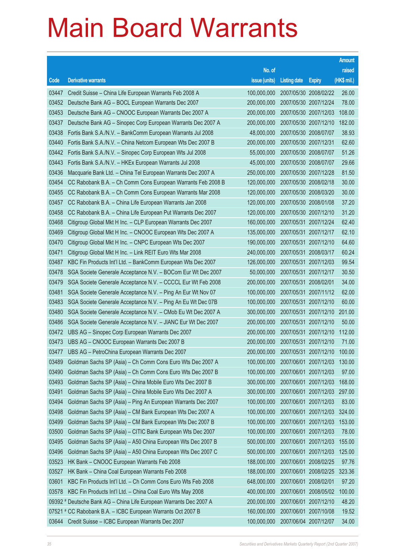|       |                                                                    |                                   |                     |                       | <b>Amount</b> |
|-------|--------------------------------------------------------------------|-----------------------------------|---------------------|-----------------------|---------------|
|       |                                                                    | No. of                            |                     |                       | raised        |
| Code  | <b>Derivative warrants</b>                                         | issue (units)                     | <b>Listing date</b> | <b>Expiry</b>         | (HK\$ mil.)   |
| 03447 | Credit Suisse - China Life European Warrants Feb 2008 A            | 100,000,000                       |                     | 2007/05/30 2008/02/22 | 26.00         |
| 03452 | Deutsche Bank AG - BOCL European Warrants Dec 2007                 | 200,000,000                       |                     | 2007/05/30 2007/12/24 | 78.00         |
| 03453 | Deutsche Bank AG - CNOOC European Warrants Dec 2007 A              | 200,000,000                       |                     | 2007/05/30 2007/12/03 | 108.00        |
| 03437 | Deutsche Bank AG - Sinopec Corp European Warrants Dec 2007 A       | 200,000,000                       |                     | 2007/05/30 2007/12/10 | 182.00        |
| 03438 | Fortis Bank S.A./N.V. - BankComm European Warrants Jul 2008        | 48,000,000                        |                     | 2007/05/30 2008/07/07 | 38.93         |
| 03440 | Fortis Bank S.A./N.V. - China Netcom European Wts Dec 2007 B       | 200,000,000                       |                     | 2007/05/30 2007/12/31 | 62.60         |
| 03442 | Fortis Bank S.A./N.V. - Sinopec Corp European Wts Jul 2008         | 55,000,000                        |                     | 2007/05/30 2008/07/07 | 51.26         |
| 03443 | Fortis Bank S.A./N.V. - HKEx European Warrants Jul 2008            | 45,000,000                        |                     | 2007/05/30 2008/07/07 | 29.66         |
| 03436 | Macquarie Bank Ltd. - China Tel European Warrants Dec 2007 A       | 250,000,000                       |                     | 2007/05/30 2007/12/28 | 81.50         |
| 03454 | CC Rabobank B.A. - Ch Comm Cons European Warrants Feb 2008 B       | 120,000,000                       |                     | 2007/05/30 2008/02/18 | 30.00         |
| 03455 | CC Rabobank B.A. - Ch Comm Cons European Warrants Mar 2008         | 120,000,000                       |                     | 2007/05/30 2008/03/20 | 30.00         |
| 03457 | CC Rabobank B.A. - China Life European Warrants Jan 2008           | 120,000,000                       |                     | 2007/05/30 2008/01/08 | 37.20         |
| 03458 | CC Rabobank B.A. - China Life European Put Warrants Dec 2007       | 120,000,000                       |                     | 2007/05/30 2007/12/10 | 31.20         |
| 03468 | Citigroup Global Mkt H Inc. - CLP European Warrants Dec 2007       | 160,000,000                       |                     | 2007/05/31 2007/12/24 | 62.40         |
| 03469 | Citigroup Global Mkt H Inc. - CNOOC European Wts Dec 2007 A        | 135,000,000                       |                     | 2007/05/31 2007/12/17 | 62.10         |
| 03470 | Citigroup Global Mkt H Inc. - CNPC European Wts Dec 2007           | 190,000,000                       |                     | 2007/05/31 2007/12/10 | 64.60         |
| 03471 | Citigroup Global Mkt H Inc. - Link REIT Euro Wts Mar 2008          | 240,000,000                       |                     | 2007/05/31 2008/03/17 | 60.24         |
| 03487 | KBC Fin Products Int'l Ltd. - BankComm European Wts Dec 2007       | 126,000,000                       |                     | 2007/05/31 2007/12/03 | 99.54         |
| 03478 | SGA Societe Generale Acceptance N.V. - BOCom Eur Wt Dec 2007       | 50,000,000                        |                     | 2007/05/31 2007/12/17 | 30.50         |
| 03479 | SGA Societe Generale Acceptance N.V. - CCCCL Eur Wt Feb 2008       | 200,000,000                       |                     | 2007/05/31 2008/02/01 | 34.00         |
| 03481 | SGA Societe Generale Acceptance N.V. - Ping An Eur Wt Nov 07       | 100,000,000                       |                     | 2007/05/31 2007/11/12 | 62.00         |
| 03483 | SGA Societe Generale Acceptance N.V. - Ping An Eu Wt Dec 07B       | 100,000,000                       |                     | 2007/05/31 2007/12/10 | 60.00         |
| 03480 | SGA Societe Generale Acceptance N.V. - CMob Eu Wt Dec 2007 A       | 300,000,000                       |                     | 2007/05/31 2007/12/10 | 201.00        |
| 03486 | SGA Societe Generale Acceptance N.V. - JIANC Eur Wt Dec 2007       | 200,000,000                       |                     | 2007/05/31 2007/12/10 | 50.00         |
| 03472 | UBS AG - Sinopec Corp European Warrants Dec 2007                   | 200,000,000                       |                     | 2007/05/31 2007/12/10 | 112.00        |
| 03473 | UBS AG - CNOOC European Warrants Dec 2007 B                        | 200,000,000                       |                     | 2007/05/31 2007/12/10 | 71.00         |
|       | 03477 UBS AG - PetroChina European Warrants Dec 2007               | 200,000,000 2007/05/31 2007/12/10 |                     |                       | 100.00        |
| 03489 | Goldman Sachs SP (Asia) – Ch Comm Cons Euro Wts Dec 2007 A         | 100,000,000                       |                     | 2007/06/01 2007/12/03 | 130.00        |
| 03490 | Goldman Sachs SP (Asia) - Ch Comm Cons Euro Wts Dec 2007 B         | 100,000,000                       |                     | 2007/06/01 2007/12/03 | 97.00         |
| 03493 | Goldman Sachs SP (Asia) - China Mobile Euro Wts Dec 2007 B         | 300,000,000                       |                     | 2007/06/01 2007/12/03 | 168.00        |
| 03491 | Goldman Sachs SP (Asia) - China Mobile Euro Wts Dec 2007 A         | 300,000,000                       |                     | 2007/06/01 2007/12/03 | 297.00        |
| 03494 | Goldman Sachs SP (Asia) - Ping An European Warrants Dec 2007       | 100,000,000                       |                     | 2007/06/01 2007/12/03 | 83.00         |
| 03498 | Goldman Sachs SP (Asia) - CM Bank European Wts Dec 2007 A          | 100,000,000                       |                     | 2007/06/01 2007/12/03 | 324.00        |
| 03499 | Goldman Sachs SP (Asia) - CM Bank European Wts Dec 2007 B          | 100,000,000                       |                     | 2007/06/01 2007/12/03 | 153.00        |
| 03500 | Goldman Sachs SP (Asia) - CITIC Bank European Wts Dec 2007         | 100,000,000                       |                     | 2007/06/01 2007/12/03 | 78.00         |
| 03495 | Goldman Sachs SP (Asia) - A50 China European Wts Dec 2007 B        | 500,000,000                       |                     | 2007/06/01 2007/12/03 | 155.00        |
| 03496 | Goldman Sachs SP (Asia) - A50 China European Wts Dec 2007 C        | 500,000,000                       |                     | 2007/06/01 2007/12/03 | 125.00        |
| 03523 | HK Bank - CNOOC European Warrants Feb 2008                         | 188,000,000                       |                     | 2007/06/01 2008/02/25 | 97.76         |
| 03527 | HK Bank - China Coal European Warrants Feb 2008                    | 188,000,000                       |                     | 2007/06/01 2008/02/25 | 323.36        |
| 03601 | KBC Fin Products Int'l Ltd. - Ch Comm Cons Euro Wts Feb 2008       | 648,000,000                       |                     | 2007/06/01 2008/02/01 | 97.20         |
| 03578 | KBC Fin Products Int'l Ltd. - China Coal Euro Wts May 2008         | 400,000,000                       |                     | 2007/06/01 2008/05/02 | 100.00        |
|       | 09392 # Deutsche Bank AG - China Life European Warrants Dec 2007 A | 200,000,000                       |                     | 2007/06/01 2007/12/10 | 48.20         |
|       | 07521 # CC Rabobank B.A. - ICBC European Warrants Oct 2007 B       | 160,000,000                       |                     | 2007/06/01 2007/10/08 | 19.52         |
| 03644 | Credit Suisse - ICBC European Warrants Dec 2007                    | 100,000,000                       |                     | 2007/06/04 2007/12/07 | 34.00         |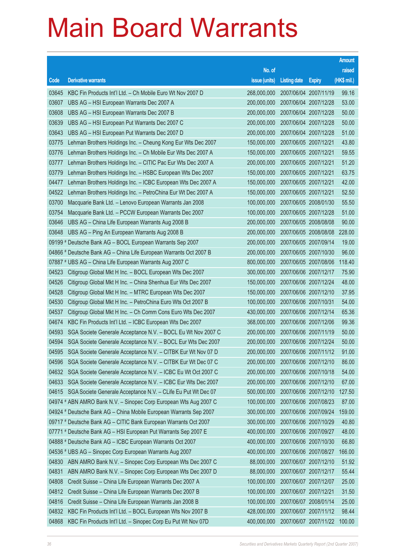|       |                                                                    |                                   |                       |                       | <b>Amount</b> |
|-------|--------------------------------------------------------------------|-----------------------------------|-----------------------|-----------------------|---------------|
|       |                                                                    | No. of                            |                       |                       | raised        |
| Code  | <b>Derivative warrants</b>                                         | issue (units)                     | <b>Listing date</b>   | <b>Expiry</b>         | (HK\$ mil.)   |
| 03645 | KBC Fin Products Int'l Ltd. - Ch Mobile Euro Wt Nov 2007 D         | 268,000,000                       |                       | 2007/06/04 2007/11/19 | 99.16         |
| 03607 | UBS AG - HSI European Warrants Dec 2007 A                          | 200,000,000                       |                       | 2007/06/04 2007/12/28 | 53.00         |
| 03608 | UBS AG - HSI European Warrants Dec 2007 B                          | 200,000,000                       |                       | 2007/06/04 2007/12/28 | 50.00         |
| 03639 | UBS AG - HSI European Put Warrants Dec 2007 C                      | 200,000,000                       | 2007/06/04 2007/12/28 |                       | 50.00         |
| 03643 | UBS AG - HSI European Put Warrants Dec 2007 D                      | 200,000,000                       |                       | 2007/06/04 2007/12/28 | 51.00         |
| 03775 | Lehman Brothers Holdings Inc. - Cheung Kong Eur Wts Dec 2007       | 150,000,000                       | 2007/06/05 2007/12/21 |                       | 43.80         |
| 03776 | Lehman Brothers Holdings Inc. - Ch Mobile Eur Wts Dec 2007 A       | 150,000,000                       | 2007/06/05 2007/12/21 |                       | 59.55         |
| 03777 | Lehman Brothers Holdings Inc. - CITIC Pac Eur Wts Dec 2007 A       | 200,000,000                       | 2007/06/05 2007/12/21 |                       | 51.20         |
| 03779 | Lehman Brothers Holdings Inc. - HSBC European Wts Dec 2007         | 150,000,000                       | 2007/06/05 2007/12/21 |                       | 63.75         |
| 04477 | Lehman Brothers Holdings Inc. - ICBC European Wts Dec 2007 A       | 150,000,000                       | 2007/06/05 2007/12/21 |                       | 42.00         |
| 04522 | Lehman Brothers Holdings Inc. - PetroChina Eur Wt Dec 2007 A       | 150,000,000                       | 2007/06/05 2007/12/21 |                       | 52.50         |
| 03700 | Macquarie Bank Ltd. - Lenovo European Warrants Jan 2008            | 100,000,000                       | 2007/06/05 2008/01/30 |                       | 55.50         |
| 03754 | Macquarie Bank Ltd. - PCCW European Warrants Dec 2007              | 100,000,000                       |                       | 2007/06/05 2007/12/28 | 51.00         |
| 03646 | UBS AG - China Life European Warrants Aug 2008 B                   | 200,000,000                       |                       | 2007/06/05 2008/08/08 | 90.00         |
| 03648 | UBS AG - Ping An European Warrants Aug 2008 B                      | 200,000,000                       |                       | 2007/06/05 2008/08/08 | 228.00        |
|       | 09199 # Deutsche Bank AG - BOCL European Warrants Sep 2007         | 200,000,000                       |                       | 2007/06/05 2007/09/14 | 19.00         |
|       | 04866 # Deutsche Bank AG - China Life European Warrants Oct 2007 B | 200,000,000                       |                       | 2007/06/05 2007/10/30 | 96.00         |
|       | 07887 # UBS AG - China Life European Warrants Aug 2007 C           | 800,000,000                       |                       | 2007/06/05 2007/08/06 | 118.40        |
| 04523 | Citigroup Global Mkt H Inc. - BOCL European Wts Dec 2007           | 300,000,000                       |                       | 2007/06/06 2007/12/17 | 75.90         |
| 04526 | Citigroup Global Mkt H Inc. - China Shenhua Eur Wts Dec 2007       | 150,000,000                       | 2007/06/06 2007/12/24 |                       | 48.00         |
| 04528 | Citigroup Global Mkt H Inc. - MTRC European Wts Dec 2007           | 150,000,000                       |                       | 2007/06/06 2007/12/10 | 37.95         |
| 04530 | Citigroup Global Mkt H Inc. - PetroChina Euro Wts Oct 2007 B       | 100,000,000                       | 2007/06/06 2007/10/31 |                       | 54.00         |
| 04537 | Citigroup Global Mkt H Inc. - Ch Comm Cons Euro Wts Dec 2007       | 430,000,000                       |                       | 2007/06/06 2007/12/14 | 65.36         |
| 04674 | KBC Fin Products Int'l Ltd. - ICBC European Wts Dec 2007           | 368,000,000                       | 2007/06/06 2007/12/06 |                       | 99.36         |
| 04593 | SGA Societe Generale Acceptance N.V. - BOCL Eu Wt Nov 2007 C       | 200,000,000                       |                       | 2007/06/06 2007/11/19 | 50.00         |
| 04594 | SGA Societe Generale Acceptance N.V. - BOCL Eur Wts Dec 2007       | 200,000,000                       |                       | 2007/06/06 2007/12/24 | 50.00         |
| 04595 | SGA Societe Generale Acceptance N.V. - CITBK Eur Wt Nov 07 D       | 200,000,000 2007/06/06 2007/11/12 |                       |                       | 91.00         |
| 04596 | SGA Societe Generale Acceptance N.V. - CITBK Eur Wt Dec 07 C       | 200,000,000                       | 2007/06/06 2007/12/10 |                       | 86.00         |
| 04632 | SGA Societe Generale Acceptance N.V. - ICBC Eu Wt Oct 2007 C       | 200,000,000                       |                       | 2007/06/06 2007/10/18 | 54.00         |
| 04633 | SGA Societe Generale Acceptance N.V. - ICBC Eur Wts Dec 2007       | 200,000,000                       | 2007/06/06 2007/12/10 |                       | 67.00         |
| 04615 | SGA Societe Generale Acceptance N.V. - CLife Eu Put Wt Dec 07      | 500,000,000                       |                       | 2007/06/06 2007/12/10 | 127.50        |
|       | 04974 # ABN AMRO Bank N.V. - Sinopec Corp European Wts Aug 2007 C  | 100,000,000                       |                       | 2007/06/06 2007/08/23 | 87.00         |
|       | 04924 # Deutsche Bank AG - China Mobile European Warrants Sep 2007 | 300,000,000                       |                       | 2007/06/06 2007/09/24 | 159.00        |
|       | 09717 # Deutsche Bank AG - CITIC Bank European Warrants Oct 2007   | 300,000,000                       |                       | 2007/06/06 2007/10/29 | 40.80         |
|       | 07771 # Deutsche Bank AG - HSI European Put Warrants Sep 2007 E    | 400,000,000                       |                       | 2007/06/06 2007/09/27 | 48.00         |
|       | 04888 # Deutsche Bank AG - ICBC European Warrants Oct 2007         | 400,000,000                       |                       | 2007/06/06 2007/10/30 | 66.80         |
|       | 04536 # UBS AG - Sinopec Corp European Warrants Aug 2007           | 400,000,000                       |                       | 2007/06/06 2007/08/27 | 166.00        |
| 04830 | ABN AMRO Bank N.V. - Sinopec Corp European Wts Dec 2007 C          | 88,000,000                        | 2007/06/07 2007/12/10 |                       | 51.92         |
| 04831 | ABN AMRO Bank N.V. - Sinopec Corp European Wts Dec 2007 D          | 88,000,000                        |                       | 2007/06/07 2007/12/17 | 55.44         |
| 04808 | Credit Suisse - China Life European Warrants Dec 2007 A            | 100,000,000                       | 2007/06/07 2007/12/07 |                       | 25.00         |
| 04812 | Credit Suisse - China Life European Warrants Dec 2007 B            | 100,000,000                       | 2007/06/07 2007/12/21 |                       | 31.50         |
| 04816 | Credit Suisse - China Life European Warrants Jan 2008 B            | 100,000,000                       | 2007/06/07 2008/01/14 |                       | 25.00         |
| 04832 | KBC Fin Products Int'l Ltd. - BOCL European Wts Nov 2007 B         | 428,000,000                       |                       | 2007/06/07 2007/11/12 | 98.44         |
| 04868 | KBC Fin Products Int'l Ltd. - Sinopec Corp Eu Put Wt Nov 07D       | 400,000,000                       |                       | 2007/06/07 2007/11/22 | 100.00        |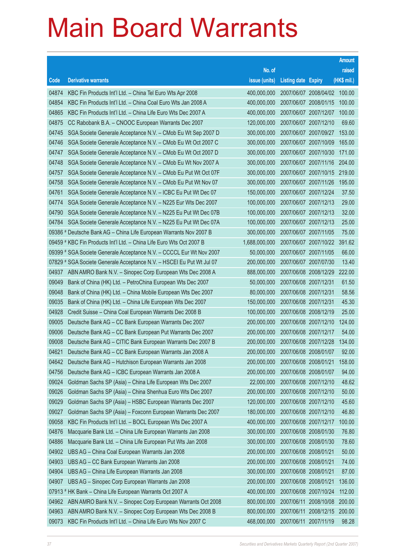|       |                                                                       |                                   |                            |                              | <b>Amount</b> |
|-------|-----------------------------------------------------------------------|-----------------------------------|----------------------------|------------------------------|---------------|
|       |                                                                       | No. of                            |                            |                              | raised        |
| Code  | <b>Derivative warrants</b>                                            | issue (units)                     | <b>Listing date Expiry</b> |                              | $(HK$$ mil.)  |
| 04874 | KBC Fin Products Int'l Ltd. - China Tel Euro Wts Apr 2008             | 400,000,000                       |                            | 2007/06/07 2008/04/02 100.00 |               |
| 04854 | KBC Fin Products Int'l Ltd. - China Coal Euro Wts Jan 2008 A          | 400,000,000                       |                            | 2007/06/07 2008/01/15        | 100.00        |
| 04865 | KBC Fin Products Int'l Ltd. - China Life Euro Wts Dec 2007 A          | 400,000,000                       | 2007/06/07 2007/12/07      |                              | 100.00        |
| 04875 | CC Rabobank B.A. - CNOOC European Warrants Dec 2007                   | 120,000,000                       | 2007/06/07 2007/12/10      |                              | 69.60         |
| 04745 | SGA Societe Generale Acceptance N.V. - CMob Eu Wt Sep 2007 D          | 300,000,000                       | 2007/06/07 2007/09/27      |                              | 153.00        |
| 04746 | SGA Societe Generale Acceptance N.V. - CMob Eu Wt Oct 2007 C          | 300,000,000                       | 2007/06/07 2007/10/09      |                              | 165.00        |
| 04747 | SGA Societe Generale Acceptance N.V. - CMob Eu Wt Oct 2007 D          | 300,000,000                       | 2007/06/07 2007/10/30      |                              | 171.00        |
| 04748 | SGA Societe Generale Acceptance N.V. - CMob Eu Wt Nov 2007 A          | 300,000,000                       |                            | 2007/06/07 2007/11/16        | 204.00        |
| 04757 | SGA Societe Generale Acceptance N.V. - CMob Eu Put Wt Oct 07F         | 300,000,000                       |                            | 2007/06/07 2007/10/15        | 219.00        |
| 04758 | SGA Societe Generale Acceptance N.V. - CMob Eu Put Wt Nov 07          | 300,000,000                       | 2007/06/07 2007/11/26      |                              | 195.00        |
| 04761 | SGA Societe Generale Acceptance N.V. - ICBC Eu Put Wt Dec 07          | 150,000,000                       | 2007/06/07 2007/12/24      |                              | 37.50         |
| 04774 | SGA Societe Generale Acceptance N.V. - N225 Eur Wts Dec 2007          | 100,000,000                       | 2007/06/07 2007/12/13      |                              | 29.00         |
| 04790 | SGA Societe Generale Acceptance N.V. - N225 Eu Put Wt Dec 07B         | 100,000,000                       | 2007/06/07 2007/12/13      |                              | 32.00         |
| 04784 | SGA Societe Generale Acceptance N.V. - N225 Eu Put Wt Dec 07A         | 100,000,000                       | 2007/06/07 2007/12/13      |                              | 25.00         |
|       | 09386 # Deutsche Bank AG - China Life European Warrants Nov 2007 B    | 300,000,000                       | 2007/06/07 2007/11/05      |                              | 75.00         |
|       | 09459 # KBC Fin Products Int'l Ltd. - China Life Euro Wts Oct 2007 B  | 1,688,000,000                     |                            | 2007/06/07 2007/10/22        | 391.62        |
|       | 09399 # SGA Societe Generale Acceptance N.V. - CCCCL Eur Wt Nov 2007  | 50,000,000                        | 2007/06/07 2007/11/05      |                              | 66.00         |
|       | 07829 # SGA Societe Generale Acceptance N.V. - HSCEI Eu Put Wt Jul 07 | 200,000,000                       | 2007/06/07 2007/07/30      |                              | 13.40         |
| 04937 | ABN AMRO Bank N.V. - Sinopec Corp European Wts Dec 2008 A             | 888,000,000                       |                            | 2007/06/08 2008/12/29        | 222.00        |
| 09049 | Bank of China (HK) Ltd. - PetroChina European Wts Dec 2007            | 50,000,000                        | 2007/06/08 2007/12/31      |                              | 61.50         |
| 09048 | Bank of China (HK) Ltd. - China Mobile European Wts Dec 2007          | 80,000,000                        | 2007/06/08 2007/12/31      |                              | 58.56         |
| 09035 | Bank of China (HK) Ltd. - China Life European Wts Dec 2007            | 150,000,000                       | 2007/06/08 2007/12/31      |                              | 45.30         |
| 04928 | Credit Suisse - China Coal European Warrants Dec 2008 B               | 100,000,000                       | 2007/06/08 2008/12/19      |                              | 25.00         |
| 09005 | Deutsche Bank AG - CC Bank European Warrants Dec 2007                 | 200,000,000                       | 2007/06/08 2007/12/10      |                              | 124.00        |
| 09006 | Deutsche Bank AG - CC Bank European Put Warrants Dec 2007             | 200,000,000                       | 2007/06/08 2007/12/17      |                              | 54.00         |
| 09008 | Deutsche Bank AG - CITIC Bank European Warrants Dec 2007 B            | 200,000,000                       | 2007/06/08 2007/12/28      |                              | 134.00        |
| 04621 | Deutsche Bank AG – CC Bank European Warrants Jan 2008 A               | 200,000,000 2007/06/08 2008/01/07 |                            |                              | 92.00         |
| 04642 | Deutsche Bank AG - Hutchison European Warrants Jan 2008               | 200,000,000                       | 2007/06/08 2008/01/21      |                              | 158.00        |
| 04756 | Deutsche Bank AG - ICBC European Warrants Jan 2008 A                  | 200,000,000                       | 2007/06/08 2008/01/07      |                              | 94.00         |
| 09024 | Goldman Sachs SP (Asia) – China Life European Wts Dec 2007            | 22,000,000                        | 2007/06/08 2007/12/10      |                              | 48.62         |
| 09026 | Goldman Sachs SP (Asia) - China Shenhua Euro Wts Dec 2007             | 200,000,000                       | 2007/06/08 2007/12/10      |                              | 50.00         |
| 09029 | Goldman Sachs SP (Asia) - HSBC European Warrants Dec 2007             | 120,000,000                       | 2007/06/08 2007/12/10      |                              | 45.60         |
| 09027 | Goldman Sachs SP (Asia) - Foxconn European Warrants Dec 2007          | 180,000,000                       | 2007/06/08 2007/12/10      |                              | 46.80         |
| 09058 | KBC Fin Products Int'l Ltd. - BOCL European Wts Dec 2007 A            | 400,000,000                       | 2007/06/08 2007/12/17      |                              | 100.00        |
| 04876 | Macquarie Bank Ltd. - China Life European Warrants Jan 2008           | 300,000,000                       | 2007/06/08 2008/01/30      |                              | 76.80         |
| 04886 | Macquarie Bank Ltd. - China Life European Put Wts Jan 2008            | 300,000,000                       | 2007/06/08 2008/01/30      |                              | 78.60         |
| 04902 | UBS AG - China Coal European Warrants Jan 2008                        | 200,000,000                       | 2007/06/08 2008/01/21      |                              | 50.00         |
| 04903 | UBS AG - CC Bank European Warrants Jan 2008                           | 200,000,000                       | 2007/06/08 2008/01/21      |                              | 74.00         |
| 04904 | UBS AG - China Life European Warrants Jan 2008                        | 300,000,000                       | 2007/06/08 2008/01/21      |                              | 87.00         |
| 04907 | UBS AG - Sinopec Corp European Warrants Jan 2008                      | 200,000,000                       | 2007/06/08 2008/01/21      |                              | 136.00        |
|       | 07913 # HK Bank - China Life European Warrants Oct 2007 A             | 400,000,000                       | 2007/06/08 2007/10/24      |                              | 112.00        |
| 04962 | ABN AMRO Bank N.V. - Sinopec Corp European Warrants Oct 2008          | 800,000,000                       |                            | 2007/06/11 2008/10/08        | 200.00        |
| 04963 | ABN AMRO Bank N.V. - Sinopec Corp European Wts Dec 2008 B             | 800,000,000                       |                            | 2007/06/11 2008/12/15        | 200.00        |
| 09073 | KBC Fin Products Int'l Ltd. - China Life Euro Wts Nov 2007 C          | 468,000,000                       | 2007/06/11 2007/11/19      |                              | 98.28         |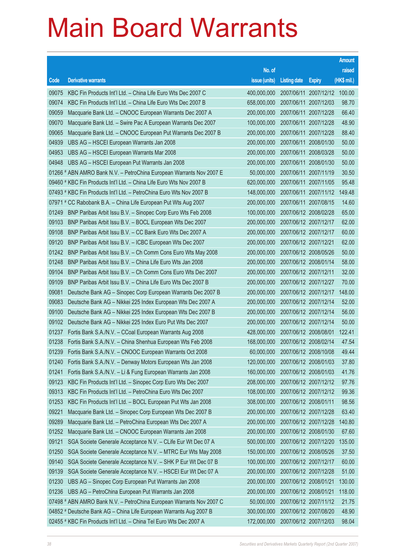|       |                                                                      |               |                                  |                              | <b>Amount</b> |
|-------|----------------------------------------------------------------------|---------------|----------------------------------|------------------------------|---------------|
|       |                                                                      | No. of        |                                  |                              | raised        |
| Code  | <b>Derivative warrants</b>                                           | issue (units) | <b>Listing date</b>              | <b>Expiry</b>                | (HK\$ mil.)   |
| 09075 | KBC Fin Products Int'l Ltd. - China Life Euro Wts Dec 2007 C         | 400,000,000   |                                  | 2007/06/11 2007/12/12 100.00 |               |
| 09074 | KBC Fin Products Int'l Ltd. - China Life Euro Wts Dec 2007 B         | 658,000,000   |                                  | 2007/06/11 2007/12/03        | 98.70         |
| 09059 | Macquarie Bank Ltd. - CNOOC European Warrants Dec 2007 A             | 200,000,000   |                                  | 2007/06/11 2007/12/28        | 66.40         |
| 09070 | Macquarie Bank Ltd. - Swire Pac A European Warrants Dec 2007         | 100,000,000   |                                  | 2007/06/11 2007/12/28        | 48.90         |
| 09065 | Macquarie Bank Ltd. - CNOOC European Put Warrants Dec 2007 B         | 200,000,000   |                                  | 2007/06/11 2007/12/28        | 88.40         |
| 04939 | UBS AG - HSCEI European Warrants Jan 2008                            | 200,000,000   |                                  | 2007/06/11 2008/01/30        | 50.00         |
| 04953 | UBS AG - HSCEI European Warrants Mar 2008                            | 200,000,000   |                                  | 2007/06/11 2008/03/28        | 50.00         |
| 04948 | UBS AG - HSCEI European Put Warrants Jan 2008                        | 200,000,000   |                                  | 2007/06/11 2008/01/30        | 50.00         |
|       | 01266 # ABN AMRO Bank N.V. - PetroChina European Warrants Nov 2007 E | 50,000,000    |                                  | 2007/06/11 2007/11/19        | 30.50         |
|       | 09460 # KBC Fin Products Int'l Ltd. - China Life Euro Wts Nov 2007 B | 620,000,000   |                                  | 2007/06/11 2007/11/05        | 95.48         |
|       | 07493 # KBC Fin Products Int'l Ltd. - PetroChina Euro Wts Nov 2007 B | 148,000,000   |                                  | 2007/06/11 2007/11/12        | 149.48        |
|       | 07971 # CC Rabobank B.A. - China Life European Put Wts Aug 2007      | 200,000,000   |                                  | 2007/06/11 2007/08/15        | 14.60         |
| 01249 | BNP Paribas Arbit Issu B.V. - Sinopec Corp Euro Wts Feb 2008         | 100,000,000   |                                  | 2007/06/12 2008/02/28        | 65.00         |
| 09103 | BNP Paribas Arbit Issu B.V. - BOCL European Wts Dec 2007             | 200,000,000   |                                  | 2007/06/12 2007/12/17        | 62.00         |
| 09108 | BNP Paribas Arbit Issu B.V. - CC Bank Euro Wts Dec 2007 A            | 200,000,000   |                                  | 2007/06/12 2007/12/17        | 60.00         |
| 09120 | BNP Paribas Arbit Issu B.V. - ICBC European Wts Dec 2007             | 200,000,000   |                                  | 2007/06/12 2007/12/21        | 62.00         |
| 01242 | BNP Paribas Arbit Issu B.V. - Ch Comm Cons Euro Wts May 2008         | 200,000,000   |                                  | 2007/06/12 2008/05/26        | 50.00         |
| 01248 | BNP Paribas Arbit Issu B.V. - China Life Euro Wts Jan 2008           | 200,000,000   |                                  | 2007/06/12 2008/01/14        | 58.00         |
| 09104 | BNP Paribas Arbit Issu B.V. - Ch Comm Cons Euro Wts Dec 2007         | 200,000,000   |                                  | 2007/06/12 2007/12/11        | 32.00         |
| 09109 | BNP Paribas Arbit Issu B.V. - China Life Euro Wts Dec 2007 B         | 200,000,000   |                                  | 2007/06/12 2007/12/27        | 70.00         |
| 09081 | Deutsche Bank AG - Sinopec Corp European Warrants Dec 2007 B         | 200,000,000   |                                  | 2007/06/12 2007/12/17        | 148.00        |
| 09083 | Deutsche Bank AG - Nikkei 225 Index European Wts Dec 2007 A          | 200,000,000   |                                  | 2007/06/12 2007/12/14        | 52.00         |
| 09100 | Deutsche Bank AG - Nikkei 225 Index European Wts Dec 2007 B          | 200,000,000   |                                  | 2007/06/12 2007/12/14        | 56.00         |
| 09102 | Deutsche Bank AG - Nikkei 225 Index Euro Put Wts Dec 2007            | 200,000,000   |                                  | 2007/06/12 2007/12/14        | 50.00         |
| 01237 | Fortis Bank S.A./N.V. - CCoal European Warrants Aug 2008             | 428,000,000   |                                  | 2007/06/12 2008/08/01        | 122.41        |
| 01238 | Fortis Bank S.A./N.V. - China Shenhua European Wts Feb 2008          | 168,000,000   |                                  | 2007/06/12 2008/02/14        | 47.54         |
|       | 01239 Fortis Bank S.A./N.V. - CNOOC European Warrants Oct 2008       |               | 60,000,000 2007/06/12 2008/10/08 |                              | 49.44         |
| 01240 | Fortis Bank S.A./N.V. - Denway Motors European Wts Jan 2008          | 120,000,000   |                                  | 2007/06/12 2008/01/03        | 37.80         |
| 01241 | Fortis Bank S.A./N.V. - Li & Fung European Warrants Jan 2008         | 160,000,000   |                                  | 2007/06/12 2008/01/03        | 41.76         |
| 09123 | KBC Fin Products Int'l Ltd. - Sinopec Corp Euro Wts Dec 2007         | 208,000,000   |                                  | 2007/06/12 2007/12/12        | 97.76         |
| 09313 | KBC Fin Products Int'l Ltd. - PetroChina Euro Wts Dec 2007           | 108,000,000   |                                  | 2007/06/12 2007/12/12        | 99.36         |
| 01253 | KBC Fin Products Int'l Ltd. - BOCL European Put Wts Jan 2008         | 308,000,000   |                                  | 2007/06/12 2008/01/11        | 98.56         |
| 09221 | Macquarie Bank Ltd. - Sinopec Corp European Wts Dec 2007 B           | 200,000,000   |                                  | 2007/06/12 2007/12/28        | 63.40         |
| 09289 | Macquarie Bank Ltd. - PetroChina European Wts Dec 2007 A             | 200,000,000   |                                  | 2007/06/12 2007/12/28        | 140.80        |
| 01252 | Macquarie Bank Ltd. - CNOOC European Warrants Jan 2008               | 200,000,000   |                                  | 2007/06/12 2008/01/30        | 67.60         |
| 09121 | SGA Societe Generale Acceptance N.V. - CLife Eur Wt Dec 07 A         | 500,000,000   |                                  | 2007/06/12 2007/12/20        | 135.00        |
| 01250 | SGA Societe Generale Acceptance N.V. - MTRC Eur Wts May 2008         | 150,000,000   |                                  | 2007/06/12 2008/05/26        | 37.50         |
| 09140 | SGA Societe Generale Acceptance N.V. - SHK P Eur Wt Dec 07 B         | 100,000,000   |                                  | 2007/06/12 2007/12/17        | 60.00         |
| 09139 | SGA Societe Generale Acceptance N.V. - HSCEI Eur Wt Dec 07 A         | 200,000,000   |                                  | 2007/06/12 2007/12/28        | 51.00         |
| 01230 | UBS AG - Sinopec Corp European Put Warrants Jan 2008                 | 200,000,000   |                                  | 2007/06/12 2008/01/21        | 130.00        |
| 01236 | UBS AG - PetroChina European Put Warrants Jan 2008                   | 200,000,000   |                                  | 2007/06/12 2008/01/21        | 118.00        |
|       | 07498 # ABN AMRO Bank N.V. - PetroChina European Warrants Nov 2007 C | 50,000,000    |                                  | 2007/06/12 2007/11/12        | 21.75         |
|       | 04852 # Deutsche Bank AG - China Life European Warrants Aug 2007 B   | 300,000,000   |                                  | 2007/06/12 2007/08/20        | 48.90         |
|       | 02455 # KBC Fin Products Int'l Ltd. - China Tel Euro Wts Dec 2007 A  | 172,000,000   |                                  | 2007/06/12 2007/12/03        | 98.04         |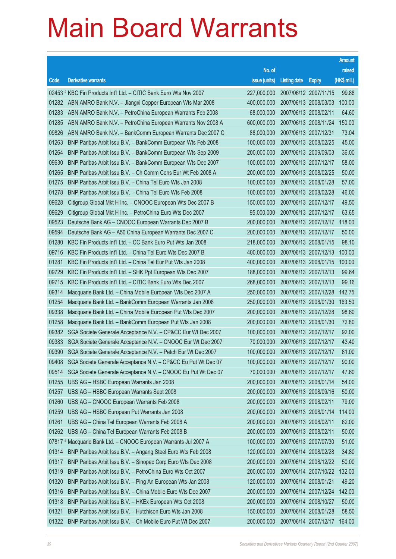|       |                                                                    |                                   |                       |                       | <b>Amount</b> |
|-------|--------------------------------------------------------------------|-----------------------------------|-----------------------|-----------------------|---------------|
|       |                                                                    | No. of                            |                       |                       | raised        |
| Code  | <b>Derivative warrants</b>                                         | issue (units)                     | <b>Listing date</b>   | <b>Expiry</b>         | $(HK$$ mil.)  |
|       | 02453 # KBC Fin Products Int'l Ltd. - CITIC Bank Euro Wts Nov 2007 | 227,000,000                       |                       | 2007/06/12 2007/11/15 | 99.88         |
| 01282 | ABN AMRO Bank N.V. - Jiangxi Copper European Wts Mar 2008          | 400,000,000                       |                       | 2007/06/13 2008/03/03 | 100.00        |
| 01283 | ABN AMRO Bank N.V. - PetroChina European Warrants Feb 2008         | 68,000,000                        | 2007/06/13 2008/02/11 |                       | 64.60         |
| 01285 | ABN AMRO Bank N.V. - PetroChina European Warrants Nov 2008 A       | 600,000,000                       |                       | 2007/06/13 2008/11/24 | 150.00        |
| 09826 | ABN AMRO Bank N.V. - BankComm European Warrants Dec 2007 C         | 88,000,000                        | 2007/06/13 2007/12/31 |                       | 73.04         |
| 01263 | BNP Paribas Arbit Issu B.V. - BankComm European Wts Feb 2008       | 100,000,000                       |                       | 2007/06/13 2008/02/25 | 45.00         |
| 01264 | BNP Paribas Arbit Issu B.V. - BankComm European Wts Sep 2009       | 200,000,000                       |                       | 2007/06/13 2009/09/03 | 36.00         |
| 09630 | BNP Paribas Arbit Issu B.V. - BankComm European Wts Dec 2007       | 100,000,000                       |                       | 2007/06/13 2007/12/17 | 58.00         |
| 01265 | BNP Paribas Arbit Issu B.V. - Ch Comm Cons Eur Wt Feb 2008 A       | 200,000,000                       |                       | 2007/06/13 2008/02/25 | 50.00         |
| 01275 | BNP Paribas Arbit Issu B.V. - China Tel Euro Wts Jan 2008          | 100,000,000                       |                       | 2007/06/13 2008/01/28 | 57.00         |
| 01278 | BNP Paribas Arbit Issu B.V. - China Tel Euro Wts Feb 2008          | 100,000,000                       |                       | 2007/06/13 2008/02/28 | 46.00         |
| 09628 | Citigroup Global Mkt H Inc. - CNOOC European Wts Dec 2007 B        | 150,000,000                       |                       | 2007/06/13 2007/12/17 | 49.50         |
| 09629 | Citigroup Global Mkt H Inc. - PetroChina Euro Wts Dec 2007         | 95,000,000                        |                       | 2007/06/13 2007/12/17 | 63.65         |
| 09523 | Deutsche Bank AG - CNOOC European Warrants Dec 2007 B              | 200,000,000                       |                       | 2007/06/13 2007/12/17 | 118.00        |
| 09594 | Deutsche Bank AG - A50 China European Warrants Dec 2007 C          | 200,000,000                       |                       | 2007/06/13 2007/12/17 | 50.00         |
| 01280 | KBC Fin Products Int'l Ltd. - CC Bank Euro Put Wts Jan 2008        | 218,000,000                       | 2007/06/13 2008/01/15 |                       | 98.10         |
| 09716 | KBC Fin Products Int'l Ltd. - China Tel Euro Wts Dec 2007 B        | 400,000,000                       |                       | 2007/06/13 2007/12/13 | 100.00        |
| 01281 | KBC Fin Products Int'l Ltd. - China Tel Eur Put Wts Jan 2008       | 400,000,000                       |                       | 2007/06/13 2008/01/15 | 100.00        |
| 09729 | KBC Fin Products Int'l Ltd. - SHK Ppt European Wts Dec 2007        | 188,000,000                       |                       | 2007/06/13 2007/12/13 | 99.64         |
| 09715 | KBC Fin Products Int'l Ltd. - CITIC Bank Euro Wts Dec 2007         | 268,000,000                       |                       | 2007/06/13 2007/12/13 | 99.16         |
| 09314 | Macquarie Bank Ltd. - China Mobile European Wts Dec 2007 A         | 250,000,000                       |                       | 2007/06/13 2007/12/28 | 142.75        |
| 01254 | Macquarie Bank Ltd. - BankComm European Warrants Jan 2008          | 250,000,000                       |                       | 2007/06/13 2008/01/30 | 163.50        |
| 09338 | Macquarie Bank Ltd. - China Mobile European Put Wts Dec 2007       | 200,000,000                       |                       | 2007/06/13 2007/12/28 | 98.60         |
| 01258 | Macquarie Bank Ltd. - BankComm European Put Wts Jan 2008           | 200,000,000                       |                       | 2007/06/13 2008/01/30 | 72.80         |
| 09382 | SGA Societe Generale Acceptance N.V. - CP&CC Eur Wt Dec 2007       | 100,000,000                       |                       | 2007/06/13 2007/12/17 | 92.00         |
| 09383 | SGA Societe Generale Acceptance N.V. - CNOOC Eur Wt Dec 2007       | 70,000,000                        | 2007/06/13 2007/12/17 |                       | 43.40         |
| 09390 | SGA Societe Generale Acceptance N.V. - Petch Eur Wt Dec 2007       | 100,000,000 2007/06/13 2007/12/17 |                       |                       | 81.00         |
| 09408 | SGA Societe Generale Acceptance N.V. - CP&CC Eu Put Wt Dec 07      | 100,000,000                       | 2007/06/13 2007/12/17 |                       | 90.00         |
| 09514 | SGA Societe Generale Acceptance N.V. - CNOOC Eu Put Wt Dec 07      | 70,000,000                        |                       | 2007/06/13 2007/12/17 | 47.60         |
| 01255 | UBS AG - HSBC European Warrants Jan 2008                           | 200,000,000                       | 2007/06/13 2008/01/14 |                       | 54.00         |
| 01257 | UBS AG - HSBC European Warrants Sept 2008                          | 200,000,000                       |                       | 2007/06/13 2008/09/16 | 50.00         |
| 01260 | UBS AG - CNOOC European Warrants Feb 2008                          | 200,000,000                       | 2007/06/13 2008/02/11 |                       | 79.00         |
| 01259 | UBS AG - HSBC European Put Warrants Jan 2008                       | 200,000,000                       |                       | 2007/06/13 2008/01/14 | 114.00        |
| 01261 | UBS AG - China Tel European Warrants Feb 2008 A                    | 200,000,000                       | 2007/06/13 2008/02/11 |                       | 62.00         |
| 01262 | UBS AG - China Tel European Warrants Feb 2008 B                    | 200,000,000                       |                       | 2007/06/13 2008/02/11 | 50.00         |
|       | 07817 # Macquarie Bank Ltd. - CNOOC European Warrants Jul 2007 A   | 100,000,000                       |                       | 2007/06/13 2007/07/30 | 51.00         |
| 01314 | BNP Paribas Arbit Issu B.V. - Angang Steel Euro Wts Feb 2008       | 120,000,000                       |                       | 2007/06/14 2008/02/28 | 34.80         |
| 01317 | BNP Paribas Arbit Issu B.V. - Sinopec Corp Euro Wts Dec 2008       | 200,000,000                       |                       | 2007/06/14 2008/12/22 | 50.00         |
| 01319 | BNP Paribas Arbit Issu B.V. - PetroChina Euro Wts Oct 2007         | 200,000,000                       |                       | 2007/06/14 2007/10/22 | 132.00        |
| 01320 | BNP Paribas Arbit Issu B.V. - Ping An European Wts Jan 2008        | 120,000,000                       | 2007/06/14 2008/01/21 |                       | 49.20         |
| 01316 | BNP Paribas Arbit Issu B.V. - China Mobile Euro Wts Dec 2007       | 200,000,000                       |                       | 2007/06/14 2007/12/24 | 142.00        |
| 01318 | BNP Paribas Arbit Issu B.V. - HKEx European Wts Oct 2008           | 200,000,000                       | 2007/06/14 2008/10/27 |                       | 50.00         |
| 01321 | BNP Paribas Arbit Issu B.V. - Hutchison Euro Wts Jan 2008          | 150,000,000                       |                       | 2007/06/14 2008/01/28 | 58.50         |
| 01322 | BNP Paribas Arbit Issu B.V. - Ch Mobile Euro Put Wt Dec 2007       | 200,000,000                       |                       | 2007/06/14 2007/12/17 | 164.00        |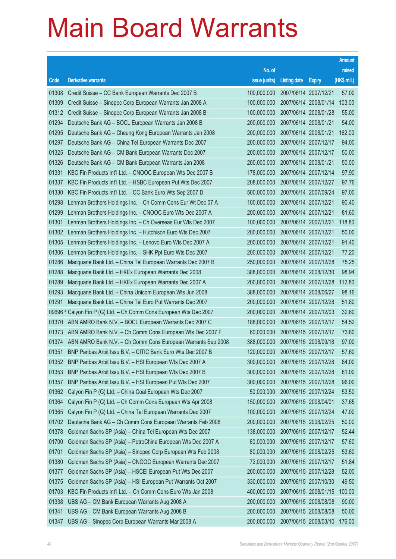|         |                                                              |                                   |                     |                       | <b>Amount</b> |
|---------|--------------------------------------------------------------|-----------------------------------|---------------------|-----------------------|---------------|
|         |                                                              | No. of                            |                     |                       | raised        |
| Code    | <b>Derivative warrants</b>                                   | issue (units)                     | <b>Listing date</b> | <b>Expiry</b>         | (HK\$ mil.)   |
| 01308   | Credit Suisse - CC Bank European Warrants Dec 2007 B         | 100,000,000                       |                     | 2007/06/14 2007/12/21 | 57.00         |
| 01309   | Credit Suisse - Sinopec Corp European Warrants Jan 2008 A    | 100,000,000                       |                     | 2007/06/14 2008/01/14 | 103.00        |
| 01312   | Credit Suisse - Sinopec Corp European Warrants Jan 2008 B    | 100,000,000                       |                     | 2007/06/14 2008/01/28 | 55.00         |
| 01294   | Deutsche Bank AG - BOCL European Warrants Jan 2008 B         | 200,000,000                       |                     | 2007/06/14 2008/01/21 | 54.00         |
| 01295   | Deutsche Bank AG - Cheung Kong European Warrants Jan 2008    | 200,000,000                       |                     | 2007/06/14 2008/01/21 | 162.00        |
| 01297   | Deutsche Bank AG - China Tel European Warrants Dec 2007      | 200,000,000                       |                     | 2007/06/14 2007/12/17 | 94.00         |
| 01325   | Deutsche Bank AG - CM Bank European Warrants Dec 2007        | 200,000,000                       |                     | 2007/06/14 2007/12/17 | 50.00         |
| 01326   | Deutsche Bank AG - CM Bank European Warrants Jan 2008        | 200,000,000                       |                     | 2007/06/14 2008/01/21 | 50.00         |
| 01331   | KBC Fin Products Int'l Ltd. - CNOOC European Wts Dec 2007 B  | 178,000,000                       |                     | 2007/06/14 2007/12/14 | 97.90         |
| 01337   | KBC Fin Products Int'l Ltd. - HSBC European Put Wts Dec 2007 | 208,000,000                       |                     | 2007/06/14 2007/12/27 | 97.76         |
| 01330   | KBC Fin Products Int'l Ltd. - CC Bank Euro Wts Sep 2007 D    | 500,000,000                       |                     | 2007/06/14 2007/09/24 | 97.00         |
| 01298   | Lehman Brothers Holdings Inc. - Ch Comm Cons Eur Wt Dec 07 A | 100,000,000                       |                     | 2007/06/14 2007/12/21 | 90.40         |
| 01299   | Lehman Brothers Holdings Inc. - CNOOC Euro Wts Dec 2007 A    | 200,000,000                       |                     | 2007/06/14 2007/12/21 | 81.60         |
| 01301   | Lehman Brothers Holdings Inc. - Ch Overseas Eur Wts Dec 2007 | 100,000,000                       |                     | 2007/06/14 2007/12/21 | 118.80        |
| 01302   | Lehman Brothers Holdings Inc. - Hutchison Euro Wts Dec 2007  | 200,000,000                       |                     | 2007/06/14 2007/12/21 | 50.00         |
| 01305   | Lehman Brothers Holdings Inc. - Lenovo Euro Wts Dec 2007 A   | 200,000,000                       |                     | 2007/06/14 2007/12/21 | 91.40         |
| 01306   | Lehman Brothers Holdings Inc. - SHK Ppt Euro Wts Dec 2007    | 200,000,000                       |                     | 2007/06/14 2007/12/21 | 77.20         |
| 01286   | Macquarie Bank Ltd. - China Tel European Warrants Dec 2007 B | 250,000,000                       |                     | 2007/06/14 2007/12/28 | 75.25         |
| 01288   | Macquarie Bank Ltd. - HKEx European Warrants Dec 2008        | 388,000,000                       |                     | 2007/06/14 2008/12/30 | 98.94         |
| 01289   | Macquarie Bank Ltd. - HKEx European Warrants Dec 2007 A      | 200,000,000                       |                     | 2007/06/14 2007/12/28 | 112.80        |
| 01293   | Macquarie Bank Ltd. - China Unicom European Wts Jun 2008     | 388,000,000                       |                     | 2007/06/14 2008/06/27 | 98.16         |
| 01291   | Macquarie Bank Ltd. - China Tel Euro Put Warrants Dec 2007   | 200,000,000                       |                     | 2007/06/14 2007/12/28 | 51.80         |
| 09696 # | Calyon Fin P (G) Ltd. - Ch Comm Cons European Wts Dec 2007   | 200,000,000                       |                     | 2007/06/14 2007/12/03 | 32.60         |
| 01370   | ABN AMRO Bank N.V. - BOCL European Warrants Dec 2007 C       | 188,000,000                       |                     | 2007/06/15 2007/12/17 | 54.52         |
| 01373   | ABN AMRO Bank N.V. - Ch Comm Cons European Wts Dec 2007 F    | 60,000,000                        |                     | 2007/06/15 2007/12/17 | 73.80         |
| 01374   | ABN AMRO Bank N.V. - Ch Comm Cons European Warrants Sep 2008 | 388,000,000                       |                     | 2007/06/15 2008/09/18 | 97.00         |
| 01351   | BNP Paribas Arbit Issu B.V. - CITIC Bank Euro Wts Dec 2007 B | 120,000,000 2007/06/15 2007/12/17 |                     |                       | 57.60         |
| 01352   | BNP Paribas Arbit Issu B.V. - HSI European Wts Dec 2007 A    | 300,000,000                       |                     | 2007/06/15 2007/12/28 | 84.00         |
| 01353   | BNP Paribas Arbit Issu B.V. - HSI European Wts Dec 2007 B    | 300,000,000                       |                     | 2007/06/15 2007/12/28 | 81.00         |
| 01357   | BNP Paribas Arbit Issu B.V. - HSI European Put Wts Dec 2007  | 300,000,000                       |                     | 2007/06/15 2007/12/28 | 96.00         |
| 01362   | Calyon Fin P (G) Ltd. - China Coal European Wts Dec 2007     | 50,000,000                        |                     | 2007/06/15 2007/12/24 | 53.50         |
| 01364   | Calyon Fin P (G) Ltd. - Ch Comm Cons European Wts Apr 2008   | 150,000,000                       |                     | 2007/06/15 2008/04/01 | 37.65         |
| 01365   | Calyon Fin P (G) Ltd. - China Tel European Warrants Dec 2007 | 100,000,000                       |                     | 2007/06/15 2007/12/24 | 47.00         |
| 01702   | Deutsche Bank AG - Ch Comm Cons European Warrants Feb 2008   | 200,000,000                       |                     | 2007/06/15 2008/02/25 | 50.00         |
| 01378   | Goldman Sachs SP (Asia) - China Tel European Wts Dec 2007    | 138,000,000                       |                     | 2007/06/15 2007/12/17 | 52.44         |
| 01700   | Goldman Sachs SP (Asia) - PetroChina European Wts Dec 2007 A | 60,000,000                        |                     | 2007/06/15 2007/12/17 | 57.60         |
| 01701   | Goldman Sachs SP (Asia) - Sinopec Corp European Wts Feb 2008 | 80,000,000                        |                     | 2007/06/15 2008/02/25 | 53.60         |
| 01380   | Goldman Sachs SP (Asia) - CNOOC European Warrants Dec 2007   | 72,000,000                        |                     | 2007/06/15 2007/12/17 | 51.84         |
| 01377   | Goldman Sachs SP (Asia) - HSCEI European Put Wts Dec 2007    | 200,000,000                       |                     | 2007/06/15 2007/12/28 | 52.00         |
| 01375   | Goldman Sachs SP (Asia) - HSI European Put Warrants Oct 2007 | 330,000,000                       |                     | 2007/06/15 2007/10/30 | 49.50         |
| 01703   | KBC Fin Products Int'l Ltd. - Ch Comm Cons Euro Wts Jan 2008 | 400,000,000                       |                     | 2007/06/15 2008/01/15 | 100.00        |
| 01338   | UBS AG - CM Bank European Warrants Aug 2008 A                | 200,000,000                       |                     | 2007/06/15 2008/08/08 | 90.00         |
| 01341   | UBS AG - CM Bank European Warrants Aug 2008 B                | 200,000,000                       |                     | 2007/06/15 2008/08/08 | 50.00         |
| 01347   | UBS AG - Sinopec Corp European Warrants Mar 2008 A           | 200,000,000                       |                     | 2007/06/15 2008/03/10 | 176.00        |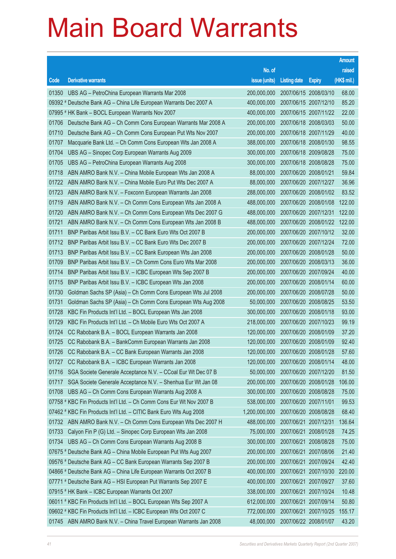|       |                                                                      |                                   |                       |                       | <b>Amount</b> |
|-------|----------------------------------------------------------------------|-----------------------------------|-----------------------|-----------------------|---------------|
|       |                                                                      | No. of                            |                       |                       | raised        |
| Code  | <b>Derivative warrants</b>                                           | issue (units)                     | <b>Listing date</b>   | <b>Expiry</b>         | (HK\$ mil.)   |
| 01350 | UBS AG - PetroChina European Warrants Mar 2008                       | 200,000,000                       |                       | 2007/06/15 2008/03/10 | 68.00         |
|       | 09392 # Deutsche Bank AG - China Life European Warrants Dec 2007 A   | 400,000,000                       | 2007/06/15 2007/12/10 |                       | 85.20         |
|       | 07995 # HK Bank - BOCL European Warrants Nov 2007                    | 400,000,000                       |                       | 2007/06/15 2007/11/22 | 22.00         |
| 01706 | Deutsche Bank AG - Ch Comm Cons European Warrants Mar 2008 A         | 200,000,000                       | 2007/06/18 2008/03/03 |                       | 50.00         |
| 01710 | Deutsche Bank AG - Ch Comm Cons European Put Wts Nov 2007            | 200,000,000                       |                       | 2007/06/18 2007/11/29 | 40.00         |
| 01707 | Macquarie Bank Ltd. - Ch Comm Cons European Wts Jan 2008 A           | 388,000,000                       | 2007/06/18 2008/01/30 |                       | 98.55         |
| 01704 | UBS AG - Sinopec Corp European Warrants Aug 2009                     | 300,000,000                       | 2007/06/18 2009/08/28 |                       | 75.00         |
| 01705 | UBS AG - PetroChina European Warrants Aug 2008                       | 300,000,000                       | 2007/06/18 2008/08/28 |                       | 75.00         |
| 01718 | ABN AMRO Bank N.V. - China Mobile European Wts Jan 2008 A            | 88,000,000                        | 2007/06/20 2008/01/21 |                       | 59.84         |
| 01722 | ABN AMRO Bank N.V. - China Mobile Euro Put Wts Dec 2007 A            | 88,000,000                        | 2007/06/20 2007/12/27 |                       | 36.96         |
| 01723 | ABN AMRO Bank N.V. - Foxconn European Warrants Jan 2008              | 288,000,000                       |                       | 2007/06/20 2008/01/02 | 83.52         |
| 01719 | ABN AMRO Bank N.V. - Ch Comm Cons European Wts Jan 2008 A            | 488,000,000                       | 2007/06/20 2008/01/08 |                       | 122.00        |
| 01720 | ABN AMRO Bank N.V. - Ch Comm Cons European Wts Dec 2007 G            | 488,000,000                       | 2007/06/20 2007/12/31 |                       | 122.00        |
| 01721 | ABN AMRO Bank N.V. - Ch Comm Cons European Wts Jan 2008 B            | 488,000,000                       |                       | 2007/06/20 2008/01/22 | 122.00        |
| 01711 | BNP Paribas Arbit Issu B.V. - CC Bank Euro Wts Oct 2007 B            | 200,000,000                       |                       | 2007/06/20 2007/10/12 | 32.00         |
| 01712 | BNP Paribas Arbit Issu B.V. - CC Bank Euro Wts Dec 2007 B            | 200,000,000                       |                       | 2007/06/20 2007/12/24 | 72.00         |
| 01713 | BNP Paribas Arbit Issu B.V. - CC Bank European Wts Jan 2008          | 200,000,000                       |                       | 2007/06/20 2008/01/28 | 50.00         |
| 01709 | BNP Paribas Arbit Issu B.V. - Ch Comm Cons Euro Wts Mar 2008         | 200,000,000                       | 2007/06/20 2008/03/13 |                       | 36.00         |
| 01714 | BNP Paribas Arbit Issu B.V. - ICBC European Wts Sep 2007 B           | 200,000,000                       |                       | 2007/06/20 2007/09/24 | 40.00         |
| 01715 | BNP Paribas Arbit Issu B.V. - ICBC European Wts Jan 2008             | 200,000,000                       |                       | 2007/06/20 2008/01/14 | 60.00         |
| 01730 | Goldman Sachs SP (Asia) - Ch Comm Cons European Wts Jul 2008         | 200,000,000                       |                       | 2007/06/20 2008/07/28 | 50.00         |
| 01731 | Goldman Sachs SP (Asia) - Ch Comm Cons European Wts Aug 2008         | 50,000,000                        |                       | 2007/06/20 2008/08/25 | 53.50         |
| 01728 | KBC Fin Products Int'l Ltd. - BOCL European Wts Jan 2008             | 300,000,000                       |                       | 2007/06/20 2008/01/18 | 93.00         |
| 01729 | KBC Fin Products Int'l Ltd. - Ch Mobile Euro Wts Oct 2007 A          | 218,000,000                       | 2007/06/20 2007/10/23 |                       | 99.19         |
| 01724 | CC Rabobank B.A. - BOCL European Warrants Jan 2008                   | 120,000,000                       | 2007/06/20 2008/01/09 |                       | 37.20         |
| 01725 | CC Rabobank B.A. - BankComm European Warrants Jan 2008               | 120,000,000                       | 2007/06/20 2008/01/09 |                       | 92.40         |
|       | 01726 CC Rabobank B.A. - CC Bank European Warrants Jan 2008          | 120,000,000 2007/06/20 2008/01/28 |                       |                       | 57.60         |
| 01727 | CC Rabobank B.A. - ICBC European Warrants Jan 2008                   | 120,000,000                       | 2007/06/20 2008/01/14 |                       | 48.00         |
| 01716 | SGA Societe Generale Acceptance N.V. - CCoal Eur Wt Dec 07 B         | 50,000,000                        | 2007/06/20 2007/12/20 |                       | 81.50         |
| 01717 | SGA Societe Generale Acceptance N.V. - Shenhua Eur Wt Jan 08         | 200,000,000                       |                       | 2007/06/20 2008/01/28 | 106.00        |
| 01708 | UBS AG - Ch Comm Cons European Warrants Aug 2008 A                   | 300,000,000                       | 2007/06/20 2008/08/28 |                       | 75.00         |
|       | 07758 # KBC Fin Products Int'l Ltd. - Ch Comm Cons Eur Wt Nov 2007 B | 538,000,000                       | 2007/06/20 2007/11/01 |                       | 99.53         |
|       | 07462 # KBC Fin Products Int'l Ltd. - CITIC Bank Euro Wts Aug 2008   | 1,200,000,000                     |                       | 2007/06/20 2008/08/28 | 68.40         |
| 01732 | ABN AMRO Bank N.V. - Ch Comm Cons European Wts Dec 2007 H            | 488,000,000                       | 2007/06/21 2007/12/31 |                       | 136.64        |
| 01733 | Calyon Fin P (G) Ltd. - Sinopec Corp European Wts Jan 2008           | 75,000,000                        | 2007/06/21 2008/01/28 |                       | 74.25         |
| 01734 | UBS AG - Ch Comm Cons European Warrants Aug 2008 B                   | 300,000,000                       | 2007/06/21 2008/08/28 |                       | 75.00         |
|       | 07675 # Deutsche Bank AG - China Mobile European Put Wts Aug 2007    | 200,000,000                       |                       | 2007/06/21 2007/08/06 | 21.40         |
|       | 09576 # Deutsche Bank AG - CC Bank European Warrants Sep 2007 B      | 200,000,000                       | 2007/06/21 2007/09/24 |                       | 42.40         |
|       | 04866 # Deutsche Bank AG - China Life European Warrants Oct 2007 B   | 400,000,000                       |                       | 2007/06/21 2007/10/30 | 220.00        |
|       | 07771 # Deutsche Bank AG - HSI European Put Warrants Sep 2007 E      | 400,000,000                       | 2007/06/21 2007/09/27 |                       | 37.60         |
|       | 07915 # HK Bank - ICBC European Warrants Oct 2007                    | 338,000,000                       |                       | 2007/06/21 2007/10/24 | 10.48         |
|       | 06011 # KBC Fin Products Int'l Ltd. - BOCL European Wts Sep 2007 A   | 612,000,000                       |                       | 2007/06/21 2007/09/14 | 50.80         |
|       | 09602 # KBC Fin Products Int'l Ltd. - ICBC European Wts Oct 2007 C   | 772,000,000                       |                       | 2007/06/21 2007/10/25 | 155.17        |
| 01745 | ABN AMRO Bank N.V. - China Travel European Warrants Jan 2008         | 48,000,000                        | 2007/06/22 2008/01/07 |                       | 43.20         |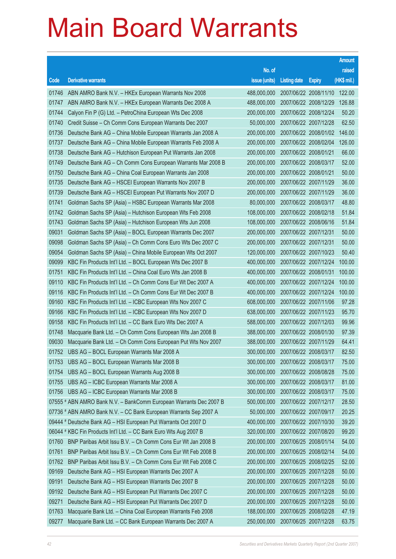|       |                                                                    |                                   |                       |               | <b>Amount</b> |
|-------|--------------------------------------------------------------------|-----------------------------------|-----------------------|---------------|---------------|
|       |                                                                    | No. of                            |                       |               | raised        |
| Code  | <b>Derivative warrants</b>                                         | issue (units)                     | <b>Listing date</b>   | <b>Expiry</b> | $(HK$$ mil.)  |
| 01746 | ABN AMRO Bank N.V. - HKEx European Warrants Nov 2008               | 488,000,000                       | 2007/06/22 2008/11/10 |               | 122.00        |
| 01747 | ABN AMRO Bank N.V. - HKEx European Warrants Dec 2008 A             | 488,000,000                       | 2007/06/22 2008/12/29 |               | 126.88        |
| 01744 | Calyon Fin P (G) Ltd. - PetroChina European Wts Dec 2008           | 200,000,000                       | 2007/06/22 2008/12/24 |               | 50.20         |
| 01740 | Credit Suisse - Ch Comm Cons European Warrants Dec 2007            | 50,000,000                        | 2007/06/22 2007/12/28 |               | 62.50         |
| 01736 | Deutsche Bank AG - China Mobile European Warrants Jan 2008 A       | 200,000,000                       | 2007/06/22 2008/01/02 |               | 146.00        |
| 01737 | Deutsche Bank AG - China Mobile European Warrants Feb 2008 A       | 200,000,000                       | 2007/06/22 2008/02/04 |               | 126.00        |
| 01738 | Deutsche Bank AG - Hutchison European Put Warrants Jan 2008        | 200,000,000                       | 2007/06/22 2008/01/21 |               | 66.00         |
| 01749 | Deutsche Bank AG - Ch Comm Cons European Warrants Mar 2008 B       | 200,000,000                       | 2007/06/22 2008/03/17 |               | 52.00         |
| 01750 | Deutsche Bank AG - China Coal European Warrants Jan 2008           | 200,000,000                       | 2007/06/22 2008/01/21 |               | 50.00         |
| 01735 | Deutsche Bank AG - HSCEI European Warrants Nov 2007 B              | 200,000,000                       | 2007/06/22 2007/11/29 |               | 36.00         |
| 01739 | Deutsche Bank AG - HSCEI European Put Warrants Nov 2007 D          | 200,000,000                       | 2007/06/22 2007/11/29 |               | 36.00         |
| 01741 | Goldman Sachs SP (Asia) - HSBC European Warrants Mar 2008          | 80,000,000                        | 2007/06/22 2008/03/17 |               | 48.80         |
| 01742 | Goldman Sachs SP (Asia) - Hutchison European Wts Feb 2008          | 108,000,000                       | 2007/06/22 2008/02/18 |               | 51.84         |
| 01743 | Goldman Sachs SP (Asia) - Hutchison European Wts Jun 2008          | 108,000,000                       | 2007/06/22 2008/06/16 |               | 51.84         |
| 09031 | Goldman Sachs SP (Asia) - BOCL European Warrants Dec 2007          | 200,000,000                       | 2007/06/22 2007/12/31 |               | 50.00         |
| 09098 | Goldman Sachs SP (Asia) - Ch Comm Cons Euro Wts Dec 2007 C         | 200,000,000                       | 2007/06/22 2007/12/31 |               | 50.00         |
| 09054 | Goldman Sachs SP (Asia) - China Mobile European Wts Oct 2007       | 120,000,000                       | 2007/06/22 2007/10/23 |               | 50.40         |
| 09099 | KBC Fin Products Int'l Ltd. - BOCL European Wts Dec 2007 B         | 400,000,000                       | 2007/06/22 2007/12/24 |               | 100.00        |
| 01751 | KBC Fin Products Int'l Ltd. - China Coal Euro Wts Jan 2008 B       | 400,000,000                       | 2007/06/22 2008/01/31 |               | 100.00        |
| 09110 | KBC Fin Products Int'l Ltd. - Ch Comm Cons Eur Wt Dec 2007 A       | 400,000,000                       | 2007/06/22 2007/12/24 |               | 100.00        |
| 09116 | KBC Fin Products Int'l Ltd. - Ch Comm Cons Eur Wt Dec 2007 B       | 400,000,000                       | 2007/06/22 2007/12/24 |               | 100.00        |
| 09160 | KBC Fin Products Int'l Ltd. - ICBC European Wts Nov 2007 C         | 608,000,000                       | 2007/06/22 2007/11/06 |               | 97.28         |
| 09166 | KBC Fin Products Int'l Ltd. - ICBC European Wts Nov 2007 D         | 638,000,000                       | 2007/06/22 2007/11/23 |               | 95.70         |
| 09158 | KBC Fin Products Int'l Ltd. - CC Bank Euro Wts Dec 2007 A          | 588,000,000                       | 2007/06/22 2007/12/03 |               | 99.96         |
| 01748 | Macquarie Bank Ltd. - Ch Comm Cons European Wts Jan 2008 B         | 388,000,000                       | 2007/06/22 2008/01/30 |               | 97.39         |
| 09030 | Macquarie Bank Ltd. - Ch Comm Cons European Put Wts Nov 2007       | 388,000,000                       | 2007/06/22 2007/11/29 |               | 64.41         |
|       | 01752 UBS AG - BOCL European Warrants Mar 2008 A                   | 300,000,000 2007/06/22 2008/03/17 |                       |               | 82.50         |
| 01753 | UBS AG - BOCL European Warrants Mar 2008 B                         | 300,000,000                       | 2007/06/22 2008/03/17 |               | 75.00         |
| 01754 | UBS AG - BOCL European Warrants Aug 2008 B                         | 300,000,000                       | 2007/06/22 2008/08/28 |               | 75.00         |
| 01755 | UBS AG - ICBC European Warrants Mar 2008 A                         | 300,000,000                       | 2007/06/22 2008/03/17 |               | 81.00         |
| 01756 | UBS AG - ICBC European Warrants Mar 2008 B                         | 300,000,000                       | 2007/06/22 2008/03/17 |               | 75.00         |
|       | 07555 # ABN AMRO Bank N.V. - BankComm European Warrants Dec 2007 B | 500,000,000                       | 2007/06/22 2007/12/17 |               | 28.50         |
|       | 07736 # ABN AMRO Bank N.V. - CC Bank European Warrants Sep 2007 A  | 50,000,000                        | 2007/06/22 2007/09/17 |               | 20.25         |
|       | 09444 # Deutsche Bank AG - HSI European Put Warrants Oct 2007 D    | 400,000,000                       | 2007/06/22 2007/10/30 |               | 39.20         |
|       | 06044 # KBC Fin Products Int'l Ltd. - CC Bank Euro Wts Aug 2007 B  | 320,000,000                       | 2007/06/22 2007/08/20 |               | 99.20         |
| 01760 | BNP Paribas Arbit Issu B.V. - Ch Comm Cons Eur Wt Jan 2008 B       | 200,000,000                       | 2007/06/25 2008/01/14 |               | 54.00         |
| 01761 | BNP Paribas Arbit Issu B.V. - Ch Comm Cons Eur Wt Feb 2008 B       | 200,000,000                       | 2007/06/25 2008/02/14 |               | 54.00         |
| 01762 | BNP Paribas Arbit Issu B.V. - Ch Comm Cons Eur Wt Feb 2008 C       | 200,000,000                       | 2007/06/25 2008/02/25 |               | 52.00         |
| 09169 | Deutsche Bank AG - HSI European Warrants Dec 2007 A                | 200,000,000                       | 2007/06/25 2007/12/28 |               | 50.00         |
| 09191 | Deutsche Bank AG - HSI European Warrants Dec 2007 B                | 200,000,000                       | 2007/06/25 2007/12/28 |               | 50.00         |
| 09192 | Deutsche Bank AG - HSI European Put Warrants Dec 2007 C            | 200,000,000                       | 2007/06/25 2007/12/28 |               | 50.00         |
| 09271 | Deutsche Bank AG - HSI European Put Warrants Dec 2007 D            | 200,000,000                       | 2007/06/25 2007/12/28 |               | 50.00         |
| 01763 | Macquarie Bank Ltd. - China Coal European Warrants Feb 2008        | 188,000,000                       | 2007/06/25 2008/02/28 |               | 47.19         |
| 09277 | Macquarie Bank Ltd. - CC Bank European Warrants Dec 2007 A         | 250,000,000                       | 2007/06/25 2007/12/28 |               | 63.75         |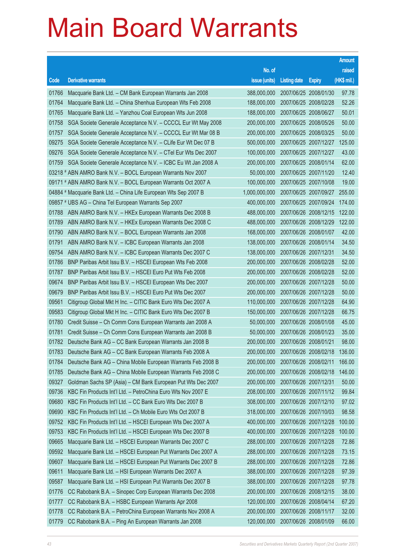|                |                                                                                                                           |                                   |                       |                       | <b>Amount</b>  |
|----------------|---------------------------------------------------------------------------------------------------------------------------|-----------------------------------|-----------------------|-----------------------|----------------|
|                |                                                                                                                           | No. of                            |                       |                       | raised         |
| Code           | <b>Derivative warrants</b>                                                                                                | issue (units)                     | <b>Listing date</b>   | <b>Expiry</b>         | (HK\$ mil.)    |
| 01766          | Macquarie Bank Ltd. - CM Bank European Warrants Jan 2008                                                                  | 388,000,000                       |                       | 2007/06/25 2008/01/30 | 97.78          |
| 01764          | Macquarie Bank Ltd. - China Shenhua European Wts Feb 2008                                                                 | 188,000,000                       | 2007/06/25 2008/02/28 |                       | 52.26          |
| 01765          | Macquarie Bank Ltd. - Yanzhou Coal European Wts Jun 2008                                                                  | 188,000,000                       | 2007/06/25 2008/06/27 |                       | 50.01          |
| 01758          | SGA Societe Generale Acceptance N.V. - CCCCL Eur Wt May 2008                                                              | 200,000,000                       | 2007/06/25 2008/05/26 |                       | 50.00          |
| 01757          | SGA Societe Generale Acceptance N.V. - CCCCL Eur Wt Mar 08 B                                                              | 200,000,000                       |                       | 2007/06/25 2008/03/25 | 50.00          |
| 09275          | SGA Societe Generale Acceptance N.V. - CLife Eur Wt Dec 07 B                                                              | 500,000,000                       | 2007/06/25 2007/12/27 |                       | 125.00         |
| 09276          | SGA Societe Generale Acceptance N.V. - CTel Eur Wts Dec 2007                                                              | 100,000,000                       | 2007/06/25 2007/12/27 |                       | 43.00          |
| 01759          | SGA Societe Generale Acceptance N.V. - ICBC Eu Wt Jan 2008 A                                                              | 200,000,000                       | 2007/06/25 2008/01/14 |                       | 62.00          |
|                | 03218 # ABN AMRO Bank N.V. - BOCL European Warrants Nov 2007                                                              | 50,000,000                        | 2007/06/25 2007/11/20 |                       | 12.40          |
|                | 09171 # ABN AMRO Bank N.V. - BOCL European Warrants Oct 2007 A                                                            | 100,000,000                       | 2007/06/25 2007/10/08 |                       | 19.00          |
|                | 04884 # Macquarie Bank Ltd. - China Life European Wts Sep 2007 B                                                          | 1,000,000,000                     |                       | 2007/06/25 2007/09/27 | 255.00         |
|                | 09857 # UBS AG – China Tel European Warrants Sep 2007                                                                     | 400,000,000                       |                       | 2007/06/25 2007/09/24 | 174.00         |
| 01788          | ABN AMRO Bank N.V. - HKEx European Warrants Dec 2008 B                                                                    | 488,000,000                       |                       | 2007/06/26 2008/12/15 | 122.00         |
| 01789          | ABN AMRO Bank N.V. - HKEx European Warrants Dec 2008 C                                                                    | 488,000,000                       | 2007/06/26 2008/12/29 |                       | 122.00         |
| 01790          | ABN AMRO Bank N.V. - BOCL European Warrants Jan 2008                                                                      | 168,000,000                       | 2007/06/26 2008/01/07 |                       | 42.00          |
| 01791          | ABN AMRO Bank N.V. - ICBC European Warrants Jan 2008                                                                      | 138,000,000                       | 2007/06/26 2008/01/14 |                       | 34.50          |
| 09754          | ABN AMRO Bank N.V. - ICBC European Warrants Dec 2007 C                                                                    | 138,000,000                       | 2007/06/26 2007/12/31 |                       | 34.50          |
| 01786          | BNP Paribas Arbit Issu B.V. - HSCEI European Wts Feb 2008                                                                 | 200,000,000                       | 2007/06/26 2008/02/28 |                       | 52.00          |
| 01787          | BNP Paribas Arbit Issu B.V. - HSCEI Euro Put Wts Feb 2008                                                                 | 200,000,000                       | 2007/06/26 2008/02/28 |                       | 52.00          |
| 09674          | BNP Paribas Arbit Issu B.V. - HSCEI European Wts Dec 2007                                                                 | 200,000,000                       | 2007/06/26 2007/12/28 |                       | 50.00          |
| 09679<br>09561 | BNP Paribas Arbit Issu B.V. - HSCEI Euro Put Wts Dec 2007<br>Citigroup Global Mkt H Inc. - CITIC Bank Euro Wts Dec 2007 A | 200,000,000<br>110,000,000        | 2007/06/26 2007/12/28 | 2007/06/26 2007/12/28 | 50.00<br>64.90 |
| 09583          | Citigroup Global Mkt H Inc. - CITIC Bank Euro Wts Dec 2007 B                                                              | 150,000,000                       | 2007/06/26 2007/12/28 |                       | 66.75          |
| 01780          | Credit Suisse - Ch Comm Cons European Warrants Jan 2008 A                                                                 | 50,000,000                        | 2007/06/26 2008/01/08 |                       | 45.00          |
| 01781          | Credit Suisse – Ch Comm Cons European Warrants Jan 2008 B                                                                 | 50,000,000                        | 2007/06/26 2008/01/23 |                       | 35.00          |
| 01782          | Deutsche Bank AG - CC Bank European Warrants Jan 2008 B                                                                   | 200,000,000                       | 2007/06/26 2008/01/21 |                       | 98.00          |
|                | 01783 Deutsche Bank AG - CC Bank European Warrants Feb 2008 A                                                             | 200,000,000 2007/06/26 2008/02/18 |                       |                       | 136.00         |
| 01784          | Deutsche Bank AG - China Mobile European Warrants Feb 2008 B                                                              | 200,000,000                       | 2007/06/26 2008/02/11 |                       | 166.00         |
| 01785          | Deutsche Bank AG - China Mobile European Warrants Feb 2008 C                                                              | 200,000,000                       |                       | 2007/06/26 2008/02/18 | 146.00         |
| 09327          | Goldman Sachs SP (Asia) – CM Bank European Put Wts Dec 2007                                                               | 200,000,000                       | 2007/06/26 2007/12/31 |                       | 50.00          |
| 09736          | KBC Fin Products Int'l Ltd. - PetroChina Euro Wts Nov 2007 E                                                              | 208,000,000                       |                       | 2007/06/26 2007/11/12 | 99.84          |
| 09680          | KBC Fin Products Int'l Ltd. - CC Bank Euro Wts Dec 2007 B                                                                 | 308,000,000                       | 2007/06/26 2007/12/10 |                       | 97.02          |
| 09690          | KBC Fin Products Int'l Ltd. - Ch Mobile Euro Wts Oct 2007 B                                                               | 318,000,000                       | 2007/06/26 2007/10/03 |                       | 98.58          |
| 09752          | KBC Fin Products Int'l Ltd. - HSCEI European Wts Dec 2007 A                                                               | 400,000,000                       | 2007/06/26 2007/12/28 |                       | 100.00         |
| 09753          | KBC Fin Products Int'l Ltd. - HSCEI European Wts Dec 2007 B                                                               | 400,000,000                       |                       | 2007/06/26 2007/12/28 | 100.00         |
| 09665          | Macquarie Bank Ltd. - HSCEI European Warrants Dec 2007 C                                                                  | 288,000,000                       | 2007/06/26 2007/12/28 |                       | 72.86          |
| 09592          | Macquarie Bank Ltd. - HSCEI European Put Warrants Dec 2007 A                                                              | 288,000,000                       |                       | 2007/06/26 2007/12/28 | 73.15          |
| 09607          | Macquarie Bank Ltd. - HSCEI European Put Warrants Dec 2007 B                                                              | 288,000,000                       | 2007/06/26 2007/12/28 |                       | 72.86          |
| 09611          | Macquarie Bank Ltd. - HSI European Warrants Dec 2007 A                                                                    | 388,000,000                       | 2007/06/26 2007/12/28 |                       | 97.39          |
| 09587          | Macquarie Bank Ltd. - HSI European Put Warrants Dec 2007 B                                                                | 388,000,000                       | 2007/06/26 2007/12/28 |                       | 97.78          |
| 01776          | CC Rabobank B.A. - Sinopec Corp European Warrants Dec 2008                                                                | 200,000,000                       | 2007/06/26 2008/12/15 |                       | 38.00          |
| 01777          | CC Rabobank B.A. - HSBC European Warrants Apr 2008                                                                        | 120,000,000                       | 2007/06/26 2008/04/14 |                       | 67.20          |
| 01778          | CC Rabobank B.A. - PetroChina European Warrants Nov 2008 A                                                                | 200,000,000                       |                       | 2007/06/26 2008/11/17 | 32.00          |
| 01779          | CC Rabobank B.A. - Ping An European Warrants Jan 2008                                                                     | 120,000,000                       | 2007/06/26 2008/01/09 |                       | 66.00          |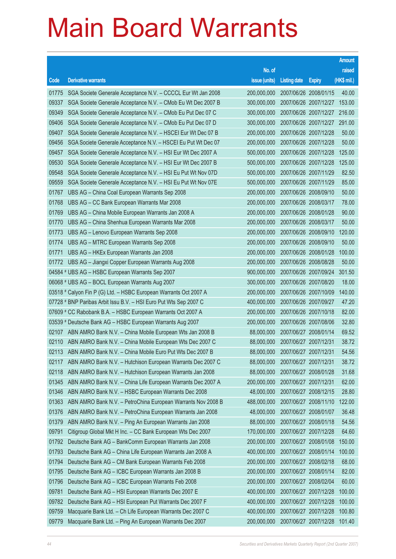|       |                                                                   |               |                                  |                       | <b>Amount</b> |
|-------|-------------------------------------------------------------------|---------------|----------------------------------|-----------------------|---------------|
|       |                                                                   | No. of        |                                  |                       | raised        |
| Code  | <b>Derivative warrants</b>                                        | issue (units) | <b>Listing date</b>              | <b>Expiry</b>         | (HK\$ mil.)   |
| 01775 | SGA Societe Generale Acceptance N.V. - CCCCL Eur Wt Jan 2008      | 200,000,000   |                                  | 2007/06/26 2008/01/15 | 40.00         |
| 09337 | SGA Societe Generale Acceptance N.V. - CMob Eu Wt Dec 2007 B      | 300,000,000   | 2007/06/26 2007/12/27            |                       | 153.00        |
| 09349 | SGA Societe Generale Acceptance N.V. - CMob Eu Put Dec 07 C       | 300,000,000   |                                  | 2007/06/26 2007/12/27 | 216.00        |
| 09406 | SGA Societe Generale Acceptance N.V. - CMob Eu Put Dec 07 D       | 300,000,000   |                                  | 2007/06/26 2007/12/27 | 291.00        |
| 09407 | SGA Societe Generale Acceptance N.V. - HSCEI Eur Wt Dec 07 B      | 200,000,000   | 2007/06/26 2007/12/28            |                       | 50.00         |
| 09456 | SGA Societe Generale Acceptance N.V. - HSCEI Eu Put Wt Dec 07     | 200,000,000   | 2007/06/26 2007/12/28            |                       | 50.00         |
| 09457 | SGA Societe Generale Acceptance N.V. - HSI Eur Wt Dec 2007 A      | 500,000,000   |                                  | 2007/06/26 2007/12/28 | 125.00        |
| 09530 | SGA Societe Generale Acceptance N.V. - HSI Eur Wt Dec 2007 B      | 500,000,000   | 2007/06/26 2007/12/28            |                       | 125.00        |
| 09548 | SGA Societe Generale Acceptance N.V. - HSI Eu Put Wt Nov 07D      | 500,000,000   | 2007/06/26 2007/11/29            |                       | 82.50         |
| 09559 | SGA Societe Generale Acceptance N.V. - HSI Eu Put Wt Nov 07E      | 500,000,000   | 2007/06/26 2007/11/29            |                       | 85.00         |
| 01767 | UBS AG - China Coal European Warrants Sep 2008                    | 200,000,000   | 2007/06/26 2008/09/10            |                       | 50.00         |
| 01768 | UBS AG - CC Bank European Warrants Mar 2008                       | 200,000,000   | 2007/06/26 2008/03/17            |                       | 78.00         |
| 01769 | UBS AG - China Mobile European Warrants Jan 2008 A                | 200,000,000   | 2007/06/26 2008/01/28            |                       | 90.00         |
| 01770 | UBS AG - China Shenhua European Warrants Mar 2008                 | 200,000,000   | 2007/06/26 2008/03/17            |                       | 50.00         |
| 01773 | UBS AG - Lenovo European Warrants Sep 2008                        | 200,000,000   |                                  | 2007/06/26 2008/09/10 | 120.00        |
| 01774 | UBS AG - MTRC European Warrants Sep 2008                          | 200,000,000   | 2007/06/26 2008/09/10            |                       | 50.00         |
| 01771 | UBS AG - HKEx European Warrants Jan 2008                          | 200,000,000   |                                  | 2007/06/26 2008/01/28 | 100.00        |
| 01772 | UBS AG - Jiangxi Copper European Warrants Aug 2008                | 200,000,000   | 2007/06/26 2008/08/28            |                       | 50.00         |
|       | 04584 # UBS AG - HSBC European Warrants Sep 2007                  | 900,000,000   |                                  | 2007/06/26 2007/09/24 | 301.50        |
|       | 06068 # UBS AG - BOCL European Warrants Aug 2007                  | 300,000,000   | 2007/06/26 2007/08/20            |                       | 18.00         |
|       | 03518 # Calyon Fin P (G) Ltd. - HSBC European Warrants Oct 2007 A | 200,000,000   |                                  | 2007/06/26 2007/10/09 | 140.00        |
|       | 07728 # BNP Paribas Arbit Issu B.V. - HSI Euro Put Wts Sep 2007 C | 400,000,000   | 2007/06/26 2007/09/27            |                       | 47.20         |
|       | 07609 # CC Rabobank B.A. - HSBC European Warrants Oct 2007 A      | 200,000,000   | 2007/06/26 2007/10/18            |                       | 82.00         |
|       | 03539 # Deutsche Bank AG - HSBC European Warrants Aug 2007        | 200,000,000   | 2007/06/26 2007/08/06            |                       | 32.80         |
| 02107 | ABN AMRO Bank N.V. - China Mobile European Wts Jan 2008 B         | 88,000,000    | 2007/06/27 2008/01/14            |                       | 69.52         |
| 02110 | ABN AMRO Bank N.V. - China Mobile European Wts Dec 2007 C         | 88,000,000    | 2007/06/27 2007/12/31            |                       | 38.72         |
|       | 02113 ABN AMRO Bank N.V. - China Mobile Euro Put Wts Dec 2007 B   |               | 88,000,000 2007/06/27 2007/12/31 |                       | 54.56         |
| 02117 | ABN AMRO Bank N.V. - Hutchison European Warrants Dec 2007 C       | 88,000,000    | 2007/06/27 2007/12/31            |                       | 38.72         |
| 02118 | ABN AMRO Bank N.V. - Hutchison European Warrants Jan 2008         | 88,000,000    | 2007/06/27 2008/01/28            |                       | 31.68         |
| 01345 | ABN AMRO Bank N.V. - China Life European Warrants Dec 2007 A      | 200,000,000   | 2007/06/27 2007/12/31            |                       | 62.00         |
| 01346 | ABN AMRO Bank N.V. - HSBC European Warrants Dec 2008              | 48,000,000    |                                  | 2007/06/27 2008/12/15 | 28.80         |
| 01363 | ABN AMRO Bank N.V. - PetroChina European Warrants Nov 2008 B      | 488,000,000   |                                  | 2007/06/27 2008/11/10 | 122.00        |
| 01376 | ABN AMRO Bank N.V. - PetroChina European Warrants Jan 2008        | 48,000,000    | 2007/06/27 2008/01/07            |                       | 36.48         |
| 01379 | ABN AMRO Bank N.V. - Ping An European Warrants Jan 2008           | 88,000,000    | 2007/06/27 2008/01/18            |                       | 54.56         |
| 09791 | Citigroup Global Mkt H Inc. - CC Bank European Wts Dec 2007       | 170,000,000   | 2007/06/27 2007/12/28            |                       | 64.60         |
| 01792 | Deutsche Bank AG - BankComm European Warrants Jan 2008            | 200,000,000   | 2007/06/27 2008/01/08            |                       | 150.00        |
| 01793 | Deutsche Bank AG - China Life European Warrants Jan 2008 A        | 400,000,000   |                                  | 2007/06/27 2008/01/14 | 100.00        |
| 01794 | Deutsche Bank AG - CM Bank European Warrants Feb 2008             | 200,000,000   | 2007/06/27 2008/02/18            |                       | 68.00         |
| 01795 | Deutsche Bank AG - ICBC European Warrants Jan 2008 B              | 200,000,000   |                                  | 2007/06/27 2008/01/14 | 82.00         |
| 01796 | Deutsche Bank AG - ICBC European Warrants Feb 2008                | 200,000,000   | 2007/06/27 2008/02/04            |                       | 60.00         |
| 09781 | Deutsche Bank AG - HSI European Warrants Dec 2007 E               | 400,000,000   |                                  | 2007/06/27 2007/12/28 | 100.00        |
| 09782 | Deutsche Bank AG - HSI European Put Warrants Dec 2007 F           | 400,000,000   | 2007/06/27 2007/12/28            |                       | 100.00        |
| 09759 | Macquarie Bank Ltd. - Ch Life European Warrants Dec 2007 C        | 400,000,000   | 2007/06/27 2007/12/28            |                       | 100.80        |
| 09779 | Macquarie Bank Ltd. - Ping An European Warrants Dec 2007          | 200,000,000   | 2007/06/27 2007/12/28            |                       | 101.40        |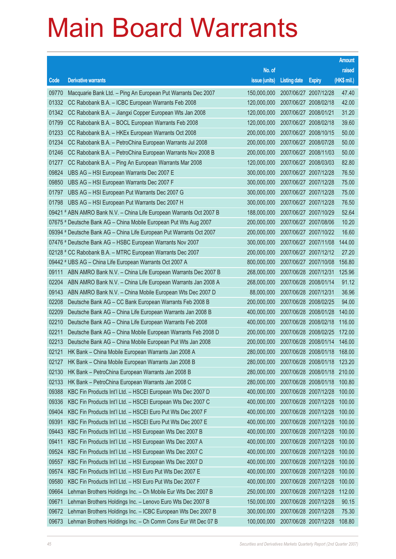|       |                                                                      |                                          |                       |                       | <b>Amount</b> |
|-------|----------------------------------------------------------------------|------------------------------------------|-----------------------|-----------------------|---------------|
|       |                                                                      | No. of                                   |                       |                       | raised        |
| Code  | <b>Derivative warrants</b>                                           | issue (units)                            | <b>Listing date</b>   | <b>Expiry</b>         | (HK\$ mil.)   |
| 09770 | Macquarie Bank Ltd. - Ping An European Put Warrants Dec 2007         | 150,000,000                              |                       | 2007/06/27 2007/12/28 | 47.40         |
| 01332 | CC Rabobank B.A. - ICBC European Warrants Feb 2008                   | 120,000,000                              |                       | 2007/06/27 2008/02/18 | 42.00         |
| 01342 | CC Rabobank B.A. - Jiangxi Copper European Wts Jan 2008              | 120,000,000                              | 2007/06/27 2008/01/21 |                       | 31.20         |
| 01799 | CC Rabobank B.A. - BOCL European Warrants Feb 2008                   | 120,000,000                              | 2007/06/27 2008/02/18 |                       | 39.60         |
| 01233 | CC Rabobank B.A. - HKEx European Warrants Oct 2008                   | 200,000,000                              |                       | 2007/06/27 2008/10/15 | 50.00         |
| 01234 | CC Rabobank B.A. - PetroChina European Warrants Jul 2008             | 200,000,000                              |                       | 2007/06/27 2008/07/28 | 50.00         |
| 01246 | CC Rabobank B.A. - PetroChina European Warrants Nov 2008 B           | 200,000,000                              |                       | 2007/06/27 2008/11/03 | 50.00         |
| 01277 | CC Rabobank B.A. - Ping An European Warrants Mar 2008                | 120,000,000                              | 2007/06/27 2008/03/03 |                       | 82.80         |
| 09824 | UBS AG - HSI European Warrants Dec 2007 E                            | 300,000,000                              |                       | 2007/06/27 2007/12/28 | 76.50         |
| 09850 | UBS AG - HSI European Warrants Dec 2007 F                            | 300,000,000                              |                       | 2007/06/27 2007/12/28 | 75.00         |
| 01797 | UBS AG - HSI European Put Warrants Dec 2007 G                        | 300,000,000                              |                       | 2007/06/27 2007/12/28 | 75.00         |
| 01798 | UBS AG - HSI European Put Warrants Dec 2007 H                        | 300,000,000                              | 2007/06/27 2007/12/28 |                       | 76.50         |
|       | 09421 # ABN AMRO Bank N.V. - China Life European Warrants Oct 2007 B | 188,000,000                              |                       | 2007/06/27 2007/10/29 | 52.64         |
|       | 07675 # Deutsche Bank AG - China Mobile European Put Wts Aug 2007    | 200,000,000                              |                       | 2007/06/27 2007/08/06 | 10.20         |
|       | 09394 # Deutsche Bank AG - China Life European Put Warrants Oct 2007 | 200,000,000                              |                       | 2007/06/27 2007/10/22 | 16.60         |
|       | 07476 # Deutsche Bank AG - HSBC European Warrants Nov 2007           | 300,000,000                              |                       | 2007/06/27 2007/11/08 | 144.00        |
|       | 02128 # CC Rabobank B.A. - MTRC European Warrants Dec 2007           | 200,000,000                              |                       | 2007/06/27 2007/12/12 | 27.20         |
|       | 09442 # UBS AG - China Life European Warrants Oct 2007 A             | 800,000,000                              |                       | 2007/06/27 2007/10/08 | 156.80        |
| 09111 | ABN AMRO Bank N.V. - China Life European Warrants Dec 2007 B         | 268,000,000                              |                       | 2007/06/28 2007/12/31 | 125.96        |
| 02204 | ABN AMRO Bank N.V. - China Life European Warrants Jan 2008 A         | 268,000,000                              |                       | 2007/06/28 2008/01/14 | 91.12         |
| 09143 | ABN AMRO Bank N.V. - China Mobile European Wts Dec 2007 D            | 88,000,000                               |                       | 2007/06/28 2007/12/31 | 36.96         |
| 02208 | Deutsche Bank AG - CC Bank European Warrants Feb 2008 B              | 200,000,000                              |                       | 2007/06/28 2008/02/25 | 94.00         |
| 02209 | Deutsche Bank AG - China Life European Warrants Jan 2008 B           | 400,000,000                              |                       | 2007/06/28 2008/01/28 | 140.00        |
| 02210 | Deutsche Bank AG - China Life European Warrants Feb 2008             | 400,000,000                              |                       | 2007/06/28 2008/02/18 | 116.00        |
| 02211 | Deutsche Bank AG - China Mobile European Warrants Feb 2008 D         | 200,000,000                              |                       | 2007/06/28 2008/02/25 | 172.00        |
| 02213 | Deutsche Bank AG - China Mobile European Put Wts Jan 2008            | 200,000,000                              |                       | 2007/06/28 2008/01/14 | 146.00        |
| 02121 | HK Bank - China Mobile European Warrants Jan 2008 A                  | 280,000,000 2007/06/28 2008/01/18 168.00 |                       |                       |               |
| 02127 | HK Bank - China Mobile European Warrants Jan 2008 B                  | 280,000,000                              |                       | 2007/06/28 2008/01/18 | 123.20        |
| 02130 | HK Bank - PetroChina European Warrants Jan 2008 B                    | 280,000,000                              |                       | 2007/06/28 2008/01/18 | 210.00        |
| 02133 | HK Bank - PetroChina European Warrants Jan 2008 C                    | 280,000,000                              |                       | 2007/06/28 2008/01/18 | 100.80        |
| 09388 | KBC Fin Products Int'l Ltd. - HSCEI European Wts Dec 2007 D          | 400,000,000                              |                       | 2007/06/28 2007/12/28 | 100.00        |
| 09336 | KBC Fin Products Int'l Ltd. - HSCEI European Wts Dec 2007 C          | 400,000,000                              |                       | 2007/06/28 2007/12/28 | 100.00        |
| 09404 | KBC Fin Products Int'l Ltd. - HSCEI Euro Put Wts Dec 2007 F          | 400,000,000                              |                       | 2007/06/28 2007/12/28 | 100.00        |
| 09391 | KBC Fin Products Int'l Ltd. - HSCEI Euro Put Wts Dec 2007 E          | 400,000,000                              |                       | 2007/06/28 2007/12/28 | 100.00        |
| 09443 | KBC Fin Products Int'l Ltd. - HSI European Wts Dec 2007 B            | 400,000,000                              |                       | 2007/06/28 2007/12/28 | 100.00        |
| 09411 | KBC Fin Products Int'l Ltd. - HSI European Wts Dec 2007 A            | 400,000,000                              |                       | 2007/06/28 2007/12/28 | 100.00        |
| 09524 | KBC Fin Products Int'l Ltd. - HSI European Wts Dec 2007 C            | 400,000,000                              |                       | 2007/06/28 2007/12/28 | 100.00        |
| 09557 | KBC Fin Products Int'l Ltd. - HSI European Wts Dec 2007 D            | 400,000,000                              |                       | 2007/06/28 2007/12/28 | 100.00        |
| 09574 | KBC Fin Products Int'l Ltd. - HSI Euro Put Wts Dec 2007 E            | 400,000,000                              |                       | 2007/06/28 2007/12/28 | 100.00        |
| 09580 | KBC Fin Products Int'l Ltd. - HSI Euro Put Wts Dec 2007 F            | 400,000,000                              |                       | 2007/06/28 2007/12/28 | 100.00        |
| 09664 | Lehman Brothers Holdings Inc. - Ch Mobile Eur Wts Dec 2007 B         | 250,000,000                              |                       | 2007/06/28 2007/12/28 | 112.00        |
| 09671 | Lehman Brothers Holdings Inc. - Lenovo Euro Wts Dec 2007 B           | 150,000,000                              |                       | 2007/06/28 2007/12/28 | 90.15         |
| 09672 | Lehman Brothers Holdings Inc. - ICBC European Wts Dec 2007 B         | 300,000,000                              |                       | 2007/06/28 2007/12/28 | 75.30         |
| 09673 | Lehman Brothers Holdings Inc. - Ch Comm Cons Eur Wt Dec 07 B         | 100,000,000                              |                       | 2007/06/28 2007/12/28 | 108.80        |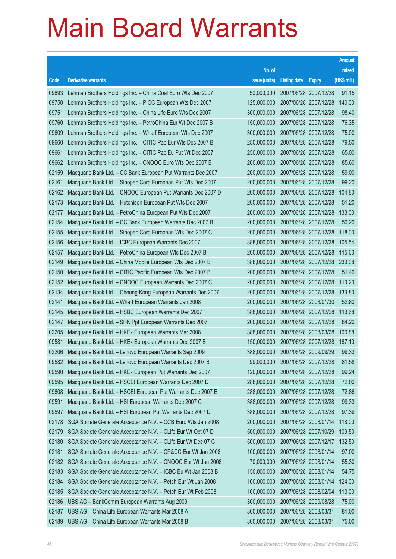|       |                                                              |                                   |                       |                       | <b>Amount</b> |
|-------|--------------------------------------------------------------|-----------------------------------|-----------------------|-----------------------|---------------|
|       |                                                              | No. of                            |                       |                       | raised        |
| Code  | <b>Derivative warrants</b>                                   | issue (units)                     | <b>Listing date</b>   | <b>Expiry</b>         | (HK\$ mil.)   |
| 09693 | Lehman Brothers Holdings Inc. - China Coal Euro Wts Dec 2007 | 50,000,000                        | 2007/06/28 2007/12/28 |                       | 91.15         |
| 09750 | Lehman Brothers Holdings Inc. - PICC European Wts Dec 2007   | 125,000,000                       | 2007/06/28 2007/12/28 |                       | 140.00        |
| 09751 | Lehman Brothers Holdings Inc. - China Life Euro Wts Dec 2007 | 300,000,000                       | 2007/06/28 2007/12/28 |                       | 98.40         |
| 09760 | Lehman Brothers Holdings Inc. - PetroChina Eur Wt Dec 2007 B | 150,000,000                       | 2007/06/28 2007/12/28 |                       | 76.35         |
| 09609 | Lehman Brothers Holdings Inc. - Wharf European Wts Dec 2007  | 300,000,000                       | 2007/06/28 2007/12/28 |                       | 75.00         |
| 09660 | Lehman Brothers Holdings Inc. - CITIC Pac Eur Wts Dec 2007 B | 250,000,000                       | 2007/06/28 2007/12/28 |                       | 79.50         |
| 09661 | Lehman Brothers Holdings Inc. - CITIC Pac Eu Put Wt Dec 2007 | 250,000,000                       | 2007/06/28 2007/12/28 |                       | 65.00         |
| 09662 | Lehman Brothers Holdings Inc. - CNOOC Euro Wts Dec 2007 B    | 200,000,000                       | 2007/06/28 2007/12/28 |                       | 85.60         |
| 02159 | Macquarie Bank Ltd. - CC Bank European Put Warrants Dec 2007 | 200,000,000                       | 2007/06/28 2007/12/28 |                       | 59.00         |
| 02161 | Macquarie Bank Ltd. - Sinopec Corp European Put Wts Dec 2007 | 200,000,000                       | 2007/06/28 2007/12/28 |                       | 99.20         |
| 02162 | Macquarie Bank Ltd. - CNOOC European Put Warrants Dec 2007 D | 200,000,000                       | 2007/06/28 2007/12/28 |                       | 104.80        |
| 02173 | Macquarie Bank Ltd. - Hutchison European Put Wts Dec 2007    | 200,000,000                       | 2007/06/28 2007/12/28 |                       | 51.20         |
| 02177 | Macquarie Bank Ltd. - PetroChina European Put Wts Dec 2007   | 200,000,000                       | 2007/06/28 2007/12/28 |                       | 133.00        |
| 02154 | Macquarie Bank Ltd. - CC Bank European Warrants Dec 2007 B   | 200,000,000                       | 2007/06/28 2007/12/28 |                       | 50.20         |
| 02155 | Macquarie Bank Ltd. - Sinopec Corp European Wts Dec 2007 C   | 200,000,000                       | 2007/06/28 2007/12/28 |                       | 118.00        |
| 02156 | Macquarie Bank Ltd. - ICBC European Warrants Dec 2007        | 388,000,000                       | 2007/06/28 2007/12/28 |                       | 105.54        |
| 02157 | Macquarie Bank Ltd. - PetroChina European Wts Dec 2007 B     | 200,000,000                       | 2007/06/28 2007/12/28 |                       | 115.60        |
| 02149 | Macquarie Bank Ltd. - China Mobile European Wts Dec 2007 B   | 388,000,000                       | 2007/06/28 2007/12/28 |                       | 230.08        |
| 02150 | Macquarie Bank Ltd. - CITIC Pacific European Wts Dec 2007 B  | 200,000,000                       | 2007/06/28 2007/12/28 |                       | 51.40         |
| 02152 | Macquarie Bank Ltd. - CNOOC European Warrants Dec 2007 C     | 200,000,000                       | 2007/06/28 2007/12/28 |                       | 110.20        |
| 02134 | Macquarie Bank Ltd. - Cheung Kong European Warrants Dec 2007 | 200,000,000                       | 2007/06/28 2007/12/28 |                       | 133.80        |
| 02141 | Macquarie Bank Ltd. - Wharf European Warrants Jan 2008       | 200,000,000                       | 2007/06/28 2008/01/30 |                       | 52.80         |
| 02145 | Macquarie Bank Ltd. - HSBC European Warrants Dec 2007        | 388,000,000                       | 2007/06/28 2007/12/28 |                       | 113.68        |
| 02147 | Macquarie Bank Ltd. - SHK Ppt European Warrants Dec 2007     | 200,000,000                       | 2007/06/28 2007/12/28 |                       | 84.20         |
| 02205 | Macquarie Bank Ltd. - HKEx European Warrants Mar 2008        | 388,000,000                       | 2007/06/28 2008/03/28 |                       | 100.88        |
| 09581 | Macquarie Bank Ltd. - HKEx European Warrants Dec 2007 B      | 150,000,000                       | 2007/06/28 2007/12/28 |                       | 167.10        |
| 02206 | Macquarie Bank Ltd. - Lenovo European Warrants Sep 2009      | 388,000,000 2007/06/28 2009/09/29 |                       |                       | 99.33         |
| 09582 | Macquarie Bank Ltd. - Lenovo European Warrants Dec 2007 B    | 99,000,000                        | 2007/06/28 2007/12/28 |                       | 81.58         |
| 09590 | Macquarie Bank Ltd. - HKEx European Put Warrants Dec 2007    | 120,000,000                       | 2007/06/28 2007/12/28 |                       | 99.24         |
| 09595 | Macquarie Bank Ltd. - HSCEI European Warrants Dec 2007 D     | 288,000,000                       | 2007/06/28 2007/12/28 |                       | 72.00         |
| 09608 | Macquarie Bank Ltd. - HSCEI European Put Warrants Dec 2007 E | 288,000,000                       | 2007/06/28 2007/12/28 |                       | 72.86         |
| 09591 | Macquarie Bank Ltd. - HSI European Warrants Dec 2007 C       | 388,000,000                       | 2007/06/28 2007/12/28 |                       | 99.33         |
| 09597 | Macquarie Bank Ltd. - HSI European Put Warrants Dec 2007 D   | 388,000,000                       | 2007/06/28 2007/12/28 |                       | 97.39         |
| 02178 | SGA Societe Generale Acceptance N.V. - CCB Euro Wts Jan 2008 | 200,000,000                       | 2007/06/28 2008/01/14 |                       | 118.00        |
| 02179 | SGA Societe Generale Acceptance N.V. - CLife Eur Wt Oct 07 D | 500,000,000                       | 2007/06/28 2007/10/29 |                       | 109.50        |
| 02180 | SGA Societe Generale Acceptance N.V. - CLife Eur Wt Dec 07 C | 500,000,000                       |                       | 2007/06/28 2007/12/17 | 132.50        |
| 02181 | SGA Societe Generale Acceptance N.V. - CP&CC Eur Wt Jan 2008 | 100,000,000                       | 2007/06/28 2008/01/14 |                       | 97.00         |
| 02182 | SGA Societe Generale Acceptance N.V. - CNOOC Eur Wt Jan 2008 | 70,000,000                        | 2007/06/28 2008/01/14 |                       | 55.30         |
| 02183 | SGA Societe Generale Acceptance N.V. - ICBC Eu Wt Jan 2008 B | 150,000,000                       | 2007/06/28 2008/01/14 |                       | 54.75         |
| 02184 | SGA Societe Generale Acceptance N.V. - Petch Eur Wt Jan 2008 | 100,000,000                       | 2007/06/28 2008/01/14 |                       | 124.00        |
| 02185 | SGA Societe Generale Acceptance N.V. - Petch Eur Wt Feb 2008 | 100,000,000                       | 2007/06/28 2008/02/04 |                       | 113.00        |
| 02186 | UBS AG - BankComm European Warrants Aug 2009                 | 300,000,000                       | 2007/06/28 2009/08/28 |                       | 75.00         |
| 02187 | UBS AG - China Life European Warrants Mar 2008 A             | 300,000,000                       | 2007/06/28 2008/03/31 |                       | 81.00         |
| 02189 | UBS AG - China Life European Warrants Mar 2008 B             | 300,000,000                       | 2007/06/28 2008/03/31 |                       | 75.00         |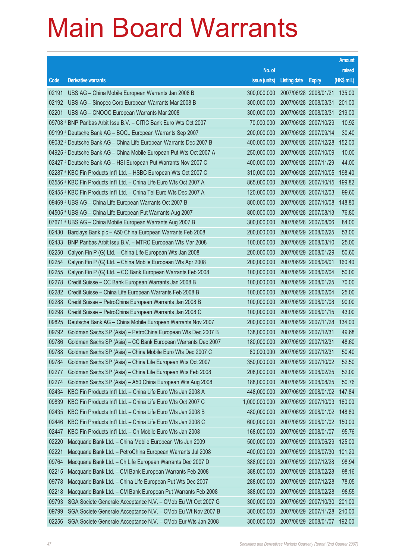|       |                                                                      |               |                                  |                       | <b>Amount</b> |
|-------|----------------------------------------------------------------------|---------------|----------------------------------|-----------------------|---------------|
|       |                                                                      | No. of        |                                  |                       | raised        |
| Code  | <b>Derivative warrants</b>                                           | issue (units) | <b>Listing date</b>              | <b>Expiry</b>         | $(HK$$ mil.)  |
| 02191 | UBS AG - China Mobile European Warrants Jan 2008 B                   | 300,000,000   |                                  | 2007/06/28 2008/01/21 | 135.00        |
| 02192 | UBS AG - Sinopec Corp European Warrants Mar 2008 B                   | 300,000,000   |                                  | 2007/06/28 2008/03/31 | 201.00        |
| 02201 | UBS AG - CNOOC European Warrants Mar 2008                            | 300,000,000   |                                  | 2007/06/28 2008/03/31 | 219.00        |
|       | 09708 # BNP Paribas Arbit Issu B.V. - CITIC Bank Euro Wts Oct 2007   | 70,000,000    | 2007/06/28 2007/10/29            |                       | 10.92         |
|       | 09199 # Deutsche Bank AG - BOCL European Warrants Sep 2007           | 200,000,000   |                                  | 2007/06/28 2007/09/14 | 30.40         |
|       | 09032 # Deutsche Bank AG - China Life European Warrants Dec 2007 B   | 400,000,000   |                                  | 2007/06/28 2007/12/28 | 152.00        |
|       | 04925 # Deutsche Bank AG - China Mobile European Put Wts Oct 2007 A  | 250,000,000   |                                  | 2007/06/28 2007/10/09 | 10.00         |
|       | 02427 # Deutsche Bank AG - HSI European Put Warrants Nov 2007 C      | 400,000,000   |                                  | 2007/06/28 2007/11/29 | 44.00         |
|       | 02287 # KBC Fin Products Int'l Ltd. - HSBC European Wts Oct 2007 C   | 310,000,000   |                                  | 2007/06/28 2007/10/05 | 198.40        |
|       | 03556 # KBC Fin Products Int'l Ltd. - China Life Euro Wts Oct 2007 A | 865,000,000   |                                  | 2007/06/28 2007/10/15 | 199.82        |
|       | 02455 # KBC Fin Products Int'l Ltd. - China Tel Euro Wts Dec 2007 A  | 120,000,000   |                                  | 2007/06/28 2007/12/03 | 99.60         |
|       | 09469 # UBS AG - China Life European Warrants Oct 2007 B             | 800,000,000   |                                  | 2007/06/28 2007/10/08 | 148.80        |
|       | 04505 # UBS AG - China Life European Put Warrants Aug 2007           | 800,000,000   |                                  | 2007/06/28 2007/08/13 | 76.80         |
|       | 07671 # UBS AG - China Mobile European Warrants Aug 2007 B           | 300,000,000   |                                  | 2007/06/28 2007/08/06 | 84.00         |
| 02430 | Barclays Bank plc - A50 China European Warrants Feb 2008             | 200,000,000   |                                  | 2007/06/29 2008/02/25 | 53.00         |
| 02433 | BNP Paribas Arbit Issu B.V. - MTRC European Wts Mar 2008             | 100,000,000   |                                  | 2007/06/29 2008/03/10 | 25.00         |
| 02250 | Calyon Fin P (G) Ltd. - China Life European Wts Jan 2008             | 200,000,000   |                                  | 2007/06/29 2008/01/29 | 50.60         |
| 02254 | Calyon Fin P (G) Ltd. - China Mobile European Wts Apr 2008           | 200,000,000   | 2007/06/29 2008/04/01            |                       | 160.40        |
| 02255 | Calyon Fin P (G) Ltd. - CC Bank European Warrants Feb 2008           | 100,000,000   |                                  | 2007/06/29 2008/02/04 | 50.00         |
| 02278 | Credit Suisse - CC Bank European Warrants Jan 2008 B                 | 100,000,000   |                                  | 2007/06/29 2008/01/25 | 70.00         |
| 02282 | Credit Suisse - China Life European Warrants Feb 2008 B              | 100,000,000   |                                  | 2007/06/29 2008/02/04 | 25.00         |
| 02288 | Credit Suisse - PetroChina European Warrants Jan 2008 B              | 100,000,000   |                                  | 2007/06/29 2008/01/08 | 90.00         |
| 02298 | Credit Suisse - PetroChina European Warrants Jan 2008 C              | 100,000,000   |                                  | 2007/06/29 2008/01/15 | 43.00         |
| 09825 | Deutsche Bank AG - China Mobile European Warrants Nov 2007           | 200,000,000   |                                  | 2007/06/29 2007/11/28 | 134.00        |
| 09792 | Goldman Sachs SP (Asia) - PetroChina European Wts Dec 2007 B         | 138,000,000   | 2007/06/29 2007/12/31            |                       | 49.68         |
| 09786 | Goldman Sachs SP (Asia) – CC Bank European Warrants Dec 2007         | 180,000,000   | 2007/06/29 2007/12/31            |                       | 48.60         |
| 09788 | Goldman Sachs SP (Asia) – China Mobile Euro Wts Dec 2007 C           |               | 80,000,000 2007/06/29 2007/12/31 |                       | 50.40         |
| 09784 | Goldman Sachs SP (Asia) - China Life European Wts Oct 2007           | 350,000,000   |                                  | 2007/06/29 2007/10/02 | 52.50         |
| 02277 | Goldman Sachs SP (Asia) - China Life European Wts Feb 2008           | 208,000,000   |                                  | 2007/06/29 2008/02/25 | 52.00         |
| 02274 | Goldman Sachs SP (Asia) - A50 China European Wts Aug 2008            | 188,000,000   |                                  | 2007/06/29 2008/08/25 | 50.76         |
| 02434 | KBC Fin Products Int'l Ltd. - China Life Euro Wts Jan 2008 A         | 448,000,000   |                                  | 2007/06/29 2008/01/02 | 147.84        |
| 09839 | KBC Fin Products Int'l Ltd. - China Life Euro Wts Oct 2007 C         | 1,000,000,000 |                                  | 2007/06/29 2007/10/03 | 160.00        |
| 02435 | KBC Fin Products Int'l Ltd. - China Life Euro Wts Jan 2008 B         | 480,000,000   |                                  | 2007/06/29 2008/01/02 | 148.80        |
| 02446 | KBC Fin Products Int'l Ltd. - China Life Euro Wts Jan 2008 C         | 600,000,000   |                                  | 2007/06/29 2008/01/02 | 150.00        |
| 02447 | KBC Fin Products Int'l Ltd. - Ch Mobile Euro Wts Jan 2008            | 168,000,000   | 2007/06/29 2008/01/07            |                       | 95.76         |
| 02220 | Macquarie Bank Ltd. - China Mobile European Wts Jun 2009             | 500,000,000   |                                  | 2007/06/29 2009/06/29 | 125.00        |
| 02221 | Macquarie Bank Ltd. - PetroChina European Warrants Jul 2008          | 400,000,000   |                                  | 2007/06/29 2008/07/30 | 101.20        |
| 09764 | Macquarie Bank Ltd. - Ch Life European Warrants Dec 2007 D           | 388,000,000   |                                  | 2007/06/29 2007/12/28 | 98.94         |
| 02215 | Macquarie Bank Ltd. - CM Bank European Warrants Feb 2008             | 388,000,000   |                                  | 2007/06/29 2008/02/28 | 98.16         |
| 09778 | Macquarie Bank Ltd. - China Life European Put Wts Dec 2007           | 288,000,000   |                                  | 2007/06/29 2007/12/28 | 78.05         |
| 02218 | Macquarie Bank Ltd. - CM Bank European Put Warrants Feb 2008         | 388,000,000   |                                  | 2007/06/29 2008/02/28 | 98.55         |
| 09793 | SGA Societe Generale Acceptance N.V. - CMob Eu Wt Oct 2007 G         | 300,000,000   |                                  | 2007/06/29 2007/10/30 | 201.00        |
| 09799 | SGA Societe Generale Acceptance N.V. - CMob Eu Wt Nov 2007 B         | 300,000,000   |                                  | 2007/06/29 2007/11/28 | 210.00        |
| 02256 | SGA Societe Generale Acceptance N.V. - CMob Eur Wts Jan 2008         | 300,000,000   |                                  | 2007/06/29 2008/01/07 | 192.00        |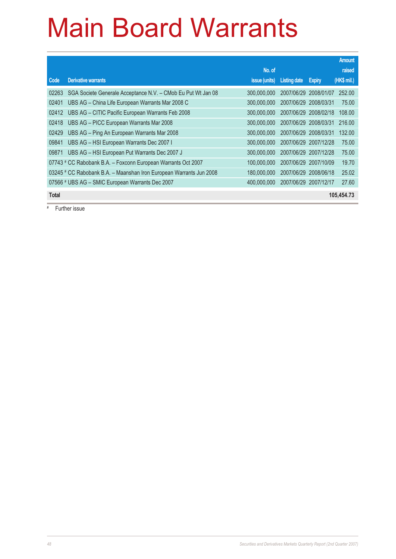|              |                                                                     |               |                       |               | <b>Amount</b> |
|--------------|---------------------------------------------------------------------|---------------|-----------------------|---------------|---------------|
|              |                                                                     | No. of        |                       |               | raised        |
| Code         | <b>Derivative warrants</b>                                          | issue (units) | Listing date          | <b>Expiry</b> | (HK\$ mil.)   |
| 02263        | SGA Societe Generale Acceptance N.V. - CMob Eu Put Wt Jan 08        | 300,000,000   | 2007/06/29 2008/01/07 |               | 252.00        |
| 02401        | UBS AG - China Life European Warrants Mar 2008 C                    | 300,000,000   | 2007/06/29 2008/03/31 |               | 75.00         |
| 02412        | UBS AG - CITIC Pacific European Warrants Feb 2008                   | 300,000,000   | 2007/06/29 2008/02/18 |               | 108.00        |
| 02418        | UBS AG - PICC European Warrants Mar 2008                            | 300,000,000   | 2007/06/29 2008/03/31 |               | 216.00        |
| 02429        | UBS AG - Ping An European Warrants Mar 2008                         | 300.000.000   | 2007/06/29            | 2008/03/31    | 132.00        |
| 09841        | UBS AG - HSI European Warrants Dec 2007 I                           | 300.000.000   | 2007/06/29 2007/12/28 |               | 75.00         |
| 09871        | UBS AG - HSI European Put Warrants Dec 2007 J                       | 300,000,000   | 2007/06/29            | 2007/12/28    | 75.00         |
|              | 07743 # CC Rabobank B.A. - Foxconn European Warrants Oct 2007       | 100.000.000   | 2007/06/29 2007/10/09 |               | 19.70         |
|              | 03245 # CC Rabobank B.A. - Maanshan Iron European Warrants Jun 2008 | 180,000,000   | 2007/06/29            | 2008/06/18    | 25.02         |
|              | 07566 # UBS AG - SMIC European Warrants Dec 2007                    | 400.000.000   | 2007/06/29            | 2007/12/17    | 27.60         |
| <b>Total</b> |                                                                     |               |                       |               | 105,454.73    |

# Further issue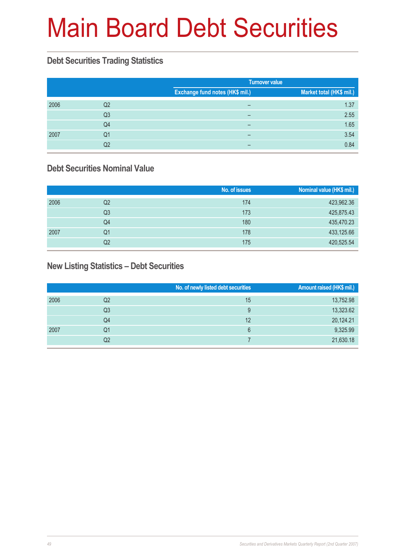# Main Board Debt Securities

## **Debt Securities Trading Statistics**

|      |    |                                 | <b>Turnover value</b>    |  |  |
|------|----|---------------------------------|--------------------------|--|--|
|      |    | Exchange fund notes (HK\$ mil.) | Market total (HK\$ mil.) |  |  |
| 2006 | Q2 | -                               | 1.37                     |  |  |
|      | Q3 | -                               | 2.55                     |  |  |
|      | Q4 |                                 | 1.65                     |  |  |
| 2007 | Q1 |                                 | 3.54                     |  |  |
|      | Q2 | -                               | 0.84                     |  |  |

### **Debt Securities Nominal Value**

|      |    | No. of issues | Nominal value (HK\$ mil.) |
|------|----|---------------|---------------------------|
| 2006 | Q2 | 174           | 423,962.36                |
|      | Q3 | 173           | 425,875.43                |
|      | Q4 | 180           | 435,470.23                |
| 2007 | Q1 | 178           | 433,125.66                |
|      | Q2 | 175           | 420,525.54                |

### **New Listing Statistics – Debt Securities**

|      |    | No. of newly listed debt securities | <b>Amount raised (HK\$ mil.)</b> |
|------|----|-------------------------------------|----------------------------------|
| 2006 | Q2 | 15                                  | 13,752.98                        |
|      | Q3 | 9                                   | 13,323.62                        |
|      | Q4 | 12                                  | 20,124.21                        |
| 2007 | Q1 | 6                                   | 9,325.99                         |
|      | Q2 |                                     | 21,630.18                        |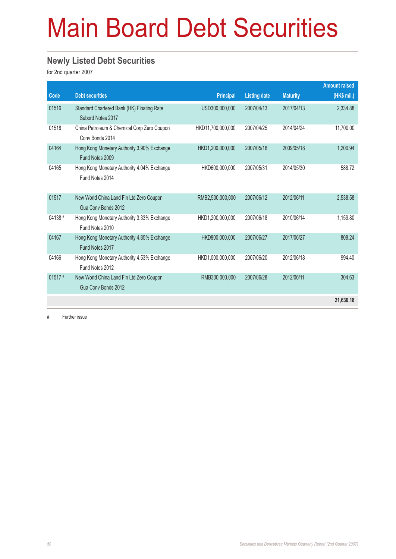# Main Board Debt Securities

### **Newly Listed Debt Securities**

for 2nd quarter 2007

|           |                                                                 |                   |                     |                 | <b>Amount raised</b> |
|-----------|-----------------------------------------------------------------|-------------------|---------------------|-----------------|----------------------|
| Code      | <b>Debt securities</b>                                          | <b>Principal</b>  | <b>Listing date</b> | <b>Maturity</b> | (HK\$ mil.)          |
| 01516     | Standard Chartered Bank (HK) Floating Rate<br>Subord Notes 2017 | USD300,000,000    | 2007/04/13          | 2017/04/13      | 2,334.88             |
| 01518     | China Petroleum & Chemical Corp Zero Coupon<br>Conv Bonds 2014  | HKD11,700,000,000 | 2007/04/25          | 2014/04/24      | 11,700.00            |
| 04164     | Hong Kong Monetary Authority 3.90% Exchange<br>Fund Notes 2009  | HKD1,200,000,000  | 2007/05/18          | 2009/05/18      | 1,200.94             |
| 04165     | Hong Kong Monetary Authority 4.04% Exchange<br>Fund Notes 2014  | HKD600,000,000    | 2007/05/31          | 2014/05/30      | 588.72               |
| 01517     | New World China Land Fin Ltd Zero Coupon<br>Gua Conv Bonds 2012 | RMB2,500,000,000  | 2007/06/12          | 2012/06/11      | 2,538.58             |
| 04138 #   | Hong Kong Monetary Authority 3.33% Exchange<br>Fund Notes 2010  | HKD1,200,000,000  | 2007/06/18          | 2010/06/14      | 1,159.80             |
| 04167     | Hong Kong Monetary Authority 4.85% Exchange<br>Fund Notes 2017  | HKD800,000,000    | 2007/06/27          | 2017/06/27      | 808.24               |
| 04166     | Hong Kong Monetary Authority 4.53% Exchange<br>Fund Notes 2012  | HKD1,000,000,000  | 2007/06/20          | 2012/06/18      | 994.40               |
| $01517$ # | New World China Land Fin Ltd Zero Coupon<br>Gua Conv Bonds 2012 | RMB300,000,000    | 2007/06/28          | 2012/06/11      | 304.63               |
|           |                                                                 |                   |                     |                 | 21,630.18            |

# Further issue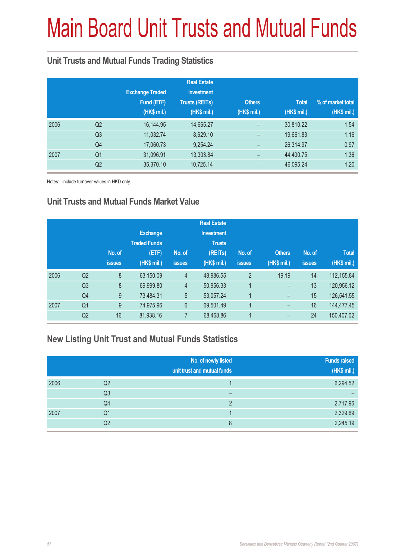# Main Board Unit Trusts and Mutual Funds

### **Unit Trusts and Mutual Funds Trading Statistics**

|      |                |                        | <b>Real Estate</b>    |               |              |                   |
|------|----------------|------------------------|-----------------------|---------------|--------------|-------------------|
|      |                | <b>Exchange Traded</b> | <b>Investment</b>     |               |              |                   |
|      |                | Fund (ETF)             | <b>Trusts (REITs)</b> | <b>Others</b> | <b>Total</b> | % of market total |
|      |                | (HK\$ mil.)            | (HK\$ mil.)           | (HK\$ mil.)   | (HK\$ mil.)  | (HK\$ mil.)       |
| 2006 | Q <sub>2</sub> | 16,144.95              | 14,665.27             |               | 30,810.22    | 1.54              |
|      | Q <sub>3</sub> | 11,032.74              | 8,629.10              | -             | 19,661.83    | 1.16              |
|      | Q4             | 17,060.73              | 9,254.24              |               | 26,314.97    | 0.97              |
| 2007 | Q <sub>1</sub> | 31,096.91              | 13,303.84             |               | 44,400.75    | 1.36              |
|      | Q <sub>2</sub> | 35,370.10              | 10,725.14             |               | 46,095.24    | 1.20              |

Notes: Include turnover values in HKD only.

### **Unit Trusts and Mutual Funds Market Value**

|                |               |                     |                | <b>Real Estate</b> |                |               |               |              |
|----------------|---------------|---------------------|----------------|--------------------|----------------|---------------|---------------|--------------|
|                |               | <b>Exchange</b>     |                | <b>Investment</b>  |                |               |               |              |
|                |               | <b>Traded Funds</b> |                | <b>Trusts</b>      |                |               |               |              |
|                | No. of        | (ETF)               | No. of         | (REITs)            | No. of         | <b>Others</b> | No. of        | <b>Total</b> |
|                | <b>issues</b> | (HK\$ mil.)         | <b>issues</b>  | (HK\$ mil.)        | <b>issues</b>  | (HK\$ mil.)   | <b>issues</b> | $(HK$$ mil.) |
| Q2             | 8             | 63,150.09           | $\overline{4}$ | 48,986.55          | $\overline{2}$ | 19.19         | 14            | 112,155.84   |
| Q <sub>3</sub> | 8             | 69,999.80           | $\overline{4}$ | 50,956.33          |                | -             | 13            | 120,956.12   |
| Q <sub>4</sub> | 9             | 73,484.31           | 5              | 53,057.24          | 1              | -             | 15            | 126,541.55   |
| Q <sub>1</sub> | 9             | 74,975.96           | 6              | 69,501.49          | 1              | -             | 16            | 144,477.45   |
| Q <sub>2</sub> | 16            | 81,938.16           | 7              | 68,468.86          |                | -             | 24            | 150,407.02   |
|                |               |                     |                |                    |                |               |               |              |

### **New Listing Unit Trust and Mutual Funds Statistics**

|      |                | No. of newly listed<br>unit trust and mutual funds | <b>Funds raised</b><br>(HK\$ mil.) |
|------|----------------|----------------------------------------------------|------------------------------------|
| 2006 | Q <sub>2</sub> |                                                    | 6,294.52                           |
|      | Q <sub>3</sub> |                                                    |                                    |
|      | Q4             | C                                                  | 2,717.96                           |
| 2007 | Q <sub>1</sub> |                                                    | 2,329.69                           |
|      | Q2             | 8                                                  | 2,245.19                           |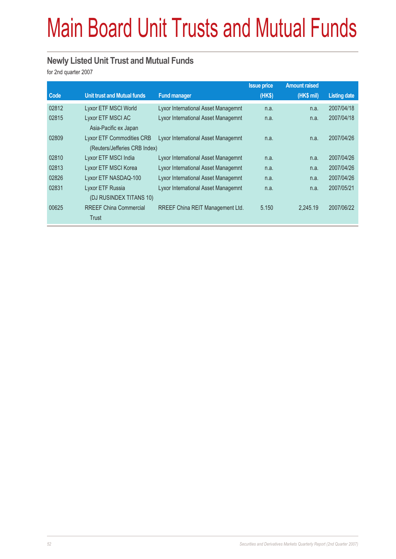# Main Board Unit Trusts and Mutual Funds

### **Newly Listed Unit Trust and Mutual Funds**

for 2nd quarter 2007

|       |                                    |                                            | <b>Issue price</b> | <b>Amount raised</b> |                     |
|-------|------------------------------------|--------------------------------------------|--------------------|----------------------|---------------------|
| Code  | <b>Unit trust and Mutual funds</b> | <b>Fund manager</b>                        | (HK\$)             | (HK\$ mil)           | <b>Listing date</b> |
| 02812 | Lyxor ETF MSCI World               | Lyxor International Asset Managemnt        | n.a.               | n.a.                 | 2007/04/18          |
| 02815 | Lyxor ETF MSCI AC                  | <b>Lyxor International Asset Managemnt</b> | n.a.               | n.a.                 | 2007/04/18          |
|       | Asia-Pacific ex Japan              |                                            |                    |                      |                     |
| 02809 | <b>Lyxor ETF Commodities CRB</b>   | Lyxor International Asset Managemnt        | n.a.               | n.a.                 | 2007/04/26          |
|       | (Reuters/Jefferies CRB Index)      |                                            |                    |                      |                     |
| 02810 | Lyxor ETF MSCI India               | Lyxor International Asset Managemnt        | n.a.               | n.a.                 | 2007/04/26          |
| 02813 | Lyxor ETF MSCI Korea               | Lyxor International Asset Managemnt        | n.a.               | n.a.                 | 2007/04/26          |
| 02826 | Lyxor ETF NASDAQ-100               | Lyxor International Asset Managemnt        | n.a.               | n.a.                 | 2007/04/26          |
| 02831 | Lyxor ETF Russia                   | Lyxor International Asset Managemnt        | n.a.               | n.a.                 | 2007/05/21          |
|       | (DJ RUSINDEX TITANS 10)            |                                            |                    |                      |                     |
| 00625 | <b>RREEF China Commercial</b>      | RREEF China REIT Management Ltd.           | 5.150              | 2.245.19             | 2007/06/22          |
|       | Trust                              |                                            |                    |                      |                     |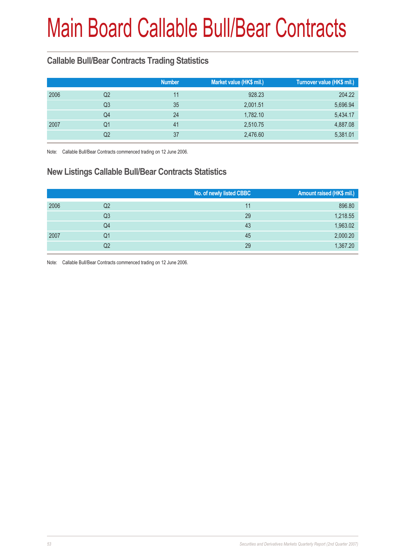# Main Board Callable Bull/Bear Contracts

### **Callable Bull/Bear Contracts Trading Statistics**

| <b>Number</b>        | Market value (HK\$ mil.) | Turnover value (HK\$ mil.) |
|----------------------|--------------------------|----------------------------|
| 11                   | 928.23                   | 204.22                     |
| 35                   | 2,001.51                 | 5,696.94                   |
| 24                   | 1,782.10                 | 5,434.17                   |
| 41                   | 2,510.75                 | 4,887.08                   |
| 37                   | 2,476.60                 | 5,381.01                   |
| Q2<br>Q3<br>Q1<br>Q2 | Q4                       |                            |

Note: Callable Bull/Bear Contracts commenced trading on 12 June 2006.

### **New Listings Callable Bull/Bear Contracts Statistics**

|      |                | No. of newly listed CBBC | Amount raised (HK\$ mil.) |
|------|----------------|--------------------------|---------------------------|
| 2006 | Q2             | 11                       | 896.80                    |
|      | Q <sub>3</sub> | 29                       | 1,218.55                  |
|      | Q4             | 43                       | 1,963.02                  |
| 2007 | Q1             | 45                       | 2,000.20                  |
|      | Q2             | 29                       | 1,367.20                  |

Note: Callable Bull/Bear Contracts commenced trading on 12 June 2006.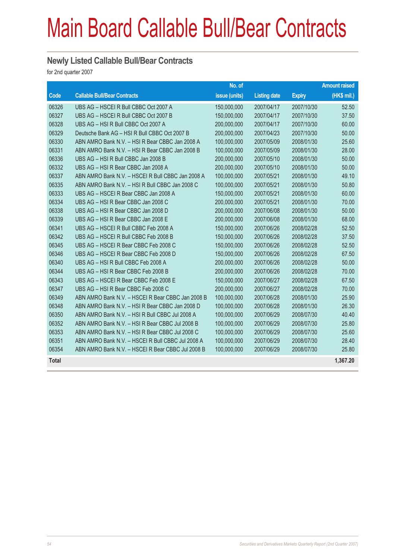## Main Board Callable Bull/Bear Contracts

#### **Newly Listed Callable Bull/Bear Contracts**

for 2nd quarter 2007

|              |                                                   | No. of        |                     |               | <b>Amount raised</b> |
|--------------|---------------------------------------------------|---------------|---------------------|---------------|----------------------|
| Code         | <b>Callable Bull/Bear Contracts</b>               | issue (units) | <b>Listing date</b> | <b>Expiry</b> | (HK\$ mil.)          |
| 06326        | UBS AG - HSCEI R Bull CBBC Oct 2007 A             | 150,000,000   | 2007/04/17          | 2007/10/30    | 52.50                |
| 06327        | UBS AG - HSCEI R Bull CBBC Oct 2007 B             | 150,000,000   | 2007/04/17          | 2007/10/30    | 37.50                |
| 06328        | UBS AG - HSI R Bull CBBC Oct 2007 A               | 200,000,000   | 2007/04/17          | 2007/10/30    | 60.00                |
| 06329        | Deutsche Bank AG - HSI R Bull CBBC Oct 2007 B     | 200,000,000   | 2007/04/23          | 2007/10/30    | 50.00                |
| 06330        | ABN AMRO Bank N.V. - HSI R Bear CBBC Jan 2008 A   | 100,000,000   | 2007/05/09          | 2008/01/30    | 25.60                |
| 06331        | ABN AMRO Bank N.V. - HSI R Bear CBBC Jan 2008 B   | 100,000,000   | 2007/05/09          | 2008/01/30    | 28.00                |
| 06336        | UBS AG - HSI R Bull CBBC Jan 2008 B               | 200,000,000   | 2007/05/10          | 2008/01/30    | 50.00                |
| 06332        | UBS AG - HSI R Bear CBBC Jan 2008 A               | 200,000,000   | 2007/05/10          | 2008/01/30    | 50.00                |
| 06337        | ABN AMRO Bank N.V. - HSCEI R Bull CBBC Jan 2008 A | 100,000,000   | 2007/05/21          | 2008/01/30    | 49.10                |
| 06335        | ABN AMRO Bank N.V. - HSI R Bull CBBC Jan 2008 C   | 100,000,000   | 2007/05/21          | 2008/01/30    | 50.80                |
| 06333        | UBS AG - HSCEI R Bear CBBC Jan 2008 A             | 150,000,000   | 2007/05/21          | 2008/01/30    | 60.00                |
| 06334        | UBS AG - HSI R Bear CBBC Jan 2008 C               | 200,000,000   | 2007/05/21          | 2008/01/30    | 70.00                |
| 06338        | UBS AG - HSI R Bear CBBC Jan 2008 D               | 200,000,000   | 2007/06/08          | 2008/01/30    | 50.00                |
| 06339        | UBS AG - HSI R Bear CBBC Jan 2008 E               | 200,000,000   | 2007/06/08          | 2008/01/30    | 68.00                |
| 06341        | UBS AG - HSCEI R Bull CBBC Feb 2008 A             | 150,000,000   | 2007/06/26          | 2008/02/28    | 52.50                |
| 06342        | UBS AG - HSCEI R Bull CBBC Feb 2008 B             | 150,000,000   | 2007/06/26          | 2008/02/28    | 37.50                |
| 06345        | UBS AG - HSCEI R Bear CBBC Feb 2008 C             | 150,000,000   | 2007/06/26          | 2008/02/28    | 52.50                |
| 06346        | UBS AG - HSCEI R Bear CBBC Feb 2008 D             | 150,000,000   | 2007/06/26          | 2008/02/28    | 67.50                |
| 06340        | UBS AG - HSI R Bull CBBC Feb 2008 A               | 200,000,000   | 2007/06/26          | 2008/02/28    | 50.00                |
| 06344        | UBS AG - HSI R Bear CBBC Feb 2008 B               | 200,000,000   | 2007/06/26          | 2008/02/28    | 70.00                |
| 06343        | UBS AG - HSCEI R Bear CBBC Feb 2008 E             | 150,000,000   | 2007/06/27          | 2008/02/28    | 67.50                |
| 06347        | UBS AG - HSI R Bear CBBC Feb 2008 C               | 200,000,000   | 2007/06/27          | 2008/02/28    | 70.00                |
| 06349        | ABN AMRO Bank N.V. - HSCEI R Bear CBBC Jan 2008 B | 100,000,000   | 2007/06/28          | 2008/01/30    | 25.90                |
| 06348        | ABN AMRO Bank N.V. - HSI R Bear CBBC Jan 2008 D   | 100,000,000   | 2007/06/28          | 2008/01/30    | 26.30                |
| 06350        | ABN AMRO Bank N.V. - HSI R Bull CBBC Jul 2008 A   | 100,000,000   | 2007/06/29          | 2008/07/30    | 40.40                |
| 06352        | ABN AMRO Bank N.V. - HSI R Bear CBBC Jul 2008 B   | 100,000,000   | 2007/06/29          | 2008/07/30    | 25.80                |
| 06353        | ABN AMRO Bank N.V. - HSI R Bear CBBC Jul 2008 C   | 100,000,000   | 2007/06/29          | 2008/07/30    | 25.60                |
| 06351        | ABN AMRO Bank N.V. - HSCEI R Bull CBBC Jul 2008 A | 100,000,000   | 2007/06/29          | 2008/07/30    | 28.40                |
| 06354        | ABN AMRO Bank N.V. - HSCEI R Bear CBBC Jul 2008 B | 100,000,000   | 2007/06/29          | 2008/07/30    | 25.80                |
| <b>Total</b> |                                                   |               |                     |               | 1,367.20             |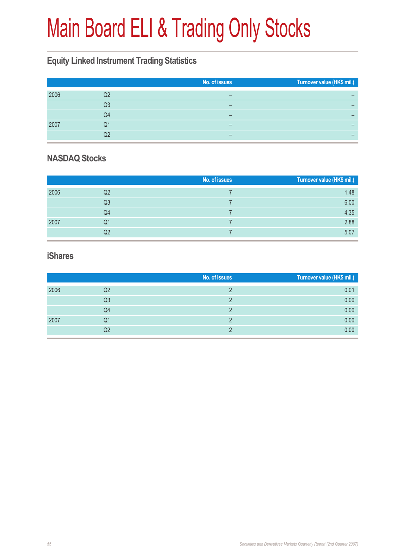# Main Board ELI & Trading Only Stocks

### **Equity Linked Instrument Trading Statistics**

|    | No. of issues | Turnover value (HK\$ mil.) |
|----|---------------|----------------------------|
| Q2 | -             |                            |
| Q3 |               |                            |
| Q4 |               | -                          |
| Q1 | -             |                            |
| О2 |               |                            |
|    |               |                            |

### **NASDAQ Stocks**

|      |                | No. of issues | Turnover value (HK\$ mil.) |
|------|----------------|---------------|----------------------------|
| 2006 | Q2             |               | 1.48                       |
|      | Q <sub>3</sub> |               | 6.00                       |
|      | Q4             |               | 4.35                       |
| 2007 | Q1             |               | 2.88                       |
|      | Q2             |               | 5.07                       |

#### **iShares**

|      |                | No. of issues | Turnover value (HK\$ mil.) |
|------|----------------|---------------|----------------------------|
| 2006 | Q2             |               | 0.01                       |
|      | Q <sub>3</sub> |               | 0.00                       |
|      | Q4             |               | 0.00                       |
| 2007 | Q1             |               | 0.00                       |
|      | Q2             |               | 0.00                       |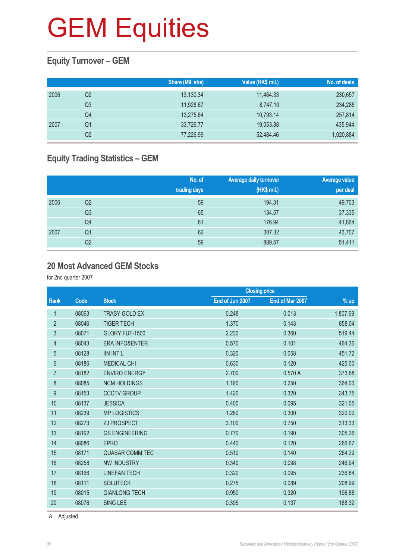### **Equity Turnover – GEM**

|      |    | Share (Mil. shs) | Value (HK\$ mil.) | No. of deals |
|------|----|------------------|-------------------|--------------|
| 2006 | Q2 | 13,130.34        | 11,464.33         | 230,657      |
|      | Q3 | 11.928.67        | 8.747.10          | 234,288      |
|      | Q4 | 13,275.64        | 10,793.14         | 257,814      |
| 2007 | Q1 | 33,726.77        | 19,053.88         | 435,944      |
|      | Q2 | 77,226.99        | 52.484.46         | 1,020,884    |

### **Equity Trading Statistics – GEM**

|      |                | No. of<br>trading days | <b>Average daily turnover</b><br>(HK\$ mil.) | Average value<br>per deal |
|------|----------------|------------------------|----------------------------------------------|---------------------------|
| 2006 | Q <sub>2</sub> | 59                     | 194.31                                       | 49,703                    |
|      | Q <sub>3</sub> | 65                     | 134.57                                       | 37,335                    |
|      | Q4             | 61                     | 176.94                                       | 41,864                    |
| 2007 | Q <sub>1</sub> | 62                     | 307.32                                       | 43,707                    |
|      | Q2             | 59                     | 889.57                                       | 51,411                    |

#### **20 Most Advanced GEM Stocks**

for 2nd quarter 2007

|                |       |                           | <b>Closing price</b> |                 |          |
|----------------|-------|---------------------------|----------------------|-----------------|----------|
| Rank           | Code  | <b>Stock</b>              | End of Jun 2007      | End of Mar 2007 | $%$ up   |
| $\mathbf{1}$   | 08063 | <b>TRASY GOLD EX</b>      | 0.248                | 0.013           | 1,807.69 |
| $\overline{2}$ | 08046 | <b>TIGER TECH</b>         | 1.370                | 0.143           | 858.04   |
| 3              | 08071 | GLORY FUT-1500            | 2.230                | 0.360           | 519.44   |
| 4              | 08043 | <b>ERA INFO&amp;ENTER</b> | 0.570                | 0.101           | 464.36   |
| 5              | 08128 | <b>IIN INT'L</b>          | 0.320                | 0.058           | 451.72   |
| 6              | 08186 | <b>MEDICAL CHI</b>        | 0.630                | 0.120           | 425.00   |
| $\overline{7}$ | 08182 | <b>ENVIRO ENERGY</b>      | 2.700                | 0.570A          | 373.68   |
| $\,8\,$        | 08085 | <b>NCM HOLDINGS</b>       | 1.160                | 0.250           | 364.00   |
| 9              | 08153 | <b>CCCTV GROUP</b>        | 1.420                | 0.320           | 343.75   |
| 10             | 08137 | <b>JESSICA</b>            | 0.400                | 0.095           | 321.05   |
| 11             | 08239 | <b>MP LOGISTICS</b>       | 1.260                | 0.300           | 320.00   |
| 12             | 08273 | <b>ZJ PROSPECT</b>        | 3.100                | 0.750           | 313.33   |
| 13             | 08192 | <b>GS ENGINEERING</b>     | 0.770                | 0.190           | 305.26   |
| 14             | 08086 | <b>EPRO</b>               | 0.440                | 0.120           | 266.67   |
| 15             | 08171 | <b>QUASAR COMM TEC</b>    | 0.510                | 0.140           | 264.29   |
| 16             | 08258 | <b>NW INDUSTRY</b>        | 0.340                | 0.098           | 246.94   |
| 17             | 08166 | <b>LINEFAN TECH</b>       | 0.320                | 0.095           | 236.84   |
| 18             | 08111 | <b>SOLUTECK</b>           | 0.275                | 0.089           | 208.99   |
| 19             | 08015 | <b>QIANLONG TECH</b>      | 0.950                | 0.320           | 196.88   |
| 20             | 08076 | <b>SING LEE</b>           | 0.395                | 0.137           | 188.32   |
|                |       |                           |                      |                 |          |

A Adjusted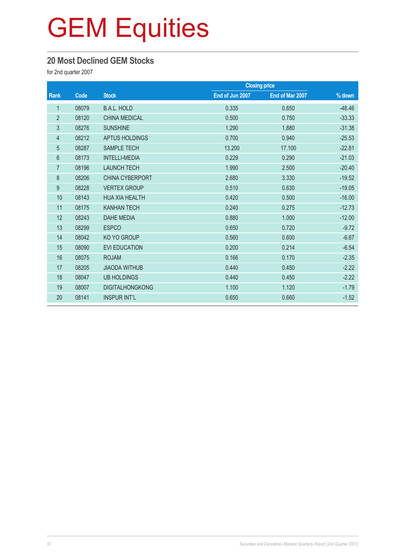### **20 Most Declined GEM Stocks**

for 2nd quarter 2007

|                |       | <b>Closing price</b>   |                 |                 |          |  |
|----------------|-------|------------------------|-----------------|-----------------|----------|--|
| <b>Rank</b>    | Code  | <b>Stock</b>           | End of Jun 2007 | End of Mar 2007 | % down   |  |
| $\mathbf{1}$   | 08079 | <b>B.A.L. HOLD</b>     | 0.335           | 0.650           | $-48.46$ |  |
| $\overline{2}$ | 08120 | <b>CHINA MEDICAL</b>   | 0.500           | 0.750           | $-33.33$ |  |
| 3              | 08276 | <b>SUNSHINE</b>        | 1.290           | 1.880           | $-31.38$ |  |
| $\overline{4}$ | 08212 | <b>APTUS HOLDINGS</b>  | 0.700           | 0.940           | $-25.53$ |  |
| 5              | 08287 | <b>SAMPLE TECH</b>     | 13.200          | 17.100          | $-22.81$ |  |
| $6\phantom{1}$ | 08173 | <b>INTELLI-MEDIA</b>   | 0.229           | 0.290           | $-21.03$ |  |
| $\overline{7}$ | 08196 | <b>LAUNCH TECH</b>     | 1.990           | 2.500           | $-20.40$ |  |
| 8              | 08206 | <b>CHINA CYBERPORT</b> | 2.680           | 3.330           | $-19.52$ |  |
| 9              | 08228 | <b>VERTEX GROUP</b>    | 0.510           | 0.630           | $-19.05$ |  |
| 10             | 08143 | <b>HUA XIA HEALTH</b>  | 0.420           | 0.500           | $-16.00$ |  |
| 11             | 08175 | <b>KANHAN TECH</b>     | 0.240           | 0.275           | $-12.73$ |  |
| 12             | 08243 | <b>DAHE MEDIA</b>      | 0.880           | 1.000           | $-12.00$ |  |
| 13             | 08299 | <b>ESPCO</b>           | 0.650           | 0.720           | $-9.72$  |  |
| 14             | 08042 | KO YO GROUP            | 0.560           | 0.600           | $-6.67$  |  |
| 15             | 08090 | <b>EVI EDUCATION</b>   | 0.200           | 0.214           | $-6.54$  |  |
| 16             | 08075 | <b>ROJAM</b>           | 0.166           | 0.170           | $-2.35$  |  |
| 17             | 08205 | <b>JIAODA WITHUB</b>   | 0.440           | 0.450           | $-2.22$  |  |
| 18             | 08047 | <b>UB HOLDINGS</b>     | 0.440           | 0.450           | $-2.22$  |  |
| 19             | 08007 | <b>DIGITALHONGKONG</b> | 1.100           | 1.120           | $-1.79$  |  |
| 20             | 08141 | <b>INSPUR INT'L</b>    | 0.650           | 0.660           | $-1.52$  |  |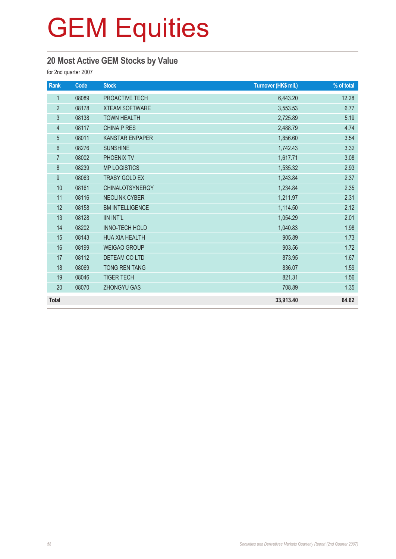### **20 Most Active GEM Stocks by Value**

for 2nd quarter 2007

| Rank             | <b>Code</b> | <b>Stock</b>           | Turnover (HK\$ mil.) | % of total |
|------------------|-------------|------------------------|----------------------|------------|
| $\mathbf{1}$     | 08089       | PROACTIVE TECH         | 6,443.20             | 12.28      |
| $\overline{2}$   | 08178       | <b>XTEAM SOFTWARE</b>  | 3,553.53             | 6.77       |
| 3                | 08138       | <b>TOWN HEALTH</b>     | 2,725.89             | 5.19       |
| $\overline{4}$   | 08117       | <b>CHINA P RES</b>     | 2,488.79             | 4.74       |
| 5                | 08011       | <b>KANSTAR ENPAPER</b> | 1,856.60             | 3.54       |
| $6\,$            | 08276       | <b>SUNSHINE</b>        | 1,742.43             | 3.32       |
| $\overline{7}$   | 08002       | PHOENIX TV             | 1,617.71             | 3.08       |
| $\,8\,$          | 08239       | <b>MP LOGISTICS</b>    | 1,535.32             | 2.93       |
| $\boldsymbol{9}$ | 08063       | <b>TRASY GOLD EX</b>   | 1,243.84             | 2.37       |
| 10               | 08161       | <b>CHINALOTSYNERGY</b> | 1,234.84             | 2.35       |
| 11               | 08116       | <b>NEOLINK CYBER</b>   | 1,211.97             | 2.31       |
| 12               | 08158       | <b>BM INTELLIGENCE</b> | 1,114.50             | 2.12       |
| 13               | 08128       | <b>IIN INT'L</b>       | 1,054.29             | 2.01       |
| 14               | 08202       | <b>INNO-TECH HOLD</b>  | 1,040.83             | 1.98       |
| 15               | 08143       | <b>HUA XIA HEALTH</b>  | 905.89               | 1.73       |
| 16               | 08199       | <b>WEIGAO GROUP</b>    | 903.56               | 1.72       |
| 17               | 08112       | DETEAM CO LTD          | 873.95               | 1.67       |
| 18               | 08069       | <b>TONG REN TANG</b>   | 836.07               | 1.59       |
| 19               | 08046       | <b>TIGER TECH</b>      | 821.31               | 1.56       |
| 20               | 08070       | <b>ZHONGYU GAS</b>     | 708.89               | 1.35       |
| <b>Total</b>     |             |                        | 33,913.40            | 64.62      |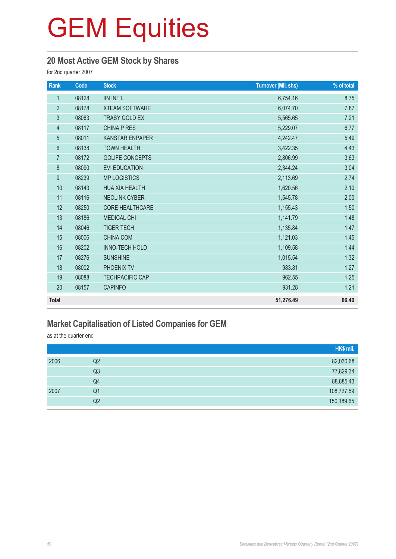### **20 Most Active GEM Stock by Shares**

for 2nd quarter 2007

| Rank           | Code  | <b>Stock</b>           | <b>Turnover (Mil. shs)</b> | % of total |
|----------------|-------|------------------------|----------------------------|------------|
| $\mathbf{1}$   | 08128 | <b>IIN INT'L</b>       | 6,754.16                   | 8.75       |
| $\overline{2}$ | 08178 | <b>XTEAM SOFTWARE</b>  | 6,074.70                   | 7.87       |
| $\sqrt{3}$     | 08063 | <b>TRASY GOLD EX</b>   | 5,565.65                   | 7.21       |
| $\overline{4}$ | 08117 | <b>CHINA P RES</b>     | 5,229.07                   | 6.77       |
| $\sqrt{5}$     | 08011 | <b>KANSTAR ENPAPER</b> | 4,242.47                   | 5.49       |
| $6\,$          | 08138 | <b>TOWN HEALTH</b>     | 3,422.35                   | 4.43       |
| $\overline{7}$ | 08172 | <b>GOLIFE CONCEPTS</b> | 2,806.99                   | 3.63       |
| 8              | 08090 | <b>EVI EDUCATION</b>   | 2,344.24                   | 3.04       |
| 9              | 08239 | <b>MP LOGISTICS</b>    | 2,113.69                   | 2.74       |
| 10             | 08143 | <b>HUA XIA HEALTH</b>  | 1,620.56                   | 2.10       |
| 11             | 08116 | <b>NEOLINK CYBER</b>   | 1,545.78                   | 2.00       |
| 12             | 08250 | <b>CORE HEALTHCARE</b> | 1,155.43                   | 1.50       |
| 13             | 08186 | <b>MEDICAL CHI</b>     | 1,141.79                   | 1.48       |
| 14             | 08046 | <b>TIGER TECH</b>      | 1,135.84                   | 1.47       |
| 15             | 08006 | CHINA.COM              | 1,121.03                   | 1.45       |
| 16             | 08202 | <b>INNO-TECH HOLD</b>  | 1,109.58                   | 1.44       |
| 17             | 08276 | <b>SUNSHINE</b>        | 1,015.54                   | 1.32       |
| 18             | 08002 | PHOENIX TV             | 983.81                     | 1.27       |
| 19             | 08088 | <b>TECHPACIFIC CAP</b> | 962.55                     | 1.25       |
| 20             | 08157 | <b>CAPINFO</b>         | 931.28                     | 1.21       |
| <b>Total</b>   |       |                        | 51,276.49                  | 66.40      |

### **Market Capitalisation of Listed Companies for GEM**

as at the quarter end

|      |                | HK\$ mil.  |
|------|----------------|------------|
| 2006 | Q2             | 82,030.68  |
|      | Q <sub>3</sub> | 77,829.34  |
|      | Q4             | 88,885.43  |
| 2007 | Q1             | 108,727.59 |
|      | Q2             | 150,189.65 |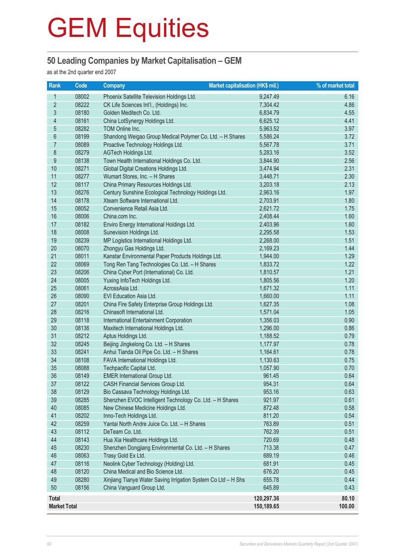### **50 Leading Companies by Market Capitalisation – GEM**

as at the 2nd quarter end 2007

| Rank                | Code           | <b>Market capitalisation (HK\$ mil.)</b><br><b>Company</b>                 | % of market total    |              |
|---------------------|----------------|----------------------------------------------------------------------------|----------------------|--------------|
| 1                   | 08002          | Phoenix Satellite Television Holdings Ltd.                                 | 9,247.49             | 6.16         |
| $\overline{2}$      | 08222          | CK Life Sciences Int'l., (Holdings) Inc.                                   | 7,304.42             | 4.86         |
| $\overline{3}$      | 08180          | Golden Meditech Co. Ltd.                                                   | 6,834.79             | 4.55         |
| 4                   | 08161          | China LotSynergy Holdings Ltd.                                             | 6,625.12             | 4.41         |
| 5                   | 08282          | TOM Online Inc.                                                            | 5,963.52             | 3.97         |
| 6                   | 08199          | Shandong Weigao Group Medical Polymer Co. Ltd. - H Shares                  | 5,586.24             | 3.72         |
| $\overline{7}$      | 08089          | Proactive Technology Holdings Ltd.                                         | 5,567.78             | 3.71         |
| 8                   | 08279          | AGTech Holdings Ltd.                                                       | 5,283.16             | 3.52         |
| 9                   | 08138          | Town Health International Holdings Co. Ltd.                                | 3,844.90             | 2.56         |
| 10                  | 08271          | Global Digital Creations Holdings Ltd.                                     | 3,474.94             | 2.31         |
| 11                  | 08277          | Wumart Stores, Inc. - H Shares                                             | 3,448.71             | 2.30         |
| 12                  | 08117          | China Primary Resources Holdings Ltd.                                      | 3,203.18             | 2.13         |
| 13                  | 08276          | Century Sunshine Ecological Technology Holdings Ltd.                       | 2,963.16             | 1.97         |
| 14                  | 08178          | Xteam Software International Ltd.                                          | 2,703.91             | 1.80         |
| 15                  | 08052          | Convenience Retail Asia Ltd.                                               | 2,621.72             | 1.75         |
| 16                  | 08006          | China.com Inc.                                                             | 2,408.44             | 1.60         |
| 17                  | 08182          | Enviro Energy International Holdings Ltd.                                  | 2,403.96             | 1.60         |
| 18                  | 08008          | Sunevision Holdings Ltd.                                                   | 2,295.58             | 1.53         |
| 19                  | 08239          | MP Logistics International Holdings Ltd.                                   | 2,268.00             | 1.51         |
| 20                  | 08070          | Zhongyu Gas Holdings Ltd.                                                  | 2,169.23             | 1.44         |
| 21                  | 08011          | Kanstar Environmental Paper Products Holdings Ltd.                         | 1,944.00             | 1.29         |
| 22                  | 08069          | Tong Ren Tang Technologies Co. Ltd. - H Shares                             | 1,833.72             | 1.22         |
| 23                  | 08206          | China Cyber Port (International) Co. Ltd.                                  | 1,810.57             | 1.21         |
| 24                  | 08005          | Yuxing InfoTech Holdings Ltd.                                              | 1,805.56             | 1.20         |
| 25                  | 08061          | AcrossAsia Ltd.                                                            | 1,671.32             | 1.11         |
| 26                  | 08090          | EVI Education Asia Ltd.                                                    | 1,660.00             | 1.11         |
| 27                  | 08201          | China Fire Safety Enterprise Group Holdings Ltd.                           | 1,627.35             | 1.08         |
| 28                  | 08216          | Chinasoft International Ltd.                                               | 1,571.04             | 1.05         |
| 29                  | 08118          | International Entertainment Corporation                                    | 1,356.03             | 0.90         |
| 30                  | 08136          | Maxitech International Holdings Ltd.                                       | 1,296.00             | 0.86         |
| 31                  | 08212          | Aptus Holdings Ltd.                                                        | 1,188.52             | 0.79         |
| 32                  | 08245          | Beijing Jingkelong Co. Ltd. - H Shares                                     | 1,177.97             | 0.78         |
| 33<br>34            | 08241<br>08108 | Anhui Tianda Oil Pipe Co. Ltd. - H Shares                                  | 1,164.61             | 0.78<br>0.75 |
| 35                  | 08088          | FAVA International Holdings Ltd.<br>Techpacific Capital Ltd.               | 1,130.63<br>1,057.90 | 0.70         |
| 36                  |                |                                                                            | 961.45               | 0.64         |
| 37                  | 08149<br>08122 | <b>EMER International Group Ltd.</b><br>CASH Financial Services Group Ltd. | 954.31               | 0.64         |
| 38                  | 08129          | Bio Cassava Technology Holdings Ltd.                                       | 953.16               | 0.63         |
| 39                  | 08285          | Shenzhen EVOC Intelligent Technology Co. Ltd. - H Shares                   | 921.97               | 0.61         |
| 40                  | 08085          | New Chinese Medicine Holdings Ltd.                                         | 872.48               | 0.58         |
| 41                  | 08202          | Inno-Tech Holdings Ltd.                                                    | 811.20               | 0.54         |
| 42                  | 08259          | Yantai North Andre Juice Co. Ltd. - H Shares                               | 763.89               | 0.51         |
| 43                  | 08112          | DeTeam Co. Ltd.                                                            | 762.39               | 0.51         |
| 44                  | 08143          | Hua Xia Healthcare Holdings Ltd.                                           | 720.69               | 0.48         |
| 45                  | 08230          | Shenzhen Dongjiang Environmental Co. Ltd. - H Shares                       | 713.38               | 0.47         |
| 46                  | 08063          | Trasy Gold Ex Ltd.                                                         | 689.19               | 0.46         |
| 47                  | 08116          | Neolink Cyber Technology (Holding) Ltd.                                    | 681.91               | 0.45         |
| 48                  | 08120          | China Medical and Bio Science Ltd.                                         | 676.20               | 0.45         |
| 49                  | 08280          | Xinjiang Tianye Water Saving Irrigation System Co Ltd - H Shs              | 655.78               | 0.44         |
| 50                  | 08156          | China Vanguard Group Ltd.                                                  | 645.89               | 0.43         |
| <b>Total</b>        |                |                                                                            | 120,297.36           | 80.10        |
| <b>Market Total</b> |                |                                                                            | 150,189.65           | 100.00       |
|                     |                |                                                                            |                      |              |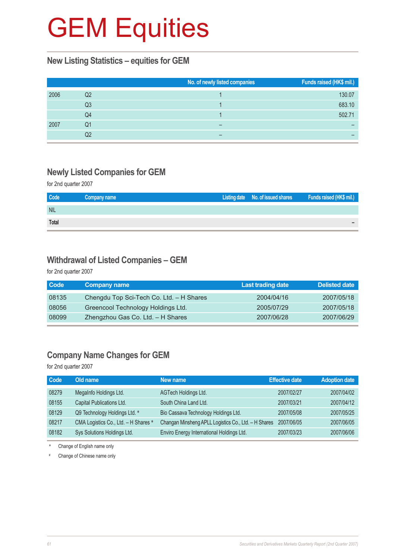#### **New Listing Statistics – equities for GEM**

|      |    | No. of newly listed companies | Funds raised (HK\$ mil.) |
|------|----|-------------------------------|--------------------------|
| 2006 | Q2 |                               | 130.07                   |
|      | Q3 |                               | 683.10                   |
|      | Q4 |                               | 502.71                   |
| 2007 | Q1 |                               |                          |
|      | Q2 |                               |                          |

### **Newly Listed Companies for GEM**

for 2nd quarter 2007

| Code         | Company name | Listing date No. of issued shares | <b>Eunds raised (HK\$ mil.)</b> |
|--------------|--------------|-----------------------------------|---------------------------------|
| <b>NIL</b>   |              |                                   |                                 |
| <b>Total</b> |              |                                   |                                 |

#### **Withdrawal of Listed Companies – GEM**

for 2nd quarter 2007

| <b>Code</b> | <b>Company name</b>                      | <b>Last trading date</b> | Delisted date |
|-------------|------------------------------------------|--------------------------|---------------|
| 08135       | Chengdu Top Sci-Tech Co. Ltd. - H Shares | 2004/04/16               | 2007/05/18    |
| 08056       | Greencool Technology Holdings Ltd.       | 2005/07/29               | 2007/05/18    |
| 08099       | Zhengzhou Gas Co. Ltd. - H Shares        | 2007/06/28               | 2007/06/29    |

### **Company Name Changes for GEM**

for 2nd quarter 2007

| Code  | Old name                             | New name                                             | <b>Effective date</b> | <b>Adoption date</b> |
|-------|--------------------------------------|------------------------------------------------------|-----------------------|----------------------|
| 08279 | MegaInfo Holdings Ltd.               | AGTech Holdings Ltd.                                 | 2007/02/27            | 2007/04/02           |
| 08155 | Capital Publications Ltd.            | South China Land Ltd.                                | 2007/03/21            | 2007/04/12           |
| 08129 | Q9 Technology Holdings Ltd. *        | Bio Cassava Technology Holdings Ltd.                 | 2007/05/08            | 2007/05/25           |
| 08217 | CMA Logistics Co., Ltd. - H Shares * | Changan Minsheng APLL Logistics Co., Ltd. - H Shares | 2007/06/05            | 2007/06/05           |
| 08182 | Sys Solutions Holdings Ltd.          | Enviro Energy International Holdings Ltd.            | 2007/03/23            | 2007/06/06           |

\* Change of English name only

# Change of Chinese name only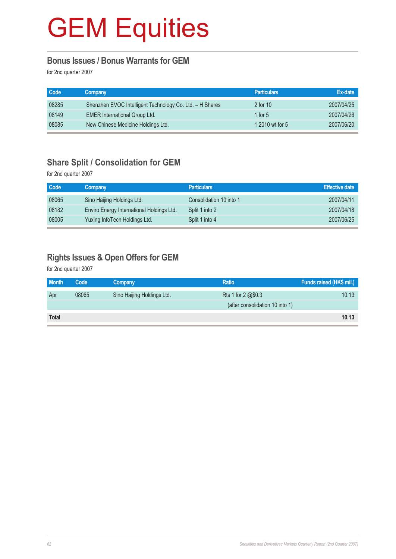### **Bonus Issues / Bonus Warrants for GEM**

for 2nd quarter 2007

| Code  | Company                                                  | <b>Particulars</b> | Ex-date    |
|-------|----------------------------------------------------------|--------------------|------------|
| 08285 | Shenzhen EVOC Intelligent Technology Co. Ltd. - H Shares | 2 for 10           | 2007/04/25 |
| 08149 | <b>EMER International Group Ltd.</b>                     | 1 for $5$          | 2007/04/26 |
| 08085 | New Chinese Medicine Holdings Ltd.                       | 1 2010 wt for 5    | 2007/06/20 |

### **Share Split / Consolidation for GEM**

for 2nd quarter 2007

| Code  | Company                                   | <b>Particulars</b>      | <b>Effective date</b> |
|-------|-------------------------------------------|-------------------------|-----------------------|
| 08065 | Sino Haijing Holdings Ltd.                | Consolidation 10 into 1 | 2007/04/11            |
| 08182 | Enviro Energy International Holdings Ltd. | Split 1 into 2          | 2007/04/18            |
| 08005 | Yuxing InfoTech Holdings Ltd.             | Split 1 into 4          | 2007/06/25            |

### **Rights Issues & Open Offers for GEM**

for 2nd quarter 2007

| <b>Month</b> | Code  | Company                    | <b>Ratio</b>                    | Funds raised (HK\$ mil.) |
|--------------|-------|----------------------------|---------------------------------|--------------------------|
| Apr          | 08065 | Sino Haijing Holdings Ltd. | Rts 1 for 2 @\$0.3              | 10.13                    |
|              |       |                            | (after consolidation 10 into 1) |                          |
| <b>Total</b> |       |                            |                                 | 10.13                    |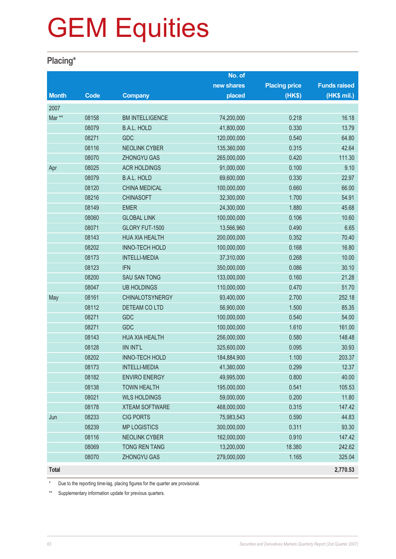### **Placing\***

|              |             |                        | No. of      |                      |                     |
|--------------|-------------|------------------------|-------------|----------------------|---------------------|
|              |             |                        | new shares  | <b>Placing price</b> | <b>Funds raised</b> |
| <b>Month</b> | <b>Code</b> | <b>Company</b>         | placed      | (HK\$)               | (HK\$ mil.)         |
| 2007         |             |                        |             |                      |                     |
| Mar **       | 08158       | <b>BM INTELLIGENCE</b> | 74,200,000  | 0.218                | 16.18               |
|              | 08079       | <b>B.A.L. HOLD</b>     | 41,800,000  | 0.330                | 13.79               |
|              | 08271       | GDC                    | 120,000,000 | 0.540                | 64.80               |
|              | 08116       | <b>NEOLINK CYBER</b>   | 135,360,000 | 0.315                | 42.64               |
|              | 08070       | ZHONGYU GAS            | 265,000,000 | 0.420                | 111.30              |
| Apr          | 08025       | <b>ACR HOLDINGS</b>    | 91,000,000  | 0.100                | 9.10                |
|              | 08079       | <b>B.A.L. HOLD</b>     | 69,600,000  | 0.330                | 22.97               |
|              | 08120       | <b>CHINA MEDICAL</b>   | 100,000,000 | 0.660                | 66.00               |
|              | 08216       | <b>CHINASOFT</b>       | 32,300,000  | 1.700                | 54.91               |
|              | 08149       | <b>EMER</b>            | 24,300,000  | 1.880                | 45.68               |
|              | 08060       | <b>GLOBAL LINK</b>     | 100,000,000 | 0.106                | 10.60               |
|              | 08071       | GLORY FUT-1500         | 13,566,960  | 0.490                | 6.65                |
|              | 08143       | <b>HUA XIA HEALTH</b>  | 200,000,000 | 0.352                | 70.40               |
|              | 08202       | <b>INNO-TECH HOLD</b>  | 100,000,000 | 0.168                | 16.80               |
|              | 08173       | <b>INTELLI-MEDIA</b>   | 37,310,000  | 0.268                | 10.00               |
|              | 08123       | <b>IFN</b>             | 350,000,000 | 0.086                | 30.10               |
|              | 08200       | <b>SAU SAN TONG</b>    | 133,000,000 | 0.160                | 21.28               |
|              | 08047       | <b>UB HOLDINGS</b>     | 110,000,000 | 0.470                | 51.70               |
| May          | 08161       | <b>CHINALOTSYNERGY</b> | 93,400,000  | 2.700                | 252.18              |
|              | 08112       | DETEAM CO LTD          | 56,900,000  | 1.500                | 85.35               |
|              | 08271       | GDC                    | 100,000,000 | 0.540                | 54.00               |
|              | 08271       | <b>GDC</b>             | 100,000,000 | 1.610                | 161.00              |
|              | 08143       | <b>HUA XIA HEALTH</b>  | 256,000,000 | 0.580                | 148.48              |
|              | 08128       | <b>IIN INT'L</b>       | 325,600,000 | 0.095                | 30.93               |
|              | 08202       | <b>INNO-TECH HOLD</b>  | 184,884,900 | 1.100                | 203.37              |
|              | 08173       | <b>INTELLI-MEDIA</b>   | 41,360,000  | 0.299                | 12.37               |
|              | 08182       | <b>ENVIRO ENERGY</b>   | 49,995,000  | 0.800                | 40.00               |
|              | 08138       | <b>TOWN HEALTH</b>     | 195,000,000 | 0.541                | 105.53              |
|              | 08021       | <b>WLS HOLDINGS</b>    | 59,000,000  | 0.200                | 11.80               |
|              | 08178       | <b>XTEAM SOFTWARE</b>  | 468,000,000 | 0.315                | 147.42              |
| Jun          | 08233       | <b>CIG PORTS</b>       | 75,983,543  | 0.590                | 44.83               |
|              | 08239       | <b>MP LOGISTICS</b>    | 300,000,000 | 0.311                | 93.30               |
|              | 08116       | <b>NEOLINK CYBER</b>   | 162,000,000 | 0.910                | 147.42              |
|              | 08069       | TONG REN TANG          | 13,200,000  | 18.380               | 242.62              |
|              | 08070       | ZHONGYU GAS            | 279,000,000 | 1.165                | 325.04              |
| <b>Total</b> |             |                        |             |                      | 2,770.53            |

Due to the reporting time-lag, placing figures for the quarter are provisional.

\*\* Supplementary information update for previous quarters.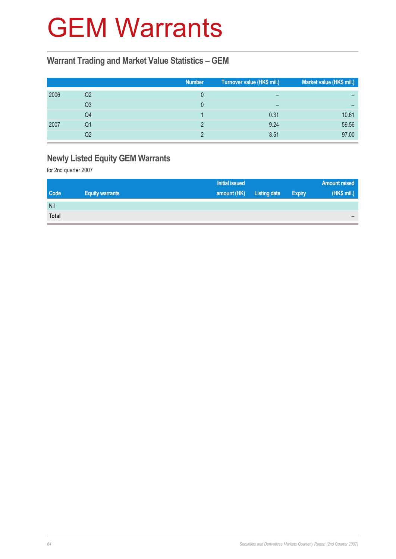## GEM Warrants

### **Warrant Trading and Market Value Statistics – GEM**

|      |    | <b>Number</b> | Turnover value (HK\$ mil.)   | Market value (HK\$ mil.) |
|------|----|---------------|------------------------------|--------------------------|
| 2006 | Q2 |               | $\qquad \qquad \blacksquare$ |                          |
|      | Q3 |               | $\overline{\phantom{m}}$     |                          |
|      | Q4 |               | 0.31                         | 10.61                    |
| 2007 | Q1 |               | 9.24                         | 59.56                    |
|      | Q2 |               | 8.51                         | 97.00                    |

### **Newly Listed Equity GEM Warrants**

for 2nd quarter 2007

|              |                        | Initial issued |                     |               | <b>Amount raised</b> |
|--------------|------------------------|----------------|---------------------|---------------|----------------------|
| <b>Code</b>  | <b>Equity warrants</b> | amount (HK)    | <b>Listing date</b> | <b>Expiry</b> | (HK\$ mil.)          |
| Nil          |                        |                |                     |               |                      |
| <b>Total</b> |                        |                |                     |               |                      |
|              |                        |                |                     |               |                      |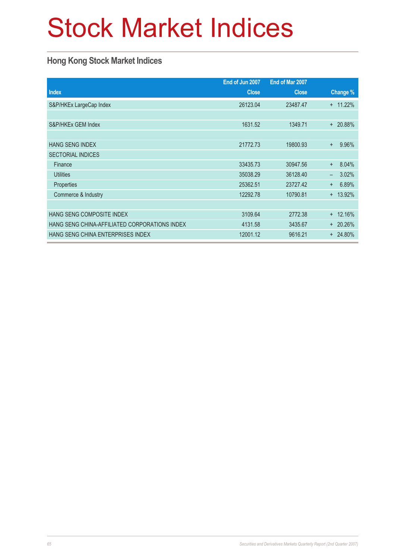# Stock Market Indices

### **Hong Kong Stock Market Indices**

|                                               | End of Jun 2007 | End of Mar 2007 |                                   |
|-----------------------------------------------|-----------------|-----------------|-----------------------------------|
| <b>Index</b>                                  | <b>Close</b>    | <b>Close</b>    | Change %                          |
| S&P/HKEx LargeCap Index                       | 26123.04        | 23487.47        | 11.22%<br>$\ddot{}$               |
|                                               |                 |                 |                                   |
| S&P/HKEx GEM Index                            | 1631.52         | 1349.71         | + 20.88%                          |
|                                               |                 |                 |                                   |
| <b>HANG SENG INDEX</b>                        | 21772.73        | 19800.93        | 9.96%<br>$+$                      |
| <b>SECTORIAL INDICES</b>                      |                 |                 |                                   |
| Finance                                       | 33435.73        | 30947.56        | 8.04%<br>$+$                      |
| <b>Utilities</b>                              | 35038.29        | 36128.40        | 3.02%<br>$\overline{\phantom{0}}$ |
| Properties                                    | 25362.51        | 23727.42        | 6.89%<br>$+$                      |
| Commerce & Industry                           | 12292.78        | 10790.81        | 13.92%<br>$\ddot{}$               |
|                                               |                 |                 |                                   |
| HANG SENG COMPOSITE INDEX                     | 3109.64         | 2772.38         | 12.16%<br>$\ddot{}$               |
| HANG SENG CHINA-AFFILIATED CORPORATIONS INDEX | 4131.58         | 3435.67         | $+20.26%$                         |
| HANG SENG CHINA ENTERPRISES INDEX             | 12001.12        | 9616.21         | $+ 24.80\%$                       |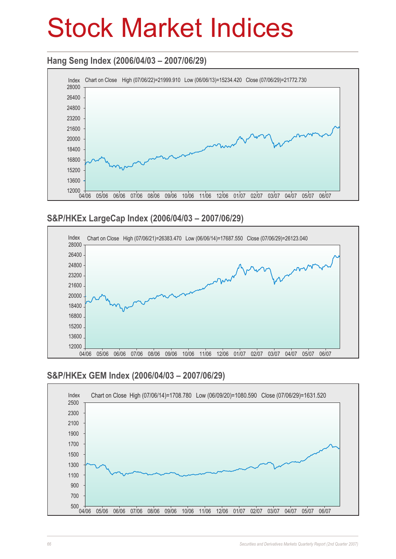## Stock Market Indices

### **Hang Seng Index (2006/04/03 – 2007/06/29)**



### **S&P/HKEx LargeCap Index (2006/04/03 – 2007/06/29)**



### **S&P/HKEx GEM Index (2006/04/03 – 2007/06/29)**

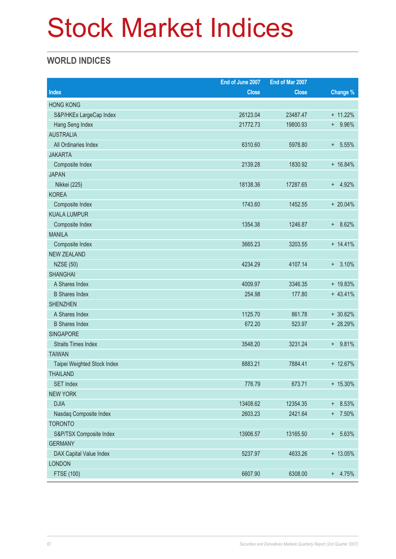# Stock Market Indices

### **WORLD INDICES**

|                             | End of June 2007 | End of Mar 2007 |              |
|-----------------------------|------------------|-----------------|--------------|
| <b>Index</b>                | <b>Close</b>     | <b>Close</b>    | Change %     |
| <b>HONG KONG</b>            |                  |                 |              |
| S&P/HKEx LargeCap Index     | 26123.04         | 23487.47        | + 11.22%     |
| Hang Seng Index             | 21772.73         | 19800.93        | 9.96%<br>$+$ |
| <b>AUSTRALIA</b>            |                  |                 |              |
| All Ordinaries Index        | 6310.60          | 5978.80         | 5.55%<br>$+$ |
| <b>JAKARTA</b>              |                  |                 |              |
| Composite Index             | 2139.28          | 1830.92         | $+ 16.84%$   |
| <b>JAPAN</b>                |                  |                 |              |
| Nikkei (225)                | 18138.36         | 17287.65        | $+ 4.92%$    |
| <b>KOREA</b>                |                  |                 |              |
| Composite Index             | 1743.60          | 1452.55         | $+20.04\%$   |
| <b>KUALA LUMPUR</b>         |                  |                 |              |
| Composite Index             | 1354.38          | 1246.87         | 8.62%<br>$+$ |
| <b>MANILA</b>               |                  |                 |              |
| Composite Index             | 3665.23          | 3203.55         | $+ 14.41%$   |
| <b>NEW ZEALAND</b>          |                  |                 |              |
| <b>NZSE (50)</b>            | 4234.29          | 4107.14         | 3.10%<br>$+$ |
| <b>SHANGHAI</b>             |                  |                 |              |
| A Shares Index              | 4009.97          | 3346.35         | + 19.83%     |
| <b>B</b> Shares Index       | 254.98           | 177.80          | $+ 43.41%$   |
| <b>SHENZHEN</b>             |                  |                 |              |
| A Shares Index              | 1125.70          | 861.78          | $+30.62%$    |
| <b>B</b> Shares Index       | 672.20           | 523.97          | + 28.29%     |
| <b>SINGAPORE</b>            |                  |                 |              |
| <b>Straits Times Index</b>  | 3548.20          | 3231.24         | + 9.81%      |
| <b>TAIWAN</b>               |                  |                 |              |
| Taipei Weighted Stock Index | 8883.21          | 7884.41         | + 12.67%     |
| <b>THAILAND</b>             |                  |                 |              |
| <b>SET Index</b>            | 776.79           | 673.71          | $+ 15.30\%$  |
| <b>NEW YORK</b>             |                  |                 |              |
| <b>DJIA</b>                 | 13408.62         | 12354.35        | $+ 8.53%$    |
| Nasdaq Composite Index      | 2603.23          | 2421.64         | $+ 7.50\%$   |
| <b>TORONTO</b>              |                  |                 |              |
| S&P/TSX Composite Index     | 13906.57         | 13165.50        | $+ 5.63%$    |
| <b>GERMANY</b>              |                  |                 |              |
| DAX Capital Value Index     | 5237.97          | 4633.26         | + 13.05%     |
| <b>LONDON</b>               |                  |                 |              |
| FTSE (100)                  | 6607.90          | 6308.00         | $+ 4.75%$    |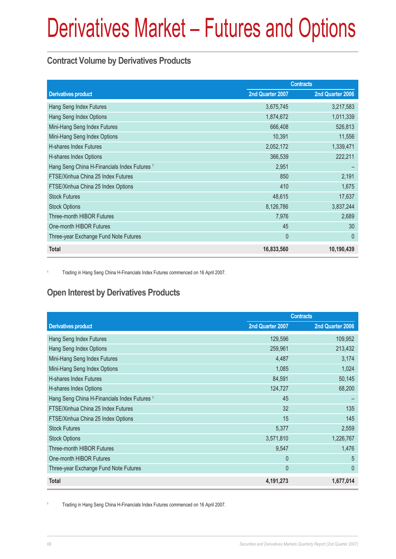### **Contract Volume by Derivatives Products**

|                                                         | <b>Contracts</b> |                  |  |
|---------------------------------------------------------|------------------|------------------|--|
| <b>Derivatives product</b>                              | 2nd Quarter 2007 | 2nd Quarter 2006 |  |
| Hang Seng Index Futures                                 | 3,675,745        | 3,217,583        |  |
| Hang Seng Index Options                                 | 1,874,672        | 1,011,339        |  |
| Mini-Hang Seng Index Futures                            | 666,408          | 526,813          |  |
| Mini-Hang Seng Index Options                            | 10,391           | 11,556           |  |
| <b>H-shares Index Futures</b>                           | 2,052,172        | 1,339,471        |  |
| H-shares Index Options                                  | 366,539          | 222,211          |  |
| Hang Seng China H-Financials Index Futures <sup>1</sup> | 2,951            |                  |  |
| FTSE/Xinhua China 25 Index Futures                      | 850              | 2,191            |  |
| FTSE/Xinhua China 25 Index Options                      | 410              | 1,675            |  |
| <b>Stock Futures</b>                                    | 48,615           | 17,637           |  |
| <b>Stock Options</b>                                    | 8,126,786        | 3,837,244        |  |
| Three-month HIBOR Futures                               | 7,976            | 2,689            |  |
| One-month HIBOR Futures                                 | 45               | 30               |  |
| Three-year Exchange Fund Note Futures                   | $\mathbf{0}$     | $\theta$         |  |
| <b>Total</b>                                            | 16,833,560       | 10,190,439       |  |

<sup>1</sup> Trading in Hang Seng China H-Financials Index Futures commenced on 16 April 2007.

### **Open Interest by Derivatives Products**

|                                                         | <b>Contracts</b> |                  |  |
|---------------------------------------------------------|------------------|------------------|--|
| <b>Derivatives product</b>                              | 2nd Quarter 2007 | 2nd Quarter 2006 |  |
| Hang Seng Index Futures                                 | 129,596          | 109,952          |  |
| Hang Seng Index Options                                 | 259,961          | 213,432          |  |
| Mini-Hang Seng Index Futures                            | 4,487            | 3,174            |  |
| Mini-Hang Seng Index Options                            | 1,085            | 1,024            |  |
| <b>H-shares Index Futures</b>                           | 84,591           | 50,145           |  |
| H-shares Index Options                                  | 124,727          | 68,200           |  |
| Hang Seng China H-Financials Index Futures <sup>1</sup> | 45               |                  |  |
| FTSE/Xinhua China 25 Index Futures                      | 32               | 135              |  |
| FTSE/Xinhua China 25 Index Options                      | 15               | 145              |  |
| <b>Stock Futures</b>                                    | 5,377            | 2,559            |  |
| <b>Stock Options</b>                                    | 3,571,810        | 1,226,767        |  |
| <b>Three-month HIBOR Futures</b>                        | 9,547            | 1,476            |  |
| One-month HIBOR Futures                                 | $\Omega$         | 5                |  |
| Three-year Exchange Fund Note Futures                   | $\overline{0}$   | $\overline{0}$   |  |
| <b>Total</b>                                            | 4,191,273        | 1,677,014        |  |

<sup>1</sup> Trading in Hang Seng China H-Financials Index Futures commenced on 16 April 2007.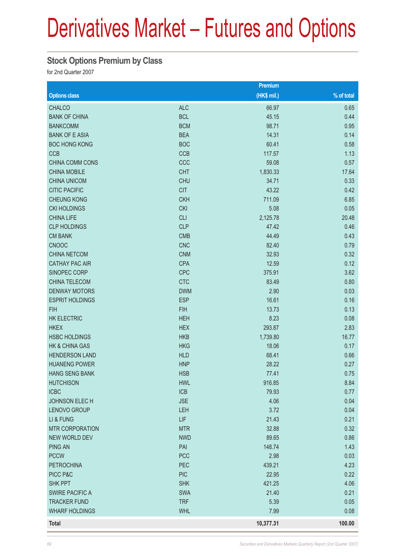### **Stock Options Premium by Class**

for 2nd Quarter 2007

|                        |            | Premium     |            |
|------------------------|------------|-------------|------------|
| <b>Options class</b>   |            | (HK\$ mil.) | % of total |
| <b>CHALCO</b>          | <b>ALC</b> | 66.97       | 0.65       |
| <b>BANK OF CHINA</b>   | <b>BCL</b> | 45.15       | 0.44       |
| <b>BANKCOMM</b>        | <b>BCM</b> | 98.71       | 0.95       |
| <b>BANK OF E ASIA</b>  | <b>BEA</b> | 14.31       | 0.14       |
| <b>BOC HONG KONG</b>   | <b>BOC</b> | 60.41       | 0.58       |
| <b>CCB</b>             | <b>CCB</b> | 117.57      | 1.13       |
| <b>CHINA COMM CONS</b> | CCC        | 59.08       | 0.57       |
| <b>CHINA MOBILE</b>    | <b>CHT</b> | 1,830.33    | 17.64      |
| <b>CHINA UNICOM</b>    | <b>CHU</b> | 34.71       | 0.33       |
| <b>CITIC PACIFIC</b>   | <b>CIT</b> | 43.22       | 0.42       |
| <b>CHEUNG KONG</b>     | <b>CKH</b> | 711.09      | 6.85       |
| <b>CKI HOLDINGS</b>    | <b>CKI</b> | 5.08        | 0.05       |
| <b>CHINA LIFE</b>      | <b>CLI</b> | 2,125.78    | 20.48      |
| <b>CLP HOLDINGS</b>    | <b>CLP</b> | 47.42       | 0.46       |
| <b>CM BANK</b>         | <b>CMB</b> | 44.49       | 0.43       |
| <b>CNOOC</b>           | <b>CNC</b> | 82.40       | 0.79       |
| <b>CHINA NETCOM</b>    | <b>CNM</b> | 32.93       | 0.32       |
| <b>CATHAY PAC AIR</b>  | <b>CPA</b> | 12.59       | 0.12       |
| SINOPEC CORP           | <b>CPC</b> | 375.91      | 3.62       |
| <b>CHINA TELECOM</b>   | <b>CTC</b> | 83.49       | 0.80       |
| <b>DENWAY MOTORS</b>   | <b>DWM</b> | 2.90        | 0.03       |
| <b>ESPRIT HOLDINGS</b> | <b>ESP</b> | 16.61       | 0.16       |
| <b>FIH</b>             | <b>FIH</b> | 13.73       | 0.13       |
| <b>HK ELECTRIC</b>     | <b>HEH</b> | 8.23        | 0.08       |
| <b>HKEX</b>            | <b>HEX</b> | 293.87      | 2.83       |
| <b>HSBC HOLDINGS</b>   | <b>HKB</b> | 1,739.80    | 16.77      |
| HK & CHINA GAS         | <b>HKG</b> | 18.06       | 0.17       |
| <b>HENDERSON LAND</b>  | <b>HLD</b> | 68.41       | 0.66       |
| <b>HUANENG POWER</b>   | <b>HNP</b> | 28.22       | 0.27       |
| <b>HANG SENG BANK</b>  | <b>HSB</b> | 77.41       | 0.75       |
| <b>HUTCHISON</b>       | <b>HWL</b> | 916.85      | 8.84       |
| <b>ICBC</b>            | <b>ICB</b> | 79.93       | 0.77       |
| <b>JOHNSON ELECH</b>   | <b>JSE</b> | 4.06        | 0.04       |
| <b>LENOVO GROUP</b>    | <b>LEH</b> | 3.72        | 0.04       |
| LI & FUNG              | LIF        | 21.43       | 0.21       |
| <b>MTR CORPORATION</b> | <b>MTR</b> | 32.88       | 0.32       |
| <b>NEW WORLD DEV</b>   | <b>NWD</b> | 89.65       | 0.86       |
| <b>PING AN</b>         | PAI        | 148.74      | 1.43       |
| <b>PCCW</b>            | <b>PCC</b> | 2.98        | 0.03       |
| <b>PETROCHINA</b>      | PEC        | 439.21      | 4.23       |
| PICC P&C               | <b>PIC</b> | 22.95       | 0.22       |
| SHK PPT                | <b>SHK</b> | 421.25      | 4.06       |
| <b>SWIRE PACIFIC A</b> | <b>SWA</b> | 21.40       | 0.21       |
| <b>TRACKER FUND</b>    | <b>TRF</b> | 5.39        | 0.05       |
| <b>WHARF HOLDINGS</b>  | <b>WHL</b> | 7.99        | 0.08       |
| <b>Total</b>           |            | 10,377.31   | 100.00     |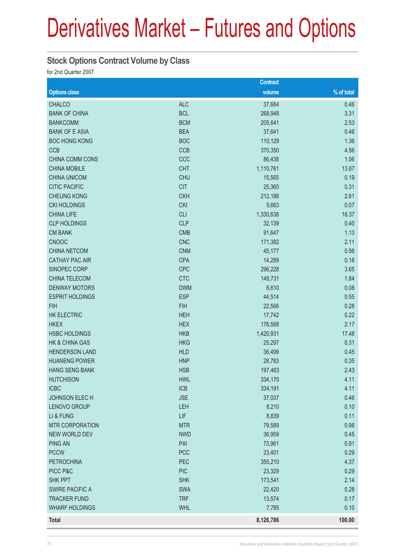### **Stock Options Contract Volume by Class**

for 2nd Quarter 2007

|                           |            | <b>Contract</b> |            |
|---------------------------|------------|-----------------|------------|
| <b>Options class</b>      |            | volume          | % of total |
| <b>CHALCO</b>             | <b>ALC</b> | 37,684          | 0.46       |
| <b>BANK OF CHINA</b>      | <b>BCL</b> | 268,948         | 3.31       |
| <b>BANKCOMM</b>           | <b>BCM</b> | 205,641         | 2.53       |
| <b>BANK OF E ASIA</b>     | <b>BEA</b> | 37,641          | 0.46       |
| <b>BOC HONG KONG</b>      | <b>BOC</b> | 110,129         | 1.36       |
| <b>CCB</b>                | <b>CCB</b> | 370,350         | 4.56       |
| <b>CHINA COMM CONS</b>    | CCC        | 86,438          | 1.06       |
| <b>CHINA MOBILE</b>       | <b>CHT</b> | 1,110,761       | 13.67      |
| <b>CHINA UNICOM</b>       | <b>CHU</b> | 15,565          | 0.19       |
| <b>CITIC PACIFIC</b>      | <b>CIT</b> | 25,360          | 0.31       |
| <b>CHEUNG KONG</b>        | <b>CKH</b> | 212,186         | 2.61       |
| <b>CKI HOLDINGS</b>       | <b>CKI</b> | 5,663           | 0.07       |
| <b>CHINA LIFE</b>         | <b>CLI</b> | 1,330,638       | 16.37      |
| <b>CLP HOLDINGS</b>       | <b>CLP</b> | 32,139          | 0.40       |
| <b>CM BANK</b>            | <b>CMB</b> | 91,647          | 1.13       |
| <b>CNOOC</b>              | <b>CNC</b> | 171,382         | 2.11       |
| <b>CHINA NETCOM</b>       | <b>CNM</b> | 45,177          | 0.56       |
| <b>CATHAY PAC AIR</b>     | <b>CPA</b> | 14,289          | 0.18       |
| SINOPEC CORP              | <b>CPC</b> | 296,228         | 3.65       |
| <b>CHINA TELECOM</b>      | <b>CTC</b> | 149,731         | 1.84       |
| <b>DENWAY MOTORS</b>      | <b>DWM</b> | 6,610           | 0.08       |
| <b>ESPRIT HOLDINGS</b>    | <b>ESP</b> | 44,514          | 0.55       |
| <b>FIH</b>                | <b>FIH</b> | 22,566          | 0.28       |
| <b>HK ELECTRIC</b>        | <b>HEH</b> | 17,742          | 0.22       |
| <b>HKEX</b>               | <b>HEX</b> | 176,568         | 2.17       |
| <b>HSBC HOLDINGS</b>      | <b>HKB</b> | 1,420,931       | 17.48      |
| <b>HK &amp; CHINA GAS</b> | <b>HKG</b> | 25,297          | 0.31       |
| <b>HENDERSON LAND</b>     | <b>HLD</b> | 36,499          | 0.45       |
| <b>HUANENG POWER</b>      | <b>HNP</b> | 28,783          | 0.35       |
| <b>HANG SENG BANK</b>     | <b>HSB</b> | 197,463         | 2.43       |
| <b>HUTCHISON</b>          | <b>HWL</b> | 334,170         | 4.11       |
| <b>ICBC</b>               | <b>ICB</b> | 334,191         | 4.11       |
| <b>JOHNSON ELEC H</b>     | <b>JSE</b> | 37,037          | 0.46       |
| <b>LENOVO GROUP</b>       | LEH        | 8,210           | 0.10       |
| LI & FUNG                 | <b>LIF</b> | 8,839           | 0.11       |
| <b>MTR CORPORATION</b>    | <b>MTR</b> | 79,589          | 0.98       |
| <b>NEW WORLD DEV</b>      | <b>NWD</b> | 36,959          | 0.45       |
| <b>PING AN</b>            | PAI        | 73,961          | 0.91       |
| <b>PCCW</b>               | <b>PCC</b> | 23,401          | 0.29       |
| <b>PETROCHINA</b>         | PEC        | 355,210         | 4.37       |
| PICC P&C                  | <b>PIC</b> | 23,329          | 0.29       |
| SHK PPT                   | <b>SHK</b> | 173,541         | 2.14       |
| <b>SWIRE PACIFIC A</b>    | SWA        | 22,420          | 0.28       |
| <b>TRACKER FUND</b>       | <b>TRF</b> | 13,574          | 0.17       |
| <b>WHARF HOLDINGS</b>     | WHL        | 7,785           | 0.10       |
| <b>Total</b>              |            | 8,126,786       | 100.00     |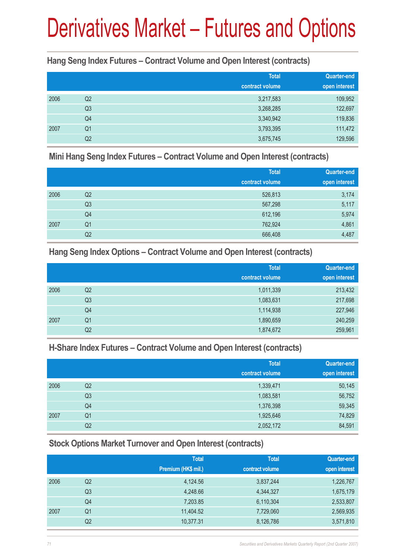**Hang Seng Index Futures – Contract Volume and Open Interest (contracts)**

|      |                | <b>Total</b><br>contract volume | <b>Quarter-end</b><br>open interest |
|------|----------------|---------------------------------|-------------------------------------|
|      |                |                                 |                                     |
| 2006 | Q2             | 3,217,583                       | 109,952                             |
|      | Q3             | 3,268,285                       | 122,697                             |
|      | Q4             | 3,340,942                       | 119,836                             |
| 2007 | Q <sub>1</sub> | 3,793,395                       | 111,472                             |
|      | Q2             | 3,675,745                       | 129,596                             |

**Mini Hang Seng Index Futures – Contract Volume and Open Interest (contracts)**

|      |                | <b>Total</b><br>contract volume | <b>Quarter-end</b><br>open interest |
|------|----------------|---------------------------------|-------------------------------------|
| 2006 | Q2             | 526,813                         | 3,174                               |
|      | Q <sub>3</sub> | 567,298                         | 5,117                               |
|      | Q4             | 612,196                         | 5,974                               |
| 2007 | Q <sub>1</sub> | 762,924                         | 4,861                               |
|      | Q2             | 666,408                         | 4,487                               |

**Hang Seng Index Options – Contract Volume and Open Interest (contracts)**

|      |                | <b>Total</b>    | <b>Quarter-end</b> |
|------|----------------|-----------------|--------------------|
|      |                | contract volume | open interest      |
| 2006 | Q2             | 1,011,339       | 213,432            |
|      | Q3             | 1,083,631       | 217,698            |
|      | Q4             | 1,114,938       | 227,946            |
| 2007 | Q <sub>1</sub> | 1,890,659       | 240,259            |
|      | Q2             | 1,874,672       | 259,961            |

### **H-Share Index Futures – Contract Volume and Open Interest (contracts)**

|      |                | <b>Total</b>    | <b>Quarter-end</b> |
|------|----------------|-----------------|--------------------|
|      |                | contract volume | open interest      |
| 2006 | Q <sub>2</sub> | 1,339,471       | 50,145             |
|      | Q <sub>3</sub> | 1,083,581       | 56,752             |
|      | Q4             | 1,376,398       | 59,345             |
| 2007 | Q <sub>1</sub> | 1,925,646       | 74,829             |
|      | Q2             | 2,052,172       | 84,591             |

### **Stock Options Market Turnover and Open Interest (contracts)**

|                | <b>Total</b><br>Premium (HK\$ mil.) | <b>Total</b><br>contract volume | <b>Quarter-end</b><br>open interest |
|----------------|-------------------------------------|---------------------------------|-------------------------------------|
| Q2             | 4,124.56                            | 3,837,244                       | 1,226,767                           |
| Q <sub>3</sub> | 4,248.66                            | 4,344,327                       | 1,675,179                           |
| Q4             | 7,203.85                            | 6,110,304                       | 2,533,807                           |
| Q <sub>1</sub> | 11,404.52                           | 7,729,060                       | 2,569,935                           |
| Q2             | 10,377.31                           | 8,126,786                       | 3,571,810                           |
|                |                                     |                                 |                                     |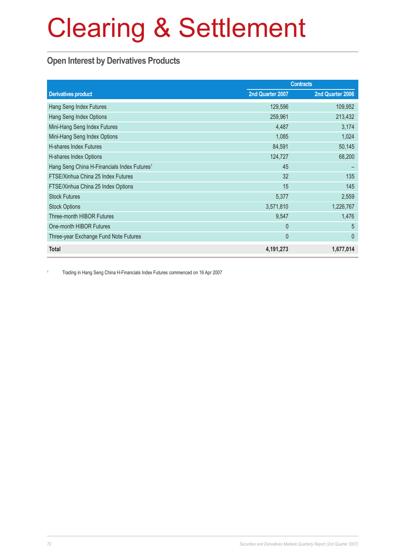# Clearing & Settlement

### **Open Interest by Derivatives Products**

|                                                         | <b>Contracts</b> |                  |
|---------------------------------------------------------|------------------|------------------|
| <b>Derivatives product</b>                              | 2nd Quarter 2007 | 2nd Quarter 2006 |
| Hang Seng Index Futures                                 | 129,596          | 109,952          |
| Hang Seng Index Options                                 | 259,961          | 213,432          |
| Mini-Hang Seng Index Futures                            | 4,487            | 3,174            |
| Mini-Hang Seng Index Options                            | 1,085            | 1,024            |
| H-shares Index Futures                                  | 84,591           | 50,145           |
| H-shares Index Options                                  | 124,727          | 68,200           |
| Hang Seng China H-Financials Index Futures <sup>1</sup> | 45               |                  |
| FTSE/Xinhua China 25 Index Futures                      | 32               | 135              |
| FTSE/Xinhua China 25 Index Options                      | 15               | 145              |
| <b>Stock Futures</b>                                    | 5,377            | 2,559            |
| <b>Stock Options</b>                                    | 3,571,810        | 1,226,767        |
| <b>Three-month HIBOR Futures</b>                        | 9,547            | 1,476            |
| One-month HIBOR Futures                                 | $\mathbf{0}$     | 5                |
| Three-year Exchange Fund Note Futures                   | 0                | $\overline{0}$   |
| <b>Total</b>                                            | 4,191,273        | 1,677,014        |

<sup>1</sup> Trading in Hang Seng China H-Financials Index Futures commenced on 16 Apr 2007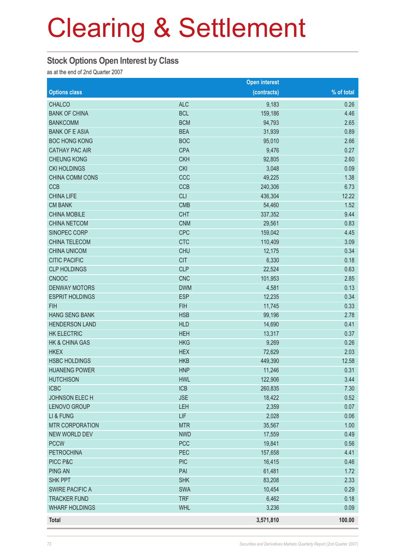# Clearing & Settlement

### **Stock Options Open Interest by Class**

as at the end of 2nd Quarter 2007

|                        |            | <b>Open interest</b> |            |
|------------------------|------------|----------------------|------------|
| <b>Options class</b>   |            | (contracts)          | % of total |
| <b>CHALCO</b>          | <b>ALC</b> | 9,183                | 0.26       |
| <b>BANK OF CHINA</b>   | <b>BCL</b> | 159,186              | 4.46       |
| <b>BANKCOMM</b>        | <b>BCM</b> | 94,793               | 2.65       |
| <b>BANK OF E ASIA</b>  | <b>BEA</b> | 31,939               | 0.89       |
| <b>BOC HONG KONG</b>   | <b>BOC</b> | 95,010               | 2.66       |
| <b>CATHAY PAC AIR</b>  | <b>CPA</b> | 9,476                | 0.27       |
| <b>CHEUNG KONG</b>     | <b>CKH</b> | 92,805               | 2.60       |
| <b>CKI HOLDINGS</b>    | <b>CKI</b> | 3,048                | 0.09       |
| CHINA COMM CONS        | CCC        | 49,225               | 1.38       |
| <b>CCB</b>             | <b>CCB</b> | 240,306              | 6.73       |
| <b>CHINA LIFE</b>      | <b>CLI</b> | 436,304              | 12.22      |
| <b>CM BANK</b>         | <b>CMB</b> | 54,460               | 1.52       |
| <b>CHINA MOBILE</b>    | <b>CHT</b> | 337,352              | 9.44       |
| <b>CHINA NETCOM</b>    | <b>CNM</b> | 29,561               | 0.83       |
| SINOPEC CORP           | <b>CPC</b> | 159,042              | 4.45       |
| <b>CHINA TELECOM</b>   | <b>CTC</b> | 110,409              | 3.09       |
| <b>CHINA UNICOM</b>    | <b>CHU</b> | 12,175               | 0.34       |
| <b>CITIC PACIFIC</b>   | <b>CIT</b> | 6,330                | 0.18       |
| <b>CLP HOLDINGS</b>    | <b>CLP</b> | 22,524               | 0.63       |
| <b>CNOOC</b>           | <b>CNC</b> | 101,953              | 2.85       |
| <b>DENWAY MOTORS</b>   | <b>DWM</b> | 4,581                | 0.13       |
| <b>ESPRIT HOLDINGS</b> | <b>ESP</b> | 12,235               | 0.34       |
| <b>FIH</b>             | <b>FIH</b> | 11,745               | 0.33       |
| <b>HANG SENG BANK</b>  | <b>HSB</b> | 99,196               | 2.78       |
| <b>HENDERSON LAND</b>  | <b>HLD</b> | 14,690               | 0.41       |
| <b>HK ELECTRIC</b>     | <b>HEH</b> | 13,317               | 0.37       |
| HK & CHINA GAS         | <b>HKG</b> | 9,269                | 0.26       |
| <b>HKEX</b>            | <b>HEX</b> | 72,629               | 2.03       |
| <b>HSBC HOLDINGS</b>   | <b>HKB</b> | 449,390              | 12.58      |
| <b>HUANENG POWER</b>   | <b>HNP</b> | 11,246               | 0.31       |
| <b>HUTCHISON</b>       | <b>HWL</b> | 122,906              | 3.44       |
| <b>ICBC</b>            | <b>ICB</b> | 260,835              | 7.30       |
| <b>JOHNSON ELECH</b>   | <b>JSE</b> | 18,422               | 0.52       |
| LENOVO GROUP           | LEH        | 2,359                | 0.07       |
| LI & FUNG              | LIF        | 2,028                | 0.06       |
| <b>MTR CORPORATION</b> | <b>MTR</b> | 35,567               | 1.00       |
| <b>NEW WORLD DEV</b>   | <b>NWD</b> | 17,559               | 0.49       |
| <b>PCCW</b>            | <b>PCC</b> | 19,841               | 0.56       |
| <b>PETROCHINA</b>      | PEC        | 157,658              | 4.41       |
| PICC P&C               | <b>PIC</b> | 16,415               | 0.46       |
| <b>PING AN</b>         | PAI        | 61,481               | 1.72       |
| <b>SHK PPT</b>         | <b>SHK</b> | 83,208               | 2.33       |
| <b>SWIRE PACIFIC A</b> | SWA        | 10,454               | 0.29       |
| <b>TRACKER FUND</b>    | <b>TRF</b> | 6,462                | 0.18       |
| <b>WHARF HOLDINGS</b>  | <b>WHL</b> | 3,236                | 0.09       |
| Total                  |            | 3,571,810            | 100.00     |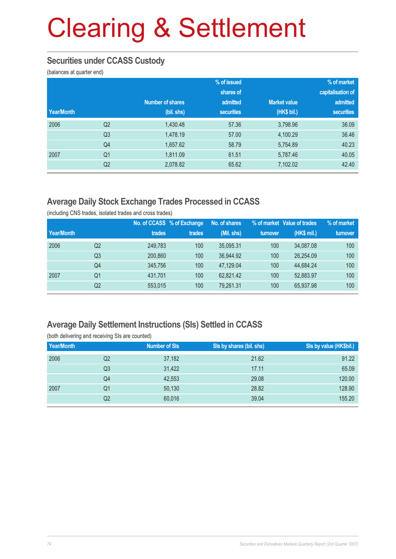# Clearing & Settlement

### **Securities under CCASS Custody**

(balances at quarter end)

|            |                |                         | % of issued |                     | % of market       |
|------------|----------------|-------------------------|-------------|---------------------|-------------------|
|            |                |                         | shares of   |                     | capitalisation of |
|            |                | <b>Number of shares</b> | admitted    | <b>Market value</b> | admitted          |
| Year/Month |                | (bil. shs)              | securities  | (HK\$ bil.)         | securities        |
| 2006       | Q <sub>2</sub> | 1,430.48                | 57.36       | 3,798.96            | 36.09             |
|            | Q <sub>3</sub> | 1,478.19                | 57.00       | 4,100.29            | 36.46             |
|            | Q4             | 1,657.62                | 58.79       | 5,754.89            | 40.23             |
| 2007       | Q <sub>1</sub> | 1,811.09                | 61.51       | 5,787.46            | 40.05             |
|            | Q <sub>2</sub> | 2,078.82                | 65.62       | 7,102.02            | 42.40             |

## **Average Daily Stock Exchange Trades Processed in CCASS**

(including CNS trades, isolated trades and cross trades)

|            |                |         | No. of CCASS % of Exchange | No. of shares |          | % of market Value of trades | % of market |
|------------|----------------|---------|----------------------------|---------------|----------|-----------------------------|-------------|
| Year/Month |                | trades  | trades                     | (Mil. shs)    | turnover | (HK\$ mil.)                 | turnover    |
| 2006       | Q2             | 249.783 | 100                        | 35.095.31     | 100      | 34.087.08                   | 100         |
|            | Q <sub>3</sub> | 200,860 | 100                        | 36.944.92     | 100      | 26.254.09                   | 100         |
|            | Q4             | 345,756 | 100                        | 47.129.04     | 100      | 44.684.24                   | 100         |
| 2007       | Q1             | 431.701 | 100                        | 62.821.42     | 100      | 52,883.97                   | 100         |
|            | Q2             | 553,015 | 100                        | 79,261.31     | 100      | 65,937.98                   | 100         |

### **Average Daily Settlement Instructions (SIs) Settled in CCASS**

| Year/Month |    | <b>Number of SIs</b> | SIs by shares (bil. shs) | Sis by value (HK\$bil.) |
|------------|----|----------------------|--------------------------|-------------------------|
| 2006       | Q2 | 37,182               | 21.62                    | 91.22                   |
|            | Q3 | 31,422               | 17.11                    | 65.09                   |
|            | Q4 | 42,553               | 29.08                    | 120,00                  |
| 2007       | Q1 | 50,130               | 28.82                    | 128.90                  |
|            | Q2 | 60,016               | 39.04                    | 155.20                  |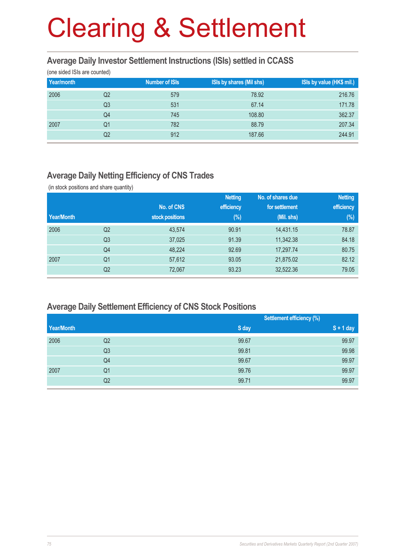# Clearing & Settlement

#### **Average Daily Investor Settlement Instructions (ISIs) settled in CCASS**

(one sided ISIs are counted)

| Year/month |    | <b>Number of ISIs</b> | ISIs by shares (Mil shs) | ISIs by value (HK\$ mil.) |
|------------|----|-----------------------|--------------------------|---------------------------|
| 2006       | Q2 | 579                   | 78.92                    | 216.76                    |
|            | Q3 | 531                   | 67.14                    | 171.78                    |
|            | Q4 | 745                   | 108.80                   | 362.37                    |
| 2007       | Q1 | 782                   | 88.79                    | 207.34                    |
|            | Q2 | 912                   | 187.66                   | 244.91                    |

### **Average Daily Netting Efficiency of CNS Trades**

(in stock positions and share quantity)

| <b>Netting</b> |
|----------------|
| efficiency     |
| $(\%)$         |
| 78.87          |
| 84.18          |
| 80.75          |
| 82.12          |
| 79.05          |
|                |

#### **Average Daily Settlement Efficiency of CNS Stock Positions**

|                | <b>Settlement efficiency (%)</b> |             |
|----------------|----------------------------------|-------------|
|                | S day                            | $S + 1$ day |
| Q2             | 99.67                            | 99.97       |
| Q <sub>3</sub> | 99.81                            | 99.98       |
| Q4             | 99.67                            | 99.97       |
| Q1             | 99.76                            | 99.97       |
| Q2             | 99.71                            | 99.97       |
|                |                                  |             |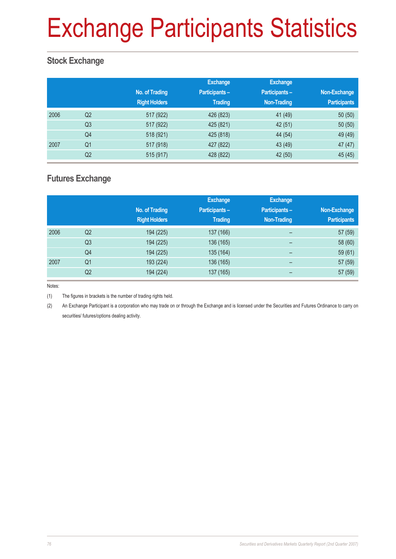# Exchange Participants Statistics

## **Stock Exchange**

|      |                | No. of Trading<br><b>Right Holders</b> | <b>Exchange</b><br><b>Participants-</b><br><b>Trading</b> | <b>Exchange</b><br>Participants -<br><b>Non-Trading</b> | Non-Exchange<br><b>Participants</b> |
|------|----------------|----------------------------------------|-----------------------------------------------------------|---------------------------------------------------------|-------------------------------------|
| 2006 | Q2             | 517 (922)                              | 426 (823)                                                 | 41 (49)                                                 | 50(50)                              |
|      | Q <sub>3</sub> | 517 (922)                              | 425 (821)                                                 | 42(51)                                                  | 50(50)                              |
|      | Q4             | 518 (921)                              | 425 (818)                                                 | 44 (54)                                                 | 49 (49)                             |
| 2007 | Q1             | 517 (918)                              | 427 (822)                                                 | 43 (49)                                                 | 47 (47)                             |
|      | Q <sub>2</sub> | 515 (917)                              | 428 (822)                                                 | 42 (50)                                                 | 45 (45)                             |

### **Futures Exchange**

|      |                |                      | <b>Exchange</b>      | <b>Exchange</b>    |                     |
|------|----------------|----------------------|----------------------|--------------------|---------------------|
|      |                | No. of Trading       | <b>Participants-</b> | Participants-      | Non-Exchange        |
|      |                | <b>Right Holders</b> | <b>Trading</b>       | <b>Non-Trading</b> | <b>Participants</b> |
| 2006 | Q <sub>2</sub> | 194 (225)            | 137 (166)            | -                  | 57 (59)             |
|      | Q <sub>3</sub> | 194 (225)            | 136 (165)            |                    | 58 (60)             |
|      | Q4             | 194 (225)            | 135 (164)            | -                  | 59 (61)             |
| 2007 | Q <sub>1</sub> | 193 (224)            | 136 (165)            | -                  | 57 (59)             |
|      | Q2             | 194 (224)            | 137 (165)            |                    | 57 (59)             |

Notes:

(1) The figures in brackets is the number of trading rights held.

(2) An Exchange Participant is a corporation who may trade on or through the Exchange and is licensed under the Securities and Futures Ordinance to carry on securities/ futures/options dealing activity.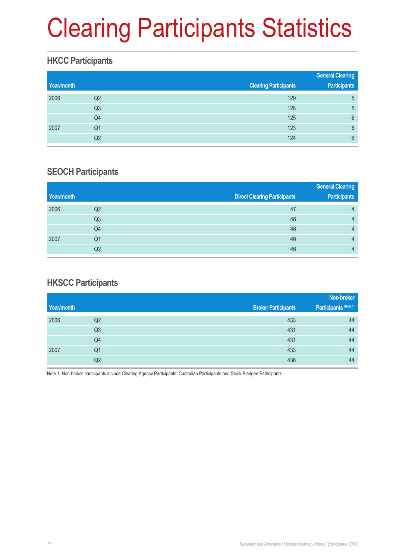# Clearing Participants Statistics

## **HKCC Participants**

|            |                |                              | <b>General Clearing</b> |
|------------|----------------|------------------------------|-------------------------|
| Year/month |                | <b>Clearing Participants</b> | <b>Participants</b>     |
| 2006       | Q <sub>2</sub> | 129                          | 5                       |
|            | Q <sub>3</sub> | 128                          | 5                       |
|            | Q4             | 125                          | 6                       |
| 2007       | Q1             | 123                          | 6                       |
|            | Q2             | 124                          | 6                       |

### **SEOCH Participants**

|            |    |                                     | <b>General Clearing</b> |
|------------|----|-------------------------------------|-------------------------|
| Year/month |    | <b>Direct Clearing Participants</b> | <b>Participants</b>     |
| 2006       | Q2 | 47                                  | 4                       |
|            | Q3 | 46                                  |                         |
|            | Q4 | 46                                  |                         |
| 2007       | Q1 | 46                                  |                         |
|            | Q2 | 46                                  |                         |

## **HKSCC Participants**

|                |                            | Non-broker            |
|----------------|----------------------------|-----------------------|
|                | <b>Broker Participants</b> | Participants (Note 1) |
| Q2             | 433                        | 44                    |
| Q <sub>3</sub> | 431                        | 44                    |
| Q4             | 431                        | 44                    |
| Q1             | 433                        | 44                    |
| Q2             | 436                        | 44                    |
|                |                            |                       |

Note 1: Non-broker participants incluce Clearing Agency Participants, Custodian Participants and Stock Pledgee Participants